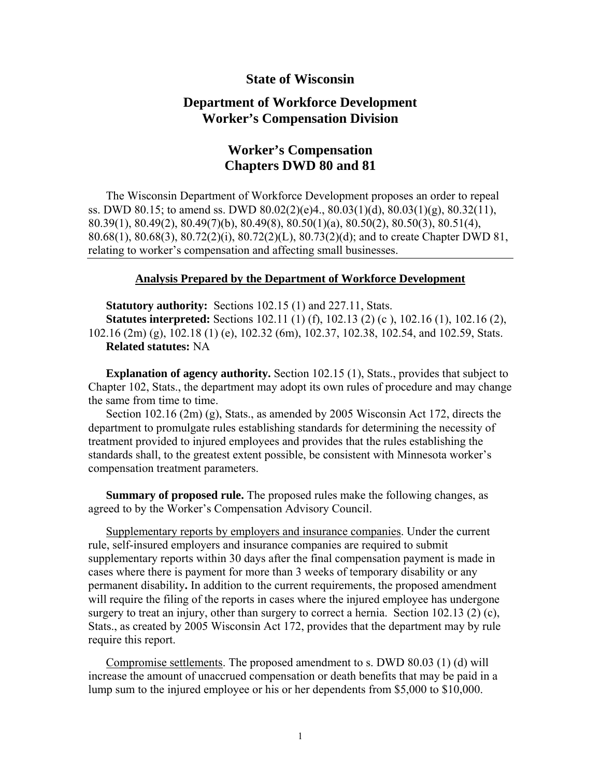## **State of Wisconsin**

## **Department of Workforce Development Worker's Compensation Division**

# **Worker's Compensation Chapters DWD 80 and 81**

The Wisconsin Department of Workforce Development proposes an order to repeal ss. DWD 80.15; to amend ss. DWD 80.02(2)(e)4., 80.03(1)(d), 80.03(1)(g), 80.32(11), 80.39(1), 80.49(2), 80.49(7)(b), 80.49(8), 80.50(1)(a), 80.50(2), 80.50(3), 80.51(4), 80.68(1), 80.68(3), 80.72(2)(i), 80.72(2)(L), 80.73(2)(d); and to create Chapter DWD 81, relating to worker's compensation and affecting small businesses.

#### **Analysis Prepared by the Department of Workforce Development**

**Statutory authority:** Sections 102.15 (1) and 227.11, Stats. **Statutes interpreted:** Sections 102.11 (1) (f), 102.13 (2) (c), 102.16 (1), 102.16 (2), 102.16 (2m) (g), 102.18 (1) (e), 102.32 (6m), 102.37, 102.38, 102.54, and 102.59, Stats. **Related statutes:** NA

**Explanation of agency authority.** Section 102.15 (1), Stats., provides that subject to Chapter 102, Stats., the department may adopt its own rules of procedure and may change the same from time to time.

Section 102.16 (2m) (g), Stats., as amended by 2005 Wisconsin Act 172, directs the department to promulgate rules establishing standards for determining the necessity of treatment provided to injured employees and provides that the rules establishing the standards shall, to the greatest extent possible, be consistent with Minnesota worker's compensation treatment parameters.

**Summary of proposed rule.** The proposed rules make the following changes, as agreed to by the Worker's Compensation Advisory Council.

Supplementary reports by employers and insurance companies. Under the current rule, self-insured employers and insurance companies are required to submit supplementary reports within 30 days after the final compensation payment is made in cases where there is payment for more than 3 weeks of temporary disability or any permanent disability**.** In addition to the current requirements, the proposed amendment will require the filing of the reports in cases where the injured employee has undergone surgery to treat an injury, other than surgery to correct a hernia. Section  $102.13$  (2) (c), Stats., as created by 2005 Wisconsin Act 172, provides that the department may by rule require this report.

Compromise settlements. The proposed amendment to s. DWD 80.03 (1) (d) will increase the amount of unaccrued compensation or death benefits that may be paid in a lump sum to the injured employee or his or her dependents from \$5,000 to \$10,000.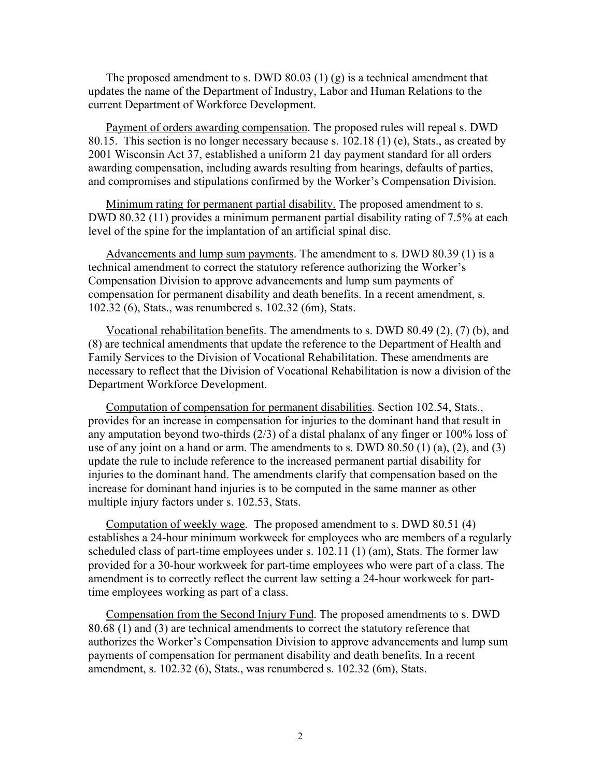The proposed amendment to s. DWD 80.03 (1) (g) is a technical amendment that updates the name of the Department of Industry, Labor and Human Relations to the current Department of Workforce Development.

Payment of orders awarding compensation. The proposed rules will repeal s. DWD 80.15. This section is no longer necessary because s. 102.18 (1) (e), Stats., as created by 2001 Wisconsin Act 37, established a uniform 21 day payment standard for all orders awarding compensation, including awards resulting from hearings, defaults of parties, and compromises and stipulations confirmed by the Worker's Compensation Division.

Minimum rating for permanent partial disability. The proposed amendment to s. DWD 80.32 (11) provides a minimum permanent partial disability rating of 7.5% at each level of the spine for the implantation of an artificial spinal disc.

Advancements and lump sum payments. The amendment to s. DWD 80.39 (1) is a technical amendment to correct the statutory reference authorizing the Worker's Compensation Division to approve advancements and lump sum payments of compensation for permanent disability and death benefits. In a recent amendment, s. 102.32 (6), Stats., was renumbered s. 102.32 (6m), Stats.

Vocational rehabilitation benefits. The amendments to s. DWD 80.49 (2), (7) (b), and (8) are technical amendments that update the reference to the Department of Health and Family Services to the Division of Vocational Rehabilitation. These amendments are necessary to reflect that the Division of Vocational Rehabilitation is now a division of the Department Workforce Development.

Computation of compensation for permanent disabilities. Section 102.54, Stats., provides for an increase in compensation for injuries to the dominant hand that result in any amputation beyond two-thirds (2/3) of a distal phalanx of any finger or 100% loss of use of any joint on a hand or arm. The amendments to s. DWD  $80.50(1)(a)$ ,  $(2)$ , and  $(3)$ update the rule to include reference to the increased permanent partial disability for injuries to the dominant hand. The amendments clarify that compensation based on the increase for dominant hand injuries is to be computed in the same manner as other multiple injury factors under s. 102.53, Stats.

Computation of weekly wage. The proposed amendment to s. DWD 80.51 (4) establishes a 24-hour minimum workweek for employees who are members of a regularly scheduled class of part-time employees under s. 102.11 (1) (am), Stats. The former law provided for a 30-hour workweek for part-time employees who were part of a class. The amendment is to correctly reflect the current law setting a 24-hour workweek for parttime employees working as part of a class.

Compensation from the Second Injury Fund. The proposed amendments to s. DWD 80.68 (1) and (3) are technical amendments to correct the statutory reference that authorizes the Worker's Compensation Division to approve advancements and lump sum payments of compensation for permanent disability and death benefits. In a recent amendment, s. 102.32 (6), Stats., was renumbered s. 102.32 (6m), Stats.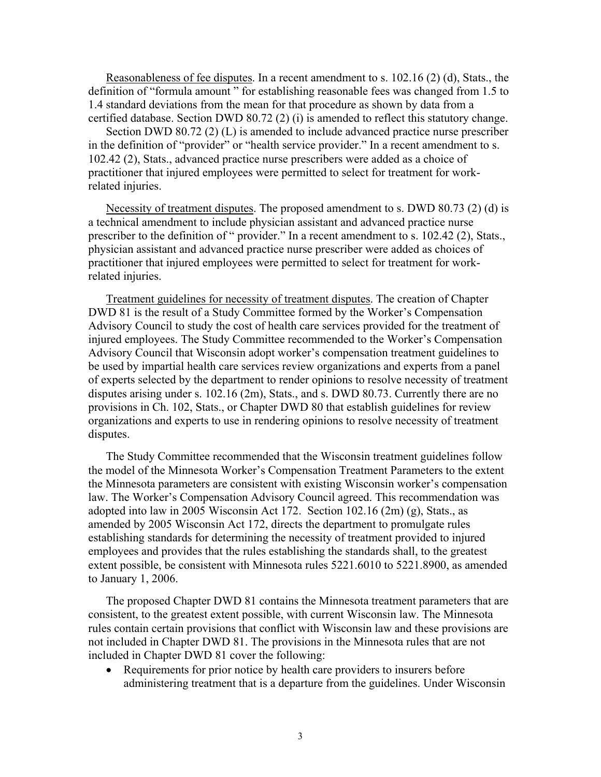Reasonableness of fee disputes. In a recent amendment to s. 102.16 (2) (d), Stats., the definition of "formula amount " for establishing reasonable fees was changed from 1.5 to 1.4 standard deviations from the mean for that procedure as shown by data from a certified database. Section DWD 80.72 (2) (i) is amended to reflect this statutory change.

Section DWD 80.72 (2) (L) is amended to include advanced practice nurse prescriber in the definition of "provider" or "health service provider." In a recent amendment to s. 102.42 (2), Stats., advanced practice nurse prescribers were added as a choice of practitioner that injured employees were permitted to select for treatment for workrelated injuries.

Necessity of treatment disputes. The proposed amendment to s. DWD 80.73 (2) (d) is a technical amendment to include physician assistant and advanced practice nurse prescriber to the definition of " provider." In a recent amendment to s. 102.42 (2), Stats., physician assistant and advanced practice nurse prescriber were added as choices of practitioner that injured employees were permitted to select for treatment for workrelated injuries.

Treatment guidelines for necessity of treatment disputes. The creation of Chapter DWD 81 is the result of a Study Committee formed by the Worker's Compensation Advisory Council to study the cost of health care services provided for the treatment of injured employees. The Study Committee recommended to the Worker's Compensation Advisory Council that Wisconsin adopt worker's compensation treatment guidelines to be used by impartial health care services review organizations and experts from a panel of experts selected by the department to render opinions to resolve necessity of treatment disputes arising under s. 102.16 (2m), Stats., and s. DWD 80.73. Currently there are no provisions in Ch. 102, Stats., or Chapter DWD 80 that establish guidelines for review organizations and experts to use in rendering opinions to resolve necessity of treatment disputes.

The Study Committee recommended that the Wisconsin treatment guidelines follow the model of the Minnesota Worker's Compensation Treatment Parameters to the extent the Minnesota parameters are consistent with existing Wisconsin worker's compensation law. The Worker's Compensation Advisory Council agreed. This recommendation was adopted into law in 2005 Wisconsin Act 172. Section 102.16 (2m) (g), Stats., as amended by 2005 Wisconsin Act 172, directs the department to promulgate rules establishing standards for determining the necessity of treatment provided to injured employees and provides that the rules establishing the standards shall, to the greatest extent possible, be consistent with Minnesota rules 5221.6010 to 5221.8900, as amended to January 1, 2006.

The proposed Chapter DWD 81 contains the Minnesota treatment parameters that are consistent, to the greatest extent possible, with current Wisconsin law. The Minnesota rules contain certain provisions that conflict with Wisconsin law and these provisions are not included in Chapter DWD 81. The provisions in the Minnesota rules that are not included in Chapter DWD 81 cover the following:

• Requirements for prior notice by health care providers to insurers before administering treatment that is a departure from the guidelines. Under Wisconsin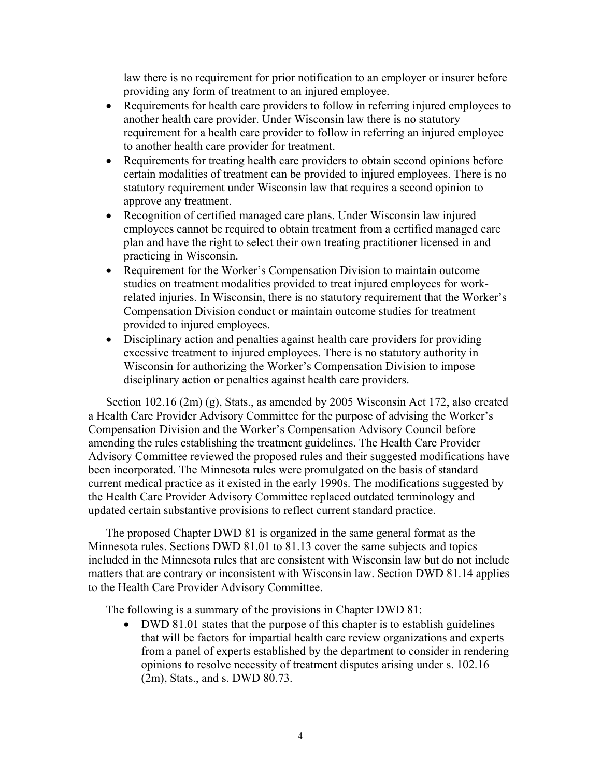law there is no requirement for prior notification to an employer or insurer before providing any form of treatment to an injured employee.

- Requirements for health care providers to follow in referring injured employees to another health care provider. Under Wisconsin law there is no statutory requirement for a health care provider to follow in referring an injured employee to another health care provider for treatment.
- Requirements for treating health care providers to obtain second opinions before certain modalities of treatment can be provided to injured employees. There is no statutory requirement under Wisconsin law that requires a second opinion to approve any treatment.
- Recognition of certified managed care plans. Under Wisconsin law injured employees cannot be required to obtain treatment from a certified managed care plan and have the right to select their own treating practitioner licensed in and practicing in Wisconsin.
- Requirement for the Worker's Compensation Division to maintain outcome studies on treatment modalities provided to treat injured employees for workrelated injuries. In Wisconsin, there is no statutory requirement that the Worker's Compensation Division conduct or maintain outcome studies for treatment provided to injured employees.
- Disciplinary action and penalties against health care providers for providing excessive treatment to injured employees. There is no statutory authority in Wisconsin for authorizing the Worker's Compensation Division to impose disciplinary action or penalties against health care providers.

Section 102.16 (2m) (g), Stats., as amended by 2005 Wisconsin Act 172, also created a Health Care Provider Advisory Committee for the purpose of advising the Worker's Compensation Division and the Worker's Compensation Advisory Council before amending the rules establishing the treatment guidelines. The Health Care Provider Advisory Committee reviewed the proposed rules and their suggested modifications have been incorporated. The Minnesota rules were promulgated on the basis of standard current medical practice as it existed in the early 1990s. The modifications suggested by the Health Care Provider Advisory Committee replaced outdated terminology and updated certain substantive provisions to reflect current standard practice.

The proposed Chapter DWD 81 is organized in the same general format as the Minnesota rules. Sections DWD 81.01 to 81.13 cover the same subjects and topics included in the Minnesota rules that are consistent with Wisconsin law but do not include matters that are contrary or inconsistent with Wisconsin law. Section DWD 81.14 applies to the Health Care Provider Advisory Committee.

The following is a summary of the provisions in Chapter DWD 81:

• DWD 81.01 states that the purpose of this chapter is to establish guidelines that will be factors for impartial health care review organizations and experts from a panel of experts established by the department to consider in rendering opinions to resolve necessity of treatment disputes arising under s. 102.16 (2m), Stats., and s. DWD 80.73.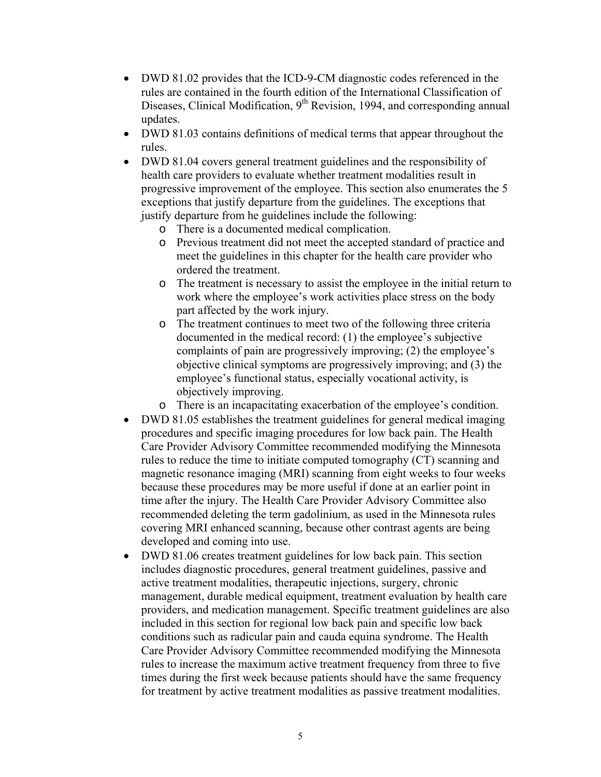- DWD 81.02 provides that the ICD-9-CM diagnostic codes referenced in the rules are contained in the fourth edition of the International Classification of Diseases, Clinical Modification,  $9<sup>th</sup>$  Revision, 1994, and corresponding annual updates.
- DWD 81.03 contains definitions of medical terms that appear throughout the rules.
- DWD 81.04 covers general treatment guidelines and the responsibility of health care providers to evaluate whether treatment modalities result in progressive improvement of the employee. This section also enumerates the 5 exceptions that justify departure from the guidelines. The exceptions that justify departure from he guidelines include the following:
	- o There is a documented medical complication.
	- o Previous treatment did not meet the accepted standard of practice and meet the guidelines in this chapter for the health care provider who ordered the treatment.
	- o The treatment is necessary to assist the employee in the initial return to work where the employee's work activities place stress on the body part affected by the work injury.
	- o The treatment continues to meet two of the following three criteria documented in the medical record: (1) the employee's subjective complaints of pain are progressively improving; (2) the employee's objective clinical symptoms are progressively improving; and (3) the employee's functional status, especially vocational activity, is objectively improving.
	- o There is an incapacitating exacerbation of the employee's condition.
- DWD 81.05 establishes the treatment guidelines for general medical imaging procedures and specific imaging procedures for low back pain. The Health Care Provider Advisory Committee recommended modifying the Minnesota rules to reduce the time to initiate computed tomography (CT) scanning and magnetic resonance imaging (MRI) scanning from eight weeks to four weeks because these procedures may be more useful if done at an earlier point in time after the injury. The Health Care Provider Advisory Committee also recommended deleting the term gadolinium, as used in the Minnesota rules covering MRI enhanced scanning, because other contrast agents are being developed and coming into use.
- DWD 81.06 creates treatment guidelines for low back pain. This section includes diagnostic procedures, general treatment guidelines, passive and active treatment modalities, therapeutic injections, surgery, chronic management, durable medical equipment, treatment evaluation by health care providers, and medication management. Specific treatment guidelines are also included in this section for regional low back pain and specific low back conditions such as radicular pain and cauda equina syndrome. The Health Care Provider Advisory Committee recommended modifying the Minnesota rules to increase the maximum active treatment frequency from three to five times during the first week because patients should have the same frequency for treatment by active treatment modalities as passive treatment modalities.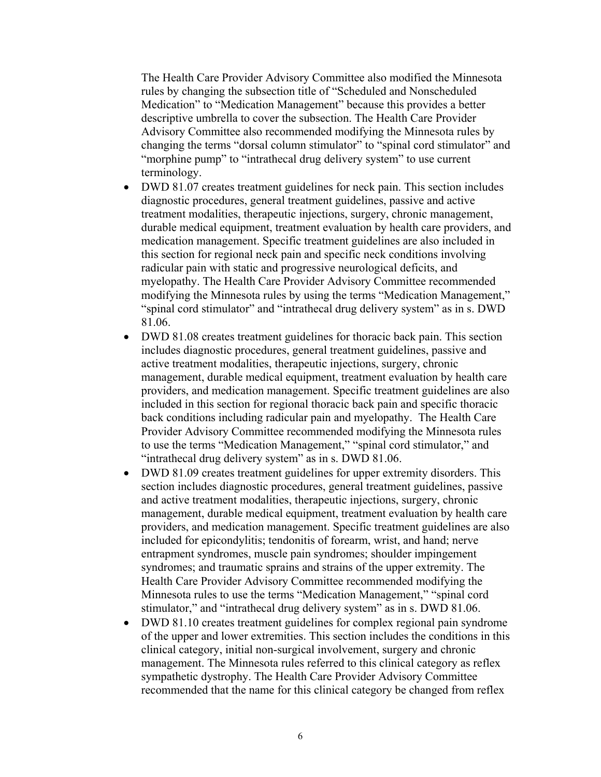The Health Care Provider Advisory Committee also modified the Minnesota rules by changing the subsection title of "Scheduled and Nonscheduled Medication" to "Medication Management" because this provides a better descriptive umbrella to cover the subsection. The Health Care Provider Advisory Committee also recommended modifying the Minnesota rules by changing the terms "dorsal column stimulator" to "spinal cord stimulator" and "morphine pump" to "intrathecal drug delivery system" to use current terminology.

- DWD 81.07 creates treatment guidelines for neck pain. This section includes diagnostic procedures, general treatment guidelines, passive and active treatment modalities, therapeutic injections, surgery, chronic management, durable medical equipment, treatment evaluation by health care providers, and medication management. Specific treatment guidelines are also included in this section for regional neck pain and specific neck conditions involving radicular pain with static and progressive neurological deficits, and myelopathy. The Health Care Provider Advisory Committee recommended modifying the Minnesota rules by using the terms "Medication Management," "spinal cord stimulator" and "intrathecal drug delivery system" as in s. DWD 81.06.
- DWD 81.08 creates treatment guidelines for thoracic back pain. This section includes diagnostic procedures, general treatment guidelines, passive and active treatment modalities, therapeutic injections, surgery, chronic management, durable medical equipment, treatment evaluation by health care providers, and medication management. Specific treatment guidelines are also included in this section for regional thoracic back pain and specific thoracic back conditions including radicular pain and myelopathy. The Health Care Provider Advisory Committee recommended modifying the Minnesota rules to use the terms "Medication Management," "spinal cord stimulator," and "intrathecal drug delivery system" as in s. DWD 81.06.
- DWD 81.09 creates treatment guidelines for upper extremity disorders. This section includes diagnostic procedures, general treatment guidelines, passive and active treatment modalities, therapeutic injections, surgery, chronic management, durable medical equipment, treatment evaluation by health care providers, and medication management. Specific treatment guidelines are also included for epicondylitis; tendonitis of forearm, wrist, and hand; nerve entrapment syndromes, muscle pain syndromes; shoulder impingement syndromes; and traumatic sprains and strains of the upper extremity. The Health Care Provider Advisory Committee recommended modifying the Minnesota rules to use the terms "Medication Management," "spinal cord stimulator," and "intrathecal drug delivery system" as in s. DWD 81.06.
- DWD 81.10 creates treatment guidelines for complex regional pain syndrome of the upper and lower extremities. This section includes the conditions in this clinical category, initial non-surgical involvement, surgery and chronic management. The Minnesota rules referred to this clinical category as reflex sympathetic dystrophy. The Health Care Provider Advisory Committee recommended that the name for this clinical category be changed from reflex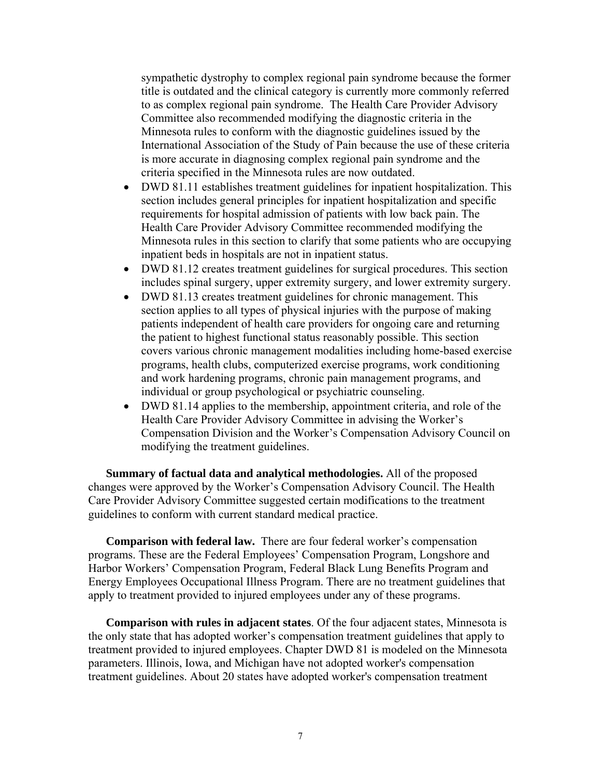sympathetic dystrophy to complex regional pain syndrome because the former title is outdated and the clinical category is currently more commonly referred to as complex regional pain syndrome. The Health Care Provider Advisory Committee also recommended modifying the diagnostic criteria in the Minnesota rules to conform with the diagnostic guidelines issued by the International Association of the Study of Pain because the use of these criteria is more accurate in diagnosing complex regional pain syndrome and the criteria specified in the Minnesota rules are now outdated.

- DWD 81.11 establishes treatment guidelines for inpatient hospitalization. This section includes general principles for inpatient hospitalization and specific requirements for hospital admission of patients with low back pain. The Health Care Provider Advisory Committee recommended modifying the Minnesota rules in this section to clarify that some patients who are occupying inpatient beds in hospitals are not in inpatient status.
- DWD 81.12 creates treatment guidelines for surgical procedures. This section includes spinal surgery, upper extremity surgery, and lower extremity surgery.
- DWD 81.13 creates treatment guidelines for chronic management. This section applies to all types of physical injuries with the purpose of making patients independent of health care providers for ongoing care and returning the patient to highest functional status reasonably possible. This section covers various chronic management modalities including home-based exercise programs, health clubs, computerized exercise programs, work conditioning and work hardening programs, chronic pain management programs, and individual or group psychological or psychiatric counseling.
- DWD 81.14 applies to the membership, appointment criteria, and role of the Health Care Provider Advisory Committee in advising the Worker's Compensation Division and the Worker's Compensation Advisory Council on modifying the treatment guidelines.

**Summary of factual data and analytical methodologies.** All of the proposed changes were approved by the Worker's Compensation Advisory Council. The Health Care Provider Advisory Committee suggested certain modifications to the treatment guidelines to conform with current standard medical practice.

**Comparison with federal law.** There are four federal worker's compensation programs. These are the Federal Employees' Compensation Program, Longshore and Harbor Workers' Compensation Program, Federal Black Lung Benefits Program and Energy Employees Occupational Illness Program. There are no treatment guidelines that apply to treatment provided to injured employees under any of these programs.

**Comparison with rules in adjacent states**. Of the four adjacent states, Minnesota is the only state that has adopted worker's compensation treatment guidelines that apply to treatment provided to injured employees. Chapter DWD 81 is modeled on the Minnesota parameters. Illinois, Iowa, and Michigan have not adopted worker's compensation treatment guidelines. About 20 states have adopted worker's compensation treatment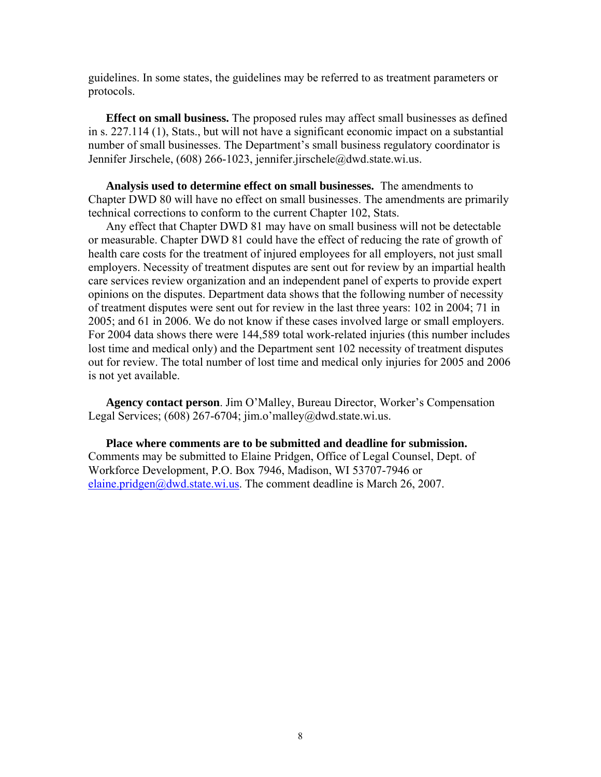guidelines. In some states, the guidelines may be referred to as treatment parameters or protocols.

**Effect on small business.** The proposed rules may affect small businesses as defined in s. 227.114 (1), Stats., but will not have a significant economic impact on a substantial number of small businesses. The Department's small business regulatory coordinator is Jennifer Jirschele, (608) 266-1023, jennifer.jirschele@dwd.state.wi.us.

**Analysis used to determine effect on small businesses.** The amendments to Chapter DWD 80 will have no effect on small businesses. The amendments are primarily technical corrections to conform to the current Chapter 102, Stats.

Any effect that Chapter DWD 81 may have on small business will not be detectable or measurable. Chapter DWD 81 could have the effect of reducing the rate of growth of health care costs for the treatment of injured employees for all employers, not just small employers. Necessity of treatment disputes are sent out for review by an impartial health care services review organization and an independent panel of experts to provide expert opinions on the disputes. Department data shows that the following number of necessity of treatment disputes were sent out for review in the last three years: 102 in 2004; 71 in 2005; and 61 in 2006. We do not know if these cases involved large or small employers. For 2004 data shows there were 144,589 total work-related injuries (this number includes lost time and medical only) and the Department sent 102 necessity of treatment disputes out for review. The total number of lost time and medical only injuries for 2005 and 2006 is not yet available.

**Agency contact person**. Jim O'Malley, Bureau Director, Worker's Compensation Legal Services;  $(608)$  267-6704; jim.o'malley@dwd.state.wi.us.

**Place where comments are to be submitted and deadline for submission.**  Comments may be submitted to Elaine Pridgen, Office of Legal Counsel, Dept. of Workforce Development, P.O. Box 7946, Madison, WI 53707-7946 or [elaine.pridgen@dwd.state.wi.us.](mailto:elaine.pridgen@dwd.state.wi.us) The comment deadline is March 26, 2007.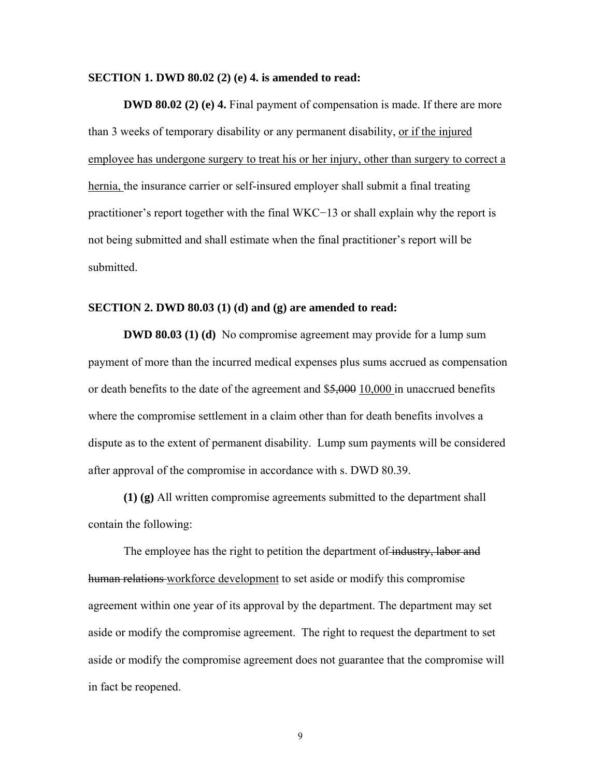#### **SECTION 1. DWD 80.02 (2) (e) 4. is amended to read:**

**DWD 80.02 (2) (e) 4.** Final payment of compensation is made. If there are more than 3 weeks of temporary disability or any permanent disability, or if the injured employee has undergone surgery to treat his or her injury, other than surgery to correct a hernia, the insurance carrier or self-insured employer shall submit a final treating practitioner's report together with the final WKC−13 or shall explain why the report is not being submitted and shall estimate when the final practitioner's report will be submitted.

#### **SECTION 2. DWD 80.03 (1) (d) and (g) are amended to read:**

**DWD 80.03 (1) (d)** No compromise agreement may provide for a lump sum payment of more than the incurred medical expenses plus sums accrued as compensation or death benefits to the date of the agreement and \$5,000 10,000 in unaccrued benefits where the compromise settlement in a claim other than for death benefits involves a dispute as to the extent of permanent disability. Lump sum payments will be considered after approval of the compromise in accordance with s. DWD 80.39.

**(1) (g)** All written compromise agreements submitted to the department shall contain the following:

The employee has the right to petition the department of industry, labor and human relations workforce development to set aside or modify this compromise agreement within one year of its approval by the department. The department may set aside or modify the compromise agreement. The right to request the department to set aside or modify the compromise agreement does not guarantee that the compromise will in fact be reopened.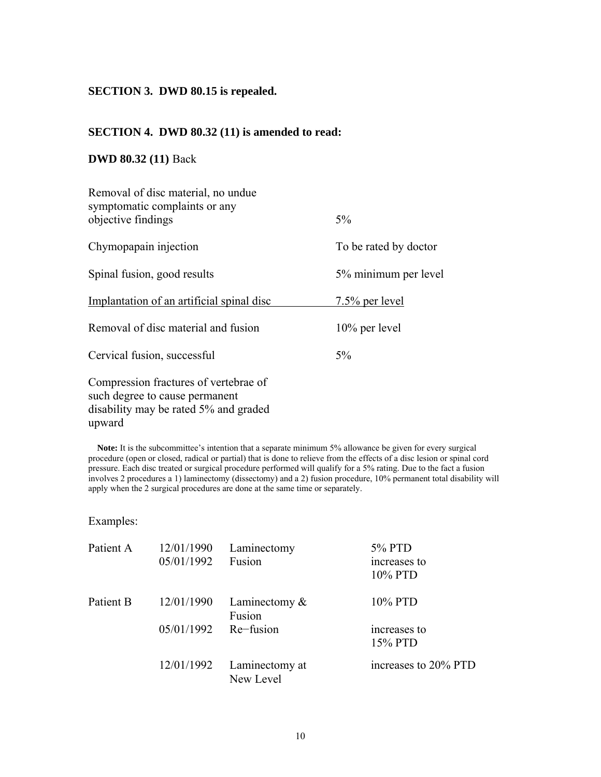### **SECTION 3. DWD 80.15 is repealed.**

## **SECTION 4. DWD 80.32 (11) is amended to read:**

## **DWD 80.32 (11)** Back

| Removal of disc material, no undue<br>symptomatic complaints or any                                              |                       |
|------------------------------------------------------------------------------------------------------------------|-----------------------|
| objective findings                                                                                               | 5%                    |
| Chymopapain injection                                                                                            | To be rated by doctor |
| Spinal fusion, good results                                                                                      | 5% minimum per level  |
| Implantation of an artificial spinal disc                                                                        | <u>7.5% per level</u> |
| Removal of disc material and fusion                                                                              | $10\%$ per level      |
| Cervical fusion, successful                                                                                      | 5%                    |
| Compression fractures of vertebrae of<br>such degree to cause permanent<br>disability may be rated 5% and graded |                       |

**Note:** It is the subcommittee's intention that a separate minimum 5% allowance be given for every surgical procedure (open or closed, radical or partial) that is done to relieve from the effects of a disc lesion or spinal cord pressure. Each disc treated or surgical procedure performed will qualify for a 5% rating. Due to the fact a fusion involves 2 procedures a 1) laminectomy (dissectomy) and a 2) fusion procedure, 10% permanent total disability will apply when the 2 surgical procedures are done at the same time or separately.

## Examples:

upward

| Patient A | 12/01/1990<br>05/01/1992 | Laminectomy<br>Fusion       | 5% PTD<br>increases to<br>10% PTD |
|-----------|--------------------------|-----------------------------|-----------------------------------|
| Patient B | 12/01/1990               | Laminectomy $\&$<br>Fusion  | 10% PTD                           |
|           | 05/01/1992               | Re-fusion                   | increases to<br>15% PTD           |
|           | 12/01/1992               | Laminectomy at<br>New Level | increases to 20% PTD              |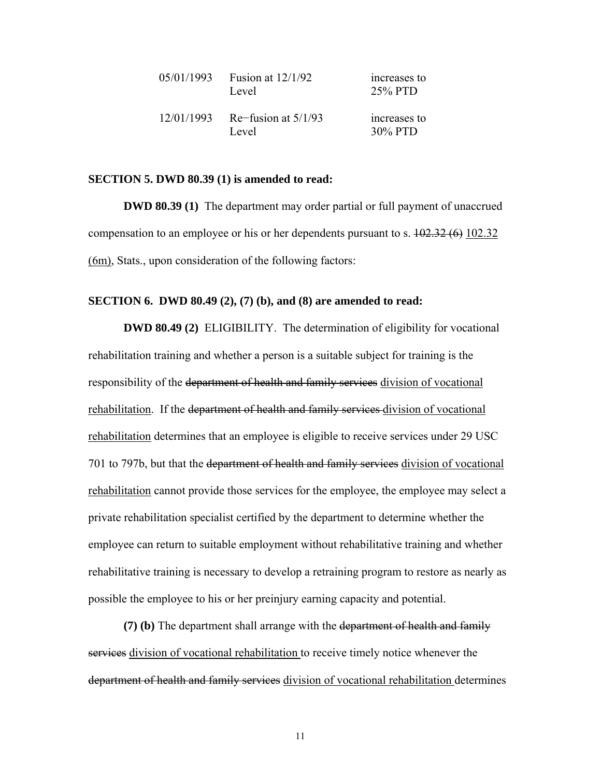| 05/01/1993 | Fusion at $12/1/92$<br>Level   | increases to<br>25% PTD |
|------------|--------------------------------|-------------------------|
| 12/01/1993 | Re-fusion at $5/1/93$<br>Level | increases to<br>30% PTD |

#### **SECTION 5. DWD 80.39 (1) is amended to read:**

**DWD 80.39 (1)** The department may order partial or full payment of unaccrued compensation to an employee or his or her dependents pursuant to s.  $102.32(6)$  102.32 (6m), Stats., upon consideration of the following factors:

#### **SECTION 6. DWD 80.49 (2), (7) (b), and (8) are amended to read:**

**DWD 80.49 (2)** ELIGIBILITY. The determination of eligibility for vocational rehabilitation training and whether a person is a suitable subject for training is the responsibility of the department of health and family services division of vocational rehabilitation. If the department of health and family services division of vocational rehabilitation determines that an employee is eligible to receive services under 29 USC 701 to 797b, but that the department of health and family services division of vocational rehabilitation cannot provide those services for the employee, the employee may select a private rehabilitation specialist certified by the department to determine whether the employee can return to suitable employment without rehabilitative training and whether rehabilitative training is necessary to develop a retraining program to restore as nearly as possible the employee to his or her preinjury earning capacity and potential.

**(7) (b)** The department shall arrange with the department of health and family services division of vocational rehabilitation to receive timely notice whenever the department of health and family services division of vocational rehabilitation determines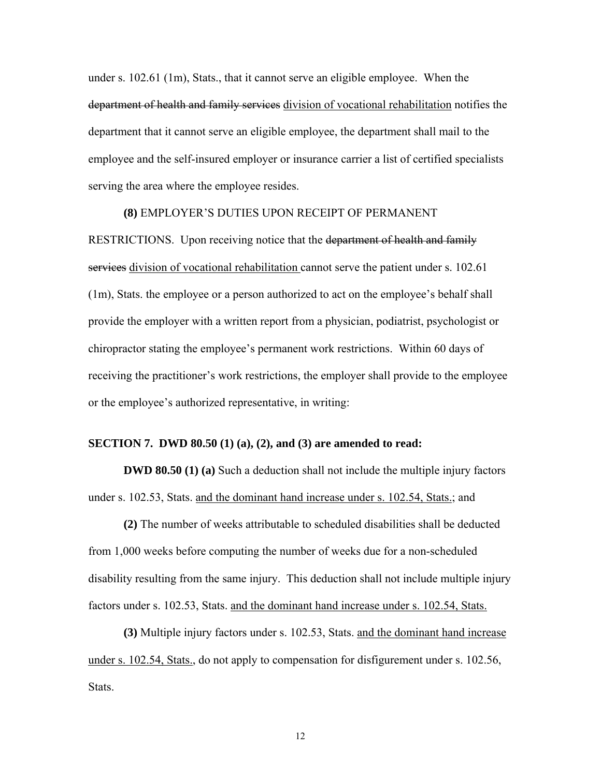under s. 102.61 (1m), Stats., that it cannot serve an eligible employee. When the department of health and family services division of vocational rehabilitation notifies the department that it cannot serve an eligible employee, the department shall mail to the employee and the self-insured employer or insurance carrier a list of certified specialists serving the area where the employee resides.

### **(8)** EMPLOYER'S DUTIES UPON RECEIPT OF PERMANENT

RESTRICTIONS. Upon receiving notice that the department of health and family services division of vocational rehabilitation cannot serve the patient under s. 102.61 (1m), Stats. the employee or a person authorized to act on the employee's behalf shall provide the employer with a written report from a physician, podiatrist, psychologist or chiropractor stating the employee's permanent work restrictions. Within 60 days of receiving the practitioner's work restrictions, the employer shall provide to the employee or the employee's authorized representative, in writing:

## **SECTION 7. DWD 80.50 (1) (a), (2), and (3) are amended to read:**

**DWD 80.50 (1) (a)** Such a deduction shall not include the multiple injury factors under s. 102.53, Stats. and the dominant hand increase under s. 102.54, Stats.; and

**(2)** The number of weeks attributable to scheduled disabilities shall be deducted from 1,000 weeks before computing the number of weeks due for a non-scheduled disability resulting from the same injury. This deduction shall not include multiple injury factors under s. 102.53, Stats. and the dominant hand increase under s. 102.54, Stats.

**(3)** Multiple injury factors under s. 102.53, Stats. and the dominant hand increase under s. 102.54, Stats., do not apply to compensation for disfigurement under s. 102.56, Stats.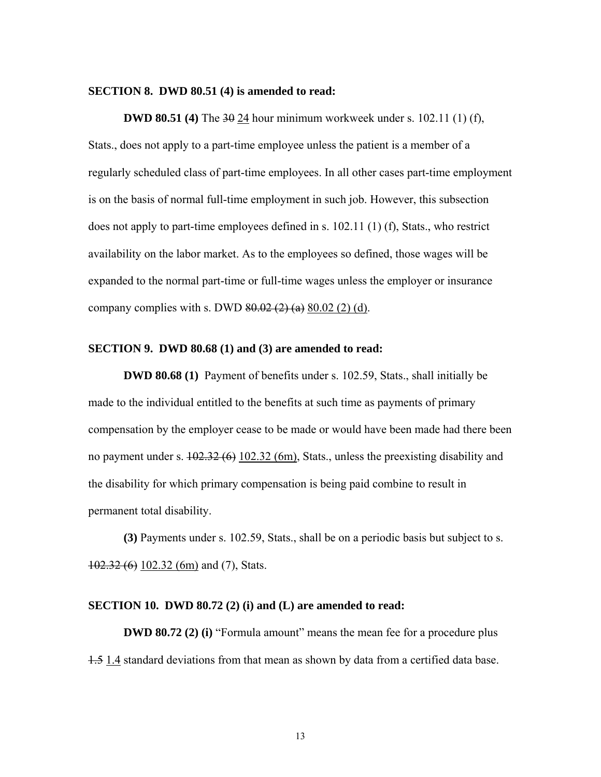#### **SECTION 8. DWD 80.51 (4) is amended to read:**

**DWD 80.51 (4)** The 30 24 hour minimum workweek under s. 102.11 (1) (f), Stats., does not apply to a part-time employee unless the patient is a member of a regularly scheduled class of part-time employees. In all other cases part-time employment is on the basis of normal full-time employment in such job. However, this subsection does not apply to part-time employees defined in s. 102.11 (1) (f), Stats., who restrict availability on the labor market. As to the employees so defined, those wages will be expanded to the normal part-time or full-time wages unless the employer or insurance company complies with s. DWD  $80.02$  (2) (a)  $80.02$  (2) (d).

#### **SECTION 9. DWD 80.68 (1) and (3) are amended to read:**

**DWD 80.68 (1)** Payment of benefits under s. 102.59, Stats., shall initially be made to the individual entitled to the benefits at such time as payments of primary compensation by the employer cease to be made or would have been made had there been no payment under s.  $102.32(6)$   $102.32(6)$ , Stats., unless the preexisting disability and the disability for which primary compensation is being paid combine to result in permanent total disability.

**(3)** Payments under s. 102.59, Stats., shall be on a periodic basis but subject to s. 102.32 (6) 102.32 (6m) and (7), Stats.

## **SECTION 10. DWD 80.72 (2) (i) and (L) are amended to read:**

**DWD 80.72 (2) (i)** "Formula amount" means the mean fee for a procedure plus 1.5 1.4 standard deviations from that mean as shown by data from a certified data base.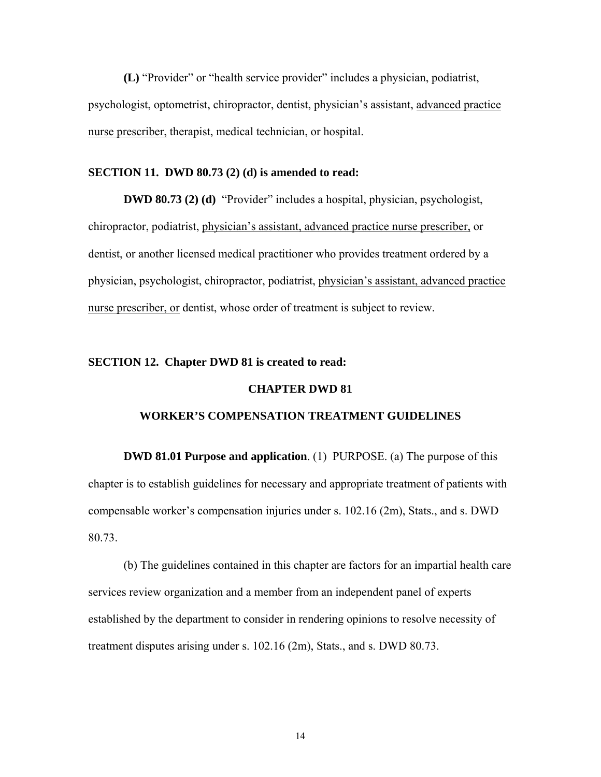**(L)** "Provider" or "health service provider" includes a physician, podiatrist, psychologist, optometrist, chiropractor, dentist, physician's assistant, advanced practice nurse prescriber, therapist, medical technician, or hospital.

## **SECTION 11. DWD 80.73 (2) (d) is amended to read:**

**DWD 80.73 (2) (d)** "Provider" includes a hospital, physician, psychologist, chiropractor, podiatrist, physician's assistant, advanced practice nurse prescriber, or dentist, or another licensed medical practitioner who provides treatment ordered by a physician, psychologist, chiropractor, podiatrist, physician's assistant, advanced practice nurse prescriber, or dentist, whose order of treatment is subject to review.

## **SECTION 12. Chapter DWD 81 is created to read:**

### **CHAPTER DWD 81**

## **WORKER'S COMPENSATION TREATMENT GUIDELINES**

 **DWD 81.01 Purpose and application**. (1) PURPOSE. (a) The purpose of this chapter is to establish guidelines for necessary and appropriate treatment of patients with compensable worker's compensation injuries under s. 102.16 (2m), Stats., and s. DWD 80.73.

(b) The guidelines contained in this chapter are factors for an impartial health care services review organization and a member from an independent panel of experts established by the department to consider in rendering opinions to resolve necessity of treatment disputes arising under s. 102.16 (2m), Stats., and s. DWD 80.73.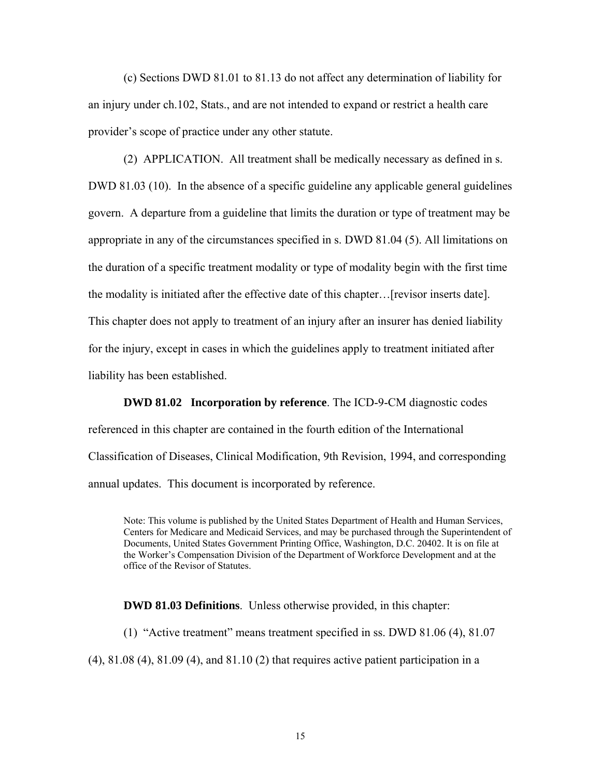(c) Sections DWD 81.01 to 81.13 do not affect any determination of liability for an injury under ch.102, Stats., and are not intended to expand or restrict a health care provider's scope of practice under any other statute.

 (2) APPLICATION. All treatment shall be medically necessary as defined in s. DWD 81.03 (10). In the absence of a specific guideline any applicable general guidelines govern. A departure from a guideline that limits the duration or type of treatment may be appropriate in any of the circumstances specified in s. DWD 81.04 (5). All limitations on the duration of a specific treatment modality or type of modality begin with the first time the modality is initiated after the effective date of this chapter…[revisor inserts date]. This chapter does not apply to treatment of an injury after an insurer has denied liability for the injury, except in cases in which the guidelines apply to treatment initiated after liability has been established.

 **DWD 81.02 Incorporation by reference**. The ICD-9-CM diagnostic codes referenced in this chapter are contained in the fourth edition of the International Classification of Diseases, Clinical Modification, 9th Revision, 1994, and corresponding annual updates. This document is incorporated by reference.

Note: This volume is published by the United States Department of Health and Human Services, Centers for Medicare and Medicaid Services, and may be purchased through the Superintendent of Documents, United States Government Printing Office, Washington, D.C. 20402. It is on file at the Worker's Compensation Division of the Department of Workforce Development and at the office of the Revisor of Statutes.

 **DWD 81.03 Definitions**. Unless otherwise provided, in this chapter:

 (1) "Active treatment" means treatment specified in ss. DWD 81.06 (4), 81.07 (4), 81.08 (4), 81.09 (4), and 81.10 (2) that requires active patient participation in a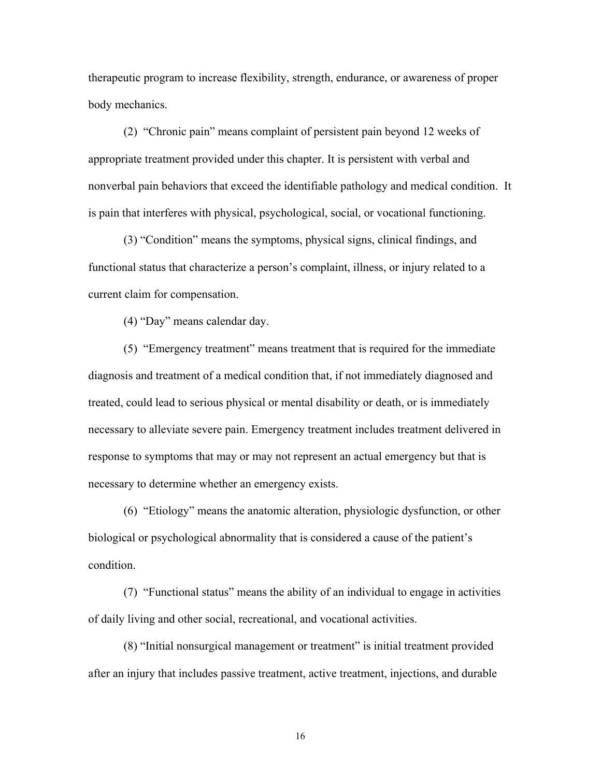therapeutic program to increase flexibility, strength, endurance, or awareness of proper body mechanics.

 (2) "Chronic pain" means complaint of persistent pain beyond 12 weeks of appropriate treatment provided under this chapter. It is persistent with verbal and nonverbal pain behaviors that exceed the identifiable pathology and medical condition. It is pain that interferes with physical, psychological, social, or vocational functioning.

 (3) "Condition" means the symptoms, physical signs, clinical findings, and functional status that characterize a person's complaint, illness, or injury related to a current claim for compensation.

(4) "Day" means calendar day.

 (5) "Emergency treatment" means treatment that is required for the immediate diagnosis and treatment of a medical condition that, if not immediately diagnosed and treated, could lead to serious physical or mental disability or death, or is immediately necessary to alleviate severe pain. Emergency treatment includes treatment delivered in response to symptoms that may or may not represent an actual emergency but that is necessary to determine whether an emergency exists.

 (6) "Etiology" means the anatomic alteration, physiologic dysfunction, or other biological or psychological abnormality that is considered a cause of the patient's condition.

 (7) "Functional status" means the ability of an individual to engage in activities of daily living and other social, recreational, and vocational activities.

 (8) "Initial nonsurgical management or treatment" is initial treatment provided after an injury that includes passive treatment, active treatment, injections, and durable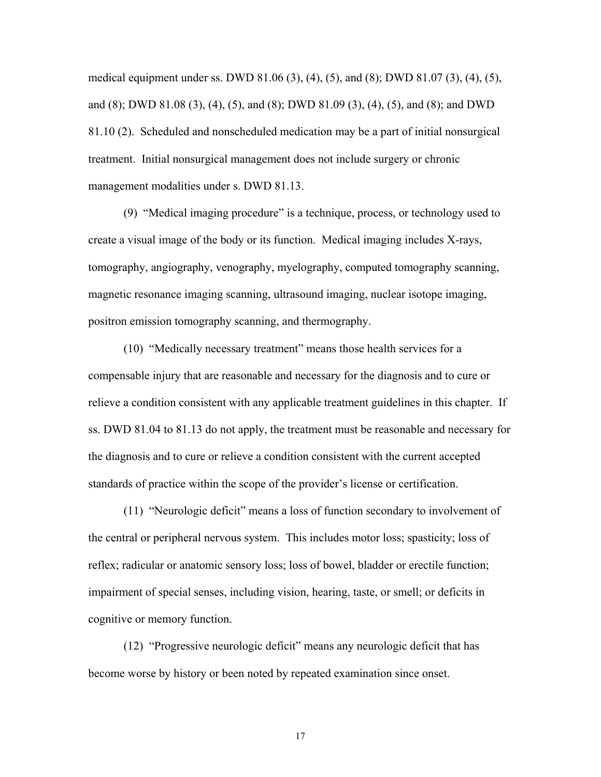medical equipment under ss. DWD 81.06 (3), (4), (5), and (8); DWD 81.07 (3), (4), (5), and (8); DWD 81.08 (3), (4), (5), and (8); DWD 81.09 (3), (4), (5), and (8); and DWD 81.10 (2). Scheduled and nonscheduled medication may be a part of initial nonsurgical treatment. Initial nonsurgical management does not include surgery or chronic management modalities under s. DWD 81.13.

 (9) "Medical imaging procedure" is a technique, process, or technology used to create a visual image of the body or its function. Medical imaging includes X-rays, tomography, angiography, venography, myelography, computed tomography scanning, magnetic resonance imaging scanning, ultrasound imaging, nuclear isotope imaging, positron emission tomography scanning, and thermography.

 (10) "Medically necessary treatment" means those health services for a compensable injury that are reasonable and necessary for the diagnosis and to cure or relieve a condition consistent with any applicable treatment guidelines in this chapter. If ss. DWD 81.04 to 81.13 do not apply, the treatment must be reasonable and necessary for the diagnosis and to cure or relieve a condition consistent with the current accepted standards of practice within the scope of the provider's license or certification.

 (11) "Neurologic deficit" means a loss of function secondary to involvement of the central or peripheral nervous system. This includes motor loss; spasticity; loss of reflex; radicular or anatomic sensory loss; loss of bowel, bladder or erectile function; impairment of special senses, including vision, hearing, taste, or smell; or deficits in cognitive or memory function.

 (12) "Progressive neurologic deficit" means any neurologic deficit that has become worse by history or been noted by repeated examination since onset.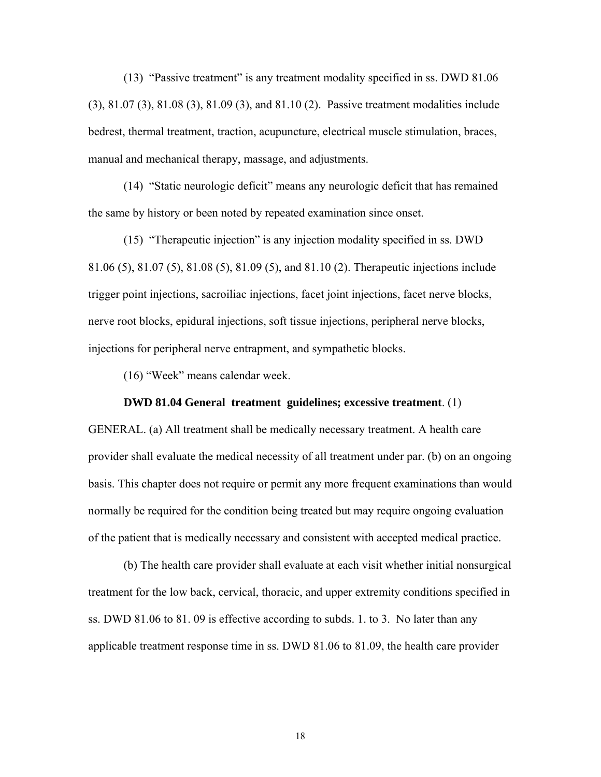(13) "Passive treatment" is any treatment modality specified in ss. DWD 81.06 (3), 81.07 (3), 81.08 (3), 81.09 (3), and 81.10 (2). Passive treatment modalities include bedrest, thermal treatment, traction, acupuncture, electrical muscle stimulation, braces, manual and mechanical therapy, massage, and adjustments.

 (14) "Static neurologic deficit" means any neurologic deficit that has remained the same by history or been noted by repeated examination since onset.

 (15) "Therapeutic injection" is any injection modality specified in ss. DWD 81.06 (5), 81.07 (5), 81.08 (5), 81.09 (5), and 81.10 (2). Therapeutic injections include trigger point injections, sacroiliac injections, facet joint injections, facet nerve blocks, nerve root blocks, epidural injections, soft tissue injections, peripheral nerve blocks, injections for peripheral nerve entrapment, and sympathetic blocks.

(16) "Week" means calendar week.

#### **DWD 81.04 General treatment guidelines; excessive treatment**. (1)

GENERAL. (a) All treatment shall be medically necessary treatment. A health care provider shall evaluate the medical necessity of all treatment under par. (b) on an ongoing basis. This chapter does not require or permit any more frequent examinations than would normally be required for the condition being treated but may require ongoing evaluation of the patient that is medically necessary and consistent with accepted medical practice.

 (b) The health care provider shall evaluate at each visit whether initial nonsurgical treatment for the low back, cervical, thoracic, and upper extremity conditions specified in ss. DWD 81.06 to 81. 09 is effective according to subds. 1. to 3. No later than any applicable treatment response time in ss. DWD 81.06 to 81.09, the health care provider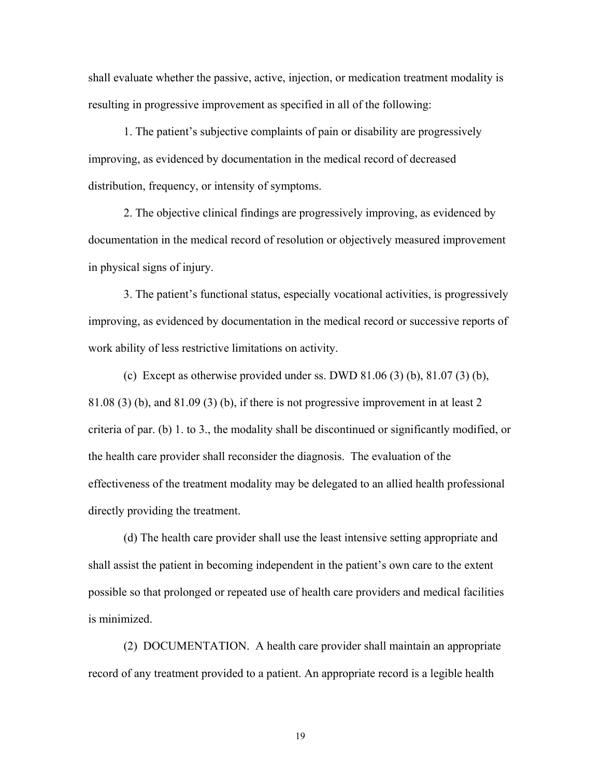shall evaluate whether the passive, active, injection, or medication treatment modality is resulting in progressive improvement as specified in all of the following:

 1. The patient's subjective complaints of pain or disability are progressively improving, as evidenced by documentation in the medical record of decreased distribution, frequency, or intensity of symptoms.

 2. The objective clinical findings are progressively improving, as evidenced by documentation in the medical record of resolution or objectively measured improvement in physical signs of injury.

 3. The patient's functional status, especially vocational activities, is progressively improving, as evidenced by documentation in the medical record or successive reports of work ability of less restrictive limitations on activity.

(c) Except as otherwise provided under ss. DWD 81.06 (3) (b), 81.07 (3) (b), 81.08 (3) (b), and 81.09 (3) (b), if there is not progressive improvement in at least 2 criteria of par. (b) 1. to 3., the modality shall be discontinued or significantly modified, or the health care provider shall reconsider the diagnosis. The evaluation of the effectiveness of the treatment modality may be delegated to an allied health professional directly providing the treatment.

 (d) The health care provider shall use the least intensive setting appropriate and shall assist the patient in becoming independent in the patient's own care to the extent possible so that prolonged or repeated use of health care providers and medical facilities is minimized.

 (2) DOCUMENTATION. A health care provider shall maintain an appropriate record of any treatment provided to a patient. An appropriate record is a legible health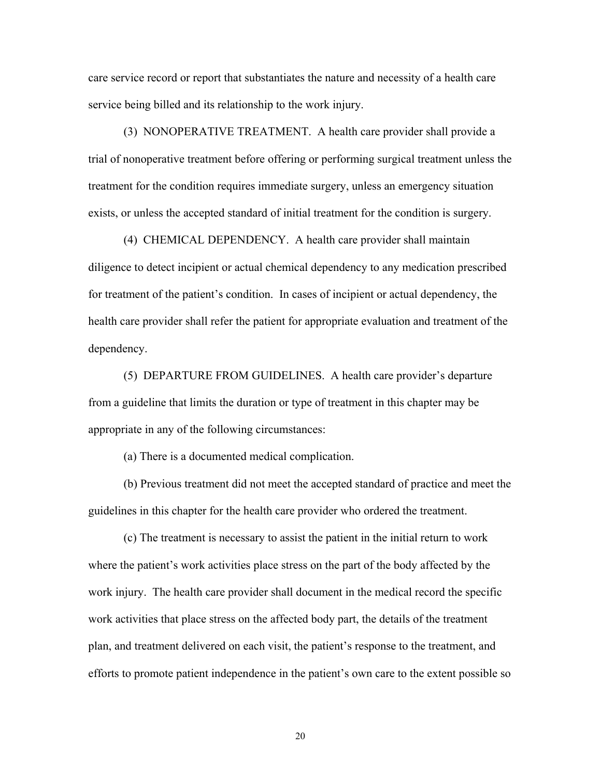care service record or report that substantiates the nature and necessity of a health care service being billed and its relationship to the work injury.

 (3) NONOPERATIVE TREATMENT. A health care provider shall provide a trial of nonoperative treatment before offering or performing surgical treatment unless the treatment for the condition requires immediate surgery, unless an emergency situation exists, or unless the accepted standard of initial treatment for the condition is surgery.

 (4) CHEMICAL DEPENDENCY. A health care provider shall maintain diligence to detect incipient or actual chemical dependency to any medication prescribed for treatment of the patient's condition. In cases of incipient or actual dependency, the health care provider shall refer the patient for appropriate evaluation and treatment of the dependency.

 (5) DEPARTURE FROM GUIDELINES. A health care provider's departure from a guideline that limits the duration or type of treatment in this chapter may be appropriate in any of the following circumstances:

(a) There is a documented medical complication.

 (b) Previous treatment did not meet the accepted standard of practice and meet the guidelines in this chapter for the health care provider who ordered the treatment.

 (c) The treatment is necessary to assist the patient in the initial return to work where the patient's work activities place stress on the part of the body affected by the work injury. The health care provider shall document in the medical record the specific work activities that place stress on the affected body part, the details of the treatment plan, and treatment delivered on each visit, the patient's response to the treatment, and efforts to promote patient independence in the patient's own care to the extent possible so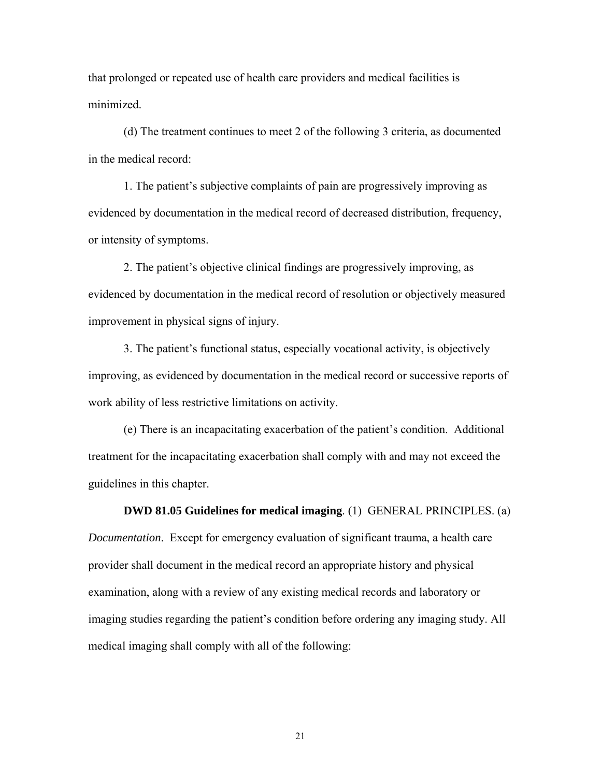that prolonged or repeated use of health care providers and medical facilities is minimized.

 (d) The treatment continues to meet 2 of the following 3 criteria, as documented in the medical record:

 1. The patient's subjective complaints of pain are progressively improving as evidenced by documentation in the medical record of decreased distribution, frequency, or intensity of symptoms.

 2. The patient's objective clinical findings are progressively improving, as evidenced by documentation in the medical record of resolution or objectively measured improvement in physical signs of injury.

 3. The patient's functional status, especially vocational activity, is objectively improving, as evidenced by documentation in the medical record or successive reports of work ability of less restrictive limitations on activity.

 (e) There is an incapacitating exacerbation of the patient's condition. Additional treatment for the incapacitating exacerbation shall comply with and may not exceed the guidelines in this chapter.

 **DWD 81.05 Guidelines for medical imaging**. (1) GENERAL PRINCIPLES. (a)

*Documentation*. Except for emergency evaluation of significant trauma, a health care provider shall document in the medical record an appropriate history and physical examination, along with a review of any existing medical records and laboratory or imaging studies regarding the patient's condition before ordering any imaging study. All medical imaging shall comply with all of the following: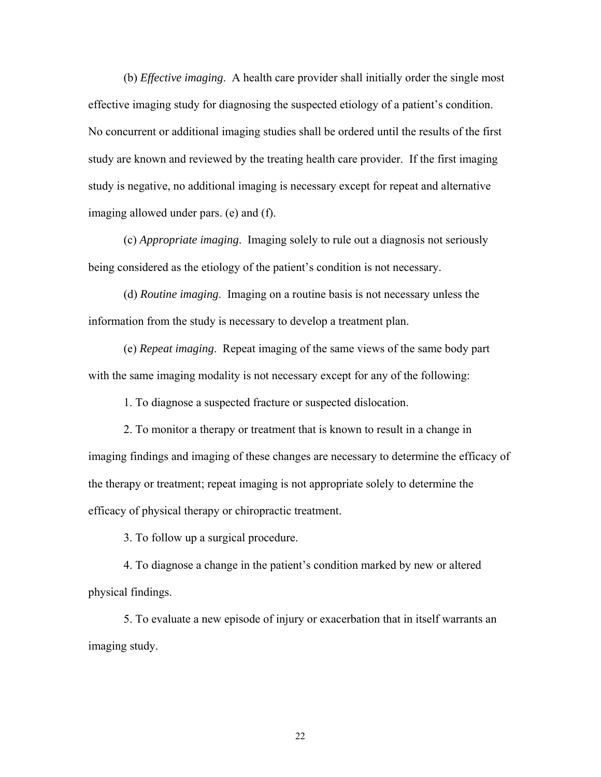(b) *Effective imaging*. A health care provider shall initially order the single most effective imaging study for diagnosing the suspected etiology of a patient's condition. No concurrent or additional imaging studies shall be ordered until the results of the first study are known and reviewed by the treating health care provider. If the first imaging study is negative, no additional imaging is necessary except for repeat and alternative imaging allowed under pars. (e) and (f).

 (c) *Appropriate imaging*. Imaging solely to rule out a diagnosis not seriously being considered as the etiology of the patient's condition is not necessary.

 (d) *Routine imaging*. Imaging on a routine basis is not necessary unless the information from the study is necessary to develop a treatment plan.

 (e) *Repeat imaging*. Repeat imaging of the same views of the same body part with the same imaging modality is not necessary except for any of the following:

1. To diagnose a suspected fracture or suspected dislocation.

 2. To monitor a therapy or treatment that is known to result in a change in imaging findings and imaging of these changes are necessary to determine the efficacy of the therapy or treatment; repeat imaging is not appropriate solely to determine the efficacy of physical therapy or chiropractic treatment.

3. To follow up a surgical procedure.

 4. To diagnose a change in the patient's condition marked by new or altered physical findings.

 5. To evaluate a new episode of injury or exacerbation that in itself warrants an imaging study.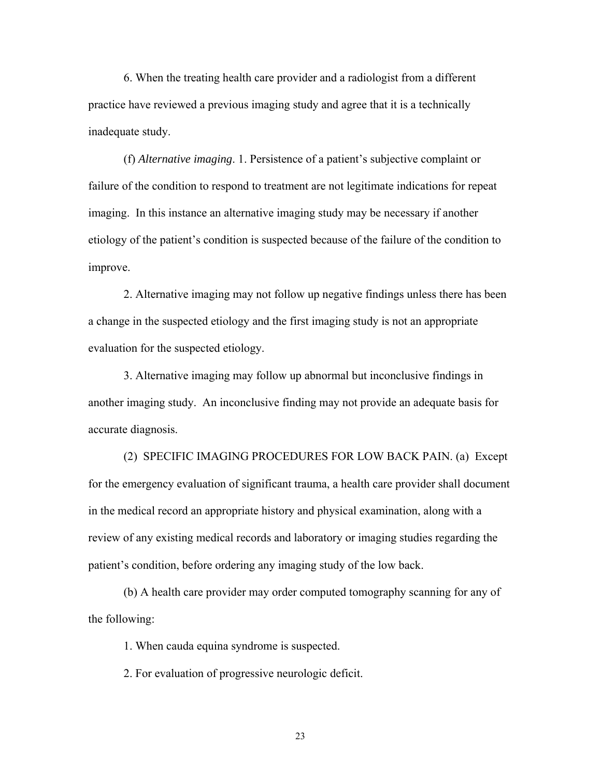6. When the treating health care provider and a radiologist from a different practice have reviewed a previous imaging study and agree that it is a technically inadequate study.

 (f) *Alternative imaging*. 1. Persistence of a patient's subjective complaint or failure of the condition to respond to treatment are not legitimate indications for repeat imaging. In this instance an alternative imaging study may be necessary if another etiology of the patient's condition is suspected because of the failure of the condition to improve.

 2. Alternative imaging may not follow up negative findings unless there has been a change in the suspected etiology and the first imaging study is not an appropriate evaluation for the suspected etiology.

 3. Alternative imaging may follow up abnormal but inconclusive findings in another imaging study. An inconclusive finding may not provide an adequate basis for accurate diagnosis.

 (2) SPECIFIC IMAGING PROCEDURES FOR LOW BACK PAIN. (a) Except for the emergency evaluation of significant trauma, a health care provider shall document in the medical record an appropriate history and physical examination, along with a review of any existing medical records and laboratory or imaging studies regarding the patient's condition, before ordering any imaging study of the low back.

 (b) A health care provider may order computed tomography scanning for any of the following:

1. When cauda equina syndrome is suspected.

2. For evaluation of progressive neurologic deficit.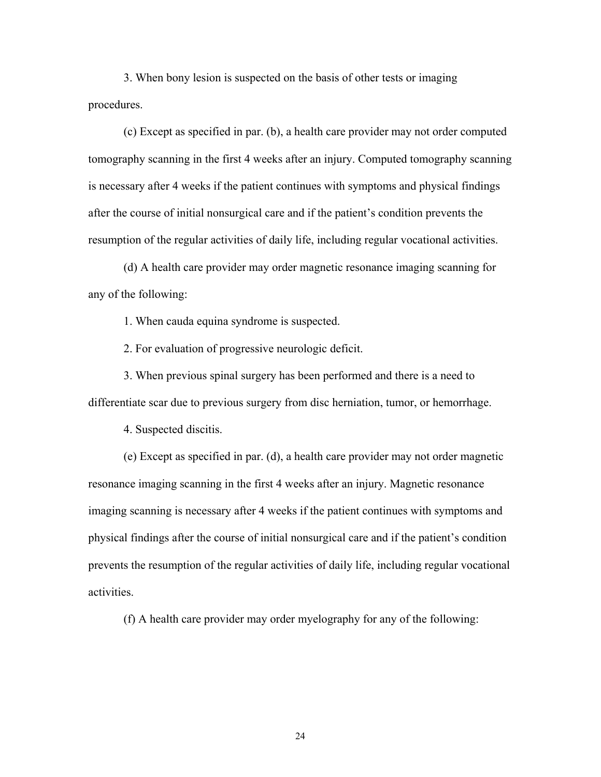3. When bony lesion is suspected on the basis of other tests or imaging procedures.

 (c) Except as specified in par. (b), a health care provider may not order computed tomography scanning in the first 4 weeks after an injury. Computed tomography scanning is necessary after 4 weeks if the patient continues with symptoms and physical findings after the course of initial nonsurgical care and if the patient's condition prevents the resumption of the regular activities of daily life, including regular vocational activities.

 (d) A health care provider may order magnetic resonance imaging scanning for any of the following:

1. When cauda equina syndrome is suspected.

2. For evaluation of progressive neurologic deficit.

 3. When previous spinal surgery has been performed and there is a need to differentiate scar due to previous surgery from disc herniation, tumor, or hemorrhage.

4. Suspected discitis.

 (e) Except as specified in par. (d), a health care provider may not order magnetic resonance imaging scanning in the first 4 weeks after an injury. Magnetic resonance imaging scanning is necessary after 4 weeks if the patient continues with symptoms and physical findings after the course of initial nonsurgical care and if the patient's condition prevents the resumption of the regular activities of daily life, including regular vocational activities.

(f) A health care provider may order myelography for any of the following: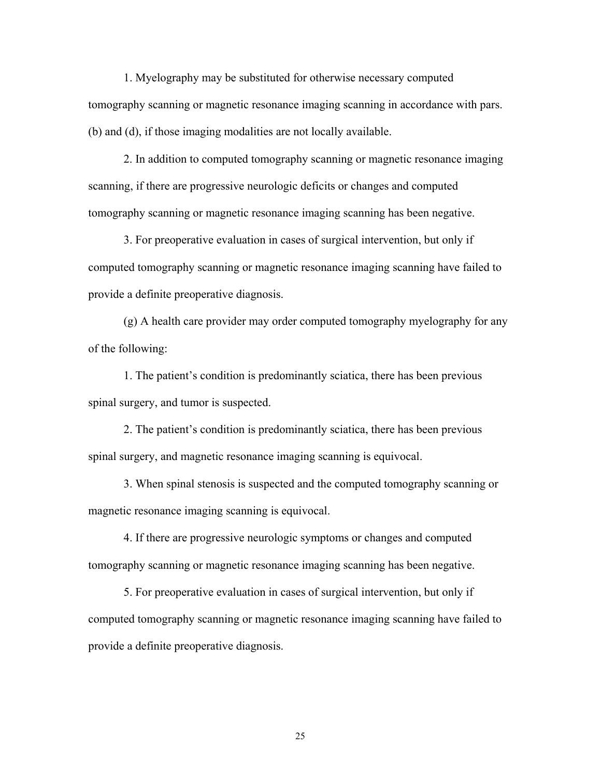1. Myelography may be substituted for otherwise necessary computed tomography scanning or magnetic resonance imaging scanning in accordance with pars. (b) and (d), if those imaging modalities are not locally available.

 2. In addition to computed tomography scanning or magnetic resonance imaging scanning, if there are progressive neurologic deficits or changes and computed tomography scanning or magnetic resonance imaging scanning has been negative.

 3. For preoperative evaluation in cases of surgical intervention, but only if computed tomography scanning or magnetic resonance imaging scanning have failed to provide a definite preoperative diagnosis.

 (g) A health care provider may order computed tomography myelography for any of the following:

 1. The patient's condition is predominantly sciatica, there has been previous spinal surgery, and tumor is suspected.

 2. The patient's condition is predominantly sciatica, there has been previous spinal surgery, and magnetic resonance imaging scanning is equivocal.

 3. When spinal stenosis is suspected and the computed tomography scanning or magnetic resonance imaging scanning is equivocal.

 4. If there are progressive neurologic symptoms or changes and computed tomography scanning or magnetic resonance imaging scanning has been negative.

 5. For preoperative evaluation in cases of surgical intervention, but only if computed tomography scanning or magnetic resonance imaging scanning have failed to provide a definite preoperative diagnosis.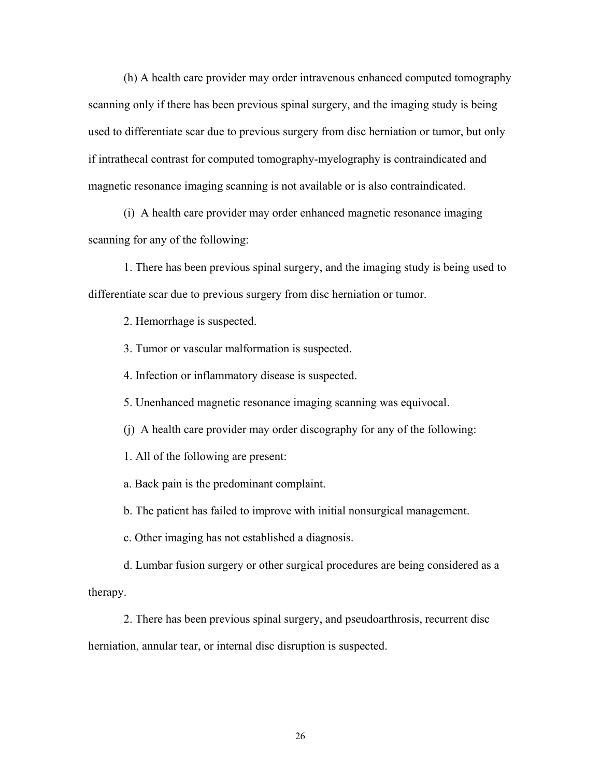(h) A health care provider may order intravenous enhanced computed tomography scanning only if there has been previous spinal surgery, and the imaging study is being used to differentiate scar due to previous surgery from disc herniation or tumor, but only if intrathecal contrast for computed tomography-myelography is contraindicated and magnetic resonance imaging scanning is not available or is also contraindicated.

 (i) A health care provider may order enhanced magnetic resonance imaging scanning for any of the following:

 1. There has been previous spinal surgery, and the imaging study is being used to differentiate scar due to previous surgery from disc herniation or tumor.

2. Hemorrhage is suspected.

3. Tumor or vascular malformation is suspected.

4. Infection or inflammatory disease is suspected.

5. Unenhanced magnetic resonance imaging scanning was equivocal.

(j) A health care provider may order discography for any of the following:

1. All of the following are present:

a. Back pain is the predominant complaint.

b. The patient has failed to improve with initial nonsurgical management.

c. Other imaging has not established a diagnosis.

 d. Lumbar fusion surgery or other surgical procedures are being considered as a therapy.

 2. There has been previous spinal surgery, and pseudoarthrosis, recurrent disc herniation, annular tear, or internal disc disruption is suspected.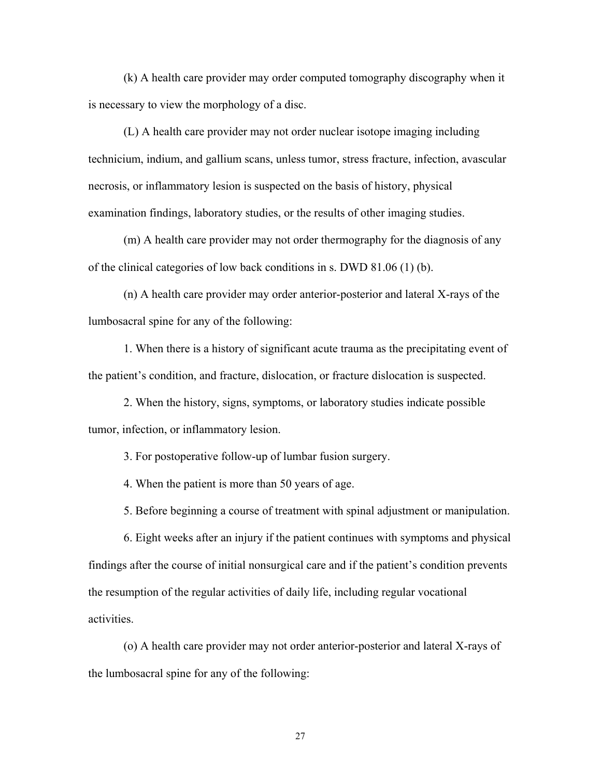(k) A health care provider may order computed tomography discography when it is necessary to view the morphology of a disc.

 (L) A health care provider may not order nuclear isotope imaging including technicium, indium, and gallium scans, unless tumor, stress fracture, infection, avascular necrosis, or inflammatory lesion is suspected on the basis of history, physical examination findings, laboratory studies, or the results of other imaging studies.

 (m) A health care provider may not order thermography for the diagnosis of any of the clinical categories of low back conditions in s. DWD 81.06 (1) (b).

 (n) A health care provider may order anterior-posterior and lateral X-rays of the lumbosacral spine for any of the following:

 1. When there is a history of significant acute trauma as the precipitating event of the patient's condition, and fracture, dislocation, or fracture dislocation is suspected.

 2. When the history, signs, symptoms, or laboratory studies indicate possible tumor, infection, or inflammatory lesion.

3. For postoperative follow-up of lumbar fusion surgery.

4. When the patient is more than 50 years of age.

5. Before beginning a course of treatment with spinal adjustment or manipulation.

 6. Eight weeks after an injury if the patient continues with symptoms and physical findings after the course of initial nonsurgical care and if the patient's condition prevents the resumption of the regular activities of daily life, including regular vocational activities.

 (o) A health care provider may not order anterior-posterior and lateral X-rays of the lumbosacral spine for any of the following: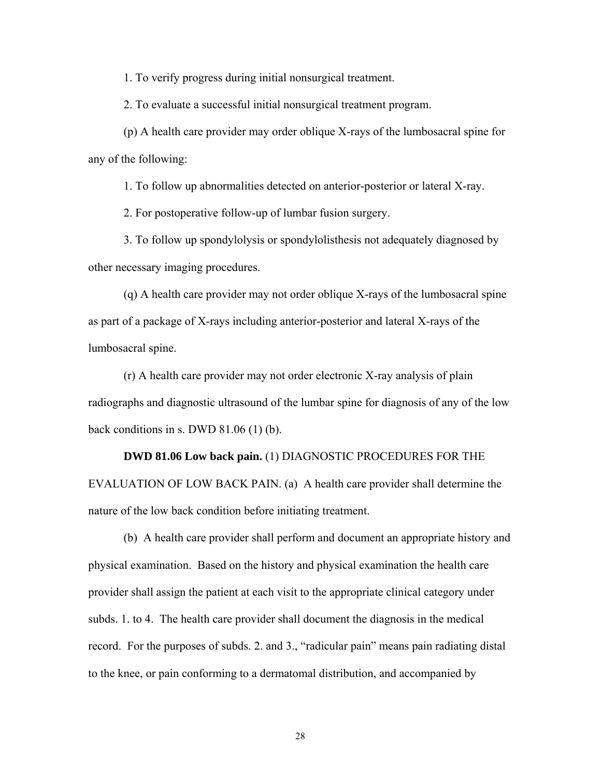1. To verify progress during initial nonsurgical treatment.

2. To evaluate a successful initial nonsurgical treatment program.

 (p) A health care provider may order oblique X-rays of the lumbosacral spine for any of the following:

1. To follow up abnormalities detected on anterior-posterior or lateral X-ray.

2. For postoperative follow-up of lumbar fusion surgery.

 3. To follow up spondylolysis or spondylolisthesis not adequately diagnosed by other necessary imaging procedures.

 (q) A health care provider may not order oblique X-rays of the lumbosacral spine as part of a package of X-rays including anterior-posterior and lateral X-rays of the lumbosacral spine.

 (r) A health care provider may not order electronic X-ray analysis of plain radiographs and diagnostic ultrasound of the lumbar spine for diagnosis of any of the low back conditions in s. DWD 81.06 (1) (b).

 **DWD 81.06 Low back pain.** (1) DIAGNOSTIC PROCEDURES FOR THE EVALUATION OF LOW BACK PAIN. (a) A health care provider shall determine the nature of the low back condition before initiating treatment.

(b) A health care provider shall perform and document an appropriate history and physical examination. Based on the history and physical examination the health care provider shall assign the patient at each visit to the appropriate clinical category under subds. 1. to 4. The health care provider shall document the diagnosis in the medical record. For the purposes of subds. 2. and 3., "radicular pain" means pain radiating distal to the knee, or pain conforming to a dermatomal distribution, and accompanied by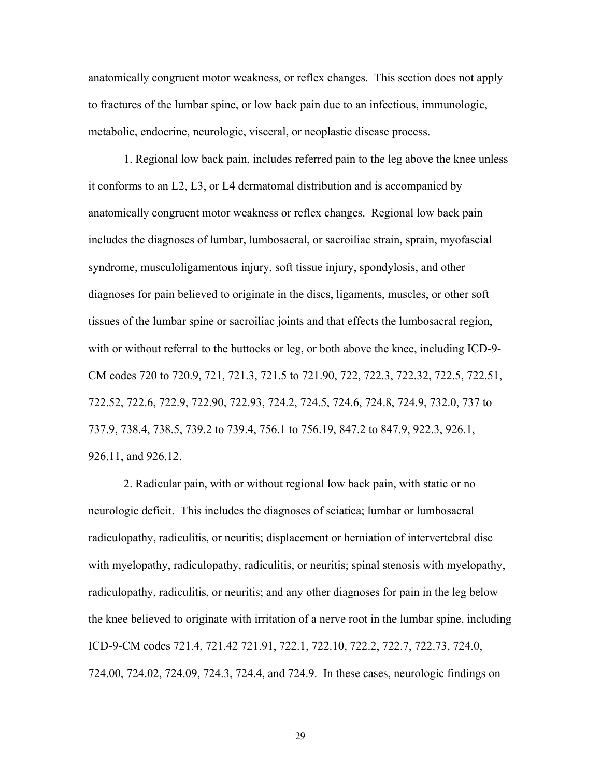anatomically congruent motor weakness, or reflex changes. This section does not apply to fractures of the lumbar spine, or low back pain due to an infectious, immunologic, metabolic, endocrine, neurologic, visceral, or neoplastic disease process.

 1. Regional low back pain, includes referred pain to the leg above the knee unless it conforms to an L2, L3, or L4 dermatomal distribution and is accompanied by anatomically congruent motor weakness or reflex changes. Regional low back pain includes the diagnoses of lumbar, lumbosacral, or sacroiliac strain, sprain, myofascial syndrome, musculoligamentous injury, soft tissue injury, spondylosis, and other diagnoses for pain believed to originate in the discs, ligaments, muscles, or other soft tissues of the lumbar spine or sacroiliac joints and that effects the lumbosacral region, with or without referral to the buttocks or leg, or both above the knee, including ICD-9- CM codes 720 to 720.9, 721, 721.3, 721.5 to 721.90, 722, 722.3, 722.32, 722.5, 722.51, 722.52, 722.6, 722.9, 722.90, 722.93, 724.2, 724.5, 724.6, 724.8, 724.9, 732.0, 737 to 737.9, 738.4, 738.5, 739.2 to 739.4, 756.1 to 756.19, 847.2 to 847.9, 922.3, 926.1, 926.11, and 926.12.

 2. Radicular pain, with or without regional low back pain, with static or no neurologic deficit. This includes the diagnoses of sciatica; lumbar or lumbosacral radiculopathy, radiculitis, or neuritis; displacement or herniation of intervertebral disc with myelopathy, radiculopathy, radiculitis, or neuritis; spinal stenosis with myelopathy, radiculopathy, radiculitis, or neuritis; and any other diagnoses for pain in the leg below the knee believed to originate with irritation of a nerve root in the lumbar spine, including ICD-9-CM codes 721.4, 721.42 721.91, 722.1, 722.10, 722.2, 722.7, 722.73, 724.0, 724.00, 724.02, 724.09, 724.3, 724.4, and 724.9. In these cases, neurologic findings on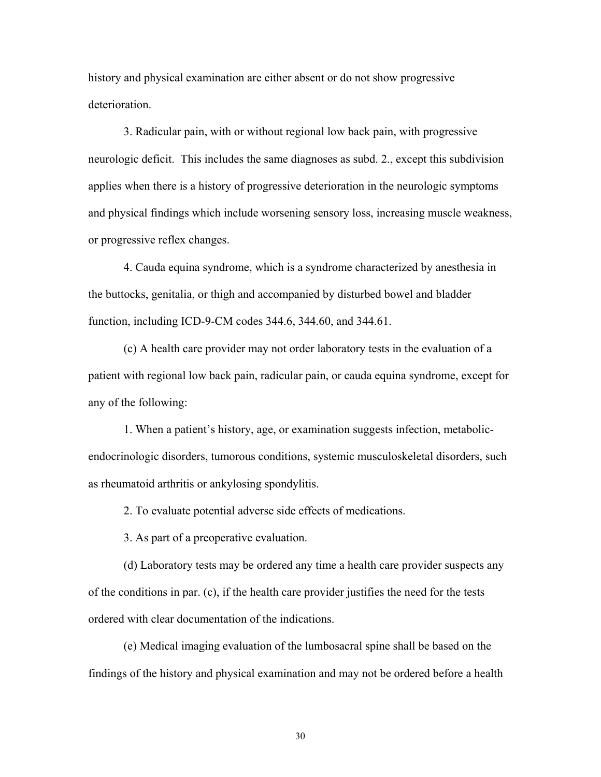history and physical examination are either absent or do not show progressive deterioration.

 3. Radicular pain, with or without regional low back pain, with progressive neurologic deficit. This includes the same diagnoses as subd. 2., except this subdivision applies when there is a history of progressive deterioration in the neurologic symptoms and physical findings which include worsening sensory loss, increasing muscle weakness, or progressive reflex changes.

 4. Cauda equina syndrome, which is a syndrome characterized by anesthesia in the buttocks, genitalia, or thigh and accompanied by disturbed bowel and bladder function, including ICD-9-CM codes 344.6, 344.60, and 344.61.

 (c) A health care provider may not order laboratory tests in the evaluation of a patient with regional low back pain, radicular pain, or cauda equina syndrome, except for any of the following:

 1. When a patient's history, age, or examination suggests infection, metabolicendocrinologic disorders, tumorous conditions, systemic musculoskeletal disorders, such as rheumatoid arthritis or ankylosing spondylitis.

2. To evaluate potential adverse side effects of medications.

3. As part of a preoperative evaluation.

 (d) Laboratory tests may be ordered any time a health care provider suspects any of the conditions in par. (c), if the health care provider justifies the need for the tests ordered with clear documentation of the indications.

 (e) Medical imaging evaluation of the lumbosacral spine shall be based on the findings of the history and physical examination and may not be ordered before a health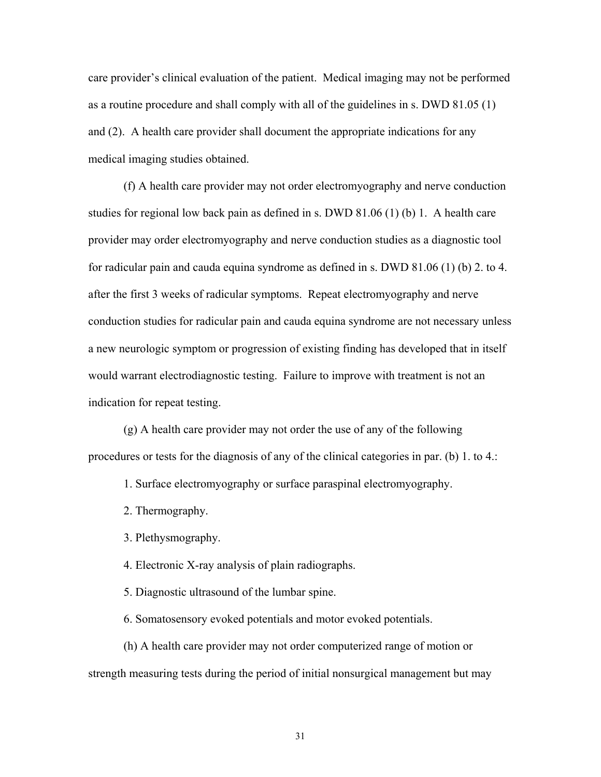care provider's clinical evaluation of the patient. Medical imaging may not be performed as a routine procedure and shall comply with all of the guidelines in s. DWD 81.05 (1) and (2). A health care provider shall document the appropriate indications for any medical imaging studies obtained.

 (f) A health care provider may not order electromyography and nerve conduction studies for regional low back pain as defined in s. DWD 81.06 (1) (b) 1. A health care provider may order electromyography and nerve conduction studies as a diagnostic tool for radicular pain and cauda equina syndrome as defined in s. DWD 81.06 (1) (b) 2. to 4. after the first 3 weeks of radicular symptoms. Repeat electromyography and nerve conduction studies for radicular pain and cauda equina syndrome are not necessary unless a new neurologic symptom or progression of existing finding has developed that in itself would warrant electrodiagnostic testing. Failure to improve with treatment is not an indication for repeat testing.

 (g) A health care provider may not order the use of any of the following procedures or tests for the diagnosis of any of the clinical categories in par. (b) 1. to 4.:

1. Surface electromyography or surface paraspinal electromyography.

2. Thermography.

3. Plethysmography.

4. Electronic X-ray analysis of plain radiographs.

5. Diagnostic ultrasound of the lumbar spine.

6. Somatosensory evoked potentials and motor evoked potentials.

 (h) A health care provider may not order computerized range of motion or strength measuring tests during the period of initial nonsurgical management but may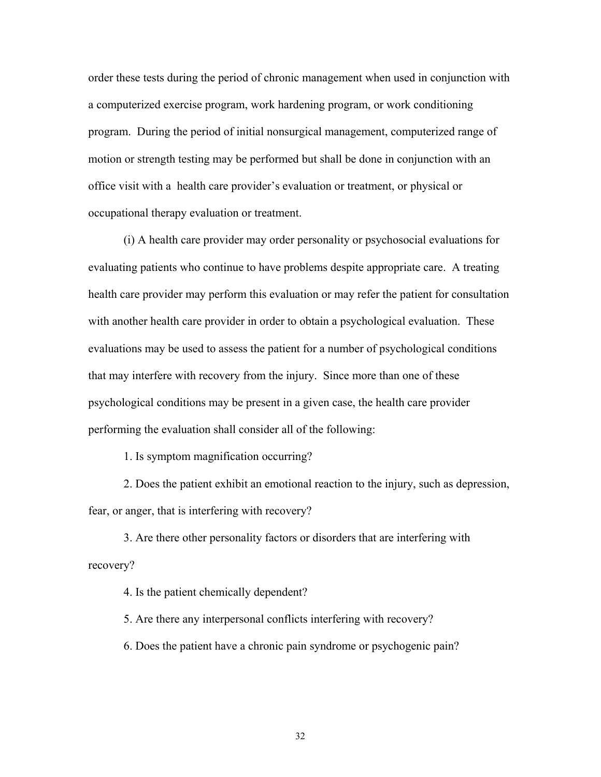order these tests during the period of chronic management when used in conjunction with a computerized exercise program, work hardening program, or work conditioning program. During the period of initial nonsurgical management, computerized range of motion or strength testing may be performed but shall be done in conjunction with an office visit with a health care provider's evaluation or treatment, or physical or occupational therapy evaluation or treatment.

 (i) A health care provider may order personality or psychosocial evaluations for evaluating patients who continue to have problems despite appropriate care. A treating health care provider may perform this evaluation or may refer the patient for consultation with another health care provider in order to obtain a psychological evaluation. These evaluations may be used to assess the patient for a number of psychological conditions that may interfere with recovery from the injury. Since more than one of these psychological conditions may be present in a given case, the health care provider performing the evaluation shall consider all of the following:

1. Is symptom magnification occurring?

 2. Does the patient exhibit an emotional reaction to the injury, such as depression, fear, or anger, that is interfering with recovery?

 3. Are there other personality factors or disorders that are interfering with recovery?

4. Is the patient chemically dependent?

5. Are there any interpersonal conflicts interfering with recovery?

6. Does the patient have a chronic pain syndrome or psychogenic pain?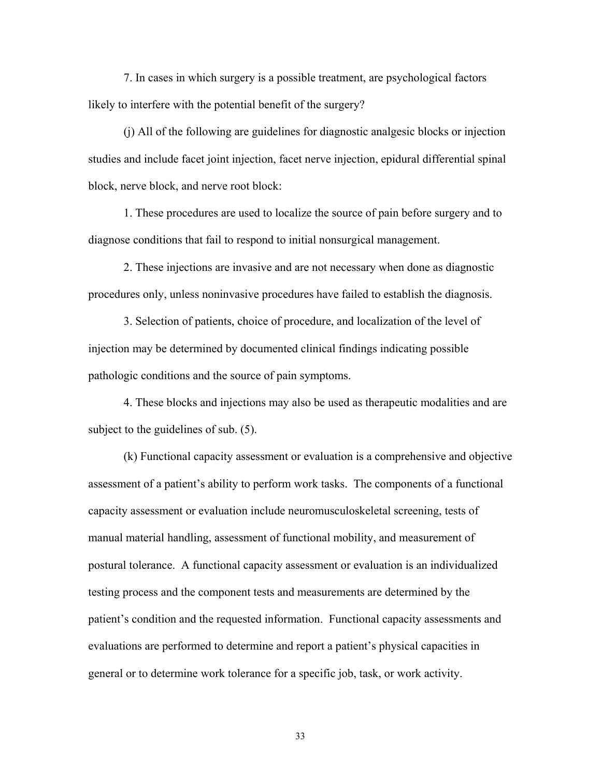7. In cases in which surgery is a possible treatment, are psychological factors likely to interfere with the potential benefit of the surgery?

 (j) All of the following are guidelines for diagnostic analgesic blocks or injection studies and include facet joint injection, facet nerve injection, epidural differential spinal block, nerve block, and nerve root block:

 1. These procedures are used to localize the source of pain before surgery and to diagnose conditions that fail to respond to initial nonsurgical management.

 2. These injections are invasive and are not necessary when done as diagnostic procedures only, unless noninvasive procedures have failed to establish the diagnosis.

 3. Selection of patients, choice of procedure, and localization of the level of injection may be determined by documented clinical findings indicating possible pathologic conditions and the source of pain symptoms.

 4. These blocks and injections may also be used as therapeutic modalities and are subject to the guidelines of sub. (5).

 (k) Functional capacity assessment or evaluation is a comprehensive and objective assessment of a patient's ability to perform work tasks. The components of a functional capacity assessment or evaluation include neuromusculoskeletal screening, tests of manual material handling, assessment of functional mobility, and measurement of postural tolerance. A functional capacity assessment or evaluation is an individualized testing process and the component tests and measurements are determined by the patient's condition and the requested information. Functional capacity assessments and evaluations are performed to determine and report a patient's physical capacities in general or to determine work tolerance for a specific job, task, or work activity.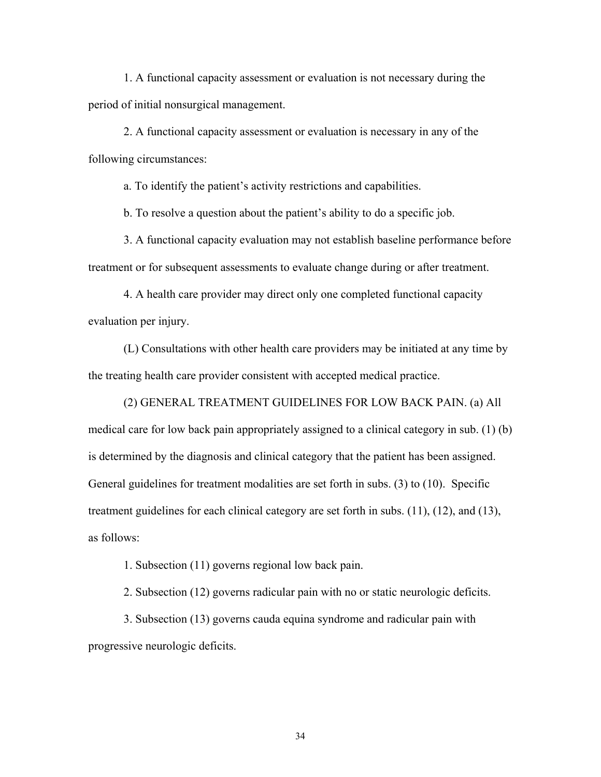1. A functional capacity assessment or evaluation is not necessary during the period of initial nonsurgical management.

 2. A functional capacity assessment or evaluation is necessary in any of the following circumstances:

a. To identify the patient's activity restrictions and capabilities.

b. To resolve a question about the patient's ability to do a specific job.

 3. A functional capacity evaluation may not establish baseline performance before treatment or for subsequent assessments to evaluate change during or after treatment.

 4. A health care provider may direct only one completed functional capacity evaluation per injury.

 (L) Consultations with other health care providers may be initiated at any time by the treating health care provider consistent with accepted medical practice.

 (2) GENERAL TREATMENT GUIDELINES FOR LOW BACK PAIN. (a) All medical care for low back pain appropriately assigned to a clinical category in sub. (1) (b) is determined by the diagnosis and clinical category that the patient has been assigned. General guidelines for treatment modalities are set forth in subs. (3) to (10). Specific treatment guidelines for each clinical category are set forth in subs. (11), (12), and (13), as follows:

1. Subsection (11) governs regional low back pain.

2. Subsection (12) governs radicular pain with no or static neurologic deficits.

 3. Subsection (13) governs cauda equina syndrome and radicular pain with progressive neurologic deficits.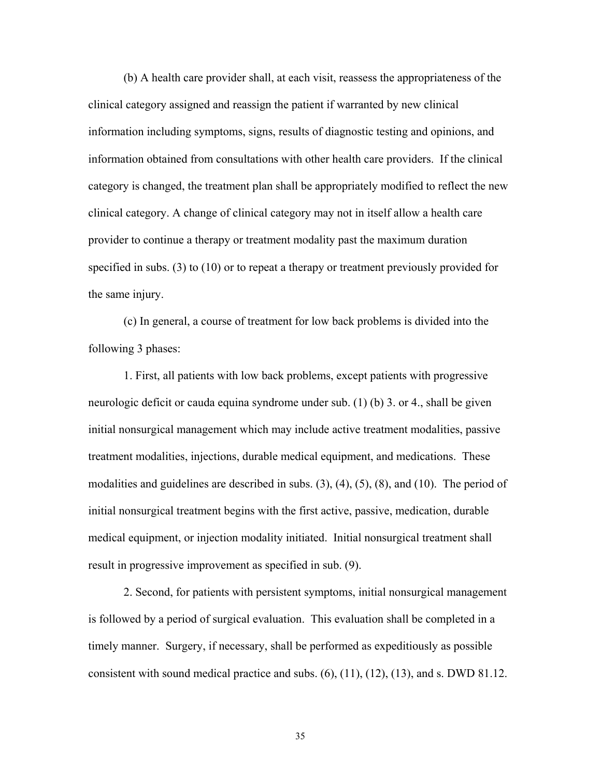(b) A health care provider shall, at each visit, reassess the appropriateness of the clinical category assigned and reassign the patient if warranted by new clinical information including symptoms, signs, results of diagnostic testing and opinions, and information obtained from consultations with other health care providers. If the clinical category is changed, the treatment plan shall be appropriately modified to reflect the new clinical category. A change of clinical category may not in itself allow a health care provider to continue a therapy or treatment modality past the maximum duration specified in subs. (3) to (10) or to repeat a therapy or treatment previously provided for the same injury.

 (c) In general, a course of treatment for low back problems is divided into the following 3 phases:

 1. First, all patients with low back problems, except patients with progressive neurologic deficit or cauda equina syndrome under sub. (1) (b) 3. or 4., shall be given initial nonsurgical management which may include active treatment modalities, passive treatment modalities, injections, durable medical equipment, and medications. These modalities and guidelines are described in subs. (3), (4), (5), (8), and (10). The period of initial nonsurgical treatment begins with the first active, passive, medication, durable medical equipment, or injection modality initiated. Initial nonsurgical treatment shall result in progressive improvement as specified in sub. (9).

 2. Second, for patients with persistent symptoms, initial nonsurgical management is followed by a period of surgical evaluation. This evaluation shall be completed in a timely manner. Surgery, if necessary, shall be performed as expeditiously as possible consistent with sound medical practice and subs.  $(6)$ ,  $(11)$ ,  $(12)$ ,  $(13)$ , and s. DWD 81.12.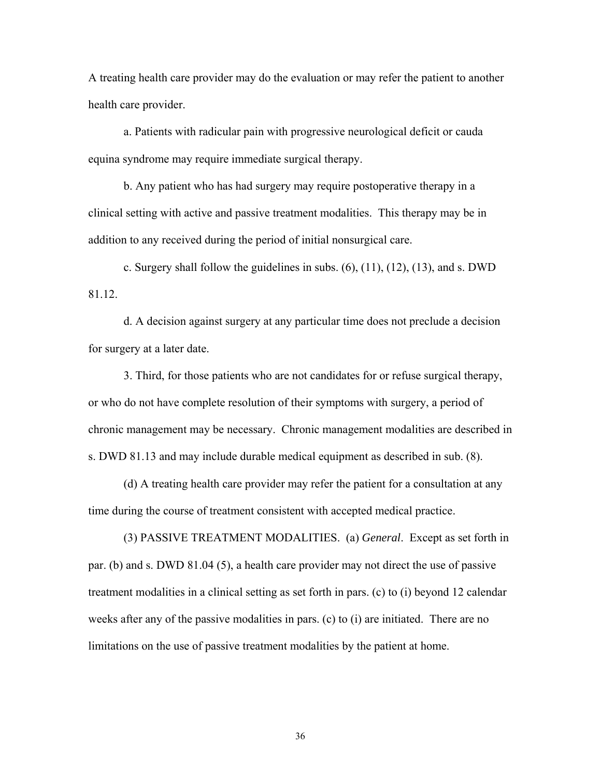A treating health care provider may do the evaluation or may refer the patient to another health care provider.

a. Patients with radicular pain with progressive neurological deficit or cauda equina syndrome may require immediate surgical therapy.

 b. Any patient who has had surgery may require postoperative therapy in a clinical setting with active and passive treatment modalities. This therapy may be in addition to any received during the period of initial nonsurgical care.

c. Surgery shall follow the guidelines in subs.  $(6)$ ,  $(11)$ ,  $(12)$ ,  $(13)$ , and s. DWD 81.12.

 d. A decision against surgery at any particular time does not preclude a decision for surgery at a later date.

 3. Third, for those patients who are not candidates for or refuse surgical therapy, or who do not have complete resolution of their symptoms with surgery, a period of chronic management may be necessary. Chronic management modalities are described in s. DWD 81.13 and may include durable medical equipment as described in sub. (8).

 (d) A treating health care provider may refer the patient for a consultation at any time during the course of treatment consistent with accepted medical practice.

 (3) PASSIVE TREATMENT MODALITIES. (a) *General*. Except as set forth in par. (b) and s. DWD 81.04 (5), a health care provider may not direct the use of passive treatment modalities in a clinical setting as set forth in pars. (c) to (i) beyond 12 calendar weeks after any of the passive modalities in pars. (c) to (i) are initiated. There are no limitations on the use of passive treatment modalities by the patient at home.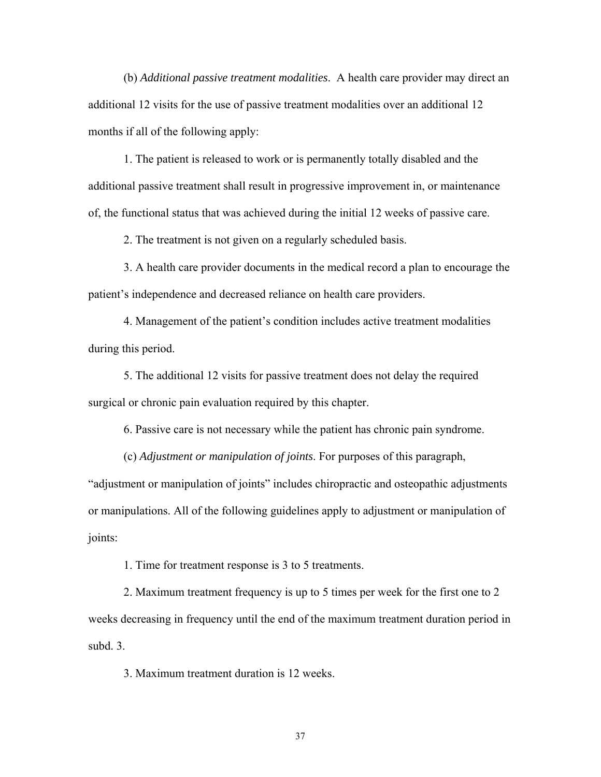(b) *Additional passive treatment modalities*. A health care provider may direct an additional 12 visits for the use of passive treatment modalities over an additional 12 months if all of the following apply:

 1. The patient is released to work or is permanently totally disabled and the additional passive treatment shall result in progressive improvement in, or maintenance of, the functional status that was achieved during the initial 12 weeks of passive care.

2. The treatment is not given on a regularly scheduled basis.

 3. A health care provider documents in the medical record a plan to encourage the patient's independence and decreased reliance on health care providers.

 4. Management of the patient's condition includes active treatment modalities during this period.

 5. The additional 12 visits for passive treatment does not delay the required surgical or chronic pain evaluation required by this chapter.

6. Passive care is not necessary while the patient has chronic pain syndrome.

(c) *Adjustment or manipulation of joints*. For purposes of this paragraph,

"adjustment or manipulation of joints" includes chiropractic and osteopathic adjustments or manipulations. All of the following guidelines apply to adjustment or manipulation of joints:

1. Time for treatment response is 3 to 5 treatments.

 2. Maximum treatment frequency is up to 5 times per week for the first one to 2 weeks decreasing in frequency until the end of the maximum treatment duration period in subd. 3.

3. Maximum treatment duration is 12 weeks.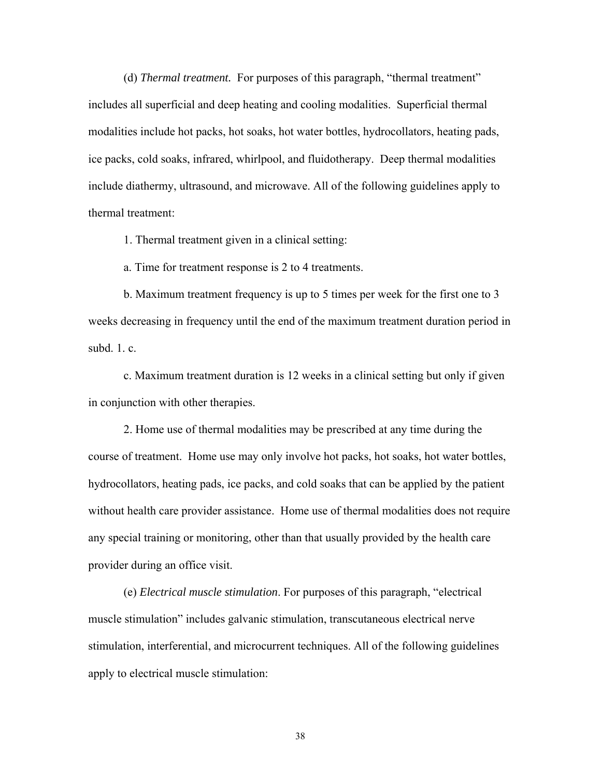(d) *Thermal treatment.* For purposes of this paragraph, "thermal treatment" includes all superficial and deep heating and cooling modalities. Superficial thermal modalities include hot packs, hot soaks, hot water bottles, hydrocollators, heating pads, ice packs, cold soaks, infrared, whirlpool, and fluidotherapy. Deep thermal modalities include diathermy, ultrasound, and microwave. All of the following guidelines apply to thermal treatment:

1. Thermal treatment given in a clinical setting:

a. Time for treatment response is 2 to 4 treatments.

 b. Maximum treatment frequency is up to 5 times per week for the first one to 3 weeks decreasing in frequency until the end of the maximum treatment duration period in subd. 1. c.

 c. Maximum treatment duration is 12 weeks in a clinical setting but only if given in conjunction with other therapies.

 2. Home use of thermal modalities may be prescribed at any time during the course of treatment. Home use may only involve hot packs, hot soaks, hot water bottles, hydrocollators, heating pads, ice packs, and cold soaks that can be applied by the patient without health care provider assistance. Home use of thermal modalities does not require any special training or monitoring, other than that usually provided by the health care provider during an office visit.

 (e) *Electrical muscle stimulation*. For purposes of this paragraph, "electrical muscle stimulation" includes galvanic stimulation, transcutaneous electrical nerve stimulation, interferential, and microcurrent techniques. All of the following guidelines apply to electrical muscle stimulation: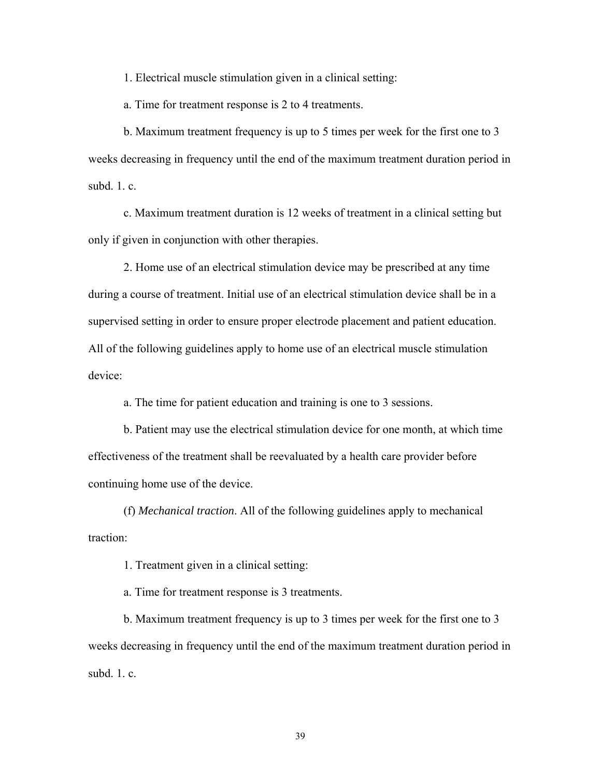1. Electrical muscle stimulation given in a clinical setting:

a. Time for treatment response is 2 to 4 treatments.

 b. Maximum treatment frequency is up to 5 times per week for the first one to 3 weeks decreasing in frequency until the end of the maximum treatment duration period in subd $1$  c.

 c. Maximum treatment duration is 12 weeks of treatment in a clinical setting but only if given in conjunction with other therapies.

 2. Home use of an electrical stimulation device may be prescribed at any time during a course of treatment. Initial use of an electrical stimulation device shall be in a supervised setting in order to ensure proper electrode placement and patient education. All of the following guidelines apply to home use of an electrical muscle stimulation device:

a. The time for patient education and training is one to 3 sessions.

 b. Patient may use the electrical stimulation device for one month, at which time effectiveness of the treatment shall be reevaluated by a health care provider before continuing home use of the device.

 (f) *Mechanical traction*. All of the following guidelines apply to mechanical traction:

1. Treatment given in a clinical setting:

a. Time for treatment response is 3 treatments.

 b. Maximum treatment frequency is up to 3 times per week for the first one to 3 weeks decreasing in frequency until the end of the maximum treatment duration period in subd. 1. c.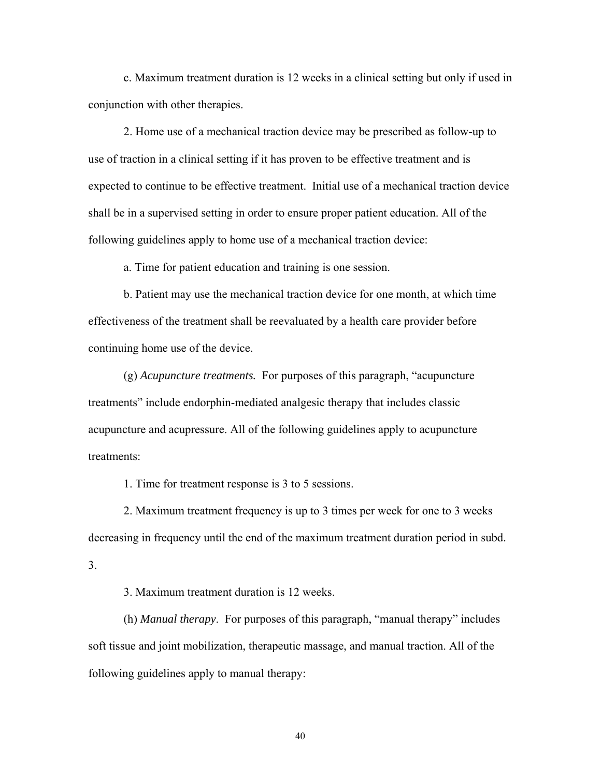c. Maximum treatment duration is 12 weeks in a clinical setting but only if used in conjunction with other therapies.

 2. Home use of a mechanical traction device may be prescribed as follow-up to use of traction in a clinical setting if it has proven to be effective treatment and is expected to continue to be effective treatment. Initial use of a mechanical traction device shall be in a supervised setting in order to ensure proper patient education. All of the following guidelines apply to home use of a mechanical traction device:

a. Time for patient education and training is one session.

 b. Patient may use the mechanical traction device for one month, at which time effectiveness of the treatment shall be reevaluated by a health care provider before continuing home use of the device.

 (g) *Acupuncture treatments.* For purposes of this paragraph, "acupuncture treatments" include endorphin-mediated analgesic therapy that includes classic acupuncture and acupressure. All of the following guidelines apply to acupuncture treatments:

1. Time for treatment response is 3 to 5 sessions.

 2. Maximum treatment frequency is up to 3 times per week for one to 3 weeks decreasing in frequency until the end of the maximum treatment duration period in subd. 3.

3. Maximum treatment duration is 12 weeks.

 (h) *Manual therapy*. For purposes of this paragraph, "manual therapy" includes soft tissue and joint mobilization, therapeutic massage, and manual traction. All of the following guidelines apply to manual therapy: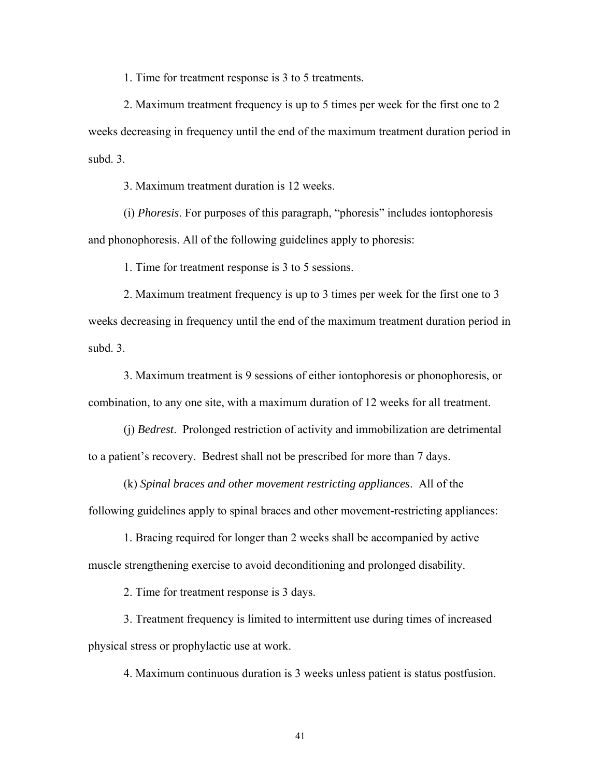1. Time for treatment response is 3 to 5 treatments.

 2. Maximum treatment frequency is up to 5 times per week for the first one to 2 weeks decreasing in frequency until the end of the maximum treatment duration period in subd. 3.

3. Maximum treatment duration is 12 weeks.

 (i) *Phoresis*. For purposes of this paragraph, "phoresis" includes iontophoresis and phonophoresis. All of the following guidelines apply to phoresis:

1. Time for treatment response is 3 to 5 sessions.

 2. Maximum treatment frequency is up to 3 times per week for the first one to 3 weeks decreasing in frequency until the end of the maximum treatment duration period in subd. 3.

 3. Maximum treatment is 9 sessions of either iontophoresis or phonophoresis, or combination, to any one site, with a maximum duration of 12 weeks for all treatment.

 (j) *Bedrest*. Prolonged restriction of activity and immobilization are detrimental to a patient's recovery. Bedrest shall not be prescribed for more than 7 days.

 (k) *Spinal braces and other movement restricting appliances*. All of the following guidelines apply to spinal braces and other movement-restricting appliances:

 1. Bracing required for longer than 2 weeks shall be accompanied by active muscle strengthening exercise to avoid deconditioning and prolonged disability.

2. Time for treatment response is 3 days.

 3. Treatment frequency is limited to intermittent use during times of increased physical stress or prophylactic use at work.

4. Maximum continuous duration is 3 weeks unless patient is status postfusion.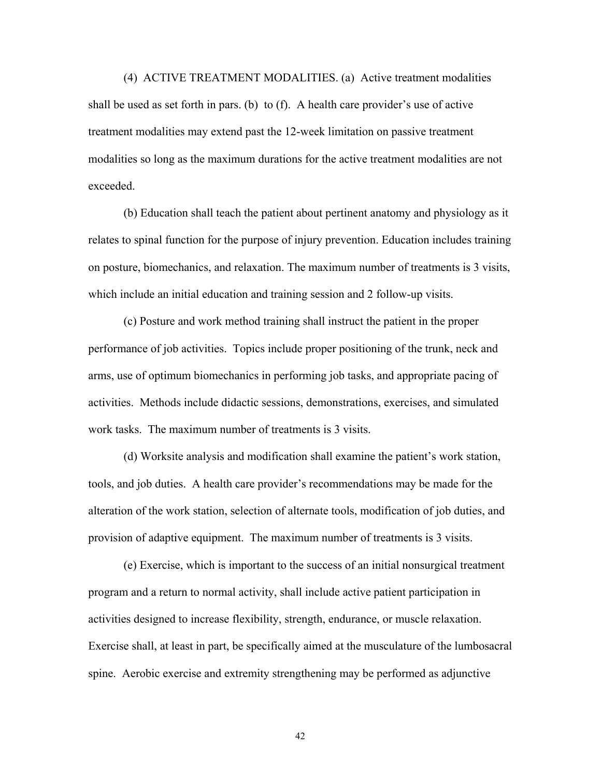(4) ACTIVE TREATMENT MODALITIES. (a) Active treatment modalities shall be used as set forth in pars. (b) to (f). A health care provider's use of active treatment modalities may extend past the 12-week limitation on passive treatment modalities so long as the maximum durations for the active treatment modalities are not exceeded.

 (b) Education shall teach the patient about pertinent anatomy and physiology as it relates to spinal function for the purpose of injury prevention. Education includes training on posture, biomechanics, and relaxation. The maximum number of treatments is 3 visits, which include an initial education and training session and 2 follow-up visits.

 (c) Posture and work method training shall instruct the patient in the proper performance of job activities. Topics include proper positioning of the trunk, neck and arms, use of optimum biomechanics in performing job tasks, and appropriate pacing of activities. Methods include didactic sessions, demonstrations, exercises, and simulated work tasks. The maximum number of treatments is 3 visits.

 (d) Worksite analysis and modification shall examine the patient's work station, tools, and job duties. A health care provider's recommendations may be made for the alteration of the work station, selection of alternate tools, modification of job duties, and provision of adaptive equipment. The maximum number of treatments is 3 visits.

 (e) Exercise, which is important to the success of an initial nonsurgical treatment program and a return to normal activity, shall include active patient participation in activities designed to increase flexibility, strength, endurance, or muscle relaxation. Exercise shall, at least in part, be specifically aimed at the musculature of the lumbosacral spine. Aerobic exercise and extremity strengthening may be performed as adjunctive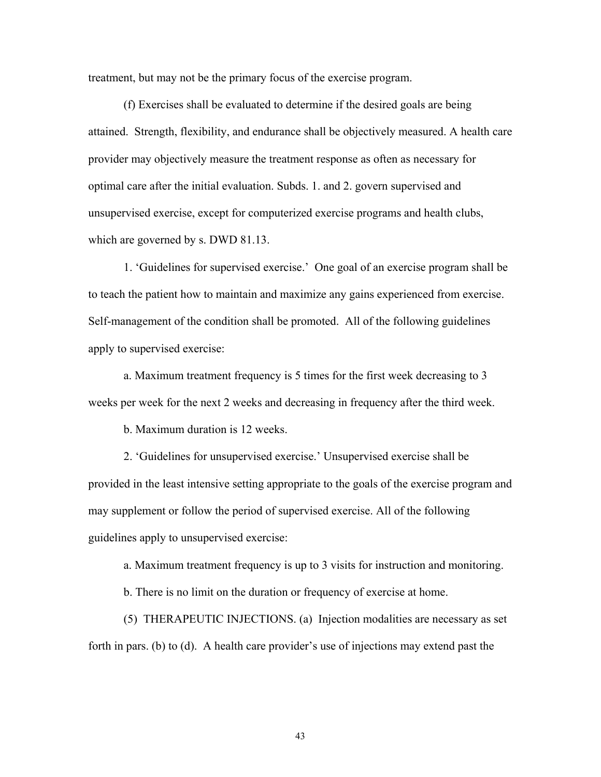treatment, but may not be the primary focus of the exercise program.

 (f) Exercises shall be evaluated to determine if the desired goals are being attained. Strength, flexibility, and endurance shall be objectively measured. A health care provider may objectively measure the treatment response as often as necessary for optimal care after the initial evaluation. Subds. 1. and 2. govern supervised and unsupervised exercise, except for computerized exercise programs and health clubs, which are governed by s. DWD 81.13.

 1. 'Guidelines for supervised exercise.' One goal of an exercise program shall be to teach the patient how to maintain and maximize any gains experienced from exercise. Self-management of the condition shall be promoted. All of the following guidelines apply to supervised exercise:

 a. Maximum treatment frequency is 5 times for the first week decreasing to 3 weeks per week for the next 2 weeks and decreasing in frequency after the third week.

b. Maximum duration is 12 weeks.

 2. 'Guidelines for unsupervised exercise.' Unsupervised exercise shall be provided in the least intensive setting appropriate to the goals of the exercise program and may supplement or follow the period of supervised exercise. All of the following guidelines apply to unsupervised exercise:

a. Maximum treatment frequency is up to 3 visits for instruction and monitoring.

b. There is no limit on the duration or frequency of exercise at home.

 (5) THERAPEUTIC INJECTIONS. (a) Injection modalities are necessary as set forth in pars. (b) to (d). A health care provider's use of injections may extend past the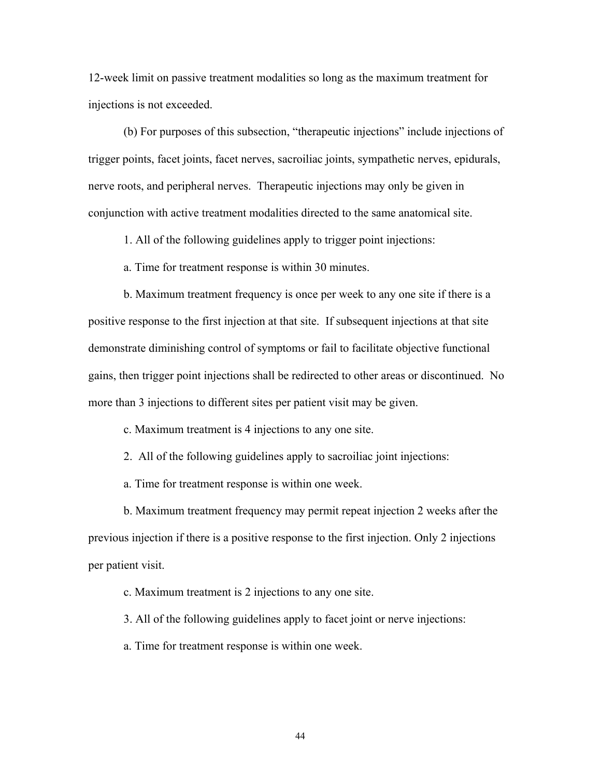12-week limit on passive treatment modalities so long as the maximum treatment for injections is not exceeded.

 (b) For purposes of this subsection, "therapeutic injections" include injections of trigger points, facet joints, facet nerves, sacroiliac joints, sympathetic nerves, epidurals, nerve roots, and peripheral nerves. Therapeutic injections may only be given in conjunction with active treatment modalities directed to the same anatomical site.

1. All of the following guidelines apply to trigger point injections:

a. Time for treatment response is within 30 minutes.

 b. Maximum treatment frequency is once per week to any one site if there is a positive response to the first injection at that site. If subsequent injections at that site demonstrate diminishing control of symptoms or fail to facilitate objective functional gains, then trigger point injections shall be redirected to other areas or discontinued. No more than 3 injections to different sites per patient visit may be given.

c. Maximum treatment is 4 injections to any one site.

2. All of the following guidelines apply to sacroiliac joint injections:

a. Time for treatment response is within one week.

 b. Maximum treatment frequency may permit repeat injection 2 weeks after the previous injection if there is a positive response to the first injection. Only 2 injections per patient visit.

c. Maximum treatment is 2 injections to any one site.

3. All of the following guidelines apply to facet joint or nerve injections:

a. Time for treatment response is within one week.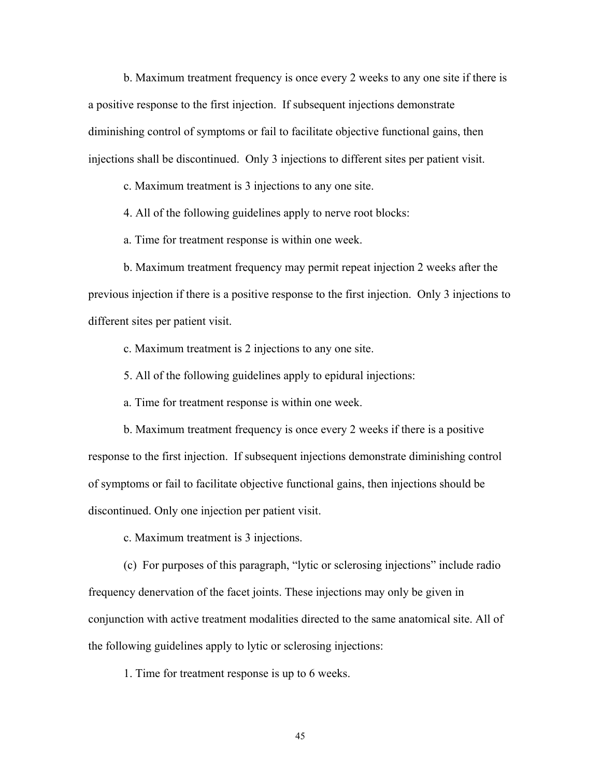b. Maximum treatment frequency is once every 2 weeks to any one site if there is a positive response to the first injection. If subsequent injections demonstrate diminishing control of symptoms or fail to facilitate objective functional gains, then injections shall be discontinued. Only 3 injections to different sites per patient visit.

c. Maximum treatment is 3 injections to any one site.

4. All of the following guidelines apply to nerve root blocks:

a. Time for treatment response is within one week.

 b. Maximum treatment frequency may permit repeat injection 2 weeks after the previous injection if there is a positive response to the first injection. Only 3 injections to different sites per patient visit.

c. Maximum treatment is 2 injections to any one site.

5. All of the following guidelines apply to epidural injections:

a. Time for treatment response is within one week.

 b. Maximum treatment frequency is once every 2 weeks if there is a positive response to the first injection. If subsequent injections demonstrate diminishing control of symptoms or fail to facilitate objective functional gains, then injections should be discontinued. Only one injection per patient visit.

c. Maximum treatment is 3 injections.

 (c) For purposes of this paragraph, "lytic or sclerosing injections" include radio frequency denervation of the facet joints. These injections may only be given in conjunction with active treatment modalities directed to the same anatomical site. All of the following guidelines apply to lytic or sclerosing injections:

1. Time for treatment response is up to 6 weeks.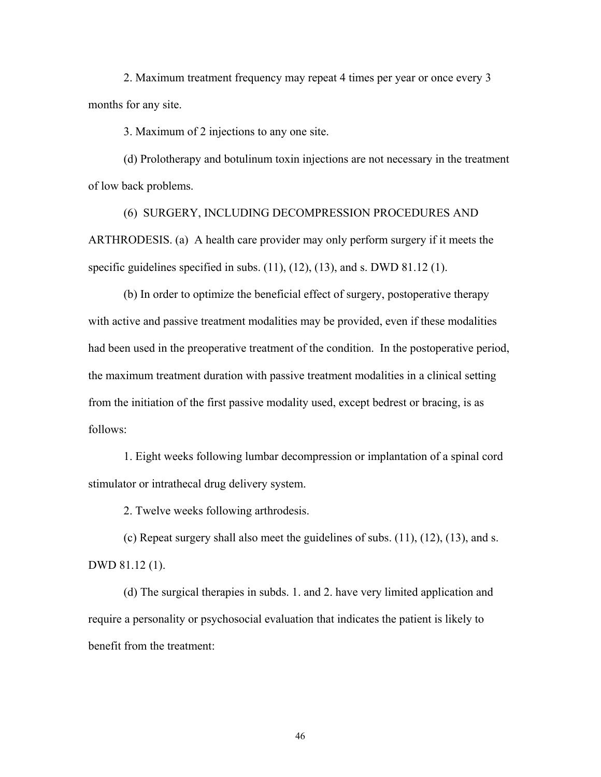2. Maximum treatment frequency may repeat 4 times per year or once every 3 months for any site.

3. Maximum of 2 injections to any one site.

 (d) Prolotherapy and botulinum toxin injections are not necessary in the treatment of low back problems.

 (6) SURGERY, INCLUDING DECOMPRESSION PROCEDURES AND ARTHRODESIS. (a) A health care provider may only perform surgery if it meets the specific guidelines specified in subs.  $(11)$ ,  $(12)$ ,  $(13)$ , and s. DWD 81.12  $(1)$ .

 (b) In order to optimize the beneficial effect of surgery, postoperative therapy with active and passive treatment modalities may be provided, even if these modalities had been used in the preoperative treatment of the condition. In the postoperative period, the maximum treatment duration with passive treatment modalities in a clinical setting from the initiation of the first passive modality used, except bedrest or bracing, is as follows:

 1. Eight weeks following lumbar decompression or implantation of a spinal cord stimulator or intrathecal drug delivery system.

2. Twelve weeks following arthrodesis.

 (c) Repeat surgery shall also meet the guidelines of subs. (11), (12), (13), and s. DWD 81.12 (1).

 (d) The surgical therapies in subds. 1. and 2. have very limited application and require a personality or psychosocial evaluation that indicates the patient is likely to benefit from the treatment: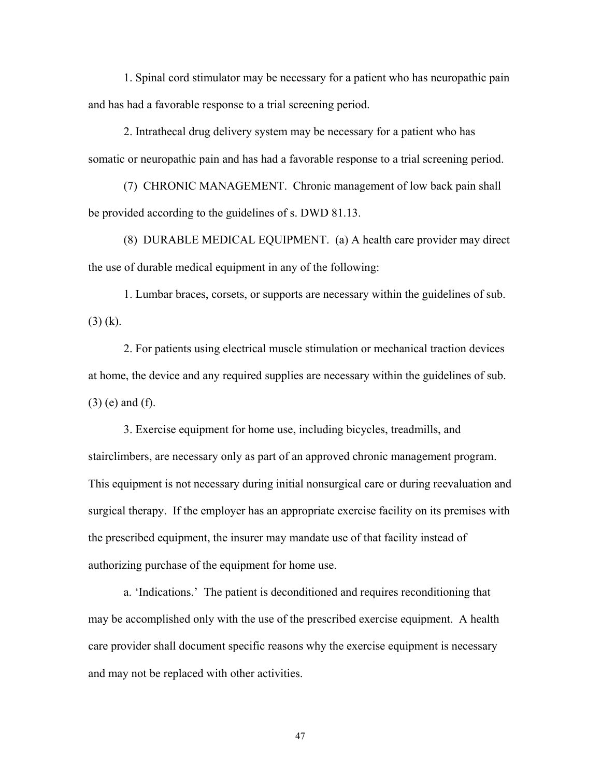1. Spinal cord stimulator may be necessary for a patient who has neuropathic pain and has had a favorable response to a trial screening period.

 2. Intrathecal drug delivery system may be necessary for a patient who has somatic or neuropathic pain and has had a favorable response to a trial screening period.

 (7) CHRONIC MANAGEMENT. Chronic management of low back pain shall be provided according to the guidelines of s. DWD 81.13.

 (8) DURABLE MEDICAL EQUIPMENT. (a) A health care provider may direct the use of durable medical equipment in any of the following:

 1. Lumbar braces, corsets, or supports are necessary within the guidelines of sub. (3) (k).

 2. For patients using electrical muscle stimulation or mechanical traction devices at home, the device and any required supplies are necessary within the guidelines of sub. (3) (e) and (f).

 3. Exercise equipment for home use, including bicycles, treadmills, and stairclimbers, are necessary only as part of an approved chronic management program. This equipment is not necessary during initial nonsurgical care or during reevaluation and surgical therapy. If the employer has an appropriate exercise facility on its premises with the prescribed equipment, the insurer may mandate use of that facility instead of authorizing purchase of the equipment for home use.

 a. 'Indications.' The patient is deconditioned and requires reconditioning that may be accomplished only with the use of the prescribed exercise equipment. A health care provider shall document specific reasons why the exercise equipment is necessary and may not be replaced with other activities.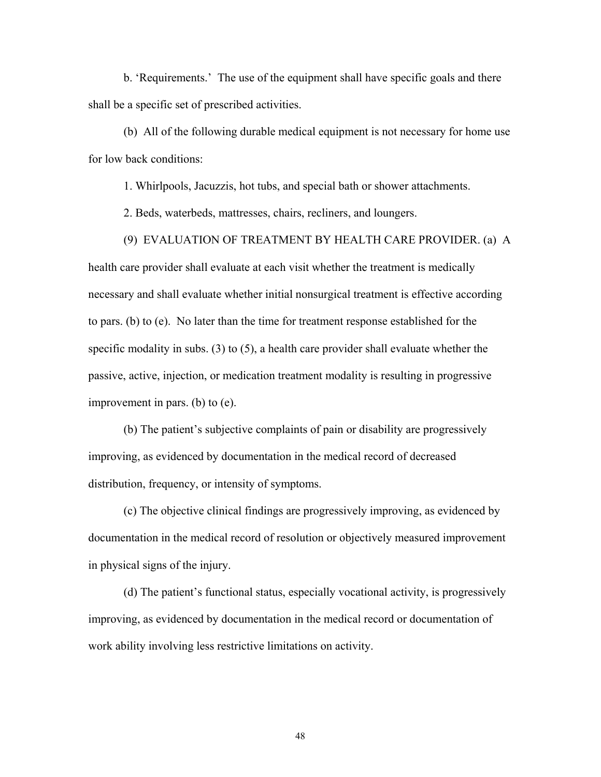b. 'Requirements.' The use of the equipment shall have specific goals and there shall be a specific set of prescribed activities.

 (b) All of the following durable medical equipment is not necessary for home use for low back conditions:

1. Whirlpools, Jacuzzis, hot tubs, and special bath or shower attachments.

2. Beds, waterbeds, mattresses, chairs, recliners, and loungers.

(9) EVALUATION OF TREATMENT BY HEALTH CARE PROVIDER. (a) A

health care provider shall evaluate at each visit whether the treatment is medically necessary and shall evaluate whether initial nonsurgical treatment is effective according to pars. (b) to (e). No later than the time for treatment response established for the specific modality in subs. (3) to (5), a health care provider shall evaluate whether the passive, active, injection, or medication treatment modality is resulting in progressive improvement in pars. (b) to (e).

 (b) The patient's subjective complaints of pain or disability are progressively improving, as evidenced by documentation in the medical record of decreased distribution, frequency, or intensity of symptoms.

 (c) The objective clinical findings are progressively improving, as evidenced by documentation in the medical record of resolution or objectively measured improvement in physical signs of the injury.

 (d) The patient's functional status, especially vocational activity, is progressively improving, as evidenced by documentation in the medical record or documentation of work ability involving less restrictive limitations on activity.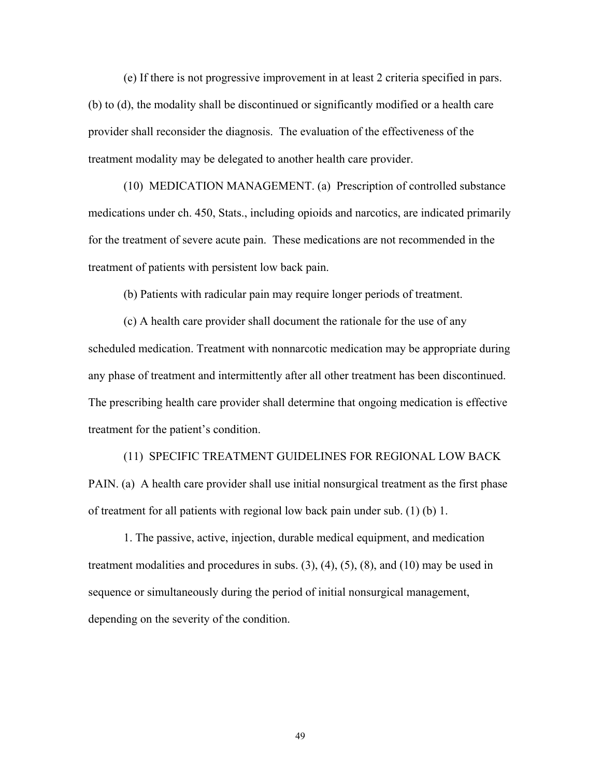(e) If there is not progressive improvement in at least 2 criteria specified in pars. (b) to (d), the modality shall be discontinued or significantly modified or a health care provider shall reconsider the diagnosis. The evaluation of the effectiveness of the treatment modality may be delegated to another health care provider.

 (10) MEDICATION MANAGEMENT. (a) Prescription of controlled substance medications under ch. 450, Stats., including opioids and narcotics, are indicated primarily for the treatment of severe acute pain. These medications are not recommended in the treatment of patients with persistent low back pain.

(b) Patients with radicular pain may require longer periods of treatment.

 (c) A health care provider shall document the rationale for the use of any scheduled medication. Treatment with nonnarcotic medication may be appropriate during any phase of treatment and intermittently after all other treatment has been discontinued. The prescribing health care provider shall determine that ongoing medication is effective treatment for the patient's condition.

 (11) SPECIFIC TREATMENT GUIDELINES FOR REGIONAL LOW BACK PAIN. (a) A health care provider shall use initial nonsurgical treatment as the first phase of treatment for all patients with regional low back pain under sub. (1) (b) 1.

 1. The passive, active, injection, durable medical equipment, and medication treatment modalities and procedures in subs.  $(3)$ ,  $(4)$ ,  $(5)$ ,  $(8)$ , and  $(10)$  may be used in sequence or simultaneously during the period of initial nonsurgical management, depending on the severity of the condition.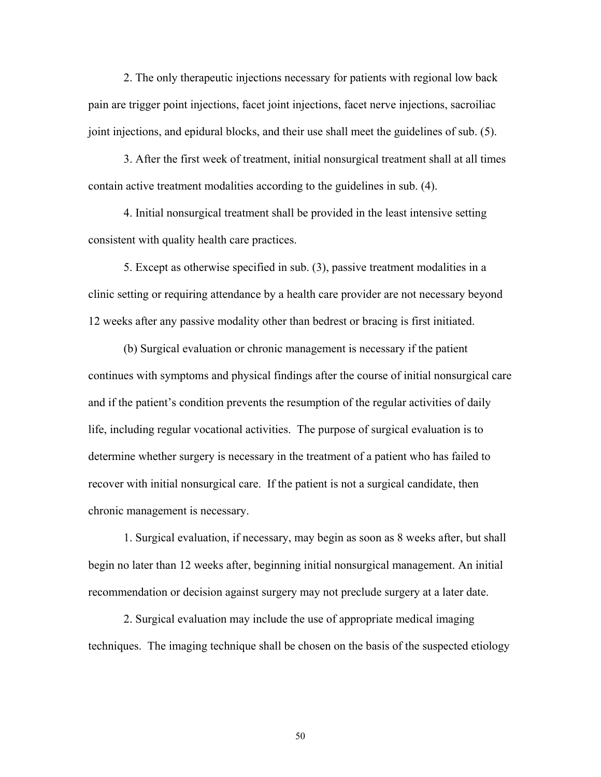2. The only therapeutic injections necessary for patients with regional low back pain are trigger point injections, facet joint injections, facet nerve injections, sacroiliac joint injections, and epidural blocks, and their use shall meet the guidelines of sub. (5).

 3. After the first week of treatment, initial nonsurgical treatment shall at all times contain active treatment modalities according to the guidelines in sub. (4).

 4. Initial nonsurgical treatment shall be provided in the least intensive setting consistent with quality health care practices.

 5. Except as otherwise specified in sub. (3), passive treatment modalities in a clinic setting or requiring attendance by a health care provider are not necessary beyond 12 weeks after any passive modality other than bedrest or bracing is first initiated.

 (b) Surgical evaluation or chronic management is necessary if the patient continues with symptoms and physical findings after the course of initial nonsurgical care and if the patient's condition prevents the resumption of the regular activities of daily life, including regular vocational activities. The purpose of surgical evaluation is to determine whether surgery is necessary in the treatment of a patient who has failed to recover with initial nonsurgical care. If the patient is not a surgical candidate, then chronic management is necessary.

 1. Surgical evaluation, if necessary, may begin as soon as 8 weeks after, but shall begin no later than 12 weeks after, beginning initial nonsurgical management. An initial recommendation or decision against surgery may not preclude surgery at a later date.

 2. Surgical evaluation may include the use of appropriate medical imaging techniques. The imaging technique shall be chosen on the basis of the suspected etiology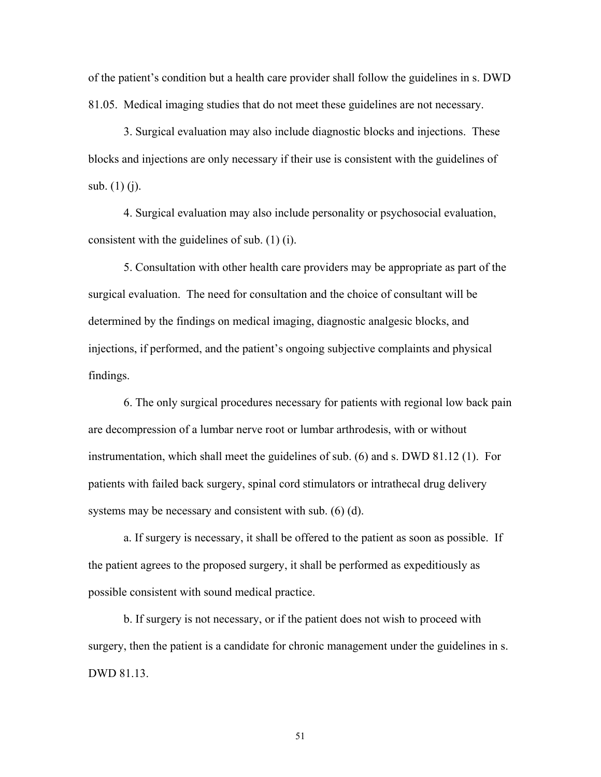of the patient's condition but a health care provider shall follow the guidelines in s. DWD 81.05. Medical imaging studies that do not meet these guidelines are not necessary.

 3. Surgical evaluation may also include diagnostic blocks and injections. These blocks and injections are only necessary if their use is consistent with the guidelines of sub. (1) (j).

 4. Surgical evaluation may also include personality or psychosocial evaluation, consistent with the guidelines of sub. (1) (i).

 5. Consultation with other health care providers may be appropriate as part of the surgical evaluation. The need for consultation and the choice of consultant will be determined by the findings on medical imaging, diagnostic analgesic blocks, and injections, if performed, and the patient's ongoing subjective complaints and physical findings.

 6. The only surgical procedures necessary for patients with regional low back pain are decompression of a lumbar nerve root or lumbar arthrodesis, with or without instrumentation, which shall meet the guidelines of sub. (6) and s. DWD 81.12 (1). For patients with failed back surgery, spinal cord stimulators or intrathecal drug delivery systems may be necessary and consistent with sub. (6) (d).

a. If surgery is necessary, it shall be offered to the patient as soon as possible. If the patient agrees to the proposed surgery, it shall be performed as expeditiously as possible consistent with sound medical practice.

 b. If surgery is not necessary, or if the patient does not wish to proceed with surgery, then the patient is a candidate for chronic management under the guidelines in s. DWD 81.13.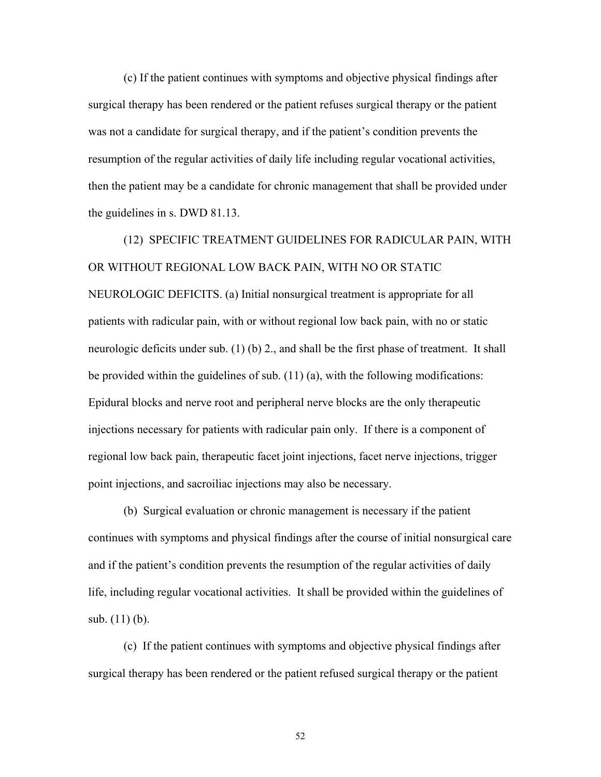(c) If the patient continues with symptoms and objective physical findings after surgical therapy has been rendered or the patient refuses surgical therapy or the patient was not a candidate for surgical therapy, and if the patient's condition prevents the resumption of the regular activities of daily life including regular vocational activities, then the patient may be a candidate for chronic management that shall be provided under the guidelines in s. DWD 81.13.

 (12) SPECIFIC TREATMENT GUIDELINES FOR RADICULAR PAIN, WITH OR WITHOUT REGIONAL LOW BACK PAIN, WITH NO OR STATIC NEUROLOGIC DEFICITS. (a) Initial nonsurgical treatment is appropriate for all patients with radicular pain, with or without regional low back pain, with no or static neurologic deficits under sub. (1) (b) 2., and shall be the first phase of treatment. It shall be provided within the guidelines of sub. (11) (a), with the following modifications: Epidural blocks and nerve root and peripheral nerve blocks are the only therapeutic injections necessary for patients with radicular pain only. If there is a component of regional low back pain, therapeutic facet joint injections, facet nerve injections, trigger point injections, and sacroiliac injections may also be necessary.

 (b) Surgical evaluation or chronic management is necessary if the patient continues with symptoms and physical findings after the course of initial nonsurgical care and if the patient's condition prevents the resumption of the regular activities of daily life, including regular vocational activities. It shall be provided within the guidelines of sub. (11) (b).

 (c) If the patient continues with symptoms and objective physical findings after surgical therapy has been rendered or the patient refused surgical therapy or the patient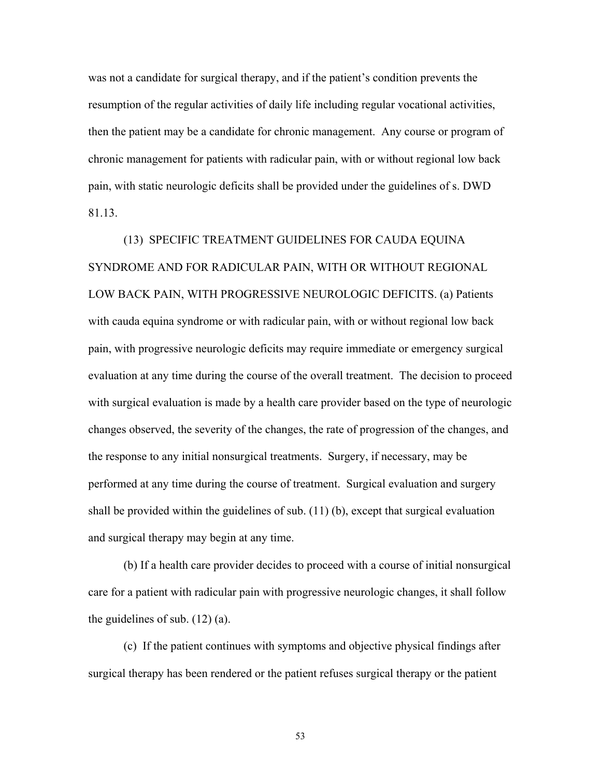was not a candidate for surgical therapy, and if the patient's condition prevents the resumption of the regular activities of daily life including regular vocational activities, then the patient may be a candidate for chronic management. Any course or program of chronic management for patients with radicular pain, with or without regional low back pain, with static neurologic deficits shall be provided under the guidelines of s. DWD 81.13.

 (13) SPECIFIC TREATMENT GUIDELINES FOR CAUDA EQUINA SYNDROME AND FOR RADICULAR PAIN, WITH OR WITHOUT REGIONAL LOW BACK PAIN, WITH PROGRESSIVE NEUROLOGIC DEFICITS. (a) Patients with cauda equina syndrome or with radicular pain, with or without regional low back pain, with progressive neurologic deficits may require immediate or emergency surgical evaluation at any time during the course of the overall treatment. The decision to proceed with surgical evaluation is made by a health care provider based on the type of neurologic changes observed, the severity of the changes, the rate of progression of the changes, and the response to any initial nonsurgical treatments. Surgery, if necessary, may be performed at any time during the course of treatment. Surgical evaluation and surgery shall be provided within the guidelines of sub.  $(11)$  (b), except that surgical evaluation and surgical therapy may begin at any time.

 (b) If a health care provider decides to proceed with a course of initial nonsurgical care for a patient with radicular pain with progressive neurologic changes, it shall follow the guidelines of sub. (12) (a).

 (c) If the patient continues with symptoms and objective physical findings after surgical therapy has been rendered or the patient refuses surgical therapy or the patient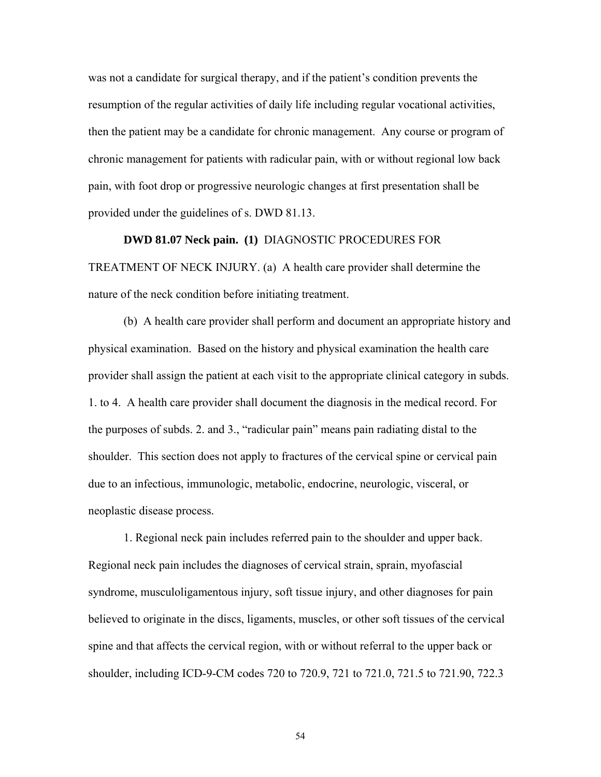was not a candidate for surgical therapy, and if the patient's condition prevents the resumption of the regular activities of daily life including regular vocational activities, then the patient may be a candidate for chronic management. Any course or program of chronic management for patients with radicular pain, with or without regional low back pain, with foot drop or progressive neurologic changes at first presentation shall be provided under the guidelines of s. DWD 81.13.

 **DWD 81.07 Neck pain. (1)** DIAGNOSTIC PROCEDURES FOR TREATMENT OF NECK INJURY. (a) A health care provider shall determine the nature of the neck condition before initiating treatment.

 (b) A health care provider shall perform and document an appropriate history and physical examination. Based on the history and physical examination the health care provider shall assign the patient at each visit to the appropriate clinical category in subds. 1. to 4. A health care provider shall document the diagnosis in the medical record. For the purposes of subds. 2. and 3., "radicular pain" means pain radiating distal to the shoulder. This section does not apply to fractures of the cervical spine or cervical pain due to an infectious, immunologic, metabolic, endocrine, neurologic, visceral, or neoplastic disease process.

 1. Regional neck pain includes referred pain to the shoulder and upper back. Regional neck pain includes the diagnoses of cervical strain, sprain, myofascial syndrome, musculoligamentous injury, soft tissue injury, and other diagnoses for pain believed to originate in the discs, ligaments, muscles, or other soft tissues of the cervical spine and that affects the cervical region, with or without referral to the upper back or shoulder, including ICD-9-CM codes 720 to 720.9, 721 to 721.0, 721.5 to 721.90, 722.3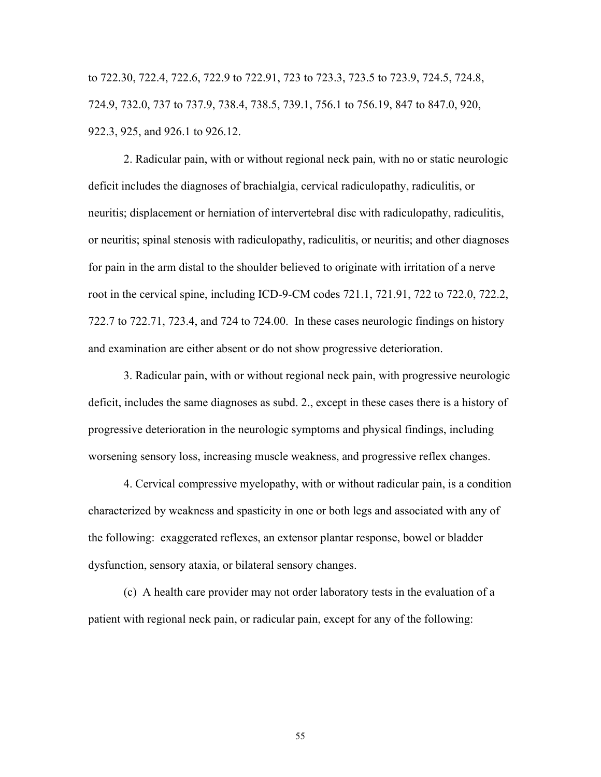to 722.30, 722.4, 722.6, 722.9 to 722.91, 723 to 723.3, 723.5 to 723.9, 724.5, 724.8, 724.9, 732.0, 737 to 737.9, 738.4, 738.5, 739.1, 756.1 to 756.19, 847 to 847.0, 920, 922.3, 925, and 926.1 to 926.12.

 2. Radicular pain, with or without regional neck pain, with no or static neurologic deficit includes the diagnoses of brachialgia, cervical radiculopathy, radiculitis, or neuritis; displacement or herniation of intervertebral disc with radiculopathy, radiculitis, or neuritis; spinal stenosis with radiculopathy, radiculitis, or neuritis; and other diagnoses for pain in the arm distal to the shoulder believed to originate with irritation of a nerve root in the cervical spine, including ICD-9-CM codes 721.1, 721.91, 722 to 722.0, 722.2, 722.7 to 722.71, 723.4, and 724 to 724.00. In these cases neurologic findings on history and examination are either absent or do not show progressive deterioration.

 3. Radicular pain, with or without regional neck pain, with progressive neurologic deficit, includes the same diagnoses as subd. 2., except in these cases there is a history of progressive deterioration in the neurologic symptoms and physical findings, including worsening sensory loss, increasing muscle weakness, and progressive reflex changes.

 4. Cervical compressive myelopathy, with or without radicular pain, is a condition characterized by weakness and spasticity in one or both legs and associated with any of the following: exaggerated reflexes, an extensor plantar response, bowel or bladder dysfunction, sensory ataxia, or bilateral sensory changes.

 (c) A health care provider may not order laboratory tests in the evaluation of a patient with regional neck pain, or radicular pain, except for any of the following: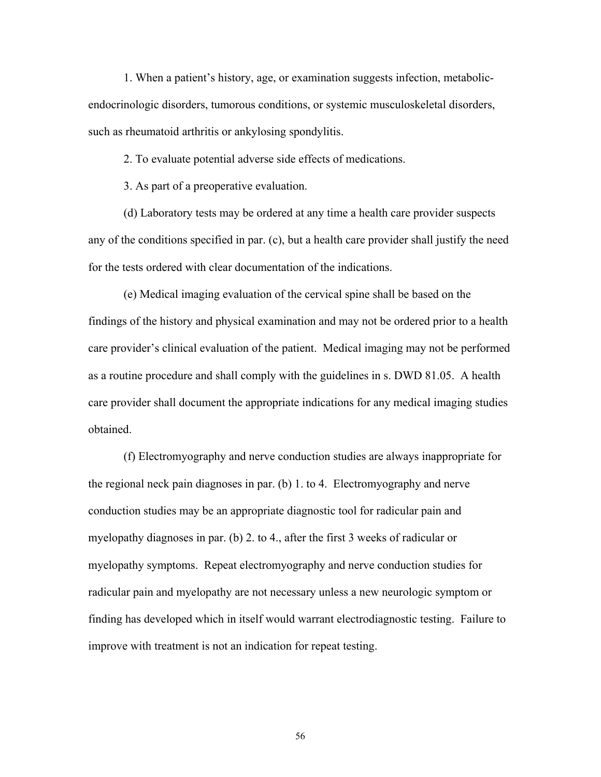1. When a patient's history, age, or examination suggests infection, metabolicendocrinologic disorders, tumorous conditions, or systemic musculoskeletal disorders, such as rheumatoid arthritis or ankylosing spondylitis.

2. To evaluate potential adverse side effects of medications.

3. As part of a preoperative evaluation.

 (d) Laboratory tests may be ordered at any time a health care provider suspects any of the conditions specified in par. (c), but a health care provider shall justify the need for the tests ordered with clear documentation of the indications.

 (e) Medical imaging evaluation of the cervical spine shall be based on the findings of the history and physical examination and may not be ordered prior to a health care provider's clinical evaluation of the patient. Medical imaging may not be performed as a routine procedure and shall comply with the guidelines in s. DWD 81.05. A health care provider shall document the appropriate indications for any medical imaging studies obtained.

 (f) Electromyography and nerve conduction studies are always inappropriate for the regional neck pain diagnoses in par. (b) 1. to 4. Electromyography and nerve conduction studies may be an appropriate diagnostic tool for radicular pain and myelopathy diagnoses in par. (b) 2. to 4., after the first 3 weeks of radicular or myelopathy symptoms. Repeat electromyography and nerve conduction studies for radicular pain and myelopathy are not necessary unless a new neurologic symptom or finding has developed which in itself would warrant electrodiagnostic testing. Failure to improve with treatment is not an indication for repeat testing.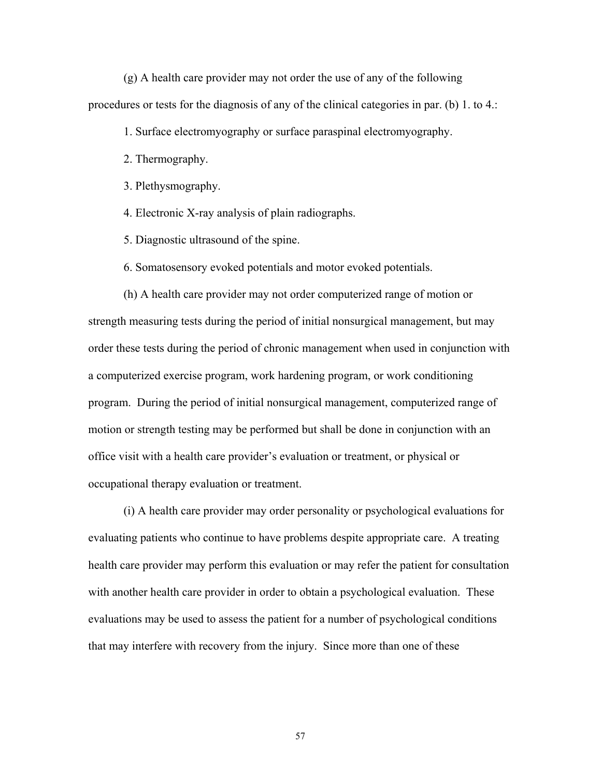(g) A health care provider may not order the use of any of the following procedures or tests for the diagnosis of any of the clinical categories in par. (b) 1. to 4.:

1. Surface electromyography or surface paraspinal electromyography.

2. Thermography.

3. Plethysmography.

4. Electronic X-ray analysis of plain radiographs.

5. Diagnostic ultrasound of the spine.

6. Somatosensory evoked potentials and motor evoked potentials.

 (h) A health care provider may not order computerized range of motion or strength measuring tests during the period of initial nonsurgical management, but may order these tests during the period of chronic management when used in conjunction with a computerized exercise program, work hardening program, or work conditioning program. During the period of initial nonsurgical management, computerized range of motion or strength testing may be performed but shall be done in conjunction with an office visit with a health care provider's evaluation or treatment, or physical or occupational therapy evaluation or treatment.

 (i) A health care provider may order personality or psychological evaluations for evaluating patients who continue to have problems despite appropriate care. A treating health care provider may perform this evaluation or may refer the patient for consultation with another health care provider in order to obtain a psychological evaluation. These evaluations may be used to assess the patient for a number of psychological conditions that may interfere with recovery from the injury. Since more than one of these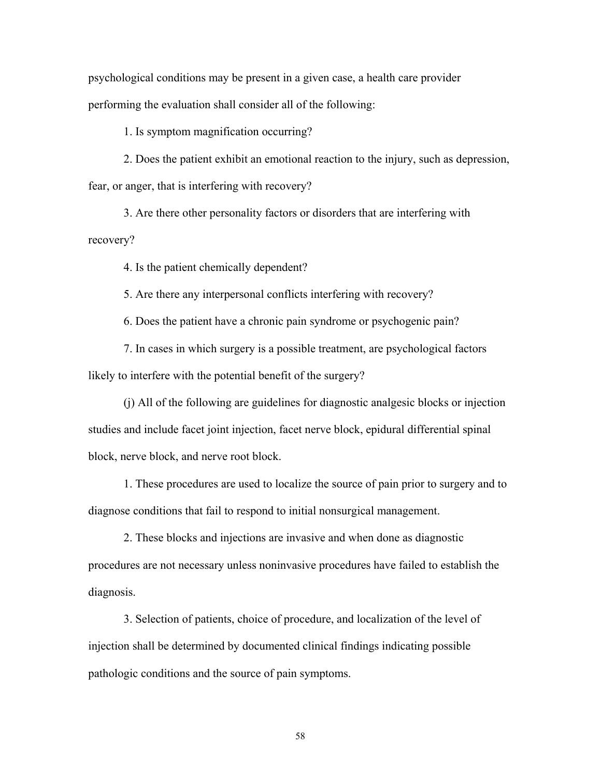psychological conditions may be present in a given case, a health care provider performing the evaluation shall consider all of the following:

1. Is symptom magnification occurring?

 2. Does the patient exhibit an emotional reaction to the injury, such as depression, fear, or anger, that is interfering with recovery?

 3. Are there other personality factors or disorders that are interfering with recovery?

4. Is the patient chemically dependent?

5. Are there any interpersonal conflicts interfering with recovery?

6. Does the patient have a chronic pain syndrome or psychogenic pain?

 7. In cases in which surgery is a possible treatment, are psychological factors likely to interfere with the potential benefit of the surgery?

 (j) All of the following are guidelines for diagnostic analgesic blocks or injection studies and include facet joint injection, facet nerve block, epidural differential spinal block, nerve block, and nerve root block.

 1. These procedures are used to localize the source of pain prior to surgery and to diagnose conditions that fail to respond to initial nonsurgical management.

 2. These blocks and injections are invasive and when done as diagnostic procedures are not necessary unless noninvasive procedures have failed to establish the diagnosis.

 3. Selection of patients, choice of procedure, and localization of the level of injection shall be determined by documented clinical findings indicating possible pathologic conditions and the source of pain symptoms.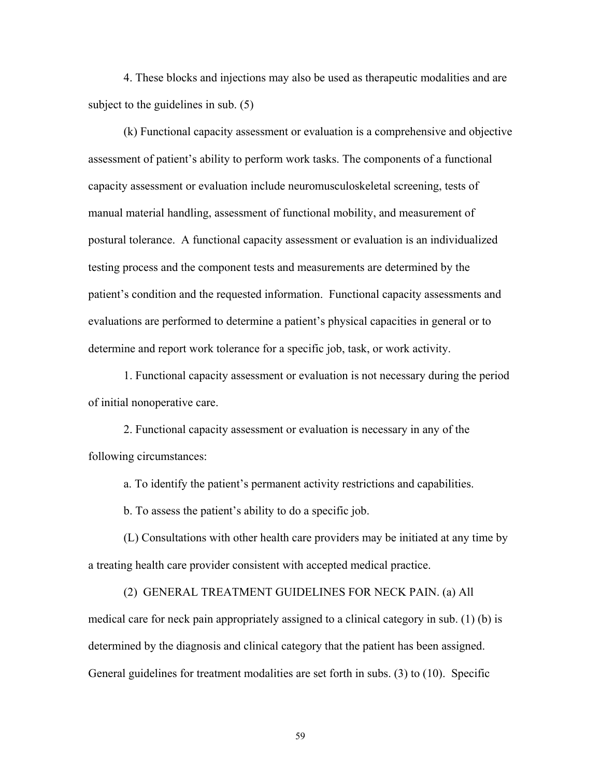4. These blocks and injections may also be used as therapeutic modalities and are subject to the guidelines in sub. (5)

 (k) Functional capacity assessment or evaluation is a comprehensive and objective assessment of patient's ability to perform work tasks. The components of a functional capacity assessment or evaluation include neuromusculoskeletal screening, tests of manual material handling, assessment of functional mobility, and measurement of postural tolerance. A functional capacity assessment or evaluation is an individualized testing process and the component tests and measurements are determined by the patient's condition and the requested information. Functional capacity assessments and evaluations are performed to determine a patient's physical capacities in general or to determine and report work tolerance for a specific job, task, or work activity.

 1. Functional capacity assessment or evaluation is not necessary during the period of initial nonoperative care.

 2. Functional capacity assessment or evaluation is necessary in any of the following circumstances:

a. To identify the patient's permanent activity restrictions and capabilities.

b. To assess the patient's ability to do a specific job.

 (L) Consultations with other health care providers may be initiated at any time by a treating health care provider consistent with accepted medical practice.

 (2) GENERAL TREATMENT GUIDELINES FOR NECK PAIN. (a) All medical care for neck pain appropriately assigned to a clinical category in sub. (1) (b) is determined by the diagnosis and clinical category that the patient has been assigned. General guidelines for treatment modalities are set forth in subs. (3) to (10). Specific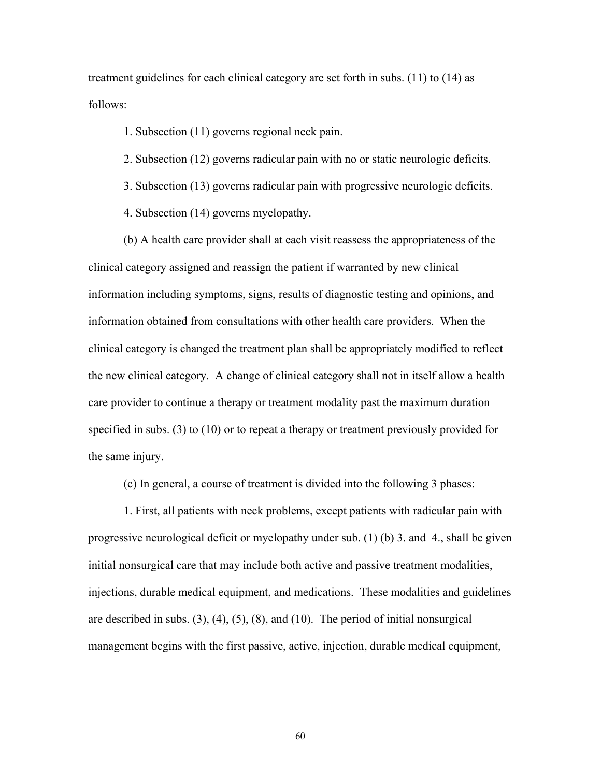treatment guidelines for each clinical category are set forth in subs. (11) to (14) as follows:

1. Subsection (11) governs regional neck pain.

- 2. Subsection (12) governs radicular pain with no or static neurologic deficits.
- 3. Subsection (13) governs radicular pain with progressive neurologic deficits.
- 4. Subsection (14) governs myelopathy.

 (b) A health care provider shall at each visit reassess the appropriateness of the clinical category assigned and reassign the patient if warranted by new clinical information including symptoms, signs, results of diagnostic testing and opinions, and information obtained from consultations with other health care providers. When the clinical category is changed the treatment plan shall be appropriately modified to reflect the new clinical category. A change of clinical category shall not in itself allow a health care provider to continue a therapy or treatment modality past the maximum duration specified in subs. (3) to (10) or to repeat a therapy or treatment previously provided for the same injury.

(c) In general, a course of treatment is divided into the following 3 phases:

 1. First, all patients with neck problems, except patients with radicular pain with progressive neurological deficit or myelopathy under sub. (1) (b) 3. and 4., shall be given initial nonsurgical care that may include both active and passive treatment modalities, injections, durable medical equipment, and medications. These modalities and guidelines are described in subs.  $(3)$ ,  $(4)$ ,  $(5)$ ,  $(8)$ , and  $(10)$ . The period of initial nonsurgical management begins with the first passive, active, injection, durable medical equipment,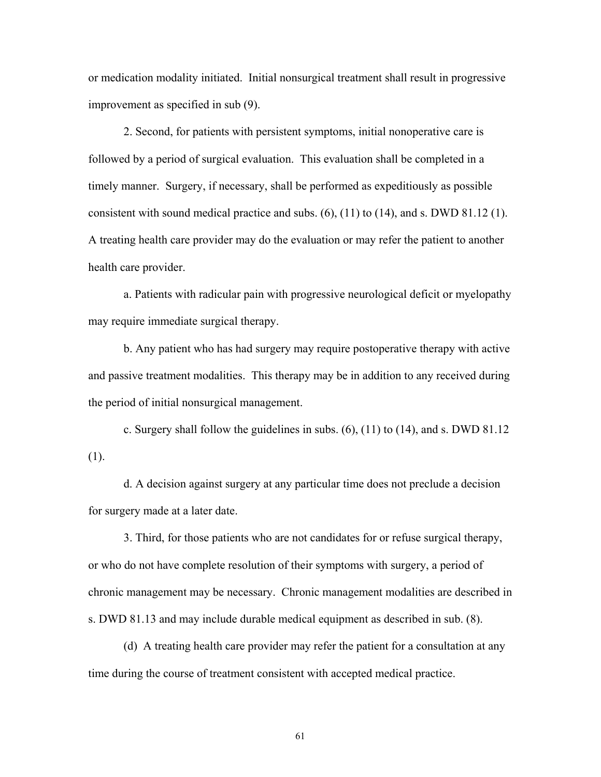or medication modality initiated. Initial nonsurgical treatment shall result in progressive improvement as specified in sub (9).

 2. Second, for patients with persistent symptoms, initial nonoperative care is followed by a period of surgical evaluation. This evaluation shall be completed in a timely manner. Surgery, if necessary, shall be performed as expeditiously as possible consistent with sound medical practice and subs. (6), (11) to (14), and s. DWD 81.12 (1). A treating health care provider may do the evaluation or may refer the patient to another health care provider.

 a. Patients with radicular pain with progressive neurological deficit or myelopathy may require immediate surgical therapy.

 b. Any patient who has had surgery may require postoperative therapy with active and passive treatment modalities. This therapy may be in addition to any received during the period of initial nonsurgical management.

 c. Surgery shall follow the guidelines in subs. (6), (11) to (14), and s. DWD 81.12 (1).

 d. A decision against surgery at any particular time does not preclude a decision for surgery made at a later date.

 3. Third, for those patients who are not candidates for or refuse surgical therapy, or who do not have complete resolution of their symptoms with surgery, a period of chronic management may be necessary. Chronic management modalities are described in s. DWD 81.13 and may include durable medical equipment as described in sub. (8).

 (d) A treating health care provider may refer the patient for a consultation at any time during the course of treatment consistent with accepted medical practice.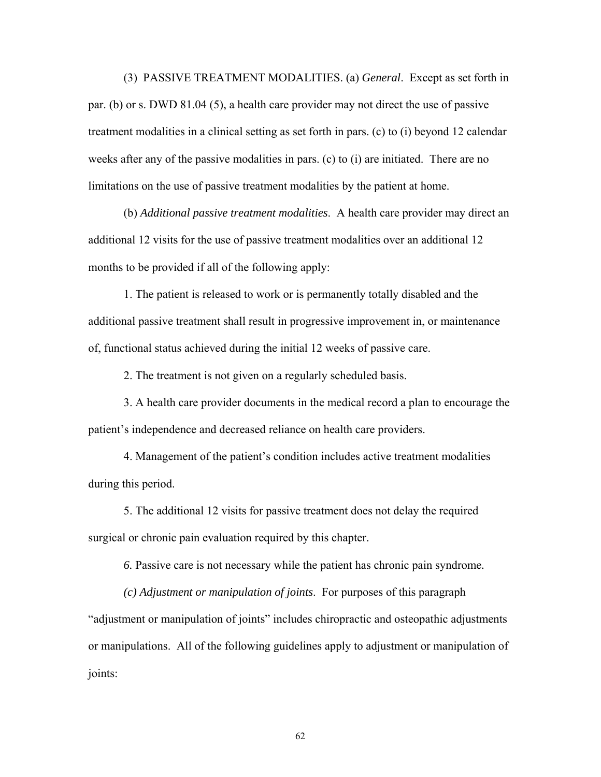(3) PASSIVE TREATMENT MODALITIES. (a) *General*. Except as set forth in par. (b) or s. DWD 81.04 (5), a health care provider may not direct the use of passive treatment modalities in a clinical setting as set forth in pars. (c) to (i) beyond 12 calendar weeks after any of the passive modalities in pars. (c) to (i) are initiated. There are no limitations on the use of passive treatment modalities by the patient at home.

 (b) *Additional passive treatment modalities*. A health care provider may direct an additional 12 visits for the use of passive treatment modalities over an additional 12 months to be provided if all of the following apply:

 1. The patient is released to work or is permanently totally disabled and the additional passive treatment shall result in progressive improvement in, or maintenance of, functional status achieved during the initial 12 weeks of passive care.

2. The treatment is not given on a regularly scheduled basis.

 3. A health care provider documents in the medical record a plan to encourage the patient's independence and decreased reliance on health care providers.

 4. Management of the patient's condition includes active treatment modalities during this period.

 5. The additional 12 visits for passive treatment does not delay the required surgical or chronic pain evaluation required by this chapter.

 *6.* Passive care is not necessary while the patient has chronic pain syndrome*.* 

 *(c) Adjustment or manipulation of joints*. For purposes of this paragraph "adjustment or manipulation of joints" includes chiropractic and osteopathic adjustments or manipulations. All of the following guidelines apply to adjustment or manipulation of joints: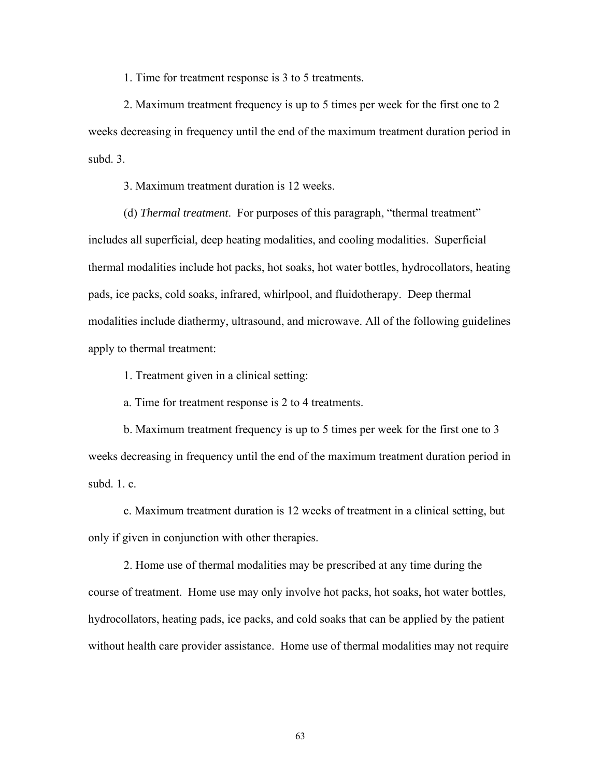1. Time for treatment response is 3 to 5 treatments.

 2. Maximum treatment frequency is up to 5 times per week for the first one to 2 weeks decreasing in frequency until the end of the maximum treatment duration period in subd. 3.

3. Maximum treatment duration is 12 weeks.

 (d) *Thermal treatment*. For purposes of this paragraph, "thermal treatment" includes all superficial, deep heating modalities, and cooling modalities. Superficial thermal modalities include hot packs, hot soaks, hot water bottles, hydrocollators, heating pads, ice packs, cold soaks, infrared, whirlpool, and fluidotherapy. Deep thermal modalities include diathermy, ultrasound, and microwave. All of the following guidelines apply to thermal treatment:

1. Treatment given in a clinical setting:

a. Time for treatment response is 2 to 4 treatments.

 b. Maximum treatment frequency is up to 5 times per week for the first one to 3 weeks decreasing in frequency until the end of the maximum treatment duration period in subd. 1. c.

 c. Maximum treatment duration is 12 weeks of treatment in a clinical setting, but only if given in conjunction with other therapies.

 2. Home use of thermal modalities may be prescribed at any time during the course of treatment. Home use may only involve hot packs, hot soaks, hot water bottles, hydrocollators, heating pads, ice packs, and cold soaks that can be applied by the patient without health care provider assistance. Home use of thermal modalities may not require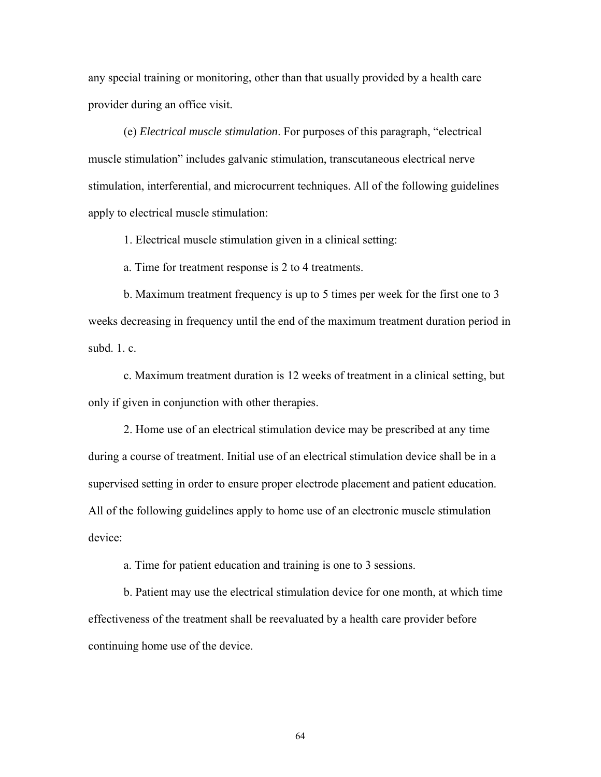any special training or monitoring, other than that usually provided by a health care provider during an office visit.

 (e) *Electrical muscle stimulation*. For purposes of this paragraph, "electrical muscle stimulation" includes galvanic stimulation, transcutaneous electrical nerve stimulation, interferential, and microcurrent techniques. All of the following guidelines apply to electrical muscle stimulation:

1. Electrical muscle stimulation given in a clinical setting:

a. Time for treatment response is 2 to 4 treatments.

b. Maximum treatment frequency is up to 5 times per week for the first one to 3 weeks decreasing in frequency until the end of the maximum treatment duration period in subd. 1. c.

 c. Maximum treatment duration is 12 weeks of treatment in a clinical setting, but only if given in conjunction with other therapies.

 2. Home use of an electrical stimulation device may be prescribed at any time during a course of treatment. Initial use of an electrical stimulation device shall be in a supervised setting in order to ensure proper electrode placement and patient education. All of the following guidelines apply to home use of an electronic muscle stimulation device:

a. Time for patient education and training is one to 3 sessions.

 b. Patient may use the electrical stimulation device for one month, at which time effectiveness of the treatment shall be reevaluated by a health care provider before continuing home use of the device.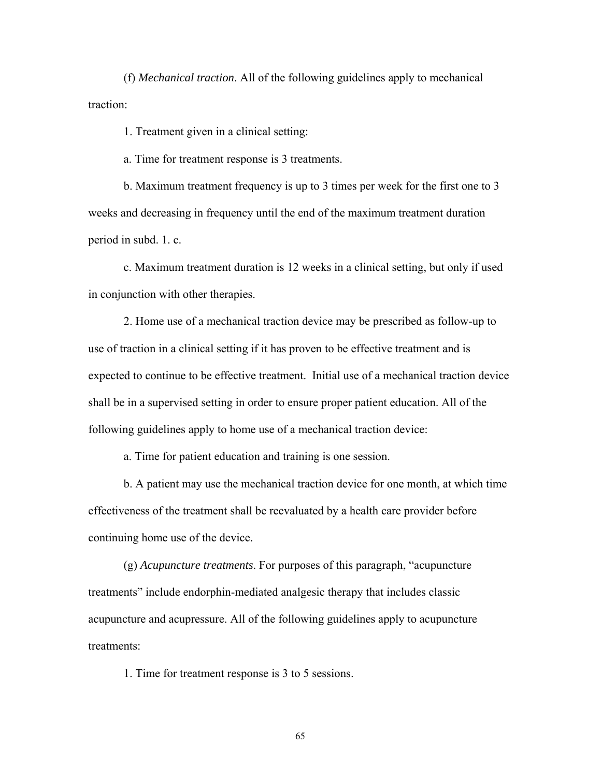(f) *Mechanical traction*. All of the following guidelines apply to mechanical traction:

1. Treatment given in a clinical setting:

a. Time for treatment response is 3 treatments.

 b. Maximum treatment frequency is up to 3 times per week for the first one to 3 weeks and decreasing in frequency until the end of the maximum treatment duration period in subd. 1. c.

 c. Maximum treatment duration is 12 weeks in a clinical setting, but only if used in conjunction with other therapies.

 2. Home use of a mechanical traction device may be prescribed as follow-up to use of traction in a clinical setting if it has proven to be effective treatment and is expected to continue to be effective treatment. Initial use of a mechanical traction device shall be in a supervised setting in order to ensure proper patient education. All of the following guidelines apply to home use of a mechanical traction device:

a. Time for patient education and training is one session.

 b. A patient may use the mechanical traction device for one month, at which time effectiveness of the treatment shall be reevaluated by a health care provider before continuing home use of the device.

 (g) *Acupuncture treatments*. For purposes of this paragraph, "acupuncture treatments" include endorphin-mediated analgesic therapy that includes classic acupuncture and acupressure. All of the following guidelines apply to acupuncture treatments:

1. Time for treatment response is 3 to 5 sessions.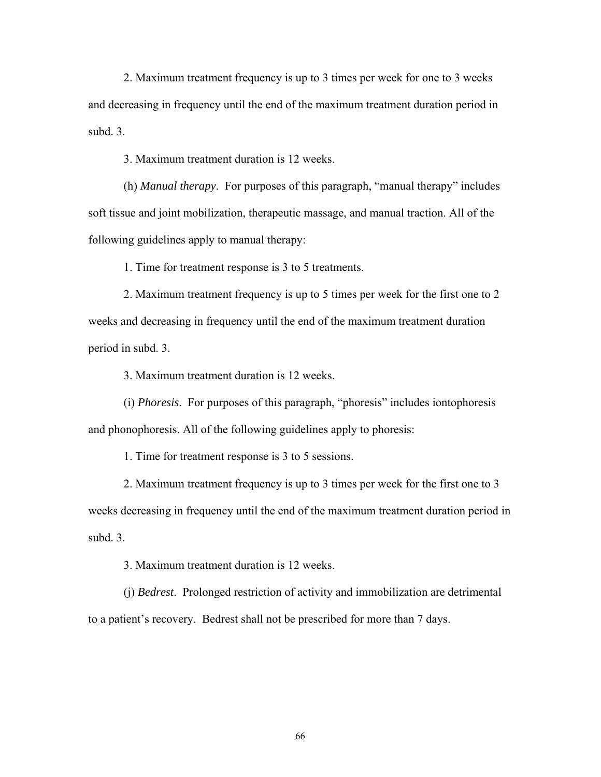2. Maximum treatment frequency is up to 3 times per week for one to 3 weeks and decreasing in frequency until the end of the maximum treatment duration period in subd. 3.

3. Maximum treatment duration is 12 weeks.

 (h) *Manual therapy*. For purposes of this paragraph, "manual therapy" includes soft tissue and joint mobilization, therapeutic massage, and manual traction. All of the following guidelines apply to manual therapy:

1. Time for treatment response is 3 to 5 treatments.

 2. Maximum treatment frequency is up to 5 times per week for the first one to 2 weeks and decreasing in frequency until the end of the maximum treatment duration period in subd. 3.

3. Maximum treatment duration is 12 weeks.

 (i) *Phoresis*. For purposes of this paragraph, "phoresis" includes iontophoresis and phonophoresis. All of the following guidelines apply to phoresis:

1. Time for treatment response is 3 to 5 sessions.

 2. Maximum treatment frequency is up to 3 times per week for the first one to 3 weeks decreasing in frequency until the end of the maximum treatment duration period in subd. 3.

3. Maximum treatment duration is 12 weeks.

 (j) *Bedrest*. Prolonged restriction of activity and immobilization are detrimental to a patient's recovery. Bedrest shall not be prescribed for more than 7 days.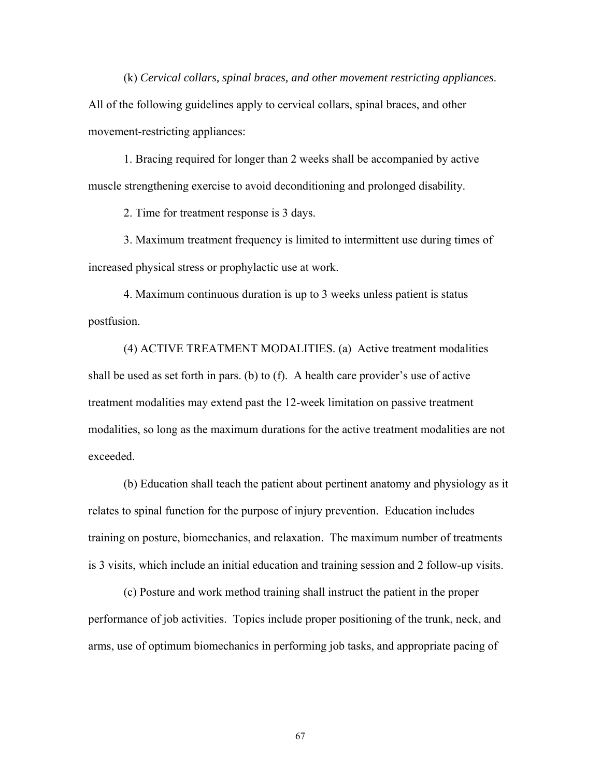(k) *Cervical collars, spinal braces, and other movement restricting appliances*. All of the following guidelines apply to cervical collars, spinal braces, and other movement-restricting appliances:

 1. Bracing required for longer than 2 weeks shall be accompanied by active muscle strengthening exercise to avoid deconditioning and prolonged disability.

2. Time for treatment response is 3 days.

 3. Maximum treatment frequency is limited to intermittent use during times of increased physical stress or prophylactic use at work.

 4. Maximum continuous duration is up to 3 weeks unless patient is status postfusion.

 (4) ACTIVE TREATMENT MODALITIES. (a) Active treatment modalities shall be used as set forth in pars. (b) to (f). A health care provider's use of active treatment modalities may extend past the 12-week limitation on passive treatment modalities, so long as the maximum durations for the active treatment modalities are not exceeded.

 (b) Education shall teach the patient about pertinent anatomy and physiology as it relates to spinal function for the purpose of injury prevention. Education includes training on posture, biomechanics, and relaxation. The maximum number of treatments is 3 visits, which include an initial education and training session and 2 follow-up visits.

 (c) Posture and work method training shall instruct the patient in the proper performance of job activities. Topics include proper positioning of the trunk, neck, and arms, use of optimum biomechanics in performing job tasks, and appropriate pacing of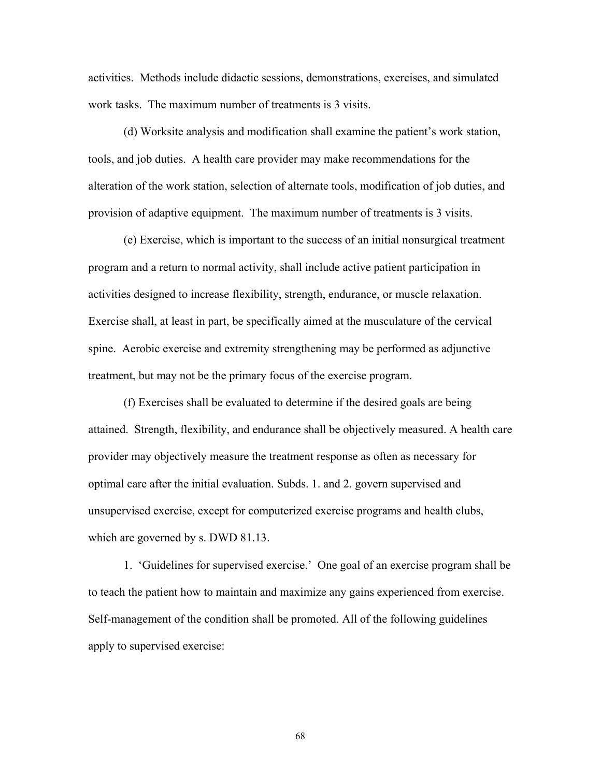activities. Methods include didactic sessions, demonstrations, exercises, and simulated work tasks. The maximum number of treatments is 3 visits.

 (d) Worksite analysis and modification shall examine the patient's work station, tools, and job duties. A health care provider may make recommendations for the alteration of the work station, selection of alternate tools, modification of job duties, and provision of adaptive equipment. The maximum number of treatments is 3 visits.

 (e) Exercise, which is important to the success of an initial nonsurgical treatment program and a return to normal activity, shall include active patient participation in activities designed to increase flexibility, strength, endurance, or muscle relaxation. Exercise shall, at least in part, be specifically aimed at the musculature of the cervical spine. Aerobic exercise and extremity strengthening may be performed as adjunctive treatment, but may not be the primary focus of the exercise program.

 (f) Exercises shall be evaluated to determine if the desired goals are being attained. Strength, flexibility, and endurance shall be objectively measured. A health care provider may objectively measure the treatment response as often as necessary for optimal care after the initial evaluation. Subds. 1. and 2. govern supervised and unsupervised exercise, except for computerized exercise programs and health clubs, which are governed by s. DWD 81.13.

 1. 'Guidelines for supervised exercise.' One goal of an exercise program shall be to teach the patient how to maintain and maximize any gains experienced from exercise. Self-management of the condition shall be promoted. All of the following guidelines apply to supervised exercise: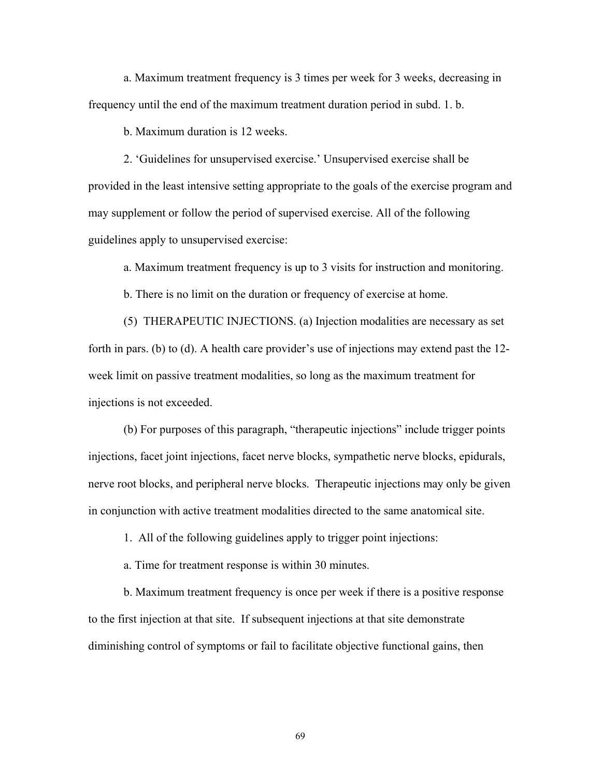a. Maximum treatment frequency is 3 times per week for 3 weeks, decreasing in frequency until the end of the maximum treatment duration period in subd. 1. b.

b. Maximum duration is 12 weeks.

 2. 'Guidelines for unsupervised exercise.' Unsupervised exercise shall be provided in the least intensive setting appropriate to the goals of the exercise program and may supplement or follow the period of supervised exercise. All of the following guidelines apply to unsupervised exercise:

a. Maximum treatment frequency is up to 3 visits for instruction and monitoring.

b. There is no limit on the duration or frequency of exercise at home.

 (5) THERAPEUTIC INJECTIONS. (a) Injection modalities are necessary as set forth in pars. (b) to (d). A health care provider's use of injections may extend past the 12 week limit on passive treatment modalities, so long as the maximum treatment for injections is not exceeded.

 (b) For purposes of this paragraph, "therapeutic injections" include trigger points injections, facet joint injections, facet nerve blocks, sympathetic nerve blocks, epidurals, nerve root blocks, and peripheral nerve blocks. Therapeutic injections may only be given in conjunction with active treatment modalities directed to the same anatomical site.

1. All of the following guidelines apply to trigger point injections:

a. Time for treatment response is within 30 minutes.

 b. Maximum treatment frequency is once per week if there is a positive response to the first injection at that site. If subsequent injections at that site demonstrate diminishing control of symptoms or fail to facilitate objective functional gains, then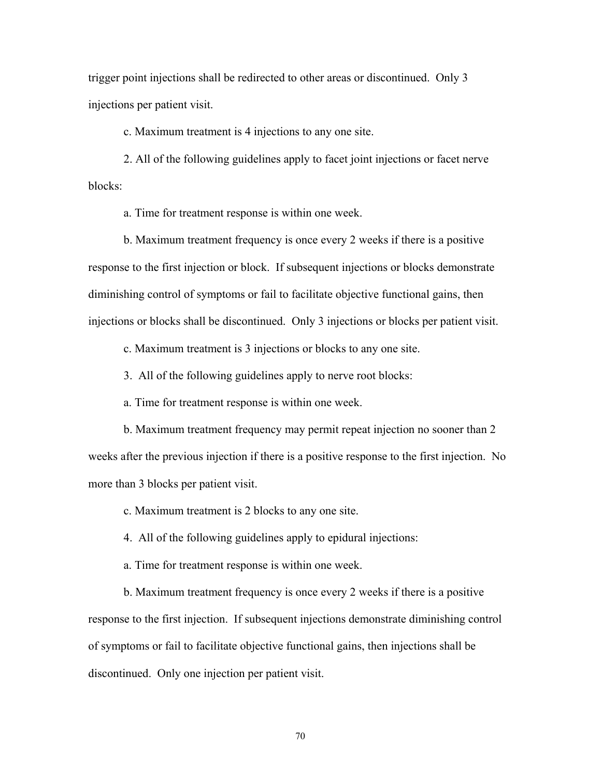trigger point injections shall be redirected to other areas or discontinued. Only 3 injections per patient visit.

c. Maximum treatment is 4 injections to any one site.

 2. All of the following guidelines apply to facet joint injections or facet nerve blocks:

a. Time for treatment response is within one week.

 b. Maximum treatment frequency is once every 2 weeks if there is a positive response to the first injection or block. If subsequent injections or blocks demonstrate diminishing control of symptoms or fail to facilitate objective functional gains, then injections or blocks shall be discontinued. Only 3 injections or blocks per patient visit.

c. Maximum treatment is 3 injections or blocks to any one site.

3. All of the following guidelines apply to nerve root blocks:

a. Time for treatment response is within one week.

 b. Maximum treatment frequency may permit repeat injection no sooner than 2 weeks after the previous injection if there is a positive response to the first injection. No more than 3 blocks per patient visit.

c. Maximum treatment is 2 blocks to any one site.

4. All of the following guidelines apply to epidural injections:

a. Time for treatment response is within one week.

 b. Maximum treatment frequency is once every 2 weeks if there is a positive response to the first injection. If subsequent injections demonstrate diminishing control of symptoms or fail to facilitate objective functional gains, then injections shall be discontinued. Only one injection per patient visit.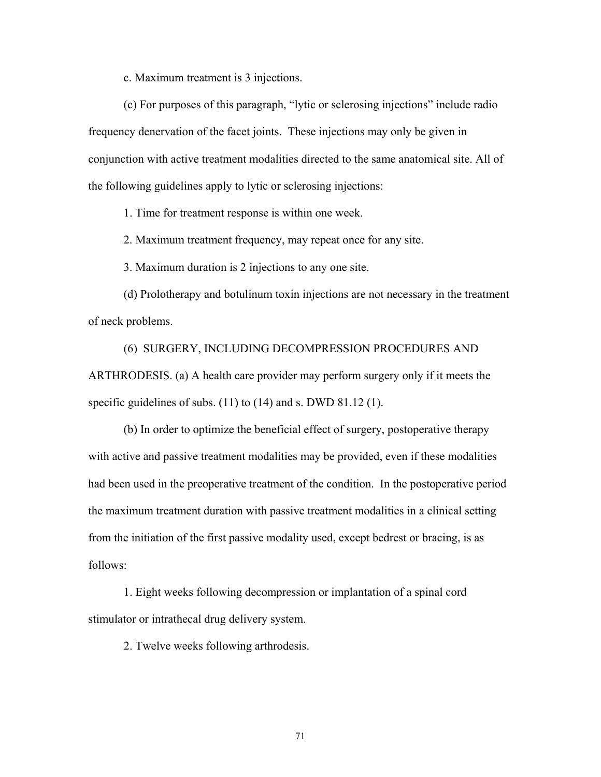c. Maximum treatment is 3 injections.

 (c) For purposes of this paragraph, "lytic or sclerosing injections" include radio frequency denervation of the facet joints. These injections may only be given in conjunction with active treatment modalities directed to the same anatomical site. All of the following guidelines apply to lytic or sclerosing injections:

1. Time for treatment response is within one week.

2. Maximum treatment frequency, may repeat once for any site.

3. Maximum duration is 2 injections to any one site.

 (d) Prolotherapy and botulinum toxin injections are not necessary in the treatment of neck problems.

 (6) SURGERY, INCLUDING DECOMPRESSION PROCEDURES AND ARTHRODESIS. (a) A health care provider may perform surgery only if it meets the specific guidelines of subs. (11) to (14) and s. DWD 81.12 (1).

(b) In order to optimize the beneficial effect of surgery, postoperative therapy with active and passive treatment modalities may be provided, even if these modalities had been used in the preoperative treatment of the condition. In the postoperative period the maximum treatment duration with passive treatment modalities in a clinical setting from the initiation of the first passive modality used, except bedrest or bracing, is as follows:

 1. Eight weeks following decompression or implantation of a spinal cord stimulator or intrathecal drug delivery system.

2. Twelve weeks following arthrodesis.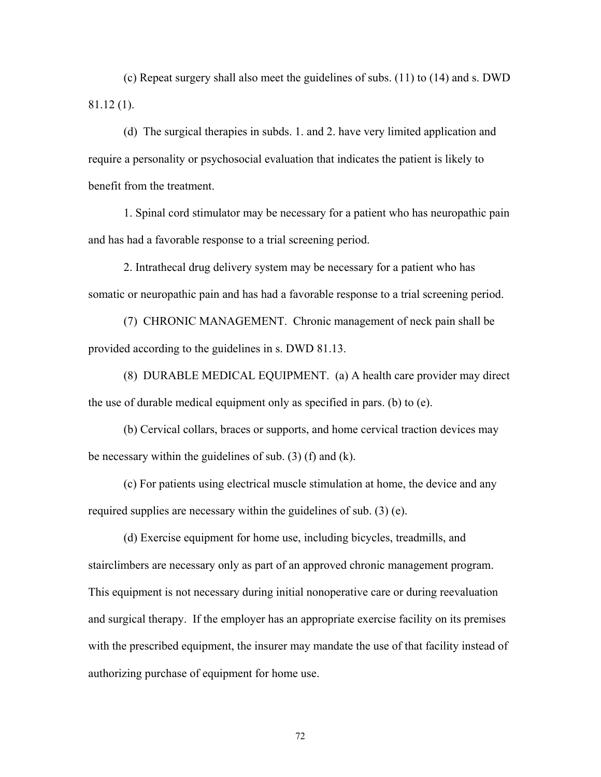(c) Repeat surgery shall also meet the guidelines of subs. (11) to (14) and s. DWD 81.12 (1).

 (d) The surgical therapies in subds. 1. and 2. have very limited application and require a personality or psychosocial evaluation that indicates the patient is likely to benefit from the treatment.

 1. Spinal cord stimulator may be necessary for a patient who has neuropathic pain and has had a favorable response to a trial screening period.

 2. Intrathecal drug delivery system may be necessary for a patient who has somatic or neuropathic pain and has had a favorable response to a trial screening period.

 (7) CHRONIC MANAGEMENT. Chronic management of neck pain shall be provided according to the guidelines in s. DWD 81.13.

 (8) DURABLE MEDICAL EQUIPMENT. (a) A health care provider may direct the use of durable medical equipment only as specified in pars. (b) to (e).

 (b) Cervical collars, braces or supports, and home cervical traction devices may be necessary within the guidelines of sub. (3) (f) and (k).

 (c) For patients using electrical muscle stimulation at home, the device and any required supplies are necessary within the guidelines of sub. (3) (e).

 (d) Exercise equipment for home use, including bicycles, treadmills, and stairclimbers are necessary only as part of an approved chronic management program. This equipment is not necessary during initial nonoperative care or during reevaluation and surgical therapy. If the employer has an appropriate exercise facility on its premises with the prescribed equipment, the insurer may mandate the use of that facility instead of authorizing purchase of equipment for home use.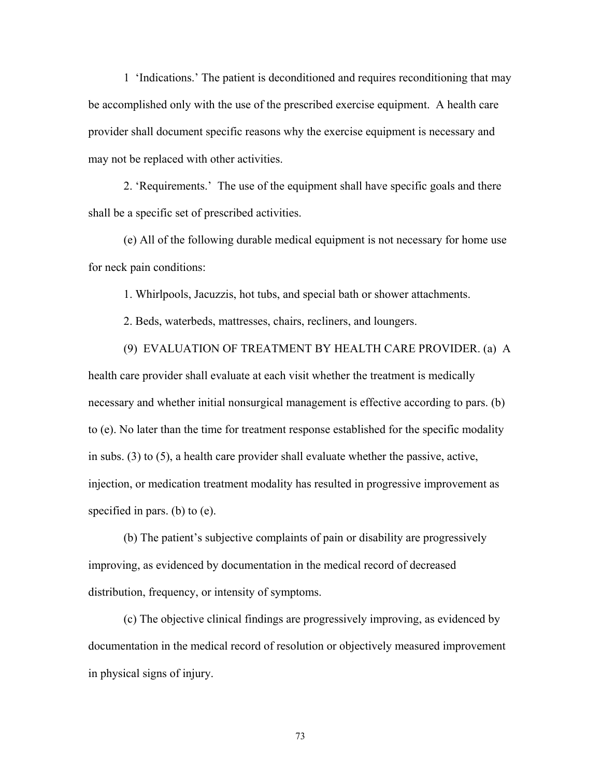1 'Indications.' The patient is deconditioned and requires reconditioning that may be accomplished only with the use of the prescribed exercise equipment. A health care provider shall document specific reasons why the exercise equipment is necessary and may not be replaced with other activities.

 2. 'Requirements.' The use of the equipment shall have specific goals and there shall be a specific set of prescribed activities.

 (e) All of the following durable medical equipment is not necessary for home use for neck pain conditions:

1. Whirlpools, Jacuzzis, hot tubs, and special bath or shower attachments.

2. Beds, waterbeds, mattresses, chairs, recliners, and loungers.

 (9) EVALUATION OF TREATMENT BY HEALTH CARE PROVIDER. (a) A health care provider shall evaluate at each visit whether the treatment is medically necessary and whether initial nonsurgical management is effective according to pars. (b) to (e). No later than the time for treatment response established for the specific modality in subs. (3) to (5), a health care provider shall evaluate whether the passive, active, injection, or medication treatment modality has resulted in progressive improvement as specified in pars. (b) to (e).

 (b) The patient's subjective complaints of pain or disability are progressively improving, as evidenced by documentation in the medical record of decreased distribution, frequency, or intensity of symptoms.

 (c) The objective clinical findings are progressively improving, as evidenced by documentation in the medical record of resolution or objectively measured improvement in physical signs of injury.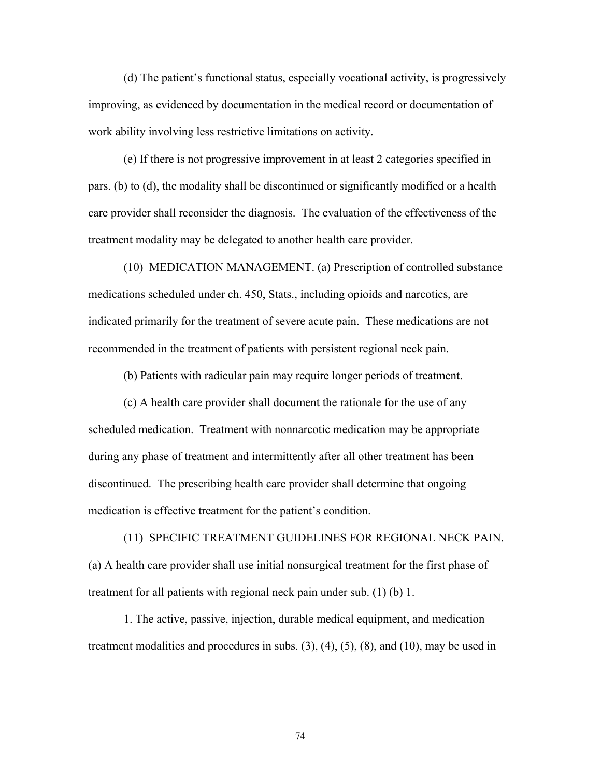(d) The patient's functional status, especially vocational activity, is progressively improving, as evidenced by documentation in the medical record or documentation of work ability involving less restrictive limitations on activity.

 (e) If there is not progressive improvement in at least 2 categories specified in pars. (b) to (d), the modality shall be discontinued or significantly modified or a health care provider shall reconsider the diagnosis. The evaluation of the effectiveness of the treatment modality may be delegated to another health care provider.

 (10) MEDICATION MANAGEMENT. (a) Prescription of controlled substance medications scheduled under ch. 450, Stats., including opioids and narcotics, are indicated primarily for the treatment of severe acute pain. These medications are not recommended in the treatment of patients with persistent regional neck pain.

(b) Patients with radicular pain may require longer periods of treatment.

 (c) A health care provider shall document the rationale for the use of any scheduled medication. Treatment with nonnarcotic medication may be appropriate during any phase of treatment and intermittently after all other treatment has been discontinued. The prescribing health care provider shall determine that ongoing medication is effective treatment for the patient's condition.

 (11) SPECIFIC TREATMENT GUIDELINES FOR REGIONAL NECK PAIN. (a) A health care provider shall use initial nonsurgical treatment for the first phase of treatment for all patients with regional neck pain under sub. (1) (b) 1.

 1. The active, passive, injection, durable medical equipment, and medication treatment modalities and procedures in subs.  $(3)$ ,  $(4)$ ,  $(5)$ ,  $(8)$ , and  $(10)$ , may be used in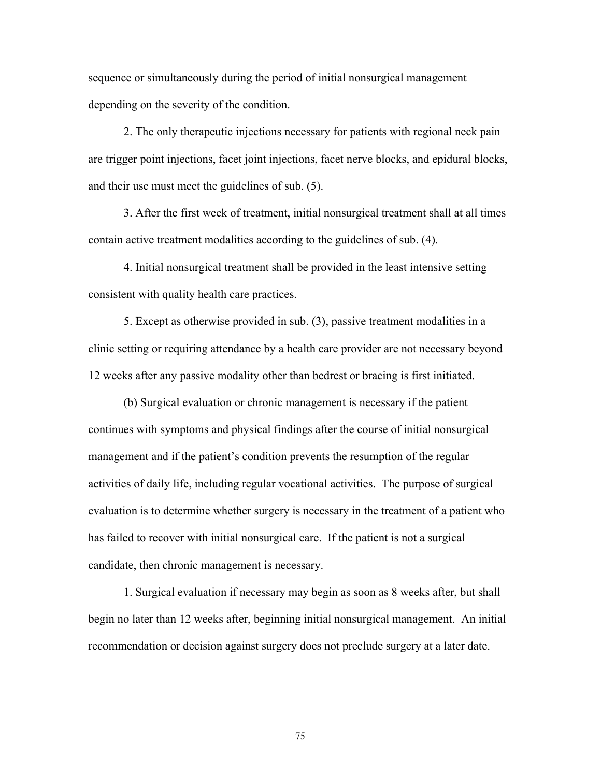sequence or simultaneously during the period of initial nonsurgical management depending on the severity of the condition.

 2. The only therapeutic injections necessary for patients with regional neck pain are trigger point injections, facet joint injections, facet nerve blocks, and epidural blocks, and their use must meet the guidelines of sub. (5).

 3. After the first week of treatment, initial nonsurgical treatment shall at all times contain active treatment modalities according to the guidelines of sub. (4).

 4. Initial nonsurgical treatment shall be provided in the least intensive setting consistent with quality health care practices.

 5. Except as otherwise provided in sub. (3), passive treatment modalities in a clinic setting or requiring attendance by a health care provider are not necessary beyond 12 weeks after any passive modality other than bedrest or bracing is first initiated.

 (b) Surgical evaluation or chronic management is necessary if the patient continues with symptoms and physical findings after the course of initial nonsurgical management and if the patient's condition prevents the resumption of the regular activities of daily life, including regular vocational activities. The purpose of surgical evaluation is to determine whether surgery is necessary in the treatment of a patient who has failed to recover with initial nonsurgical care. If the patient is not a surgical candidate, then chronic management is necessary.

 1. Surgical evaluation if necessary may begin as soon as 8 weeks after, but shall begin no later than 12 weeks after, beginning initial nonsurgical management. An initial recommendation or decision against surgery does not preclude surgery at a later date.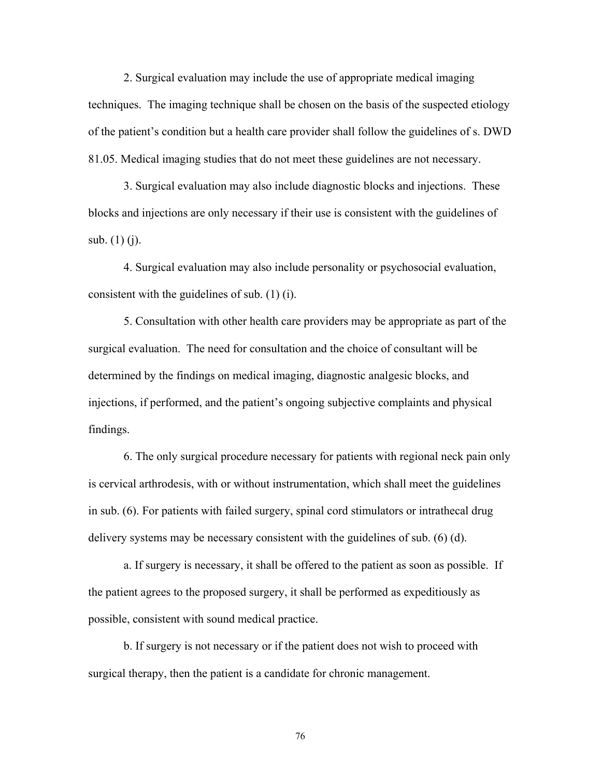2. Surgical evaluation may include the use of appropriate medical imaging techniques. The imaging technique shall be chosen on the basis of the suspected etiology of the patient's condition but a health care provider shall follow the guidelines of s. DWD 81.05. Medical imaging studies that do not meet these guidelines are not necessary.

 3. Surgical evaluation may also include diagnostic blocks and injections. These blocks and injections are only necessary if their use is consistent with the guidelines of sub. (1) (j).

 4. Surgical evaluation may also include personality or psychosocial evaluation, consistent with the guidelines of sub. (1) (i).

 5. Consultation with other health care providers may be appropriate as part of the surgical evaluation. The need for consultation and the choice of consultant will be determined by the findings on medical imaging, diagnostic analgesic blocks, and injections, if performed, and the patient's ongoing subjective complaints and physical findings.

 6. The only surgical procedure necessary for patients with regional neck pain only is cervical arthrodesis, with or without instrumentation, which shall meet the guidelines in sub. (6). For patients with failed surgery, spinal cord stimulators or intrathecal drug delivery systems may be necessary consistent with the guidelines of sub. (6) (d).

 a. If surgery is necessary, it shall be offered to the patient as soon as possible. If the patient agrees to the proposed surgery, it shall be performed as expeditiously as possible, consistent with sound medical practice.

 b. If surgery is not necessary or if the patient does not wish to proceed with surgical therapy, then the patient is a candidate for chronic management.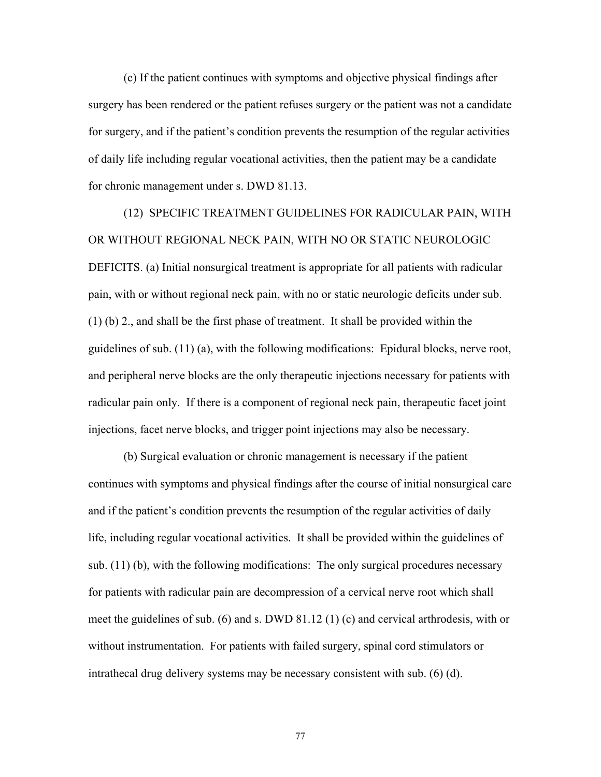(c) If the patient continues with symptoms and objective physical findings after surgery has been rendered or the patient refuses surgery or the patient was not a candidate for surgery, and if the patient's condition prevents the resumption of the regular activities of daily life including regular vocational activities, then the patient may be a candidate for chronic management under s. DWD 81.13.

 (12) SPECIFIC TREATMENT GUIDELINES FOR RADICULAR PAIN, WITH OR WITHOUT REGIONAL NECK PAIN, WITH NO OR STATIC NEUROLOGIC DEFICITS. (a) Initial nonsurgical treatment is appropriate for all patients with radicular pain, with or without regional neck pain, with no or static neurologic deficits under sub. (1) (b) 2., and shall be the first phase of treatment. It shall be provided within the guidelines of sub. (11) (a), with the following modifications: Epidural blocks, nerve root, and peripheral nerve blocks are the only therapeutic injections necessary for patients with radicular pain only. If there is a component of regional neck pain, therapeutic facet joint injections, facet nerve blocks, and trigger point injections may also be necessary.

 (b) Surgical evaluation or chronic management is necessary if the patient continues with symptoms and physical findings after the course of initial nonsurgical care and if the patient's condition prevents the resumption of the regular activities of daily life, including regular vocational activities. It shall be provided within the guidelines of sub. (11) (b), with the following modifications: The only surgical procedures necessary for patients with radicular pain are decompression of a cervical nerve root which shall meet the guidelines of sub. (6) and s. DWD 81.12 (1) (c) and cervical arthrodesis, with or without instrumentation. For patients with failed surgery, spinal cord stimulators or intrathecal drug delivery systems may be necessary consistent with sub. (6) (d).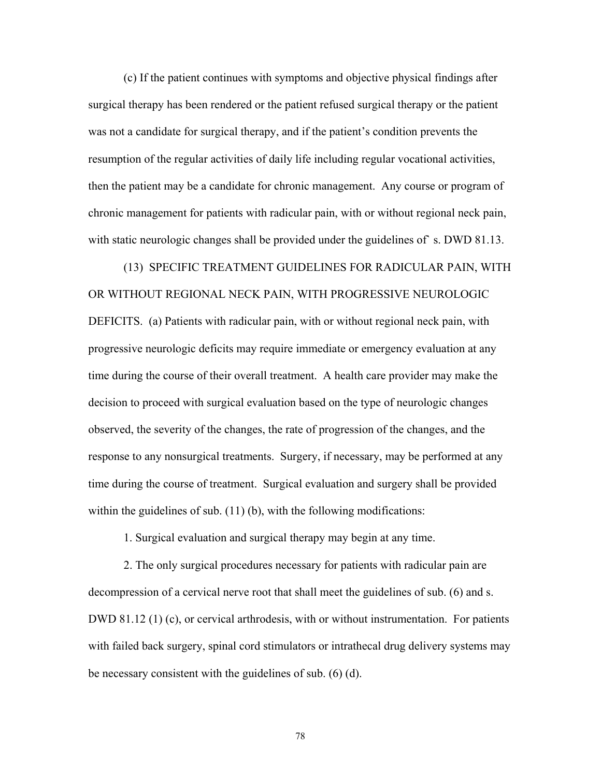(c) If the patient continues with symptoms and objective physical findings after surgical therapy has been rendered or the patient refused surgical therapy or the patient was not a candidate for surgical therapy, and if the patient's condition prevents the resumption of the regular activities of daily life including regular vocational activities, then the patient may be a candidate for chronic management. Any course or program of chronic management for patients with radicular pain, with or without regional neck pain, with static neurologic changes shall be provided under the guidelines of s. DWD 81.13.

 (13) SPECIFIC TREATMENT GUIDELINES FOR RADICULAR PAIN, WITH OR WITHOUT REGIONAL NECK PAIN, WITH PROGRESSIVE NEUROLOGIC DEFICITS. (a) Patients with radicular pain, with or without regional neck pain, with progressive neurologic deficits may require immediate or emergency evaluation at any time during the course of their overall treatment. A health care provider may make the decision to proceed with surgical evaluation based on the type of neurologic changes observed, the severity of the changes, the rate of progression of the changes, and the response to any nonsurgical treatments. Surgery, if necessary, may be performed at any time during the course of treatment. Surgical evaluation and surgery shall be provided within the guidelines of sub. (11) (b), with the following modifications:

1. Surgical evaluation and surgical therapy may begin at any time.

 2. The only surgical procedures necessary for patients with radicular pain are decompression of a cervical nerve root that shall meet the guidelines of sub. (6) and s. DWD 81.12 (1) (c), or cervical arthrodesis, with or without instrumentation. For patients with failed back surgery, spinal cord stimulators or intrathecal drug delivery systems may be necessary consistent with the guidelines of sub. (6) (d).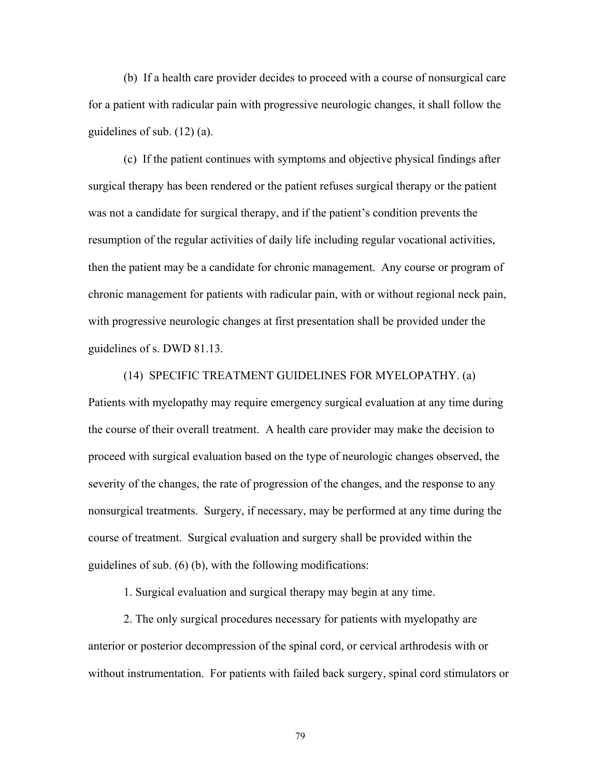(b) If a health care provider decides to proceed with a course of nonsurgical care for a patient with radicular pain with progressive neurologic changes, it shall follow the guidelines of sub. (12) (a).

 (c) If the patient continues with symptoms and objective physical findings after surgical therapy has been rendered or the patient refuses surgical therapy or the patient was not a candidate for surgical therapy, and if the patient's condition prevents the resumption of the regular activities of daily life including regular vocational activities, then the patient may be a candidate for chronic management. Any course or program of chronic management for patients with radicular pain, with or without regional neck pain, with progressive neurologic changes at first presentation shall be provided under the guidelines of s. DWD 81.13.

 (14) SPECIFIC TREATMENT GUIDELINES FOR MYELOPATHY. (a) Patients with myelopathy may require emergency surgical evaluation at any time during the course of their overall treatment. A health care provider may make the decision to proceed with surgical evaluation based on the type of neurologic changes observed, the severity of the changes, the rate of progression of the changes, and the response to any nonsurgical treatments. Surgery, if necessary, may be performed at any time during the course of treatment. Surgical evaluation and surgery shall be provided within the guidelines of sub. (6) (b), with the following modifications:

1. Surgical evaluation and surgical therapy may begin at any time.

 2. The only surgical procedures necessary for patients with myelopathy are anterior or posterior decompression of the spinal cord, or cervical arthrodesis with or without instrumentation. For patients with failed back surgery, spinal cord stimulators or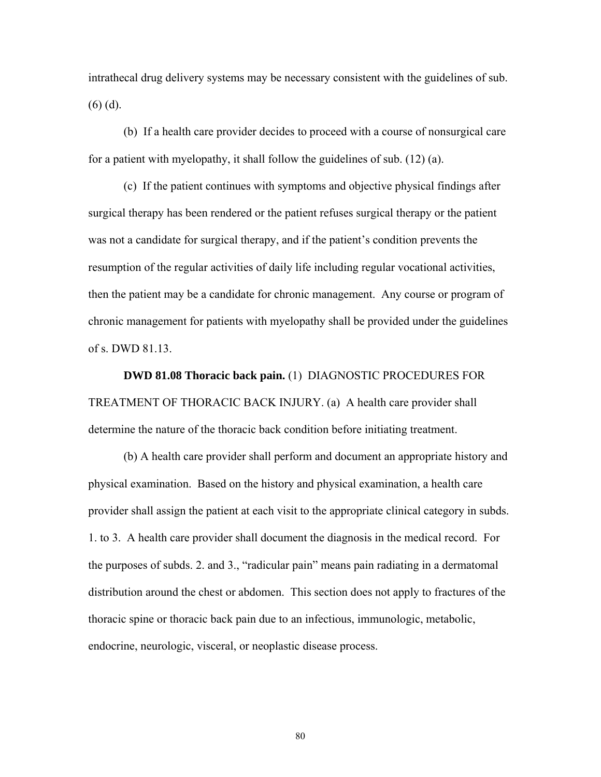intrathecal drug delivery systems may be necessary consistent with the guidelines of sub. (6) (d).

 (b) If a health care provider decides to proceed with a course of nonsurgical care for a patient with myelopathy, it shall follow the guidelines of sub. (12) (a).

 (c) If the patient continues with symptoms and objective physical findings after surgical therapy has been rendered or the patient refuses surgical therapy or the patient was not a candidate for surgical therapy, and if the patient's condition prevents the resumption of the regular activities of daily life including regular vocational activities, then the patient may be a candidate for chronic management. Any course or program of chronic management for patients with myelopathy shall be provided under the guidelines of s. DWD 81.13.

 **DWD 81.08 Thoracic back pain.** (1) DIAGNOSTIC PROCEDURES FOR TREATMENT OF THORACIC BACK INJURY. (a) A health care provider shall determine the nature of the thoracic back condition before initiating treatment.

 (b) A health care provider shall perform and document an appropriate history and physical examination. Based on the history and physical examination, a health care provider shall assign the patient at each visit to the appropriate clinical category in subds. 1. to 3. A health care provider shall document the diagnosis in the medical record. For the purposes of subds. 2. and 3., "radicular pain" means pain radiating in a dermatomal distribution around the chest or abdomen. This section does not apply to fractures of the thoracic spine or thoracic back pain due to an infectious, immunologic, metabolic, endocrine, neurologic, visceral, or neoplastic disease process.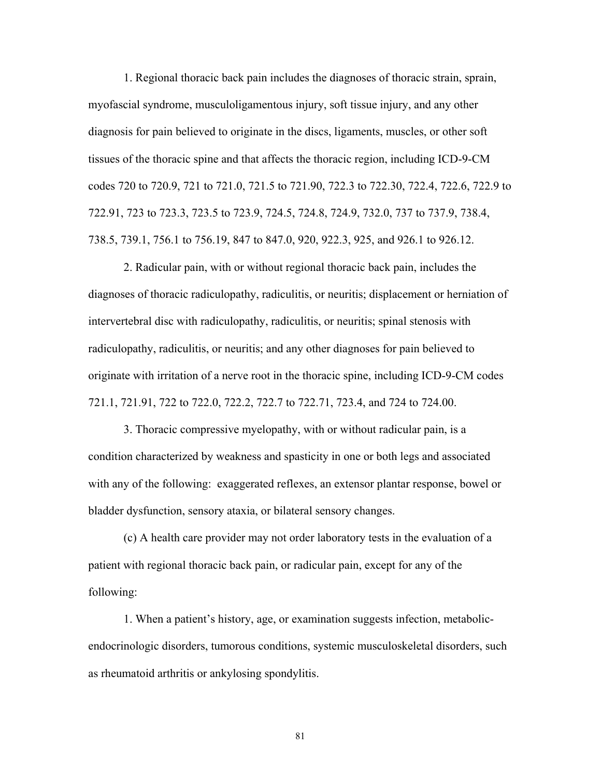1. Regional thoracic back pain includes the diagnoses of thoracic strain, sprain, myofascial syndrome, musculoligamentous injury, soft tissue injury, and any other diagnosis for pain believed to originate in the discs, ligaments, muscles, or other soft tissues of the thoracic spine and that affects the thoracic region, including ICD-9-CM codes 720 to 720.9, 721 to 721.0, 721.5 to 721.90, 722.3 to 722.30, 722.4, 722.6, 722.9 to 722.91, 723 to 723.3, 723.5 to 723.9, 724.5, 724.8, 724.9, 732.0, 737 to 737.9, 738.4, 738.5, 739.1, 756.1 to 756.19, 847 to 847.0, 920, 922.3, 925, and 926.1 to 926.12.

 2. Radicular pain, with or without regional thoracic back pain, includes the diagnoses of thoracic radiculopathy, radiculitis, or neuritis; displacement or herniation of intervertebral disc with radiculopathy, radiculitis, or neuritis; spinal stenosis with radiculopathy, radiculitis, or neuritis; and any other diagnoses for pain believed to originate with irritation of a nerve root in the thoracic spine, including ICD-9-CM codes 721.1, 721.91, 722 to 722.0, 722.2, 722.7 to 722.71, 723.4, and 724 to 724.00.

 3. Thoracic compressive myelopathy, with or without radicular pain, is a condition characterized by weakness and spasticity in one or both legs and associated with any of the following: exaggerated reflexes, an extensor plantar response, bowel or bladder dysfunction, sensory ataxia, or bilateral sensory changes.

 (c) A health care provider may not order laboratory tests in the evaluation of a patient with regional thoracic back pain, or radicular pain, except for any of the following:

1. When a patient's history, age, or examination suggests infection, metabolicendocrinologic disorders, tumorous conditions, systemic musculoskeletal disorders, such as rheumatoid arthritis or ankylosing spondylitis.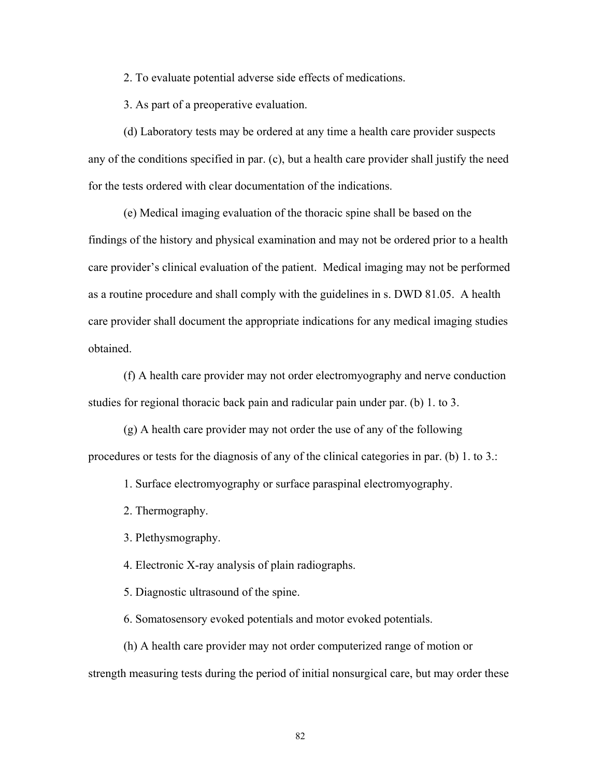2. To evaluate potential adverse side effects of medications.

3. As part of a preoperative evaluation.

(d) Laboratory tests may be ordered at any time a health care provider suspects any of the conditions specified in par. (c), but a health care provider shall justify the need for the tests ordered with clear documentation of the indications.

 (e) Medical imaging evaluation of the thoracic spine shall be based on the findings of the history and physical examination and may not be ordered prior to a health care provider's clinical evaluation of the patient. Medical imaging may not be performed as a routine procedure and shall comply with the guidelines in s. DWD 81.05. A health care provider shall document the appropriate indications for any medical imaging studies obtained.

 (f) A health care provider may not order electromyography and nerve conduction studies for regional thoracic back pain and radicular pain under par. (b) 1. to 3.

 (g) A health care provider may not order the use of any of the following procedures or tests for the diagnosis of any of the clinical categories in par. (b) 1. to 3.:

1. Surface electromyography or surface paraspinal electromyography.

2. Thermography.

3. Plethysmography.

4. Electronic X-ray analysis of plain radiographs.

5. Diagnostic ultrasound of the spine.

6. Somatosensory evoked potentials and motor evoked potentials.

 (h) A health care provider may not order computerized range of motion or strength measuring tests during the period of initial nonsurgical care, but may order these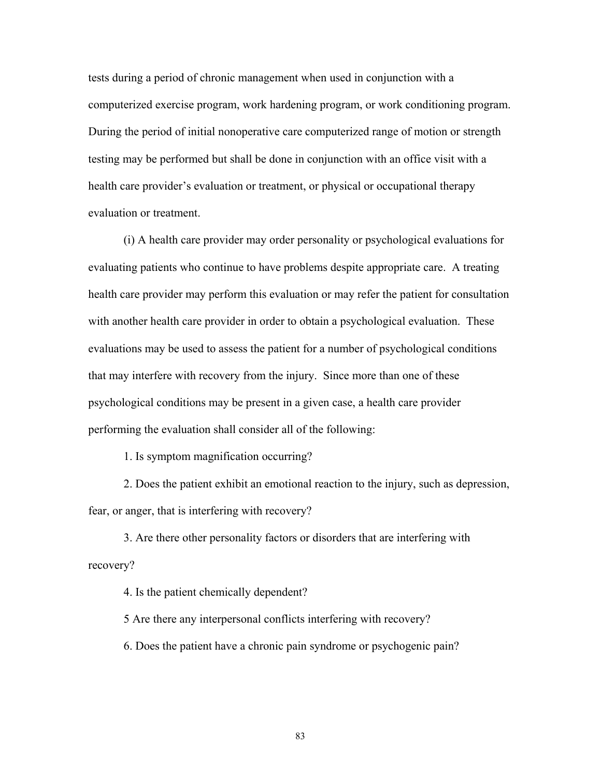tests during a period of chronic management when used in conjunction with a computerized exercise program, work hardening program, or work conditioning program. During the period of initial nonoperative care computerized range of motion or strength testing may be performed but shall be done in conjunction with an office visit with a health care provider's evaluation or treatment, or physical or occupational therapy evaluation or treatment.

 (i) A health care provider may order personality or psychological evaluations for evaluating patients who continue to have problems despite appropriate care. A treating health care provider may perform this evaluation or may refer the patient for consultation with another health care provider in order to obtain a psychological evaluation. These evaluations may be used to assess the patient for a number of psychological conditions that may interfere with recovery from the injury. Since more than one of these psychological conditions may be present in a given case, a health care provider performing the evaluation shall consider all of the following:

1. Is symptom magnification occurring?

 2. Does the patient exhibit an emotional reaction to the injury, such as depression, fear, or anger, that is interfering with recovery?

 3. Are there other personality factors or disorders that are interfering with recovery?

4. Is the patient chemically dependent?

5 Are there any interpersonal conflicts interfering with recovery?

6. Does the patient have a chronic pain syndrome or psychogenic pain?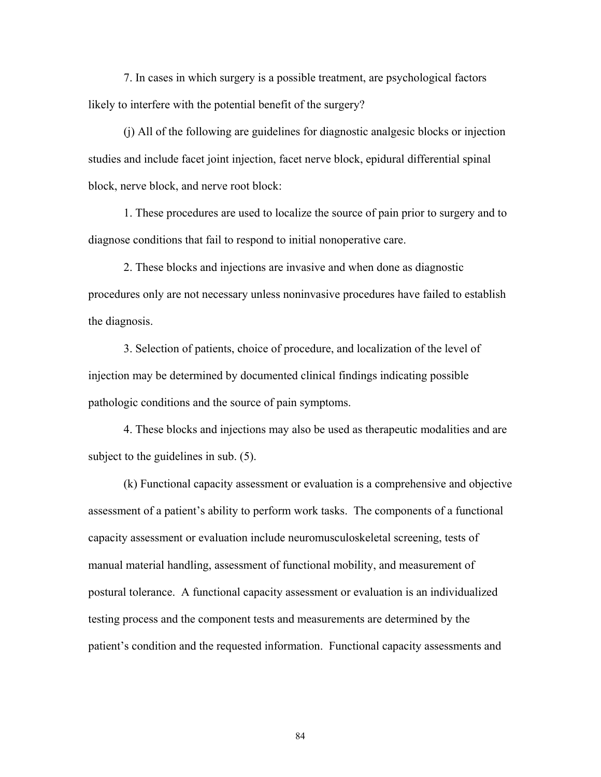7. In cases in which surgery is a possible treatment, are psychological factors likely to interfere with the potential benefit of the surgery?

 (j) All of the following are guidelines for diagnostic analgesic blocks or injection studies and include facet joint injection, facet nerve block, epidural differential spinal block, nerve block, and nerve root block:

 1. These procedures are used to localize the source of pain prior to surgery and to diagnose conditions that fail to respond to initial nonoperative care.

 2. These blocks and injections are invasive and when done as diagnostic procedures only are not necessary unless noninvasive procedures have failed to establish the diagnosis.

 3. Selection of patients, choice of procedure, and localization of the level of injection may be determined by documented clinical findings indicating possible pathologic conditions and the source of pain symptoms.

 4. These blocks and injections may also be used as therapeutic modalities and are subject to the guidelines in sub. (5).

 (k) Functional capacity assessment or evaluation is a comprehensive and objective assessment of a patient's ability to perform work tasks. The components of a functional capacity assessment or evaluation include neuromusculoskeletal screening, tests of manual material handling, assessment of functional mobility, and measurement of postural tolerance. A functional capacity assessment or evaluation is an individualized testing process and the component tests and measurements are determined by the patient's condition and the requested information. Functional capacity assessments and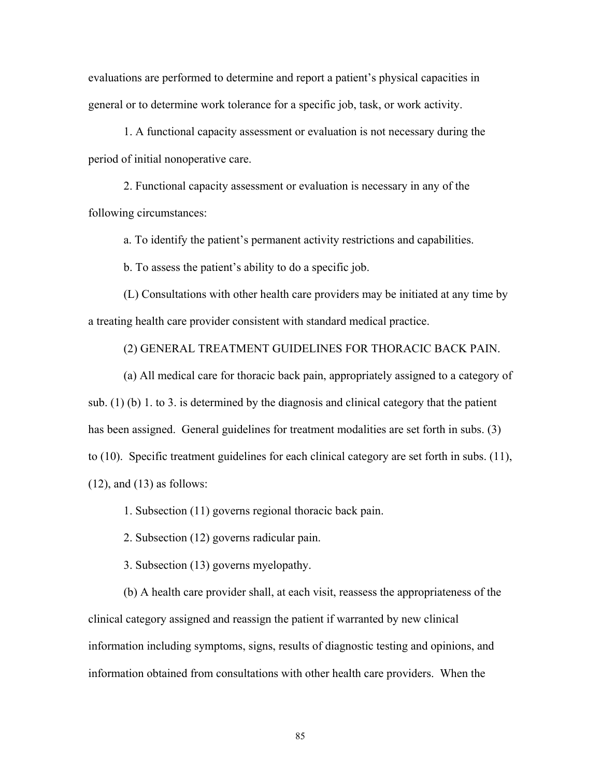evaluations are performed to determine and report a patient's physical capacities in general or to determine work tolerance for a specific job, task, or work activity.

 1. A functional capacity assessment or evaluation is not necessary during the period of initial nonoperative care.

 2. Functional capacity assessment or evaluation is necessary in any of the following circumstances:

a. To identify the patient's permanent activity restrictions and capabilities.

b. To assess the patient's ability to do a specific job.

 (L) Consultations with other health care providers may be initiated at any time by a treating health care provider consistent with standard medical practice.

(2) GENERAL TREATMENT GUIDELINES FOR THORACIC BACK PAIN.

(a) All medical care for thoracic back pain, appropriately assigned to a category of sub. (1) (b) 1. to 3. is determined by the diagnosis and clinical category that the patient has been assigned. General guidelines for treatment modalities are set forth in subs. (3) to (10). Specific treatment guidelines for each clinical category are set forth in subs. (11),  $(12)$ , and  $(13)$  as follows:

1. Subsection (11) governs regional thoracic back pain.

2. Subsection (12) governs radicular pain.

3. Subsection (13) governs myelopathy.

 (b) A health care provider shall, at each visit, reassess the appropriateness of the clinical category assigned and reassign the patient if warranted by new clinical information including symptoms, signs, results of diagnostic testing and opinions, and information obtained from consultations with other health care providers. When the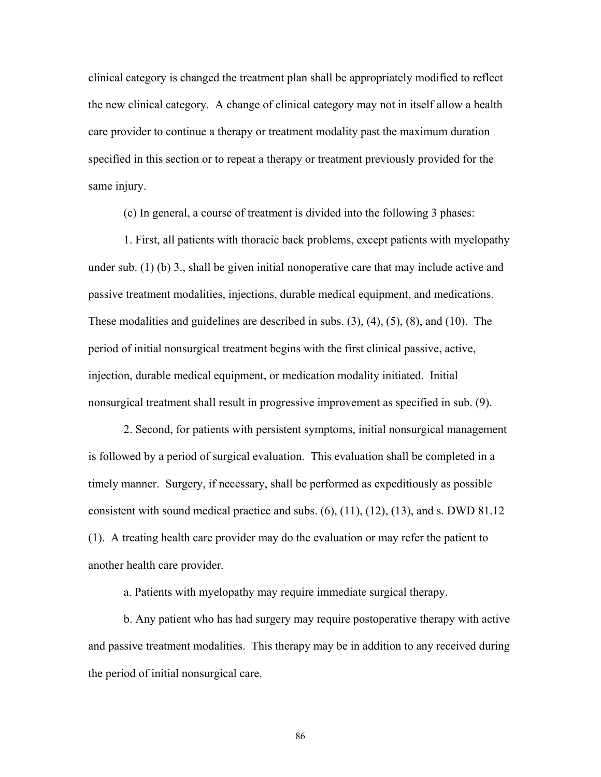clinical category is changed the treatment plan shall be appropriately modified to reflect the new clinical category. A change of clinical category may not in itself allow a health care provider to continue a therapy or treatment modality past the maximum duration specified in this section or to repeat a therapy or treatment previously provided for the same injury.

(c) In general, a course of treatment is divided into the following 3 phases:

 1. First, all patients with thoracic back problems, except patients with myelopathy under sub. (1) (b) 3., shall be given initial nonoperative care that may include active and passive treatment modalities, injections, durable medical equipment, and medications. These modalities and guidelines are described in subs. (3), (4), (5), (8), and (10). The period of initial nonsurgical treatment begins with the first clinical passive, active, injection, durable medical equipment, or medication modality initiated. Initial nonsurgical treatment shall result in progressive improvement as specified in sub. (9).

 2. Second, for patients with persistent symptoms, initial nonsurgical management is followed by a period of surgical evaluation. This evaluation shall be completed in a timely manner. Surgery, if necessary, shall be performed as expeditiously as possible consistent with sound medical practice and subs.  $(6)$ ,  $(11)$ ,  $(12)$ ,  $(13)$ , and s. DWD 81.12 (1). A treating health care provider may do the evaluation or may refer the patient to another health care provider.

a. Patients with myelopathy may require immediate surgical therapy.

 b. Any patient who has had surgery may require postoperative therapy with active and passive treatment modalities. This therapy may be in addition to any received during the period of initial nonsurgical care.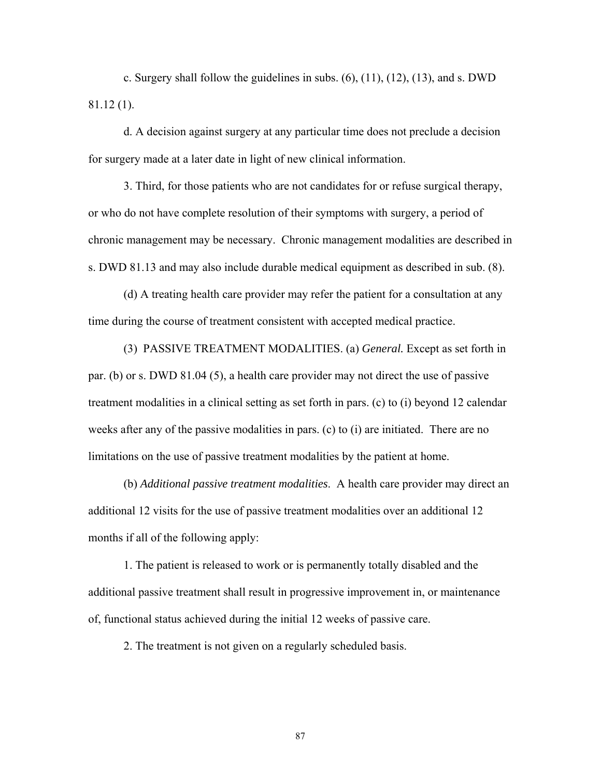c. Surgery shall follow the guidelines in subs.  $(6)$ ,  $(11)$ ,  $(12)$ ,  $(13)$ , and s. DWD 81.12 (1).

 d. A decision against surgery at any particular time does not preclude a decision for surgery made at a later date in light of new clinical information.

 3. Third, for those patients who are not candidates for or refuse surgical therapy, or who do not have complete resolution of their symptoms with surgery, a period of chronic management may be necessary. Chronic management modalities are described in s. DWD 81.13 and may also include durable medical equipment as described in sub. (8).

 (d) A treating health care provider may refer the patient for a consultation at any time during the course of treatment consistent with accepted medical practice.

 (3) PASSIVE TREATMENT MODALITIES. (a) *General.* Except as set forth in par. (b) or s. DWD 81.04 (5), a health care provider may not direct the use of passive treatment modalities in a clinical setting as set forth in pars. (c) to (i) beyond 12 calendar weeks after any of the passive modalities in pars. (c) to (i) are initiated. There are no limitations on the use of passive treatment modalities by the patient at home.

 (b) *Additional passive treatment modalities*. A health care provider may direct an additional 12 visits for the use of passive treatment modalities over an additional 12 months if all of the following apply:

 1. The patient is released to work or is permanently totally disabled and the additional passive treatment shall result in progressive improvement in, or maintenance of, functional status achieved during the initial 12 weeks of passive care.

2. The treatment is not given on a regularly scheduled basis.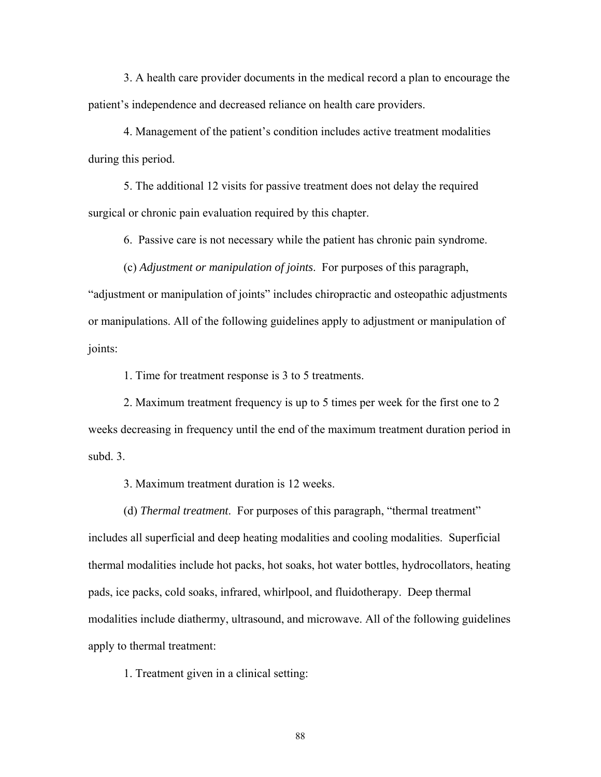3. A health care provider documents in the medical record a plan to encourage the patient's independence and decreased reliance on health care providers.

 4. Management of the patient's condition includes active treatment modalities during this period.

 5. The additional 12 visits for passive treatment does not delay the required surgical or chronic pain evaluation required by this chapter.

6. Passive care is not necessary while the patient has chronic pain syndrome.

 (c) *Adjustment or manipulation of joints*. For purposes of this paragraph, "adjustment or manipulation of joints" includes chiropractic and osteopathic adjustments or manipulations. All of the following guidelines apply to adjustment or manipulation of joints:

1. Time for treatment response is 3 to 5 treatments.

 2. Maximum treatment frequency is up to 5 times per week for the first one to 2 weeks decreasing in frequency until the end of the maximum treatment duration period in subd. 3.

3. Maximum treatment duration is 12 weeks.

 (d) *Thermal treatment*. For purposes of this paragraph, "thermal treatment" includes all superficial and deep heating modalities and cooling modalities. Superficial thermal modalities include hot packs, hot soaks, hot water bottles, hydrocollators, heating pads, ice packs, cold soaks, infrared, whirlpool, and fluidotherapy. Deep thermal modalities include diathermy, ultrasound, and microwave. All of the following guidelines apply to thermal treatment:

1. Treatment given in a clinical setting: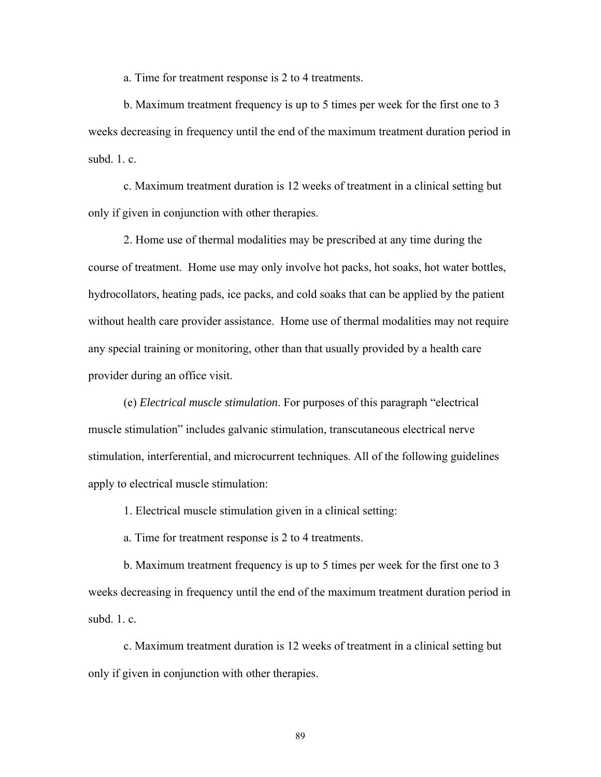a. Time for treatment response is 2 to 4 treatments.

 b. Maximum treatment frequency is up to 5 times per week for the first one to 3 weeks decreasing in frequency until the end of the maximum treatment duration period in subd $1$  c.

 c. Maximum treatment duration is 12 weeks of treatment in a clinical setting but only if given in conjunction with other therapies.

 2. Home use of thermal modalities may be prescribed at any time during the course of treatment. Home use may only involve hot packs, hot soaks, hot water bottles, hydrocollators, heating pads, ice packs, and cold soaks that can be applied by the patient without health care provider assistance. Home use of thermal modalities may not require any special training or monitoring, other than that usually provided by a health care provider during an office visit.

 (e) *Electrical muscle stimulation*. For purposes of this paragraph "electrical muscle stimulation" includes galvanic stimulation, transcutaneous electrical nerve stimulation, interferential, and microcurrent techniques. All of the following guidelines apply to electrical muscle stimulation:

1. Electrical muscle stimulation given in a clinical setting:

a. Time for treatment response is 2 to 4 treatments.

 b. Maximum treatment frequency is up to 5 times per week for the first one to 3 weeks decreasing in frequency until the end of the maximum treatment duration period in subd. 1. c.

 c. Maximum treatment duration is 12 weeks of treatment in a clinical setting but only if given in conjunction with other therapies.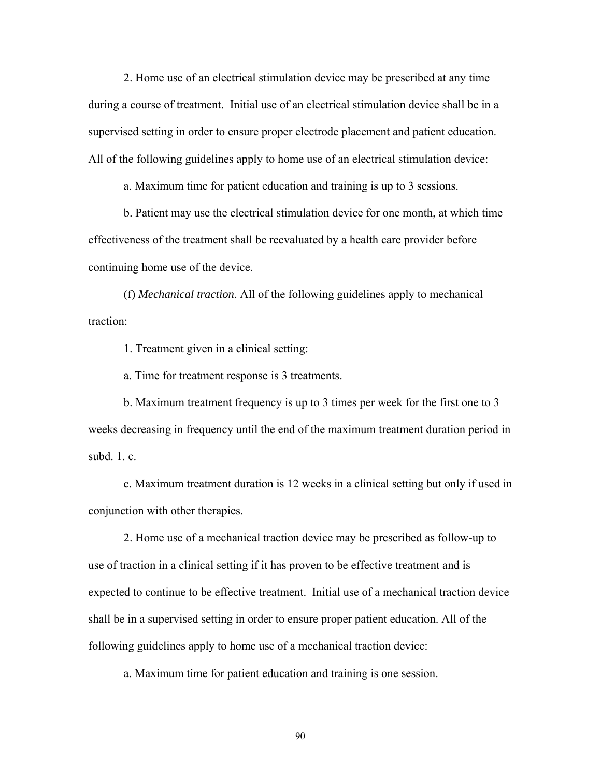2. Home use of an electrical stimulation device may be prescribed at any time during a course of treatment. Initial use of an electrical stimulation device shall be in a supervised setting in order to ensure proper electrode placement and patient education. All of the following guidelines apply to home use of an electrical stimulation device:

a. Maximum time for patient education and training is up to 3 sessions.

 b. Patient may use the electrical stimulation device for one month, at which time effectiveness of the treatment shall be reevaluated by a health care provider before continuing home use of the device.

 (f) *Mechanical traction*. All of the following guidelines apply to mechanical traction:

1. Treatment given in a clinical setting:

a. Time for treatment response is 3 treatments.

 b. Maximum treatment frequency is up to 3 times per week for the first one to 3 weeks decreasing in frequency until the end of the maximum treatment duration period in subd $1$  c.

 c. Maximum treatment duration is 12 weeks in a clinical setting but only if used in conjunction with other therapies.

 2. Home use of a mechanical traction device may be prescribed as follow-up to use of traction in a clinical setting if it has proven to be effective treatment and is expected to continue to be effective treatment. Initial use of a mechanical traction device shall be in a supervised setting in order to ensure proper patient education. All of the following guidelines apply to home use of a mechanical traction device:

a. Maximum time for patient education and training is one session.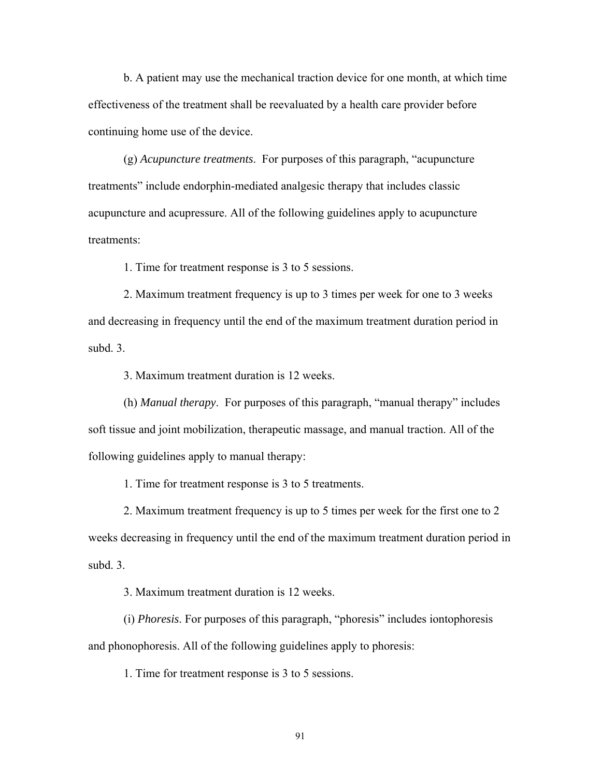b. A patient may use the mechanical traction device for one month, at which time effectiveness of the treatment shall be reevaluated by a health care provider before continuing home use of the device.

 (g) *Acupuncture treatments*. For purposes of this paragraph, "acupuncture treatments" include endorphin-mediated analgesic therapy that includes classic acupuncture and acupressure. All of the following guidelines apply to acupuncture treatments:

1. Time for treatment response is 3 to 5 sessions.

 2. Maximum treatment frequency is up to 3 times per week for one to 3 weeks and decreasing in frequency until the end of the maximum treatment duration period in subd. 3.

3. Maximum treatment duration is 12 weeks.

 (h) *Manual therapy*. For purposes of this paragraph, "manual therapy" includes soft tissue and joint mobilization, therapeutic massage, and manual traction. All of the following guidelines apply to manual therapy:

1. Time for treatment response is 3 to 5 treatments.

 2. Maximum treatment frequency is up to 5 times per week for the first one to 2 weeks decreasing in frequency until the end of the maximum treatment duration period in subd. 3.

3. Maximum treatment duration is 12 weeks.

 (i) *Phoresis*. For purposes of this paragraph, "phoresis" includes iontophoresis and phonophoresis. All of the following guidelines apply to phoresis:

1. Time for treatment response is 3 to 5 sessions.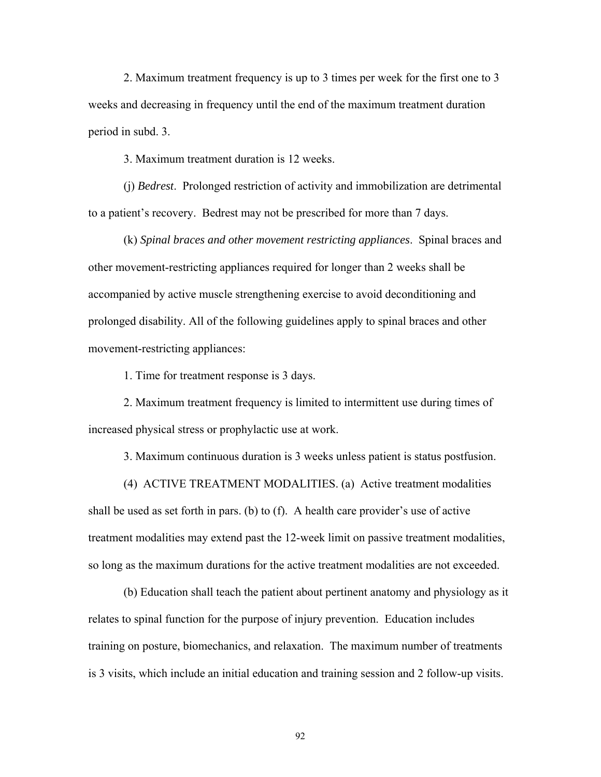2. Maximum treatment frequency is up to 3 times per week for the first one to 3 weeks and decreasing in frequency until the end of the maximum treatment duration period in subd. 3.

3. Maximum treatment duration is 12 weeks.

 (j) *Bedrest*. Prolonged restriction of activity and immobilization are detrimental to a patient's recovery. Bedrest may not be prescribed for more than 7 days.

 (k) *Spinal braces and other movement restricting appliances*. Spinal braces and other movement-restricting appliances required for longer than 2 weeks shall be accompanied by active muscle strengthening exercise to avoid deconditioning and prolonged disability. All of the following guidelines apply to spinal braces and other movement-restricting appliances:

1. Time for treatment response is 3 days.

 2. Maximum treatment frequency is limited to intermittent use during times of increased physical stress or prophylactic use at work.

3. Maximum continuous duration is 3 weeks unless patient is status postfusion.

 (4) ACTIVE TREATMENT MODALITIES. (a) Active treatment modalities shall be used as set forth in pars. (b) to (f). A health care provider's use of active treatment modalities may extend past the 12-week limit on passive treatment modalities, so long as the maximum durations for the active treatment modalities are not exceeded.

 (b) Education shall teach the patient about pertinent anatomy and physiology as it relates to spinal function for the purpose of injury prevention. Education includes training on posture, biomechanics, and relaxation. The maximum number of treatments is 3 visits, which include an initial education and training session and 2 follow-up visits.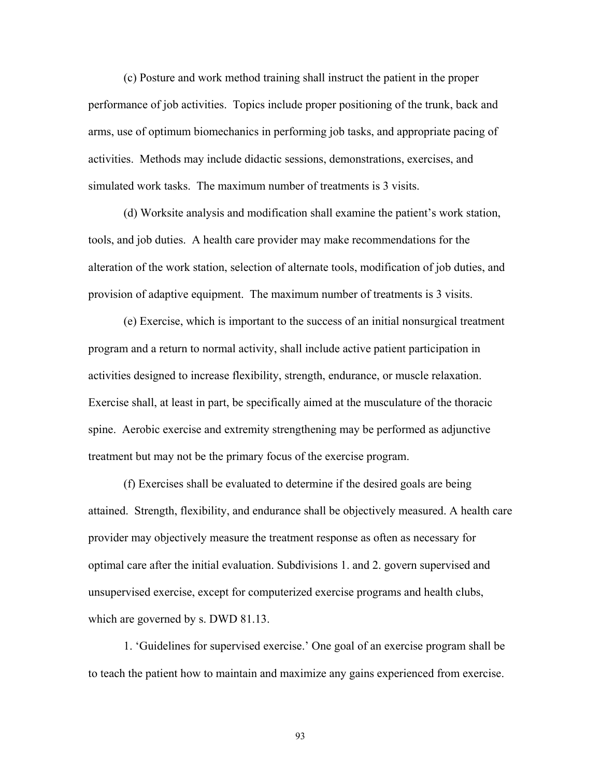(c) Posture and work method training shall instruct the patient in the proper performance of job activities. Topics include proper positioning of the trunk, back and arms, use of optimum biomechanics in performing job tasks, and appropriate pacing of activities. Methods may include didactic sessions, demonstrations, exercises, and simulated work tasks. The maximum number of treatments is 3 visits.

 (d) Worksite analysis and modification shall examine the patient's work station, tools, and job duties. A health care provider may make recommendations for the alteration of the work station, selection of alternate tools, modification of job duties, and provision of adaptive equipment. The maximum number of treatments is 3 visits.

 (e) Exercise, which is important to the success of an initial nonsurgical treatment program and a return to normal activity, shall include active patient participation in activities designed to increase flexibility, strength, endurance, or muscle relaxation. Exercise shall, at least in part, be specifically aimed at the musculature of the thoracic spine. Aerobic exercise and extremity strengthening may be performed as adjunctive treatment but may not be the primary focus of the exercise program.

(f) Exercises shall be evaluated to determine if the desired goals are being attained. Strength, flexibility, and endurance shall be objectively measured. A health care provider may objectively measure the treatment response as often as necessary for optimal care after the initial evaluation. Subdivisions 1. and 2. govern supervised and unsupervised exercise, except for computerized exercise programs and health clubs, which are governed by s. DWD 81.13.

 1. 'Guidelines for supervised exercise.' One goal of an exercise program shall be to teach the patient how to maintain and maximize any gains experienced from exercise.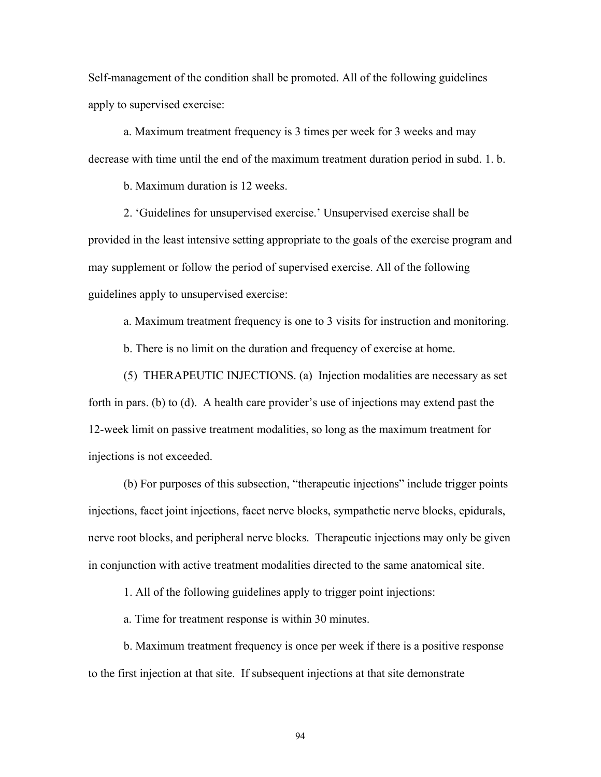Self-management of the condition shall be promoted. All of the following guidelines apply to supervised exercise:

 a. Maximum treatment frequency is 3 times per week for 3 weeks and may decrease with time until the end of the maximum treatment duration period in subd. 1. b.

b. Maximum duration is 12 weeks.

 2. 'Guidelines for unsupervised exercise.' Unsupervised exercise shall be provided in the least intensive setting appropriate to the goals of the exercise program and may supplement or follow the period of supervised exercise. All of the following guidelines apply to unsupervised exercise:

a. Maximum treatment frequency is one to 3 visits for instruction and monitoring.

b. There is no limit on the duration and frequency of exercise at home.

 (5) THERAPEUTIC INJECTIONS. (a) Injection modalities are necessary as set forth in pars. (b) to (d). A health care provider's use of injections may extend past the 12-week limit on passive treatment modalities, so long as the maximum treatment for injections is not exceeded.

 (b) For purposes of this subsection, "therapeutic injections" include trigger points injections, facet joint injections, facet nerve blocks, sympathetic nerve blocks, epidurals, nerve root blocks, and peripheral nerve blocks. Therapeutic injections may only be given in conjunction with active treatment modalities directed to the same anatomical site.

1. All of the following guidelines apply to trigger point injections:

a. Time for treatment response is within 30 minutes.

 b. Maximum treatment frequency is once per week if there is a positive response to the first injection at that site. If subsequent injections at that site demonstrate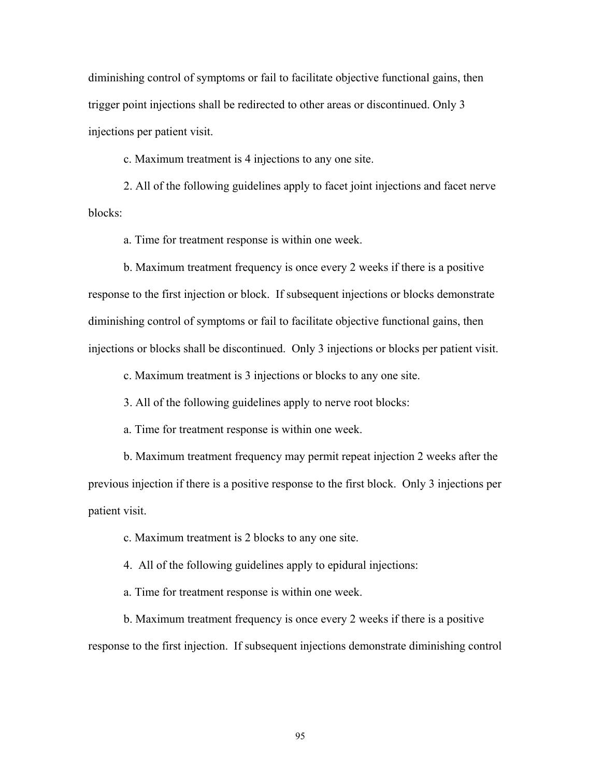diminishing control of symptoms or fail to facilitate objective functional gains, then trigger point injections shall be redirected to other areas or discontinued. Only 3 injections per patient visit.

c. Maximum treatment is 4 injections to any one site.

 2. All of the following guidelines apply to facet joint injections and facet nerve blocks:

a. Time for treatment response is within one week.

 b. Maximum treatment frequency is once every 2 weeks if there is a positive response to the first injection or block. If subsequent injections or blocks demonstrate diminishing control of symptoms or fail to facilitate objective functional gains, then injections or blocks shall be discontinued. Only 3 injections or blocks per patient visit.

c. Maximum treatment is 3 injections or blocks to any one site.

3. All of the following guidelines apply to nerve root blocks:

a. Time for treatment response is within one week.

 b. Maximum treatment frequency may permit repeat injection 2 weeks after the previous injection if there is a positive response to the first block. Only 3 injections per patient visit.

c. Maximum treatment is 2 blocks to any one site.

4. All of the following guidelines apply to epidural injections:

a. Time for treatment response is within one week.

 b. Maximum treatment frequency is once every 2 weeks if there is a positive response to the first injection. If subsequent injections demonstrate diminishing control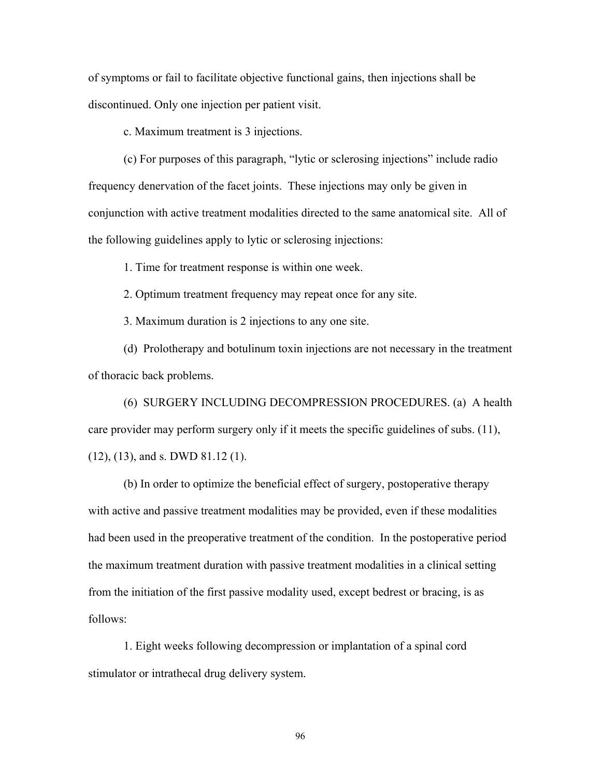of symptoms or fail to facilitate objective functional gains, then injections shall be discontinued. Only one injection per patient visit.

c. Maximum treatment is 3 injections.

 (c) For purposes of this paragraph, "lytic or sclerosing injections" include radio frequency denervation of the facet joints. These injections may only be given in conjunction with active treatment modalities directed to the same anatomical site. All of the following guidelines apply to lytic or sclerosing injections:

1. Time for treatment response is within one week.

2. Optimum treatment frequency may repeat once for any site.

3. Maximum duration is 2 injections to any one site.

 (d) Prolotherapy and botulinum toxin injections are not necessary in the treatment of thoracic back problems.

 (6) SURGERY INCLUDING DECOMPRESSION PROCEDURES. (a) A health care provider may perform surgery only if it meets the specific guidelines of subs. (11), (12), (13), and s. DWD 81.12 (1).

 (b) In order to optimize the beneficial effect of surgery, postoperative therapy with active and passive treatment modalities may be provided, even if these modalities had been used in the preoperative treatment of the condition. In the postoperative period the maximum treatment duration with passive treatment modalities in a clinical setting from the initiation of the first passive modality used, except bedrest or bracing, is as follows:

 1. Eight weeks following decompression or implantation of a spinal cord stimulator or intrathecal drug delivery system.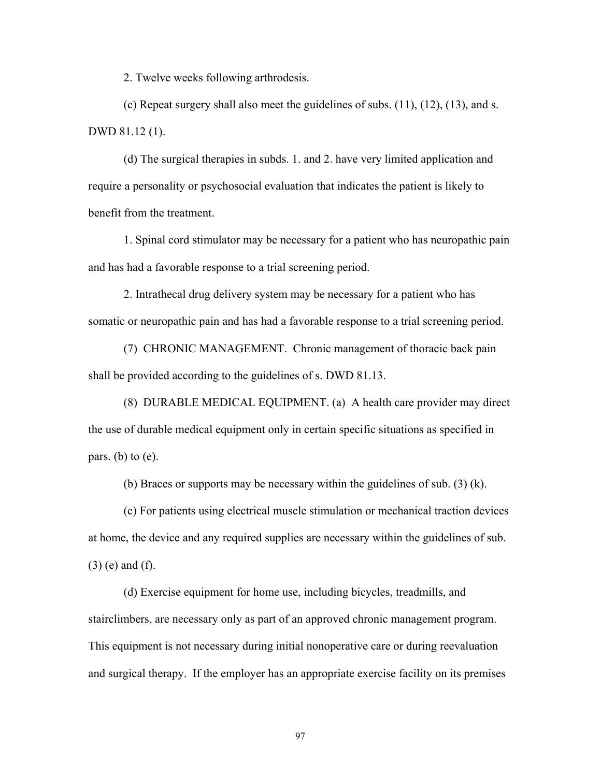2. Twelve weeks following arthrodesis.

 (c) Repeat surgery shall also meet the guidelines of subs. (11), (12), (13), and s. DWD 81.12 (1).

 (d) The surgical therapies in subds. 1. and 2. have very limited application and require a personality or psychosocial evaluation that indicates the patient is likely to benefit from the treatment.

 1. Spinal cord stimulator may be necessary for a patient who has neuropathic pain and has had a favorable response to a trial screening period.

 2. Intrathecal drug delivery system may be necessary for a patient who has somatic or neuropathic pain and has had a favorable response to a trial screening period.

 (7) CHRONIC MANAGEMENT. Chronic management of thoracic back pain shall be provided according to the guidelines of s. DWD 81.13.

 (8) DURABLE MEDICAL EQUIPMENT. (a) A health care provider may direct the use of durable medical equipment only in certain specific situations as specified in pars. (b) to  $(e)$ .

(b) Braces or supports may be necessary within the guidelines of sub. (3) (k).

 (c) For patients using electrical muscle stimulation or mechanical traction devices at home, the device and any required supplies are necessary within the guidelines of sub. (3) (e) and (f).

 (d) Exercise equipment for home use, including bicycles, treadmills, and stairclimbers, are necessary only as part of an approved chronic management program. This equipment is not necessary during initial nonoperative care or during reevaluation and surgical therapy. If the employer has an appropriate exercise facility on its premises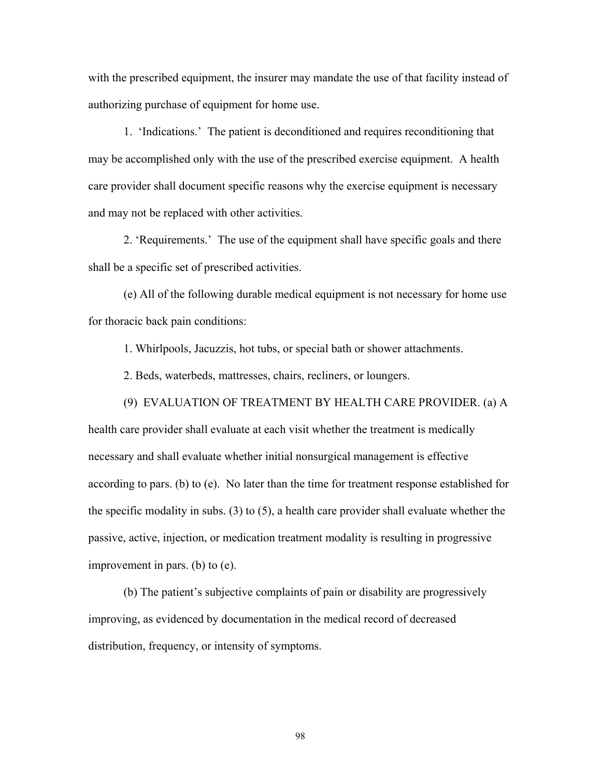with the prescribed equipment, the insurer may mandate the use of that facility instead of authorizing purchase of equipment for home use.

 1. 'Indications.' The patient is deconditioned and requires reconditioning that may be accomplished only with the use of the prescribed exercise equipment. A health care provider shall document specific reasons why the exercise equipment is necessary and may not be replaced with other activities.

 2. 'Requirements.' The use of the equipment shall have specific goals and there shall be a specific set of prescribed activities.

 (e) All of the following durable medical equipment is not necessary for home use for thoracic back pain conditions:

1. Whirlpools, Jacuzzis, hot tubs, or special bath or shower attachments.

(9) EVALUATION OF TREATMENT BY HEALTH CARE PROVIDER. (a) A

2. Beds, waterbeds, mattresses, chairs, recliners, or loungers.

health care provider shall evaluate at each visit whether the treatment is medically necessary and shall evaluate whether initial nonsurgical management is effective according to pars. (b) to (e). No later than the time for treatment response established for the specific modality in subs. (3) to (5), a health care provider shall evaluate whether the passive, active, injection, or medication treatment modality is resulting in progressive improvement in pars. (b) to (e).

 (b) The patient's subjective complaints of pain or disability are progressively improving, as evidenced by documentation in the medical record of decreased distribution, frequency, or intensity of symptoms.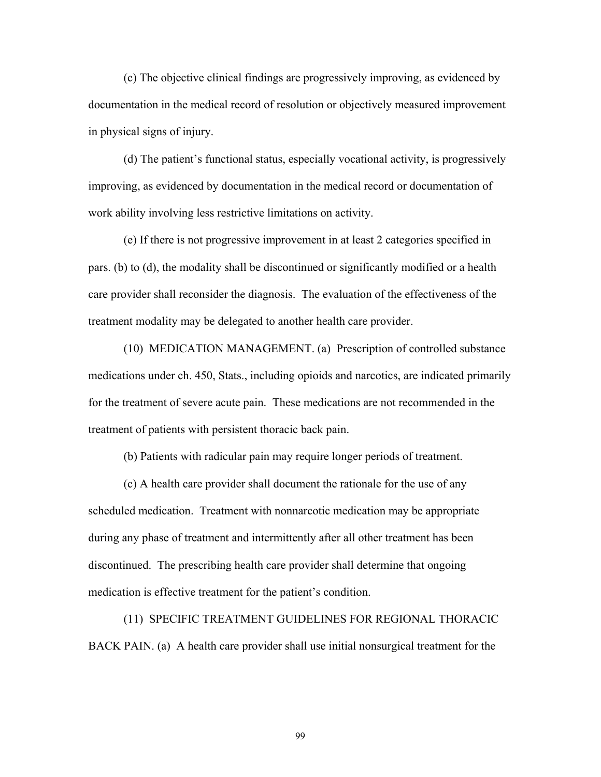(c) The objective clinical findings are progressively improving, as evidenced by documentation in the medical record of resolution or objectively measured improvement in physical signs of injury.

 (d) The patient's functional status, especially vocational activity, is progressively improving, as evidenced by documentation in the medical record or documentation of work ability involving less restrictive limitations on activity.

 (e) If there is not progressive improvement in at least 2 categories specified in pars. (b) to (d), the modality shall be discontinued or significantly modified or a health care provider shall reconsider the diagnosis. The evaluation of the effectiveness of the treatment modality may be delegated to another health care provider.

 (10) MEDICATION MANAGEMENT. (a) Prescription of controlled substance medications under ch. 450, Stats., including opioids and narcotics, are indicated primarily for the treatment of severe acute pain. These medications are not recommended in the treatment of patients with persistent thoracic back pain.

(b) Patients with radicular pain may require longer periods of treatment.

 (c) A health care provider shall document the rationale for the use of any scheduled medication. Treatment with nonnarcotic medication may be appropriate during any phase of treatment and intermittently after all other treatment has been discontinued. The prescribing health care provider shall determine that ongoing medication is effective treatment for the patient's condition.

 (11) SPECIFIC TREATMENT GUIDELINES FOR REGIONAL THORACIC BACK PAIN. (a) A health care provider shall use initial nonsurgical treatment for the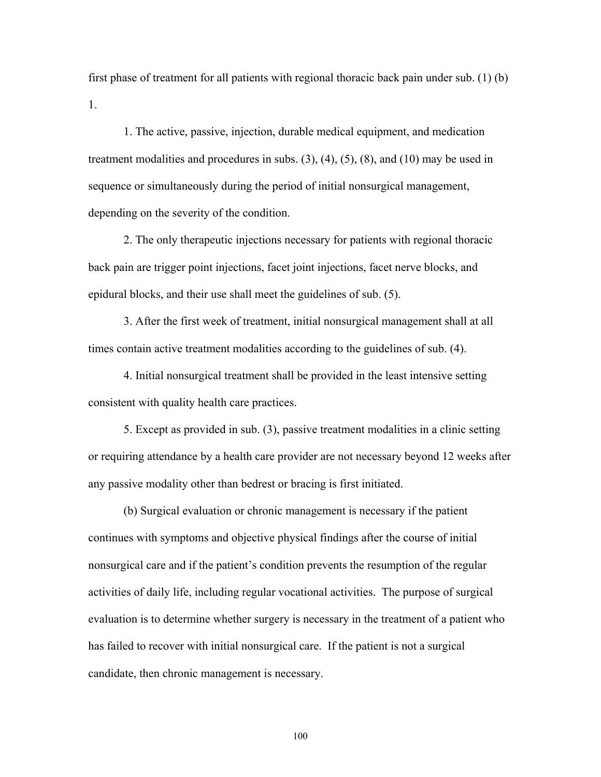first phase of treatment for all patients with regional thoracic back pain under sub. (1) (b) 1.

 1. The active, passive, injection, durable medical equipment, and medication treatment modalities and procedures in subs.  $(3)$ ,  $(4)$ ,  $(5)$ ,  $(8)$ , and  $(10)$  may be used in sequence or simultaneously during the period of initial nonsurgical management, depending on the severity of the condition.

 2. The only therapeutic injections necessary for patients with regional thoracic back pain are trigger point injections, facet joint injections, facet nerve blocks, and epidural blocks, and their use shall meet the guidelines of sub. (5).

 3. After the first week of treatment, initial nonsurgical management shall at all times contain active treatment modalities according to the guidelines of sub. (4).

 4. Initial nonsurgical treatment shall be provided in the least intensive setting consistent with quality health care practices.

 5. Except as provided in sub. (3), passive treatment modalities in a clinic setting or requiring attendance by a health care provider are not necessary beyond 12 weeks after any passive modality other than bedrest or bracing is first initiated.

 (b) Surgical evaluation or chronic management is necessary if the patient continues with symptoms and objective physical findings after the course of initial nonsurgical care and if the patient's condition prevents the resumption of the regular activities of daily life, including regular vocational activities. The purpose of surgical evaluation is to determine whether surgery is necessary in the treatment of a patient who has failed to recover with initial nonsurgical care. If the patient is not a surgical candidate, then chronic management is necessary.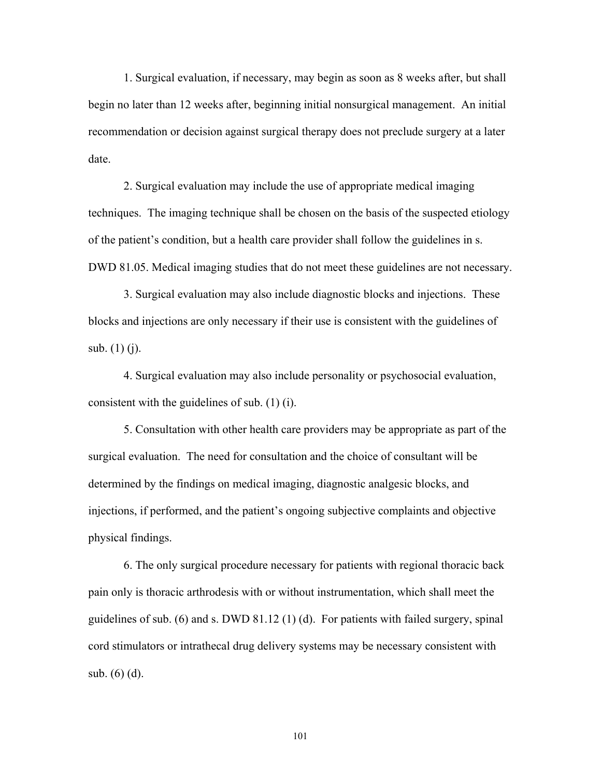1. Surgical evaluation, if necessary, may begin as soon as 8 weeks after, but shall begin no later than 12 weeks after, beginning initial nonsurgical management. An initial recommendation or decision against surgical therapy does not preclude surgery at a later date.

 2. Surgical evaluation may include the use of appropriate medical imaging techniques. The imaging technique shall be chosen on the basis of the suspected etiology of the patient's condition, but a health care provider shall follow the guidelines in s. DWD 81.05. Medical imaging studies that do not meet these guidelines are not necessary.

 3. Surgical evaluation may also include diagnostic blocks and injections. These blocks and injections are only necessary if their use is consistent with the guidelines of sub. (1) (j).

 4. Surgical evaluation may also include personality or psychosocial evaluation, consistent with the guidelines of sub. (1) (i).

 5. Consultation with other health care providers may be appropriate as part of the surgical evaluation. The need for consultation and the choice of consultant will be determined by the findings on medical imaging, diagnostic analgesic blocks, and injections, if performed, and the patient's ongoing subjective complaints and objective physical findings.

 6. The only surgical procedure necessary for patients with regional thoracic back pain only is thoracic arthrodesis with or without instrumentation, which shall meet the guidelines of sub. (6) and s. DWD 81.12 (1) (d). For patients with failed surgery, spinal cord stimulators or intrathecal drug delivery systems may be necessary consistent with sub. (6) (d).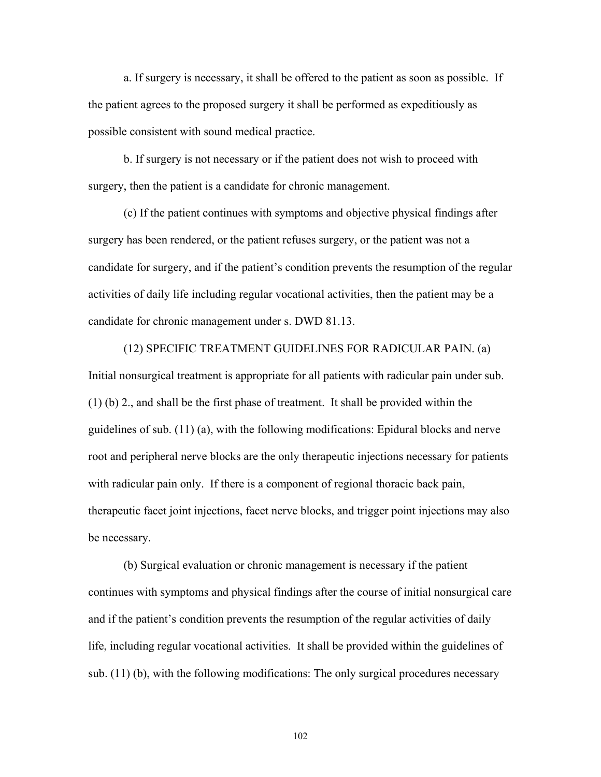a. If surgery is necessary, it shall be offered to the patient as soon as possible. If the patient agrees to the proposed surgery it shall be performed as expeditiously as possible consistent with sound medical practice.

 b. If surgery is not necessary or if the patient does not wish to proceed with surgery, then the patient is a candidate for chronic management.

 (c) If the patient continues with symptoms and objective physical findings after surgery has been rendered, or the patient refuses surgery, or the patient was not a candidate for surgery, and if the patient's condition prevents the resumption of the regular activities of daily life including regular vocational activities, then the patient may be a candidate for chronic management under s. DWD 81.13.

 (12) SPECIFIC TREATMENT GUIDELINES FOR RADICULAR PAIN. (a) Initial nonsurgical treatment is appropriate for all patients with radicular pain under sub. (1) (b) 2., and shall be the first phase of treatment. It shall be provided within the guidelines of sub. (11) (a), with the following modifications: Epidural blocks and nerve root and peripheral nerve blocks are the only therapeutic injections necessary for patients with radicular pain only. If there is a component of regional thoracic back pain, therapeutic facet joint injections, facet nerve blocks, and trigger point injections may also be necessary.

 (b) Surgical evaluation or chronic management is necessary if the patient continues with symptoms and physical findings after the course of initial nonsurgical care and if the patient's condition prevents the resumption of the regular activities of daily life, including regular vocational activities. It shall be provided within the guidelines of sub. (11) (b), with the following modifications: The only surgical procedures necessary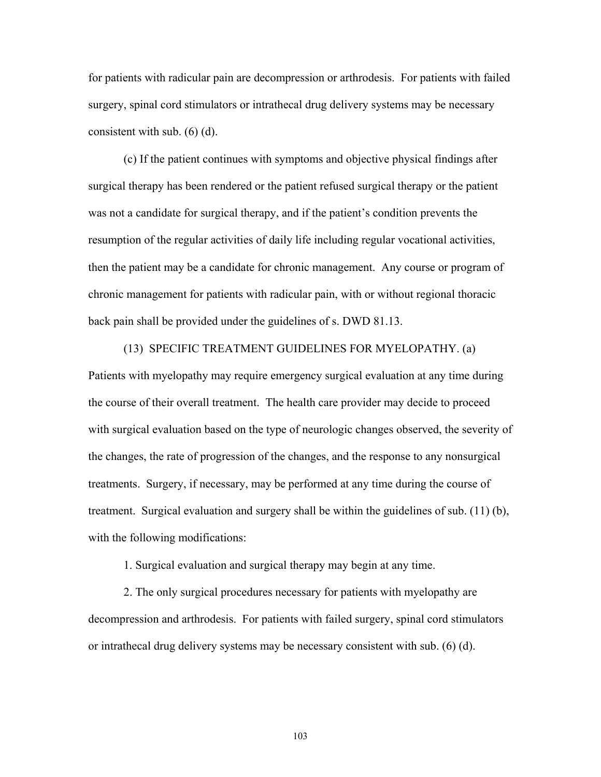for patients with radicular pain are decompression or arthrodesis. For patients with failed surgery, spinal cord stimulators or intrathecal drug delivery systems may be necessary consistent with sub. (6) (d).

 (c) If the patient continues with symptoms and objective physical findings after surgical therapy has been rendered or the patient refused surgical therapy or the patient was not a candidate for surgical therapy, and if the patient's condition prevents the resumption of the regular activities of daily life including regular vocational activities, then the patient may be a candidate for chronic management. Any course or program of chronic management for patients with radicular pain, with or without regional thoracic back pain shall be provided under the guidelines of s. DWD 81.13.

 (13) SPECIFIC TREATMENT GUIDELINES FOR MYELOPATHY. (a) Patients with myelopathy may require emergency surgical evaluation at any time during the course of their overall treatment. The health care provider may decide to proceed with surgical evaluation based on the type of neurologic changes observed, the severity of the changes, the rate of progression of the changes, and the response to any nonsurgical treatments. Surgery, if necessary, may be performed at any time during the course of treatment. Surgical evaluation and surgery shall be within the guidelines of sub. (11) (b), with the following modifications:

1. Surgical evaluation and surgical therapy may begin at any time.

 2. The only surgical procedures necessary for patients with myelopathy are decompression and arthrodesis. For patients with failed surgery, spinal cord stimulators or intrathecal drug delivery systems may be necessary consistent with sub. (6) (d).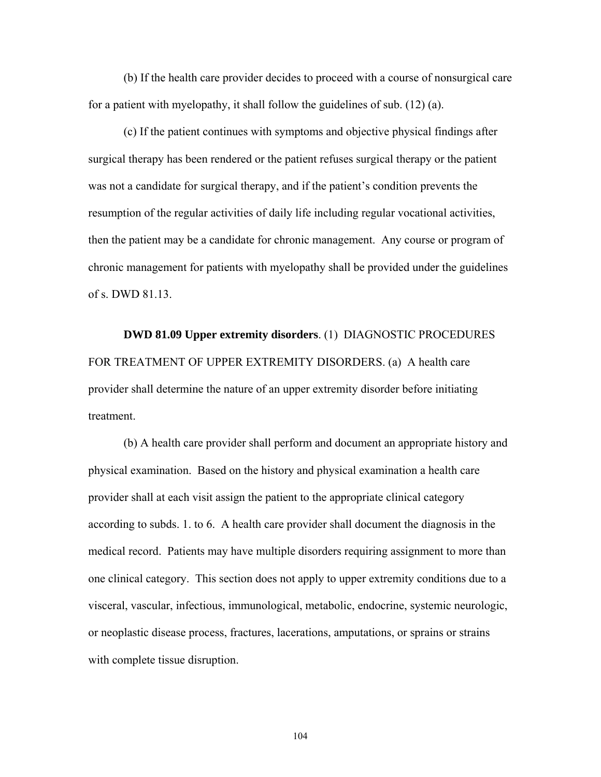(b) If the health care provider decides to proceed with a course of nonsurgical care for a patient with myelopathy, it shall follow the guidelines of sub. (12) (a).

 (c) If the patient continues with symptoms and objective physical findings after surgical therapy has been rendered or the patient refuses surgical therapy or the patient was not a candidate for surgical therapy, and if the patient's condition prevents the resumption of the regular activities of daily life including regular vocational activities, then the patient may be a candidate for chronic management. Any course or program of chronic management for patients with myelopathy shall be provided under the guidelines of s. DWD 81.13.

 **DWD 81.09 Upper extremity disorders**. (1) DIAGNOSTIC PROCEDURES FOR TREATMENT OF UPPER EXTREMITY DISORDERS. (a) A health care provider shall determine the nature of an upper extremity disorder before initiating treatment.

 (b) A health care provider shall perform and document an appropriate history and physical examination. Based on the history and physical examination a health care provider shall at each visit assign the patient to the appropriate clinical category according to subds. 1. to 6. A health care provider shall document the diagnosis in the medical record. Patients may have multiple disorders requiring assignment to more than one clinical category. This section does not apply to upper extremity conditions due to a visceral, vascular, infectious, immunological, metabolic, endocrine, systemic neurologic, or neoplastic disease process, fractures, lacerations, amputations, or sprains or strains with complete tissue disruption.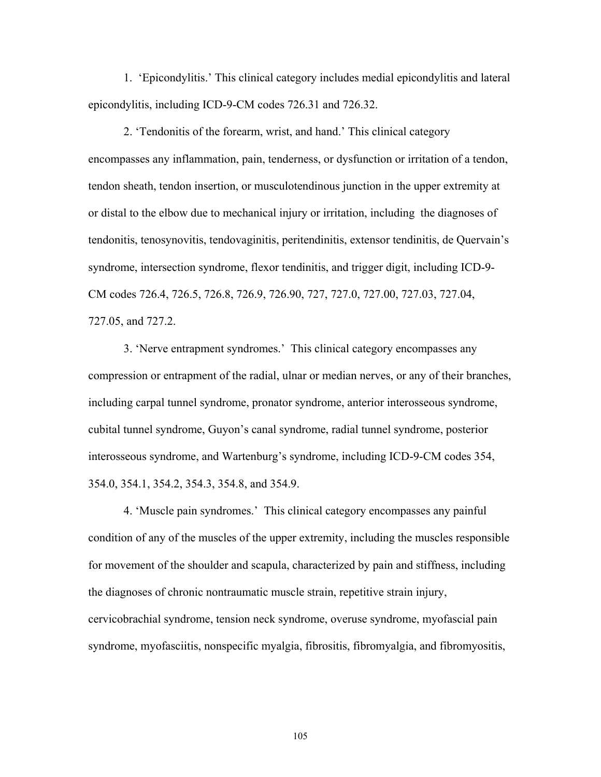1. 'Epicondylitis.' This clinical category includes medial epicondylitis and lateral epicondylitis, including ICD-9-CM codes 726.31 and 726.32.

 2. 'Tendonitis of the forearm, wrist, and hand.' This clinical category encompasses any inflammation, pain, tenderness, or dysfunction or irritation of a tendon, tendon sheath, tendon insertion, or musculotendinous junction in the upper extremity at or distal to the elbow due to mechanical injury or irritation, including the diagnoses of tendonitis, tenosynovitis, tendovaginitis, peritendinitis, extensor tendinitis, de Quervain's syndrome, intersection syndrome, flexor tendinitis, and trigger digit, including ICD-9- CM codes 726.4, 726.5, 726.8, 726.9, 726.90, 727, 727.0, 727.00, 727.03, 727.04, 727.05, and 727.2.

 3. 'Nerve entrapment syndromes.' This clinical category encompasses any compression or entrapment of the radial, ulnar or median nerves, or any of their branches, including carpal tunnel syndrome, pronator syndrome, anterior interosseous syndrome, cubital tunnel syndrome, Guyon's canal syndrome, radial tunnel syndrome, posterior interosseous syndrome, and Wartenburg's syndrome, including ICD-9-CM codes 354, 354.0, 354.1, 354.2, 354.3, 354.8, and 354.9.

 4. 'Muscle pain syndromes.' This clinical category encompasses any painful condition of any of the muscles of the upper extremity, including the muscles responsible for movement of the shoulder and scapula, characterized by pain and stiffness, including the diagnoses of chronic nontraumatic muscle strain, repetitive strain injury, cervicobrachial syndrome, tension neck syndrome, overuse syndrome, myofascial pain syndrome, myofasciitis, nonspecific myalgia, fibrositis, fibromyalgia, and fibromyositis,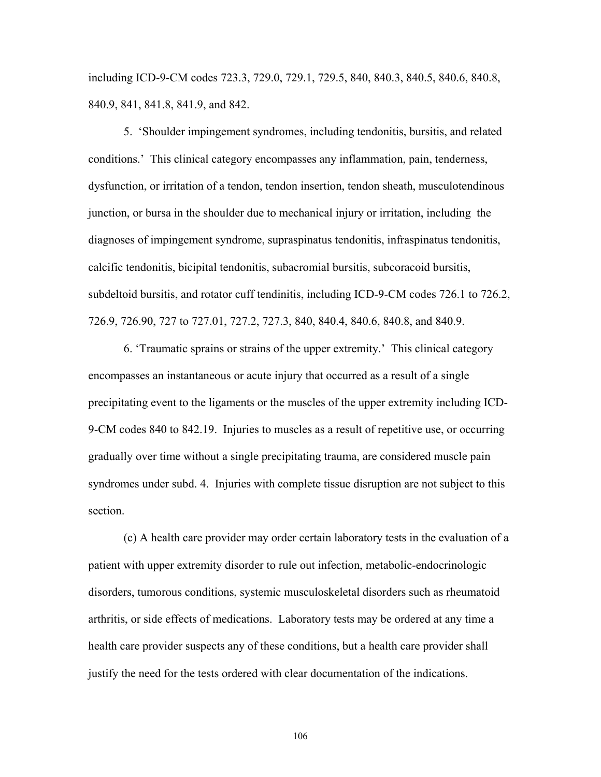including ICD-9-CM codes 723.3, 729.0, 729.1, 729.5, 840, 840.3, 840.5, 840.6, 840.8, 840.9, 841, 841.8, 841.9, and 842.

 5. 'Shoulder impingement syndromes, including tendonitis, bursitis, and related conditions.' This clinical category encompasses any inflammation, pain, tenderness, dysfunction, or irritation of a tendon, tendon insertion, tendon sheath, musculotendinous junction, or bursa in the shoulder due to mechanical injury or irritation, including the diagnoses of impingement syndrome, supraspinatus tendonitis, infraspinatus tendonitis, calcific tendonitis, bicipital tendonitis, subacromial bursitis, subcoracoid bursitis, subdeltoid bursitis, and rotator cuff tendinitis, including ICD-9-CM codes 726.1 to 726.2, 726.9, 726.90, 727 to 727.01, 727.2, 727.3, 840, 840.4, 840.6, 840.8, and 840.9.

 6. 'Traumatic sprains or strains of the upper extremity.' This clinical category encompasses an instantaneous or acute injury that occurred as a result of a single precipitating event to the ligaments or the muscles of the upper extremity including ICD-9-CM codes 840 to 842.19. Injuries to muscles as a result of repetitive use, or occurring gradually over time without a single precipitating trauma, are considered muscle pain syndromes under subd. 4. Injuries with complete tissue disruption are not subject to this section.

 (c) A health care provider may order certain laboratory tests in the evaluation of a patient with upper extremity disorder to rule out infection, metabolic-endocrinologic disorders, tumorous conditions, systemic musculoskeletal disorders such as rheumatoid arthritis, or side effects of medications. Laboratory tests may be ordered at any time a health care provider suspects any of these conditions, but a health care provider shall justify the need for the tests ordered with clear documentation of the indications.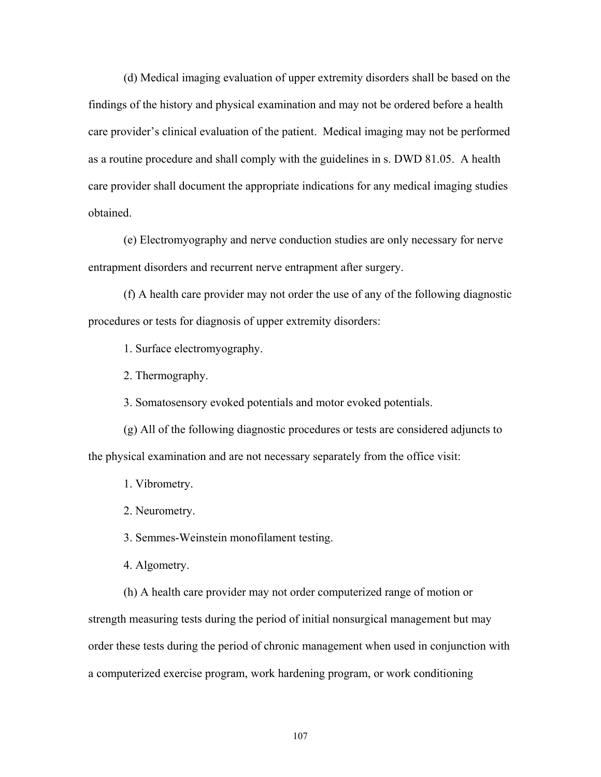(d) Medical imaging evaluation of upper extremity disorders shall be based on the findings of the history and physical examination and may not be ordered before a health care provider's clinical evaluation of the patient. Medical imaging may not be performed as a routine procedure and shall comply with the guidelines in s. DWD 81.05. A health care provider shall document the appropriate indications for any medical imaging studies obtained.

 (e) Electromyography and nerve conduction studies are only necessary for nerve entrapment disorders and recurrent nerve entrapment after surgery.

 (f) A health care provider may not order the use of any of the following diagnostic procedures or tests for diagnosis of upper extremity disorders:

1. Surface electromyography.

2. Thermography.

3. Somatosensory evoked potentials and motor evoked potentials.

 (g) All of the following diagnostic procedures or tests are considered adjuncts to the physical examination and are not necessary separately from the office visit:

1. Vibrometry.

2. Neurometry.

3. Semmes-Weinstein monofilament testing.

4. Algometry.

 (h) A health care provider may not order computerized range of motion or strength measuring tests during the period of initial nonsurgical management but may order these tests during the period of chronic management when used in conjunction with a computerized exercise program, work hardening program, or work conditioning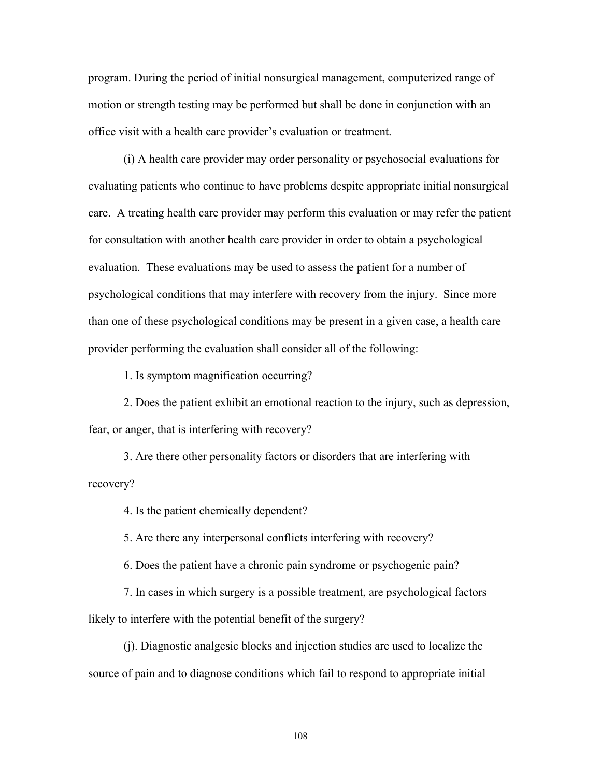program. During the period of initial nonsurgical management, computerized range of motion or strength testing may be performed but shall be done in conjunction with an office visit with a health care provider's evaluation or treatment.

 (i) A health care provider may order personality or psychosocial evaluations for evaluating patients who continue to have problems despite appropriate initial nonsurgical care. A treating health care provider may perform this evaluation or may refer the patient for consultation with another health care provider in order to obtain a psychological evaluation. These evaluations may be used to assess the patient for a number of psychological conditions that may interfere with recovery from the injury. Since more than one of these psychological conditions may be present in a given case, a health care provider performing the evaluation shall consider all of the following:

1. Is symptom magnification occurring?

 2. Does the patient exhibit an emotional reaction to the injury, such as depression, fear, or anger, that is interfering with recovery?

 3. Are there other personality factors or disorders that are interfering with recovery?

4. Is the patient chemically dependent?

5. Are there any interpersonal conflicts interfering with recovery?

6. Does the patient have a chronic pain syndrome or psychogenic pain?

 7. In cases in which surgery is a possible treatment, are psychological factors likely to interfere with the potential benefit of the surgery?

 (j). Diagnostic analgesic blocks and injection studies are used to localize the source of pain and to diagnose conditions which fail to respond to appropriate initial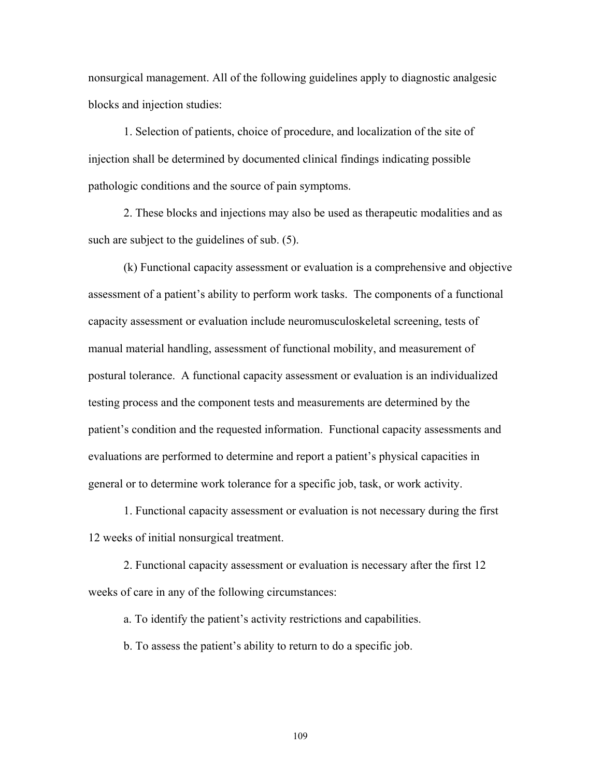nonsurgical management. All of the following guidelines apply to diagnostic analgesic blocks and injection studies:

 1. Selection of patients, choice of procedure, and localization of the site of injection shall be determined by documented clinical findings indicating possible pathologic conditions and the source of pain symptoms.

 2. These blocks and injections may also be used as therapeutic modalities and as such are subject to the guidelines of sub. (5).

 (k) Functional capacity assessment or evaluation is a comprehensive and objective assessment of a patient's ability to perform work tasks. The components of a functional capacity assessment or evaluation include neuromusculoskeletal screening, tests of manual material handling, assessment of functional mobility, and measurement of postural tolerance. A functional capacity assessment or evaluation is an individualized testing process and the component tests and measurements are determined by the patient's condition and the requested information. Functional capacity assessments and evaluations are performed to determine and report a patient's physical capacities in general or to determine work tolerance for a specific job, task, or work activity.

 1. Functional capacity assessment or evaluation is not necessary during the first 12 weeks of initial nonsurgical treatment.

 2. Functional capacity assessment or evaluation is necessary after the first 12 weeks of care in any of the following circumstances:

a. To identify the patient's activity restrictions and capabilities.

b. To assess the patient's ability to return to do a specific job.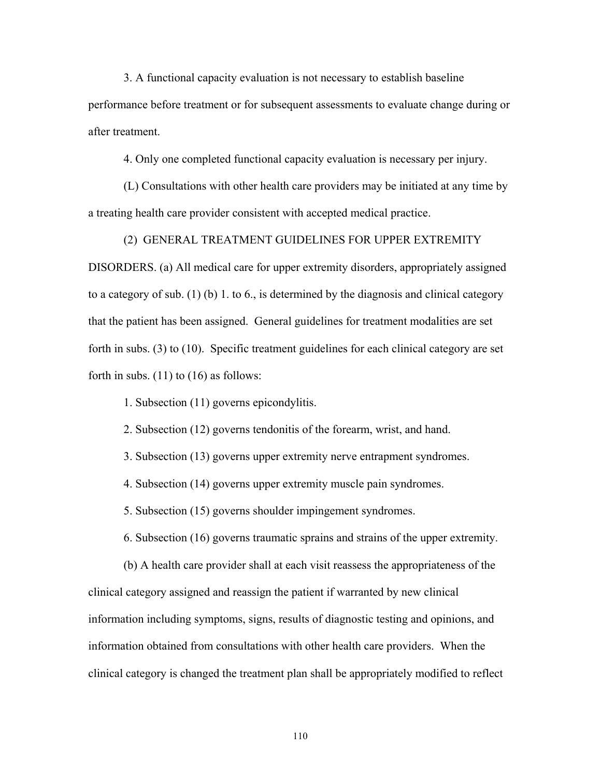3. A functional capacity evaluation is not necessary to establish baseline

performance before treatment or for subsequent assessments to evaluate change during or after treatment.

4. Only one completed functional capacity evaluation is necessary per injury.

 (L) Consultations with other health care providers may be initiated at any time by a treating health care provider consistent with accepted medical practice.

(2) GENERAL TREATMENT GUIDELINES FOR UPPER EXTREMITY

DISORDERS. (a) All medical care for upper extremity disorders, appropriately assigned to a category of sub. (1) (b) 1. to 6., is determined by the diagnosis and clinical category that the patient has been assigned. General guidelines for treatment modalities are set forth in subs. (3) to (10). Specific treatment guidelines for each clinical category are set forth in subs.  $(11)$  to  $(16)$  as follows:

1. Subsection (11) governs epicondylitis.

2. Subsection (12) governs tendonitis of the forearm, wrist, and hand.

3. Subsection (13) governs upper extremity nerve entrapment syndromes.

4. Subsection (14) governs upper extremity muscle pain syndromes.

5. Subsection (15) governs shoulder impingement syndromes.

6. Subsection (16) governs traumatic sprains and strains of the upper extremity.

 (b) A health care provider shall at each visit reassess the appropriateness of the clinical category assigned and reassign the patient if warranted by new clinical information including symptoms, signs, results of diagnostic testing and opinions, and information obtained from consultations with other health care providers. When the clinical category is changed the treatment plan shall be appropriately modified to reflect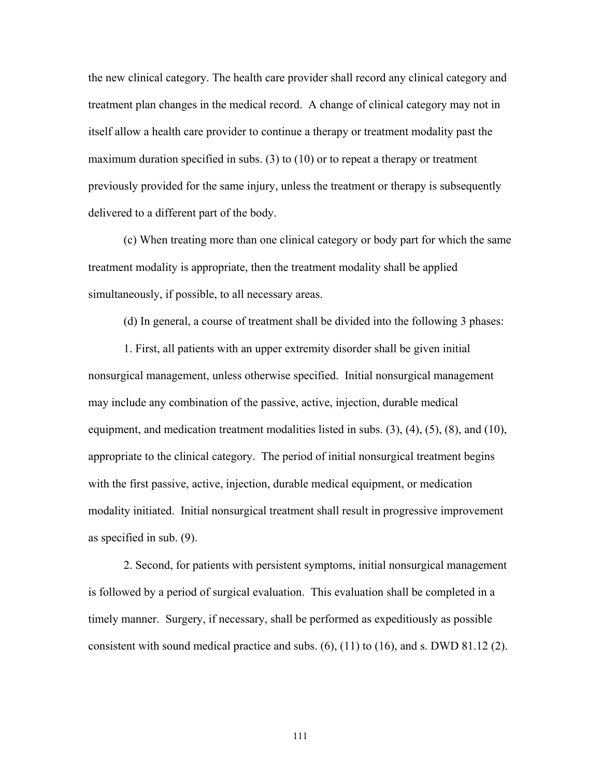the new clinical category. The health care provider shall record any clinical category and treatment plan changes in the medical record. A change of clinical category may not in itself allow a health care provider to continue a therapy or treatment modality past the maximum duration specified in subs. (3) to (10) or to repeat a therapy or treatment previously provided for the same injury, unless the treatment or therapy is subsequently delivered to a different part of the body.

 (c) When treating more than one clinical category or body part for which the same treatment modality is appropriate, then the treatment modality shall be applied simultaneously, if possible, to all necessary areas.

(d) In general, a course of treatment shall be divided into the following 3 phases:

 1. First, all patients with an upper extremity disorder shall be given initial nonsurgical management, unless otherwise specified. Initial nonsurgical management may include any combination of the passive, active, injection, durable medical equipment, and medication treatment modalities listed in subs.  $(3)$ ,  $(4)$ ,  $(5)$ ,  $(8)$ , and  $(10)$ , appropriate to the clinical category. The period of initial nonsurgical treatment begins with the first passive, active, injection, durable medical equipment, or medication modality initiated. Initial nonsurgical treatment shall result in progressive improvement as specified in sub. (9).

 2. Second, for patients with persistent symptoms, initial nonsurgical management is followed by a period of surgical evaluation. This evaluation shall be completed in a timely manner. Surgery, if necessary, shall be performed as expeditiously as possible consistent with sound medical practice and subs. (6), (11) to (16), and s. DWD 81.12 (2).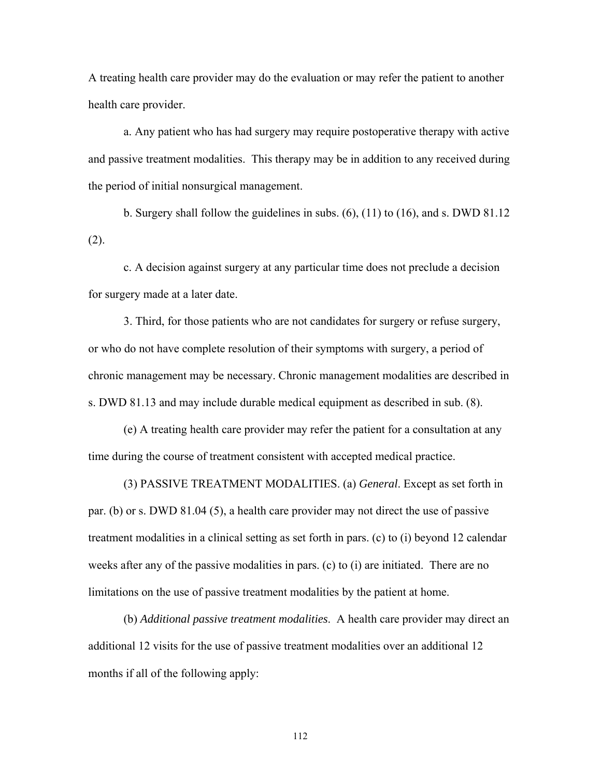A treating health care provider may do the evaluation or may refer the patient to another health care provider.

 a. Any patient who has had surgery may require postoperative therapy with active and passive treatment modalities. This therapy may be in addition to any received during the period of initial nonsurgical management.

 b. Surgery shall follow the guidelines in subs. (6), (11) to (16), and s. DWD 81.12 (2).

 c. A decision against surgery at any particular time does not preclude a decision for surgery made at a later date.

 3. Third, for those patients who are not candidates for surgery or refuse surgery, or who do not have complete resolution of their symptoms with surgery, a period of chronic management may be necessary. Chronic management modalities are described in s. DWD 81.13 and may include durable medical equipment as described in sub. (8).

 (e) A treating health care provider may refer the patient for a consultation at any time during the course of treatment consistent with accepted medical practice.

 (3) PASSIVE TREATMENT MODALITIES. (a) *General*. Except as set forth in par. (b) or s. DWD 81.04 (5), a health care provider may not direct the use of passive treatment modalities in a clinical setting as set forth in pars. (c) to (i) beyond 12 calendar weeks after any of the passive modalities in pars. (c) to (i) are initiated. There are no limitations on the use of passive treatment modalities by the patient at home.

 (b) *Additional passive treatment modalities*. A health care provider may direct an additional 12 visits for the use of passive treatment modalities over an additional 12 months if all of the following apply: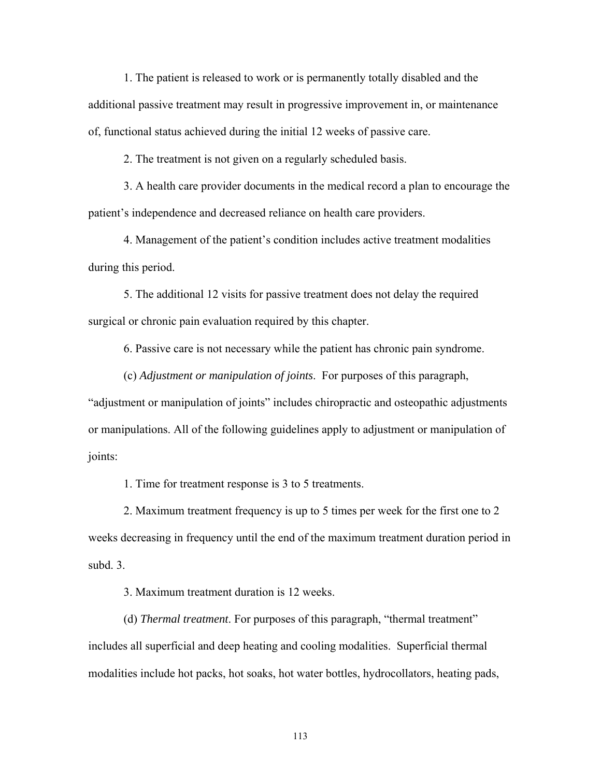1. The patient is released to work or is permanently totally disabled and the additional passive treatment may result in progressive improvement in, or maintenance of, functional status achieved during the initial 12 weeks of passive care.

2. The treatment is not given on a regularly scheduled basis.

 3. A health care provider documents in the medical record a plan to encourage the patient's independence and decreased reliance on health care providers.

 4. Management of the patient's condition includes active treatment modalities during this period.

 5. The additional 12 visits for passive treatment does not delay the required surgical or chronic pain evaluation required by this chapter.

6. Passive care is not necessary while the patient has chronic pain syndrome.

(c) *Adjustment or manipulation of joints*. For purposes of this paragraph,

"adjustment or manipulation of joints" includes chiropractic and osteopathic adjustments or manipulations. All of the following guidelines apply to adjustment or manipulation of joints:

1. Time for treatment response is 3 to 5 treatments.

 2. Maximum treatment frequency is up to 5 times per week for the first one to 2 weeks decreasing in frequency until the end of the maximum treatment duration period in subd. 3.

3. Maximum treatment duration is 12 weeks.

 (d) *Thermal treatment*. For purposes of this paragraph, "thermal treatment" includes all superficial and deep heating and cooling modalities. Superficial thermal modalities include hot packs, hot soaks, hot water bottles, hydrocollators, heating pads,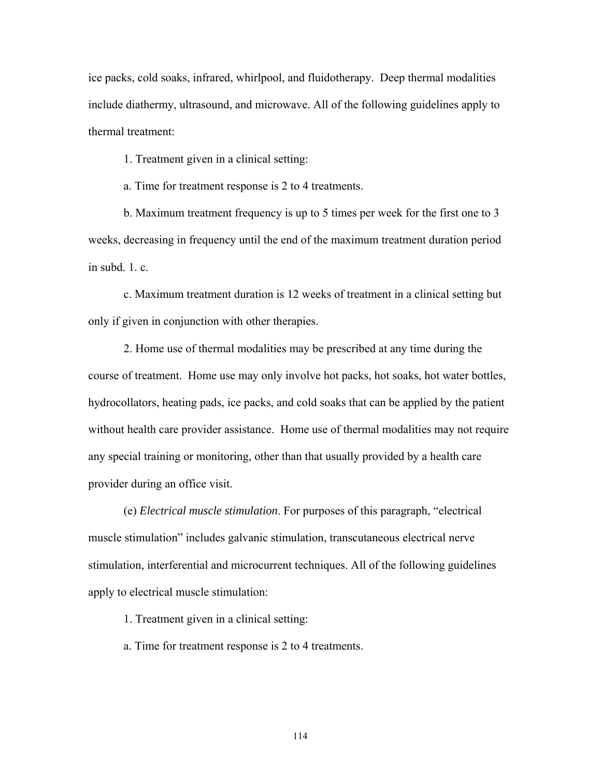ice packs, cold soaks, infrared, whirlpool, and fluidotherapy. Deep thermal modalities include diathermy, ultrasound, and microwave. All of the following guidelines apply to thermal treatment:

1. Treatment given in a clinical setting:

a. Time for treatment response is 2 to 4 treatments.

 b. Maximum treatment frequency is up to 5 times per week for the first one to 3 weeks, decreasing in frequency until the end of the maximum treatment duration period in subd.  $1 \text{ } c$ 

 c. Maximum treatment duration is 12 weeks of treatment in a clinical setting but only if given in conjunction with other therapies.

 2. Home use of thermal modalities may be prescribed at any time during the course of treatment. Home use may only involve hot packs, hot soaks, hot water bottles, hydrocollators, heating pads, ice packs, and cold soaks that can be applied by the patient without health care provider assistance. Home use of thermal modalities may not require any special training or monitoring, other than that usually provided by a health care provider during an office visit.

(e) *Electrical muscle stimulation*. For purposes of this paragraph, "electrical muscle stimulation" includes galvanic stimulation, transcutaneous electrical nerve stimulation, interferential and microcurrent techniques. All of the following guidelines apply to electrical muscle stimulation:

1. Treatment given in a clinical setting:

a. Time for treatment response is 2 to 4 treatments.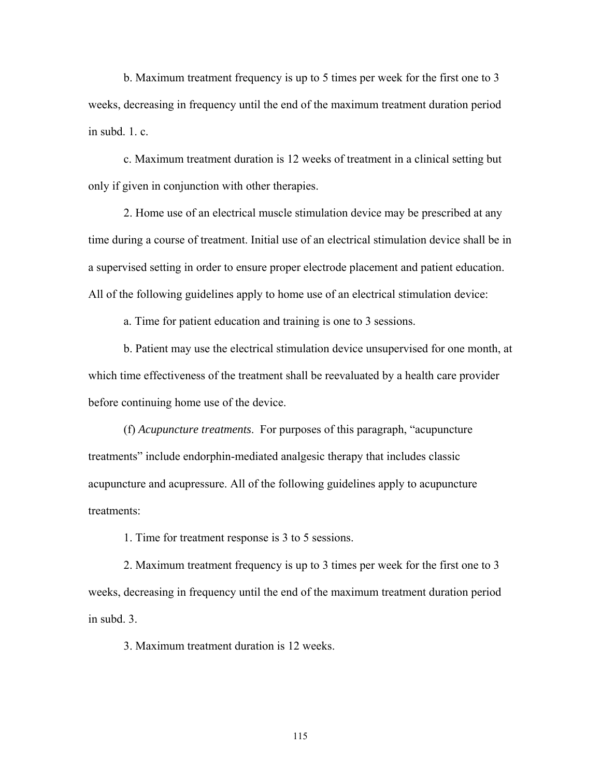b. Maximum treatment frequency is up to 5 times per week for the first one to 3 weeks, decreasing in frequency until the end of the maximum treatment duration period in subd.  $1 \text{ } c$ .

 c. Maximum treatment duration is 12 weeks of treatment in a clinical setting but only if given in conjunction with other therapies.

 2. Home use of an electrical muscle stimulation device may be prescribed at any time during a course of treatment. Initial use of an electrical stimulation device shall be in a supervised setting in order to ensure proper electrode placement and patient education. All of the following guidelines apply to home use of an electrical stimulation device:

a. Time for patient education and training is one to 3 sessions.

 b. Patient may use the electrical stimulation device unsupervised for one month, at which time effectiveness of the treatment shall be reevaluated by a health care provider before continuing home use of the device.

 (f) *Acupuncture treatments*. For purposes of this paragraph, "acupuncture treatments" include endorphin-mediated analgesic therapy that includes classic acupuncture and acupressure. All of the following guidelines apply to acupuncture treatments:

1. Time for treatment response is 3 to 5 sessions.

 2. Maximum treatment frequency is up to 3 times per week for the first one to 3 weeks, decreasing in frequency until the end of the maximum treatment duration period in subd. 3.

3. Maximum treatment duration is 12 weeks.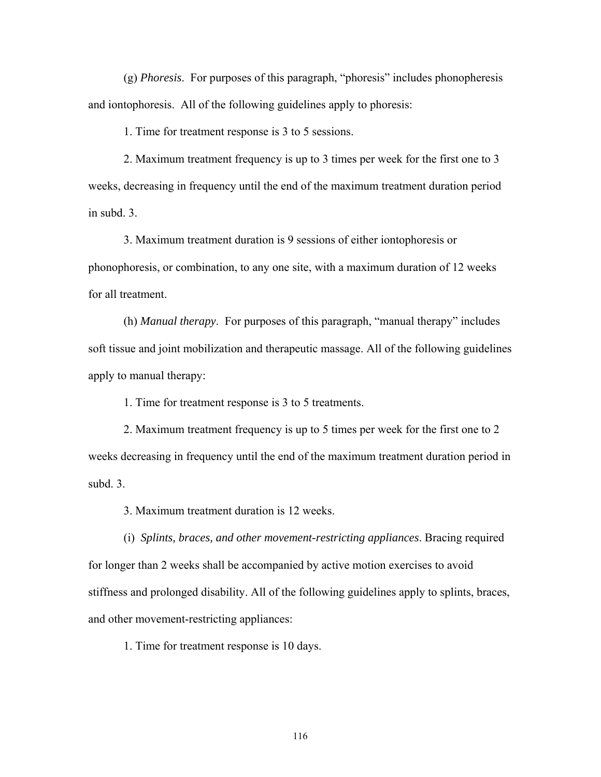(g) *Phoresis*. For purposes of this paragraph, "phoresis" includes phonopheresis and iontophoresis. All of the following guidelines apply to phoresis:

1. Time for treatment response is 3 to 5 sessions.

 2. Maximum treatment frequency is up to 3 times per week for the first one to 3 weeks, decreasing in frequency until the end of the maximum treatment duration period in subd. 3.

 3. Maximum treatment duration is 9 sessions of either iontophoresis or phonophoresis, or combination, to any one site, with a maximum duration of 12 weeks for all treatment.

 (h) *Manual therapy*. For purposes of this paragraph, "manual therapy" includes soft tissue and joint mobilization and therapeutic massage. All of the following guidelines apply to manual therapy:

1. Time for treatment response is 3 to 5 treatments.

 2. Maximum treatment frequency is up to 5 times per week for the first one to 2 weeks decreasing in frequency until the end of the maximum treatment duration period in subd. 3.

3. Maximum treatment duration is 12 weeks.

 (i) *Splints, braces, and other movement-restricting appliances*. Bracing required for longer than 2 weeks shall be accompanied by active motion exercises to avoid stiffness and prolonged disability. All of the following guidelines apply to splints, braces, and other movement-restricting appliances:

1. Time for treatment response is 10 days.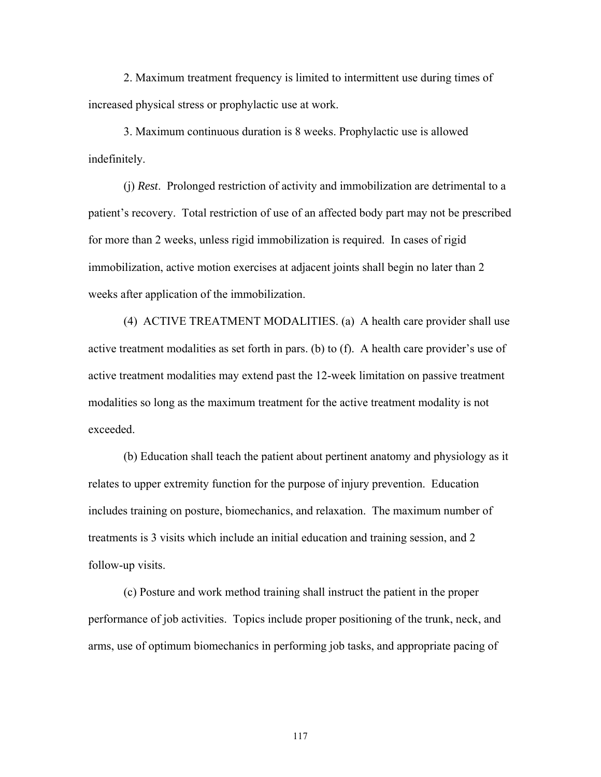2. Maximum treatment frequency is limited to intermittent use during times of increased physical stress or prophylactic use at work.

 3. Maximum continuous duration is 8 weeks. Prophylactic use is allowed indefinitely.

 (j) *Rest*. Prolonged restriction of activity and immobilization are detrimental to a patient's recovery. Total restriction of use of an affected body part may not be prescribed for more than 2 weeks, unless rigid immobilization is required. In cases of rigid immobilization, active motion exercises at adjacent joints shall begin no later than 2 weeks after application of the immobilization.

 (4) ACTIVE TREATMENT MODALITIES. (a) A health care provider shall use active treatment modalities as set forth in pars. (b) to (f). A health care provider's use of active treatment modalities may extend past the 12-week limitation on passive treatment modalities so long as the maximum treatment for the active treatment modality is not exceeded.

 (b) Education shall teach the patient about pertinent anatomy and physiology as it relates to upper extremity function for the purpose of injury prevention. Education includes training on posture, biomechanics, and relaxation. The maximum number of treatments is 3 visits which include an initial education and training session, and 2 follow-up visits.

 (c) Posture and work method training shall instruct the patient in the proper performance of job activities. Topics include proper positioning of the trunk, neck, and arms, use of optimum biomechanics in performing job tasks, and appropriate pacing of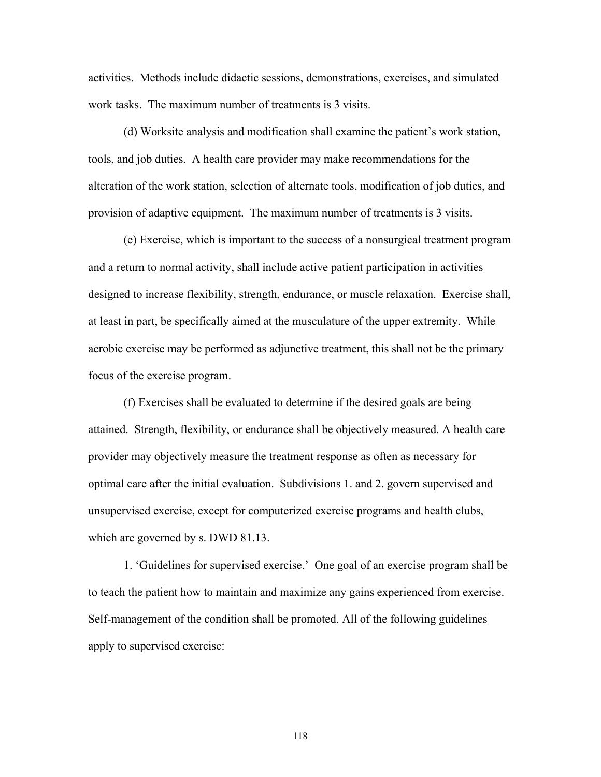activities. Methods include didactic sessions, demonstrations, exercises, and simulated work tasks. The maximum number of treatments is 3 visits.

 (d) Worksite analysis and modification shall examine the patient's work station, tools, and job duties. A health care provider may make recommendations for the alteration of the work station, selection of alternate tools, modification of job duties, and provision of adaptive equipment. The maximum number of treatments is 3 visits.

 (e) Exercise, which is important to the success of a nonsurgical treatment program and a return to normal activity, shall include active patient participation in activities designed to increase flexibility, strength, endurance, or muscle relaxation. Exercise shall, at least in part, be specifically aimed at the musculature of the upper extremity. While aerobic exercise may be performed as adjunctive treatment, this shall not be the primary focus of the exercise program.

 (f) Exercises shall be evaluated to determine if the desired goals are being attained. Strength, flexibility, or endurance shall be objectively measured. A health care provider may objectively measure the treatment response as often as necessary for optimal care after the initial evaluation. Subdivisions 1. and 2. govern supervised and unsupervised exercise, except for computerized exercise programs and health clubs, which are governed by s. DWD 81.13.

 1. 'Guidelines for supervised exercise.' One goal of an exercise program shall be to teach the patient how to maintain and maximize any gains experienced from exercise. Self-management of the condition shall be promoted. All of the following guidelines apply to supervised exercise: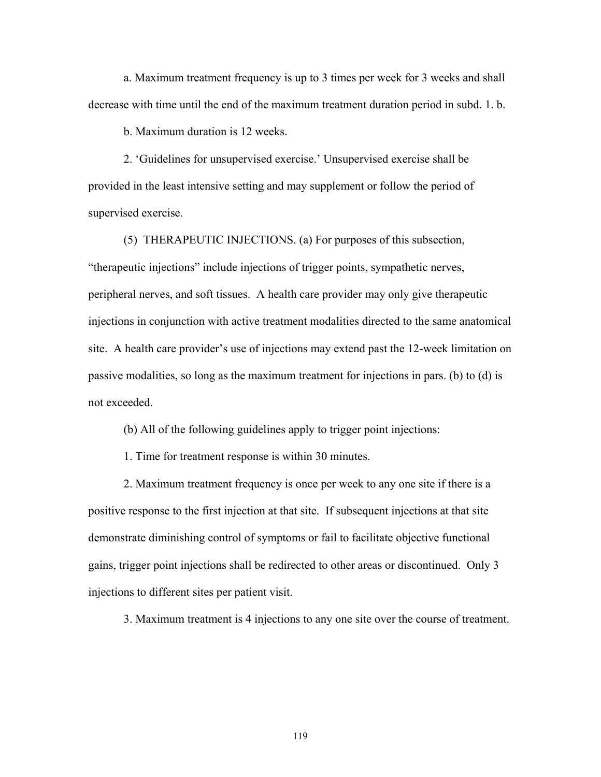a. Maximum treatment frequency is up to 3 times per week for 3 weeks and shall decrease with time until the end of the maximum treatment duration period in subd. 1. b.

b. Maximum duration is 12 weeks.

 2. 'Guidelines for unsupervised exercise.' Unsupervised exercise shall be provided in the least intensive setting and may supplement or follow the period of supervised exercise.

 (5) THERAPEUTIC INJECTIONS. (a) For purposes of this subsection, "therapeutic injections" include injections of trigger points, sympathetic nerves, peripheral nerves, and soft tissues. A health care provider may only give therapeutic injections in conjunction with active treatment modalities directed to the same anatomical site. A health care provider's use of injections may extend past the 12-week limitation on passive modalities, so long as the maximum treatment for injections in pars. (b) to (d) is not exceeded.

(b) All of the following guidelines apply to trigger point injections:

1. Time for treatment response is within 30 minutes.

 2. Maximum treatment frequency is once per week to any one site if there is a positive response to the first injection at that site. If subsequent injections at that site demonstrate diminishing control of symptoms or fail to facilitate objective functional gains, trigger point injections shall be redirected to other areas or discontinued. Only 3 injections to different sites per patient visit.

3. Maximum treatment is 4 injections to any one site over the course of treatment.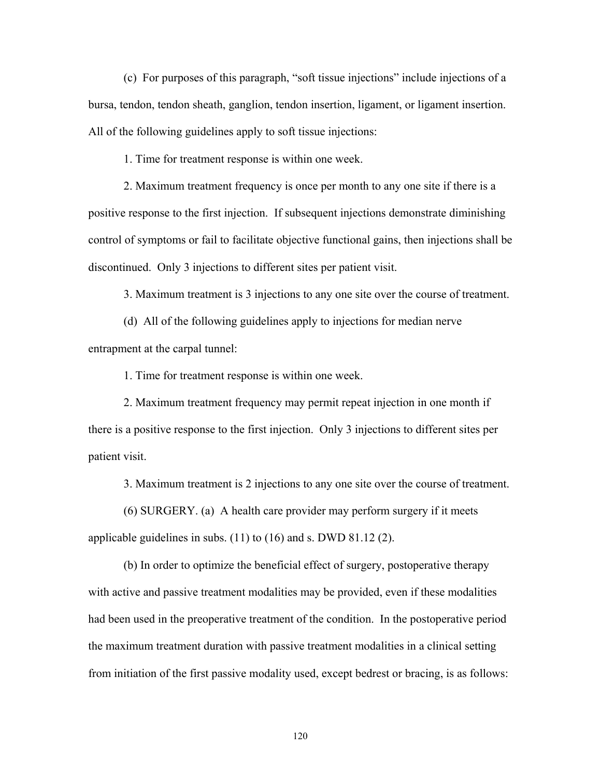(c) For purposes of this paragraph, "soft tissue injections" include injections of a bursa, tendon, tendon sheath, ganglion, tendon insertion, ligament, or ligament insertion. All of the following guidelines apply to soft tissue injections:

1. Time for treatment response is within one week.

 2. Maximum treatment frequency is once per month to any one site if there is a positive response to the first injection. If subsequent injections demonstrate diminishing control of symptoms or fail to facilitate objective functional gains, then injections shall be discontinued. Only 3 injections to different sites per patient visit.

3. Maximum treatment is 3 injections to any one site over the course of treatment.

 (d) All of the following guidelines apply to injections for median nerve entrapment at the carpal tunnel:

1. Time for treatment response is within one week.

 2. Maximum treatment frequency may permit repeat injection in one month if there is a positive response to the first injection. Only 3 injections to different sites per patient visit.

3. Maximum treatment is 2 injections to any one site over the course of treatment.

 (6) SURGERY. (a) A health care provider may perform surgery if it meets applicable guidelines in subs. (11) to (16) and s. DWD 81.12 (2).

 (b) In order to optimize the beneficial effect of surgery, postoperative therapy with active and passive treatment modalities may be provided, even if these modalities had been used in the preoperative treatment of the condition. In the postoperative period the maximum treatment duration with passive treatment modalities in a clinical setting from initiation of the first passive modality used, except bedrest or bracing, is as follows: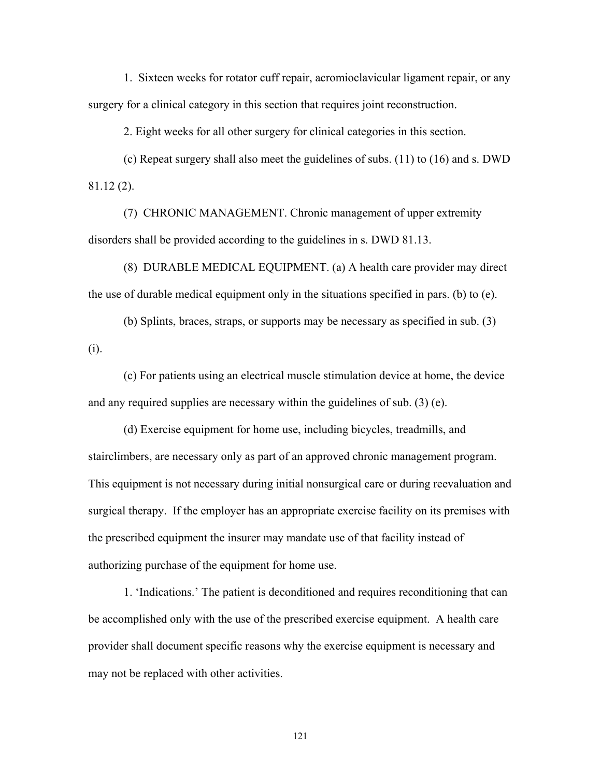1. Sixteen weeks for rotator cuff repair, acromioclavicular ligament repair, or any surgery for a clinical category in this section that requires joint reconstruction.

2. Eight weeks for all other surgery for clinical categories in this section.

 (c) Repeat surgery shall also meet the guidelines of subs. (11) to (16) and s. DWD 81.12 (2).

 (7) CHRONIC MANAGEMENT. Chronic management of upper extremity disorders shall be provided according to the guidelines in s. DWD 81.13.

 (8) DURABLE MEDICAL EQUIPMENT. (a) A health care provider may direct the use of durable medical equipment only in the situations specified in pars. (b) to (e).

 (b) Splints, braces, straps, or supports may be necessary as specified in sub. (3) (i).

 (c) For patients using an electrical muscle stimulation device at home, the device and any required supplies are necessary within the guidelines of sub. (3) (e).

 (d) Exercise equipment for home use, including bicycles, treadmills, and stairclimbers, are necessary only as part of an approved chronic management program. This equipment is not necessary during initial nonsurgical care or during reevaluation and surgical therapy. If the employer has an appropriate exercise facility on its premises with the prescribed equipment the insurer may mandate use of that facility instead of authorizing purchase of the equipment for home use.

 1. 'Indications.' The patient is deconditioned and requires reconditioning that can be accomplished only with the use of the prescribed exercise equipment. A health care provider shall document specific reasons why the exercise equipment is necessary and may not be replaced with other activities.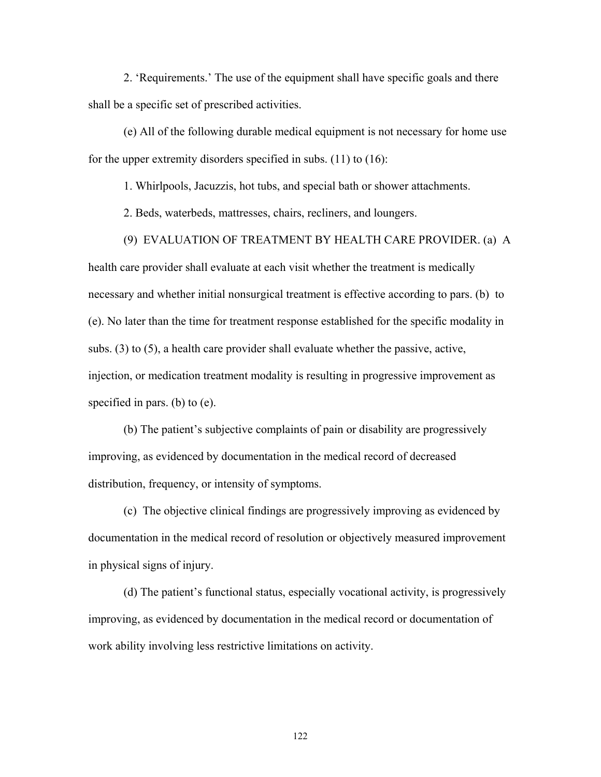2. 'Requirements.' The use of the equipment shall have specific goals and there shall be a specific set of prescribed activities.

 (e) All of the following durable medical equipment is not necessary for home use for the upper extremity disorders specified in subs. (11) to (16):

1. Whirlpools, Jacuzzis, hot tubs, and special bath or shower attachments.

2. Beds, waterbeds, mattresses, chairs, recliners, and loungers.

(9) EVALUATION OF TREATMENT BY HEALTH CARE PROVIDER. (a) A

health care provider shall evaluate at each visit whether the treatment is medically necessary and whether initial nonsurgical treatment is effective according to pars. (b) to (e). No later than the time for treatment response established for the specific modality in subs. (3) to (5), a health care provider shall evaluate whether the passive, active, injection, or medication treatment modality is resulting in progressive improvement as specified in pars. (b) to (e).

 (b) The patient's subjective complaints of pain or disability are progressively improving, as evidenced by documentation in the medical record of decreased distribution, frequency, or intensity of symptoms.

 (c) The objective clinical findings are progressively improving as evidenced by documentation in the medical record of resolution or objectively measured improvement in physical signs of injury.

 (d) The patient's functional status, especially vocational activity, is progressively improving, as evidenced by documentation in the medical record or documentation of work ability involving less restrictive limitations on activity.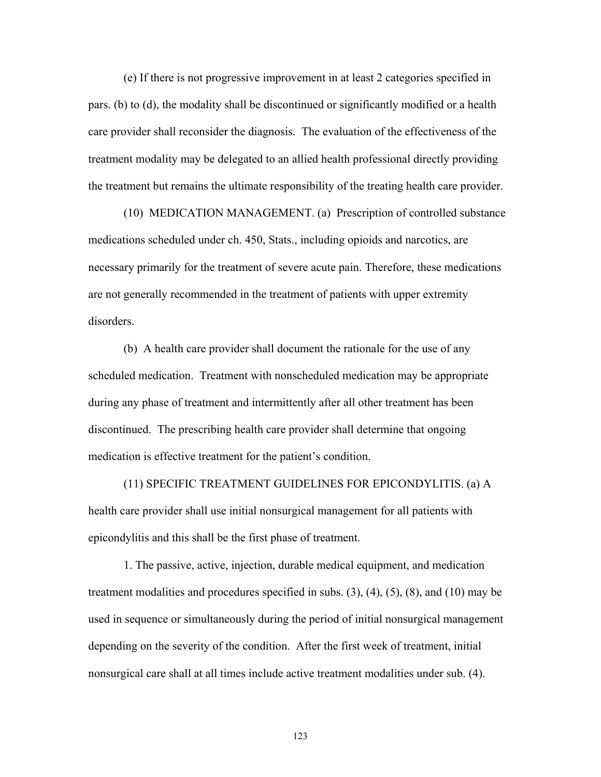(e) If there is not progressive improvement in at least 2 categories specified in pars. (b) to (d), the modality shall be discontinued or significantly modified or a health care provider shall reconsider the diagnosis. The evaluation of the effectiveness of the treatment modality may be delegated to an allied health professional directly providing the treatment but remains the ultimate responsibility of the treating health care provider.

 (10) MEDICATION MANAGEMENT. (a) Prescription of controlled substance medications scheduled under ch. 450, Stats., including opioids and narcotics, are necessary primarily for the treatment of severe acute pain. Therefore, these medications are not generally recommended in the treatment of patients with upper extremity disorders.

 (b) A health care provider shall document the rationale for the use of any scheduled medication. Treatment with nonscheduled medication may be appropriate during any phase of treatment and intermittently after all other treatment has been discontinued. The prescribing health care provider shall determine that ongoing medication is effective treatment for the patient's condition.

 (11) SPECIFIC TREATMENT GUIDELINES FOR EPICONDYLITIS. (a) A health care provider shall use initial nonsurgical management for all patients with epicondylitis and this shall be the first phase of treatment.

 1. The passive, active, injection, durable medical equipment, and medication treatment modalities and procedures specified in subs. (3), (4), (5), (8), and (10) may be used in sequence or simultaneously during the period of initial nonsurgical management depending on the severity of the condition. After the first week of treatment, initial nonsurgical care shall at all times include active treatment modalities under sub. (4).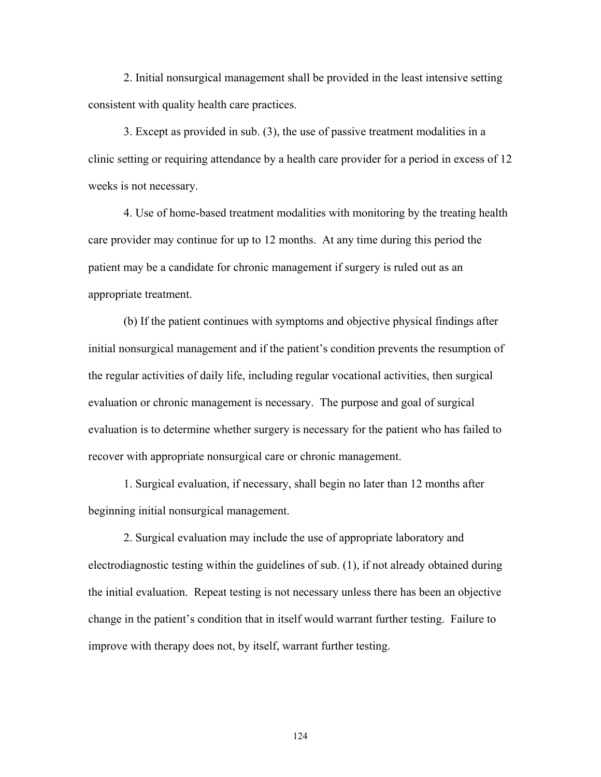2. Initial nonsurgical management shall be provided in the least intensive setting consistent with quality health care practices.

 3. Except as provided in sub. (3), the use of passive treatment modalities in a clinic setting or requiring attendance by a health care provider for a period in excess of 12 weeks is not necessary.

 4. Use of home-based treatment modalities with monitoring by the treating health care provider may continue for up to 12 months. At any time during this period the patient may be a candidate for chronic management if surgery is ruled out as an appropriate treatment.

 (b) If the patient continues with symptoms and objective physical findings after initial nonsurgical management and if the patient's condition prevents the resumption of the regular activities of daily life, including regular vocational activities, then surgical evaluation or chronic management is necessary. The purpose and goal of surgical evaluation is to determine whether surgery is necessary for the patient who has failed to recover with appropriate nonsurgical care or chronic management.

 1. Surgical evaluation, if necessary, shall begin no later than 12 months after beginning initial nonsurgical management.

 2. Surgical evaluation may include the use of appropriate laboratory and electrodiagnostic testing within the guidelines of sub. (1), if not already obtained during the initial evaluation. Repeat testing is not necessary unless there has been an objective change in the patient's condition that in itself would warrant further testing. Failure to improve with therapy does not, by itself, warrant further testing.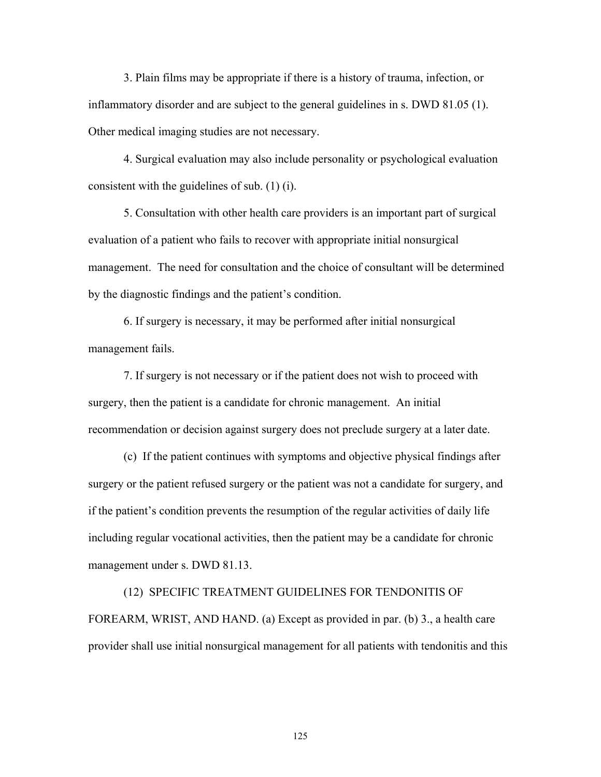3. Plain films may be appropriate if there is a history of trauma, infection, or inflammatory disorder and are subject to the general guidelines in s. DWD 81.05 (1). Other medical imaging studies are not necessary.

 4. Surgical evaluation may also include personality or psychological evaluation consistent with the guidelines of sub. (1) (i).

 5. Consultation with other health care providers is an important part of surgical evaluation of a patient who fails to recover with appropriate initial nonsurgical management. The need for consultation and the choice of consultant will be determined by the diagnostic findings and the patient's condition.

 6. If surgery is necessary, it may be performed after initial nonsurgical management fails.

 7. If surgery is not necessary or if the patient does not wish to proceed with surgery, then the patient is a candidate for chronic management. An initial recommendation or decision against surgery does not preclude surgery at a later date.

 (c) If the patient continues with symptoms and objective physical findings after surgery or the patient refused surgery or the patient was not a candidate for surgery, and if the patient's condition prevents the resumption of the regular activities of daily life including regular vocational activities, then the patient may be a candidate for chronic management under s. DWD 81.13.

 (12) SPECIFIC TREATMENT GUIDELINES FOR TENDONITIS OF FOREARM, WRIST, AND HAND. (a) Except as provided in par. (b) 3., a health care provider shall use initial nonsurgical management for all patients with tendonitis and this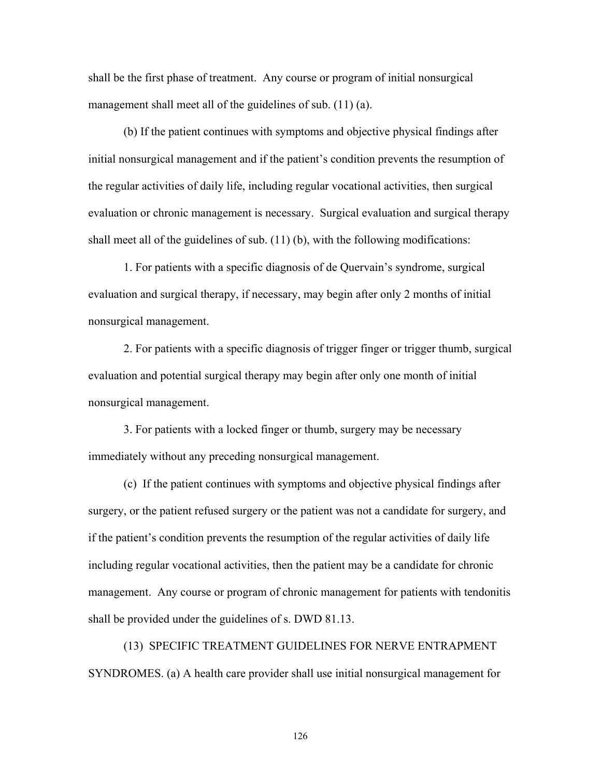shall be the first phase of treatment. Any course or program of initial nonsurgical management shall meet all of the guidelines of sub. (11) (a).

 (b) If the patient continues with symptoms and objective physical findings after initial nonsurgical management and if the patient's condition prevents the resumption of the regular activities of daily life, including regular vocational activities, then surgical evaluation or chronic management is necessary. Surgical evaluation and surgical therapy shall meet all of the guidelines of sub. (11) (b), with the following modifications:

 1. For patients with a specific diagnosis of de Quervain's syndrome, surgical evaluation and surgical therapy, if necessary, may begin after only 2 months of initial nonsurgical management.

 2. For patients with a specific diagnosis of trigger finger or trigger thumb, surgical evaluation and potential surgical therapy may begin after only one month of initial nonsurgical management.

 3. For patients with a locked finger or thumb, surgery may be necessary immediately without any preceding nonsurgical management.

 (c) If the patient continues with symptoms and objective physical findings after surgery, or the patient refused surgery or the patient was not a candidate for surgery, and if the patient's condition prevents the resumption of the regular activities of daily life including regular vocational activities, then the patient may be a candidate for chronic management. Any course or program of chronic management for patients with tendonitis shall be provided under the guidelines of s. DWD 81.13.

 (13) SPECIFIC TREATMENT GUIDELINES FOR NERVE ENTRAPMENT SYNDROMES. (a) A health care provider shall use initial nonsurgical management for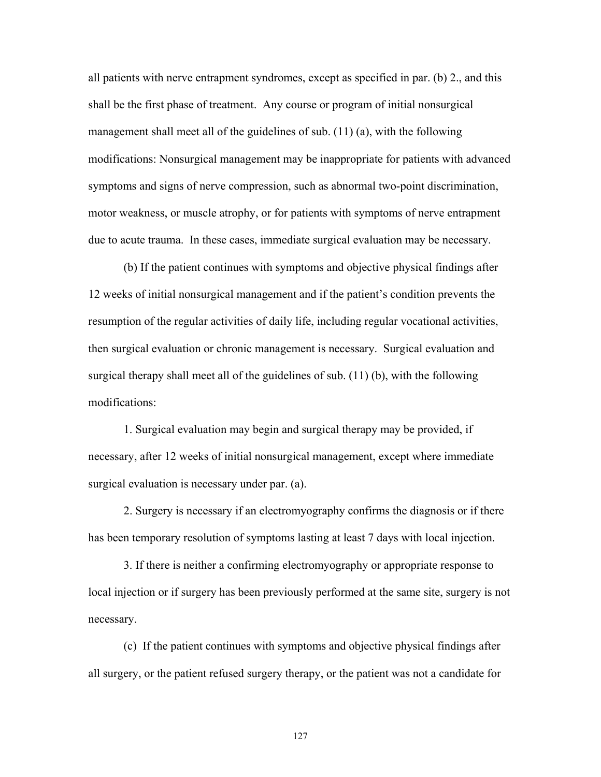all patients with nerve entrapment syndromes, except as specified in par. (b) 2., and this shall be the first phase of treatment. Any course or program of initial nonsurgical management shall meet all of the guidelines of sub. (11) (a), with the following modifications: Nonsurgical management may be inappropriate for patients with advanced symptoms and signs of nerve compression, such as abnormal two-point discrimination, motor weakness, or muscle atrophy, or for patients with symptoms of nerve entrapment due to acute trauma. In these cases, immediate surgical evaluation may be necessary.

 (b) If the patient continues with symptoms and objective physical findings after 12 weeks of initial nonsurgical management and if the patient's condition prevents the resumption of the regular activities of daily life, including regular vocational activities, then surgical evaluation or chronic management is necessary. Surgical evaluation and surgical therapy shall meet all of the guidelines of sub. (11) (b), with the following modifications:

 1. Surgical evaluation may begin and surgical therapy may be provided, if necessary, after 12 weeks of initial nonsurgical management, except where immediate surgical evaluation is necessary under par. (a).

 2. Surgery is necessary if an electromyography confirms the diagnosis or if there has been temporary resolution of symptoms lasting at least 7 days with local injection.

 3. If there is neither a confirming electromyography or appropriate response to local injection or if surgery has been previously performed at the same site, surgery is not necessary.

 (c) If the patient continues with symptoms and objective physical findings after all surgery, or the patient refused surgery therapy, or the patient was not a candidate for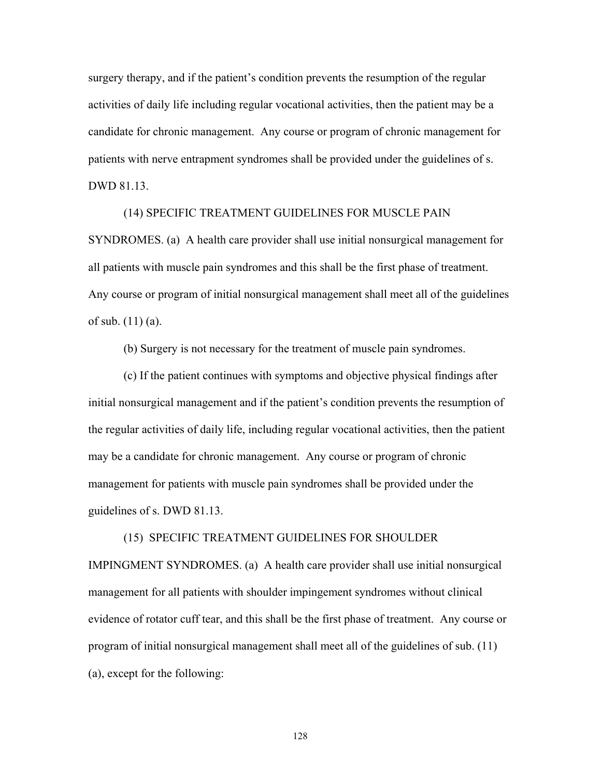surgery therapy, and if the patient's condition prevents the resumption of the regular activities of daily life including regular vocational activities, then the patient may be a candidate for chronic management. Any course or program of chronic management for patients with nerve entrapment syndromes shall be provided under the guidelines of s. DWD 81.13.

## (14) SPECIFIC TREATMENT GUIDELINES FOR MUSCLE PAIN

SYNDROMES. (a) A health care provider shall use initial nonsurgical management for all patients with muscle pain syndromes and this shall be the first phase of treatment. Any course or program of initial nonsurgical management shall meet all of the guidelines of sub. (11) (a).

(b) Surgery is not necessary for the treatment of muscle pain syndromes.

 (c) If the patient continues with symptoms and objective physical findings after initial nonsurgical management and if the patient's condition prevents the resumption of the regular activities of daily life, including regular vocational activities, then the patient may be a candidate for chronic management. Any course or program of chronic management for patients with muscle pain syndromes shall be provided under the guidelines of s. DWD 81.13.

## (15) SPECIFIC TREATMENT GUIDELINES FOR SHOULDER IMPINGMENT SYNDROMES. (a) A health care provider shall use initial nonsurgical management for all patients with shoulder impingement syndromes without clinical evidence of rotator cuff tear, and this shall be the first phase of treatment. Any course or program of initial nonsurgical management shall meet all of the guidelines of sub. (11) (a), except for the following: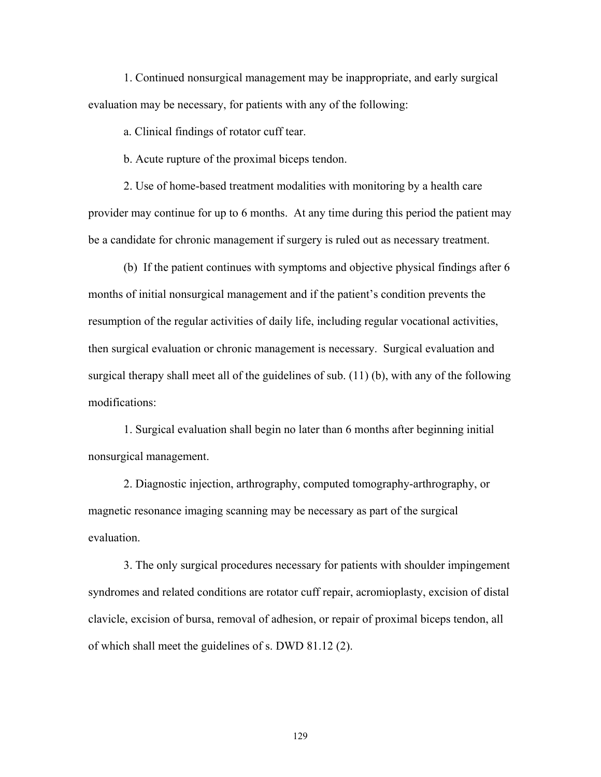1. Continued nonsurgical management may be inappropriate, and early surgical evaluation may be necessary, for patients with any of the following:

a. Clinical findings of rotator cuff tear.

b. Acute rupture of the proximal biceps tendon.

 2. Use of home-based treatment modalities with monitoring by a health care provider may continue for up to 6 months. At any time during this period the patient may be a candidate for chronic management if surgery is ruled out as necessary treatment.

 (b) If the patient continues with symptoms and objective physical findings after 6 months of initial nonsurgical management and if the patient's condition prevents the resumption of the regular activities of daily life, including regular vocational activities, then surgical evaluation or chronic management is necessary. Surgical evaluation and surgical therapy shall meet all of the guidelines of sub. (11) (b), with any of the following modifications:

 1. Surgical evaluation shall begin no later than 6 months after beginning initial nonsurgical management.

 2. Diagnostic injection, arthrography, computed tomography-arthrography, or magnetic resonance imaging scanning may be necessary as part of the surgical evaluation.

 3. The only surgical procedures necessary for patients with shoulder impingement syndromes and related conditions are rotator cuff repair, acromioplasty, excision of distal clavicle, excision of bursa, removal of adhesion, or repair of proximal biceps tendon, all of which shall meet the guidelines of s. DWD 81.12 (2).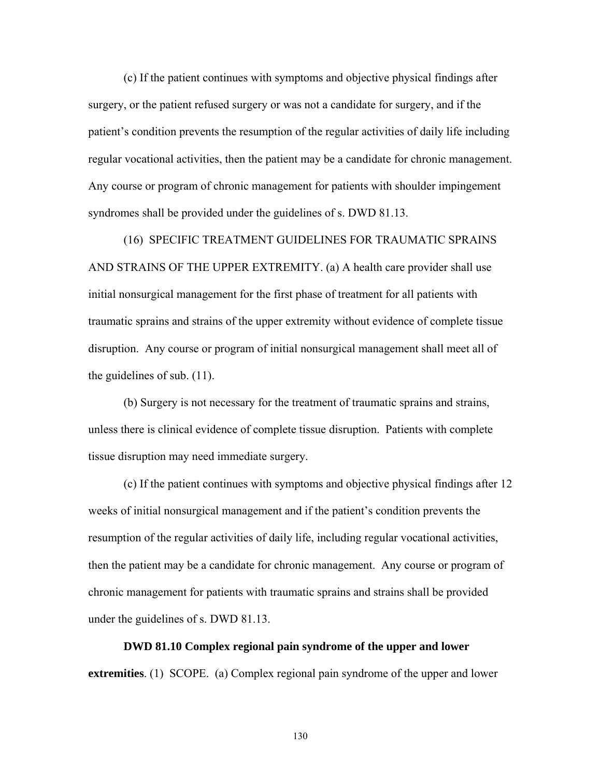(c) If the patient continues with symptoms and objective physical findings after surgery, or the patient refused surgery or was not a candidate for surgery, and if the patient's condition prevents the resumption of the regular activities of daily life including regular vocational activities, then the patient may be a candidate for chronic management. Any course or program of chronic management for patients with shoulder impingement syndromes shall be provided under the guidelines of s. DWD 81.13.

 (16) SPECIFIC TREATMENT GUIDELINES FOR TRAUMATIC SPRAINS AND STRAINS OF THE UPPER EXTREMITY. (a) A health care provider shall use initial nonsurgical management for the first phase of treatment for all patients with traumatic sprains and strains of the upper extremity without evidence of complete tissue disruption. Any course or program of initial nonsurgical management shall meet all of the guidelines of sub. (11).

 (b) Surgery is not necessary for the treatment of traumatic sprains and strains, unless there is clinical evidence of complete tissue disruption. Patients with complete tissue disruption may need immediate surgery.

 (c) If the patient continues with symptoms and objective physical findings after 12 weeks of initial nonsurgical management and if the patient's condition prevents the resumption of the regular activities of daily life, including regular vocational activities, then the patient may be a candidate for chronic management. Any course or program of chronic management for patients with traumatic sprains and strains shall be provided under the guidelines of s. DWD 81.13.

 **DWD 81.10 Complex regional pain syndrome of the upper and lower extremities**. (1) SCOPE. (a) Complex regional pain syndrome of the upper and lower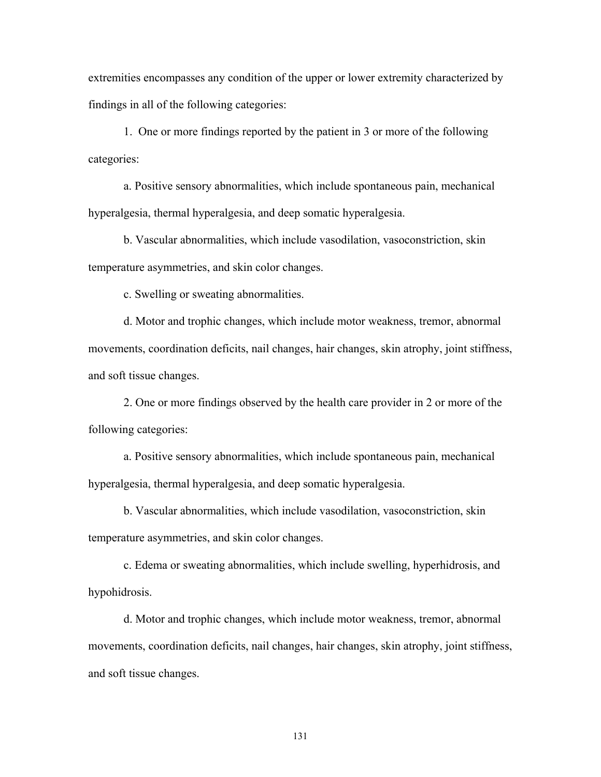extremities encompasses any condition of the upper or lower extremity characterized by findings in all of the following categories:

 1. One or more findings reported by the patient in 3 or more of the following categories:

a. Positive sensory abnormalities, which include spontaneous pain, mechanical hyperalgesia, thermal hyperalgesia, and deep somatic hyperalgesia.

b. Vascular abnormalities, which include vasodilation, vasoconstriction, skin temperature asymmetries, and skin color changes.

c. Swelling or sweating abnormalities.

d. Motor and trophic changes, which include motor weakness, tremor, abnormal movements, coordination deficits, nail changes, hair changes, skin atrophy, joint stiffness, and soft tissue changes.

2. One or more findings observed by the health care provider in 2 or more of the following categories:

a. Positive sensory abnormalities, which include spontaneous pain, mechanical hyperalgesia, thermal hyperalgesia, and deep somatic hyperalgesia.

b. Vascular abnormalities, which include vasodilation, vasoconstriction, skin temperature asymmetries, and skin color changes.

c. Edema or sweating abnormalities, which include swelling, hyperhidrosis, and hypohidrosis.

d. Motor and trophic changes, which include motor weakness, tremor, abnormal movements, coordination deficits, nail changes, hair changes, skin atrophy, joint stiffness, and soft tissue changes.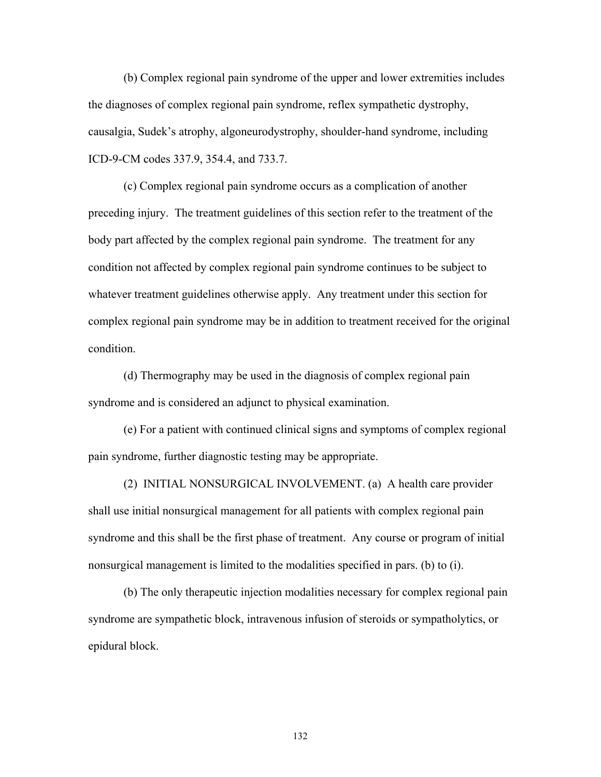(b) Complex regional pain syndrome of the upper and lower extremities includes the diagnoses of complex regional pain syndrome, reflex sympathetic dystrophy, causalgia, Sudek's atrophy, algoneurodystrophy, shoulder-hand syndrome, including ICD-9-CM codes 337.9, 354.4, and 733.7.

 (c) Complex regional pain syndrome occurs as a complication of another preceding injury. The treatment guidelines of this section refer to the treatment of the body part affected by the complex regional pain syndrome. The treatment for any condition not affected by complex regional pain syndrome continues to be subject to whatever treatment guidelines otherwise apply. Any treatment under this section for complex regional pain syndrome may be in addition to treatment received for the original condition.

 (d) Thermography may be used in the diagnosis of complex regional pain syndrome and is considered an adjunct to physical examination.

 (e) For a patient with continued clinical signs and symptoms of complex regional pain syndrome, further diagnostic testing may be appropriate.

 (2) INITIAL NONSURGICAL INVOLVEMENT. (a) A health care provider shall use initial nonsurgical management for all patients with complex regional pain syndrome and this shall be the first phase of treatment. Any course or program of initial nonsurgical management is limited to the modalities specified in pars. (b) to (i).

 (b) The only therapeutic injection modalities necessary for complex regional pain syndrome are sympathetic block, intravenous infusion of steroids or sympatholytics, or epidural block.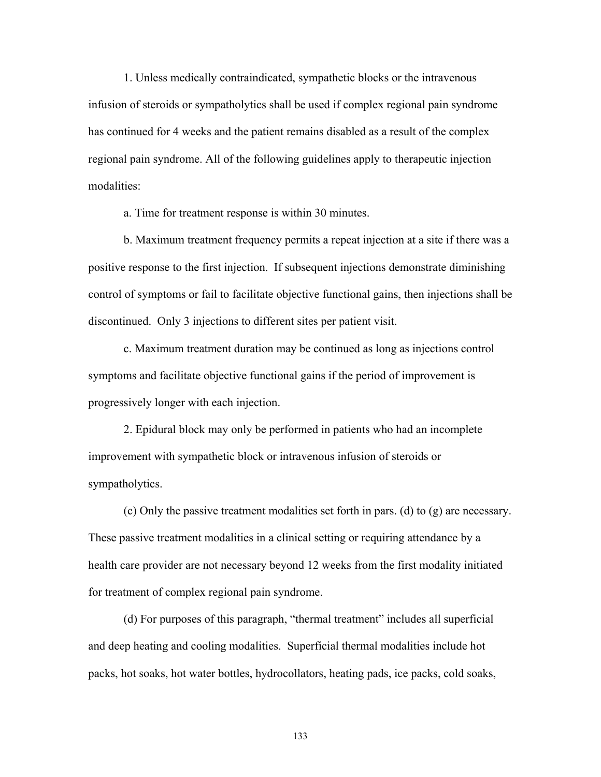1. Unless medically contraindicated, sympathetic blocks or the intravenous infusion of steroids or sympatholytics shall be used if complex regional pain syndrome has continued for 4 weeks and the patient remains disabled as a result of the complex regional pain syndrome. All of the following guidelines apply to therapeutic injection modalities:

a. Time for treatment response is within 30 minutes.

 b. Maximum treatment frequency permits a repeat injection at a site if there was a positive response to the first injection. If subsequent injections demonstrate diminishing control of symptoms or fail to facilitate objective functional gains, then injections shall be discontinued. Only 3 injections to different sites per patient visit.

 c. Maximum treatment duration may be continued as long as injections control symptoms and facilitate objective functional gains if the period of improvement is progressively longer with each injection.

 2. Epidural block may only be performed in patients who had an incomplete improvement with sympathetic block or intravenous infusion of steroids or sympatholytics.

 (c) Only the passive treatment modalities set forth in pars. (d) to (g) are necessary. These passive treatment modalities in a clinical setting or requiring attendance by a health care provider are not necessary beyond 12 weeks from the first modality initiated for treatment of complex regional pain syndrome.

 (d) For purposes of this paragraph, "thermal treatment" includes all superficial and deep heating and cooling modalities. Superficial thermal modalities include hot packs, hot soaks, hot water bottles, hydrocollators, heating pads, ice packs, cold soaks,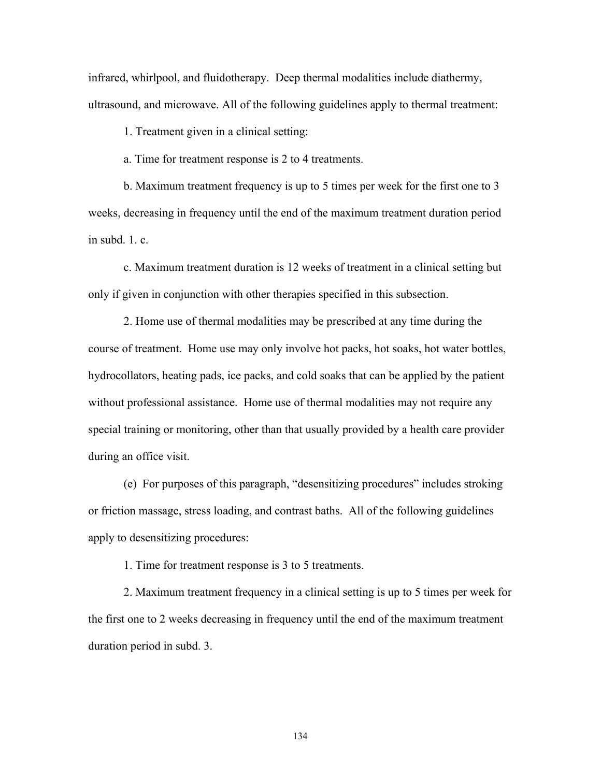infrared, whirlpool, and fluidotherapy. Deep thermal modalities include diathermy, ultrasound, and microwave. All of the following guidelines apply to thermal treatment:

1. Treatment given in a clinical setting:

a. Time for treatment response is 2 to 4 treatments.

 b. Maximum treatment frequency is up to 5 times per week for the first one to 3 weeks, decreasing in frequency until the end of the maximum treatment duration period in subd. 1. c.

c. Maximum treatment duration is 12 weeks of treatment in a clinical setting but only if given in conjunction with other therapies specified in this subsection.

 2. Home use of thermal modalities may be prescribed at any time during the course of treatment. Home use may only involve hot packs, hot soaks, hot water bottles, hydrocollators, heating pads, ice packs, and cold soaks that can be applied by the patient without professional assistance. Home use of thermal modalities may not require any special training or monitoring, other than that usually provided by a health care provider during an office visit.

 (e) For purposes of this paragraph, "desensitizing procedures" includes stroking or friction massage, stress loading, and contrast baths. All of the following guidelines apply to desensitizing procedures:

1. Time for treatment response is 3 to 5 treatments.

 2. Maximum treatment frequency in a clinical setting is up to 5 times per week for the first one to 2 weeks decreasing in frequency until the end of the maximum treatment duration period in subd. 3.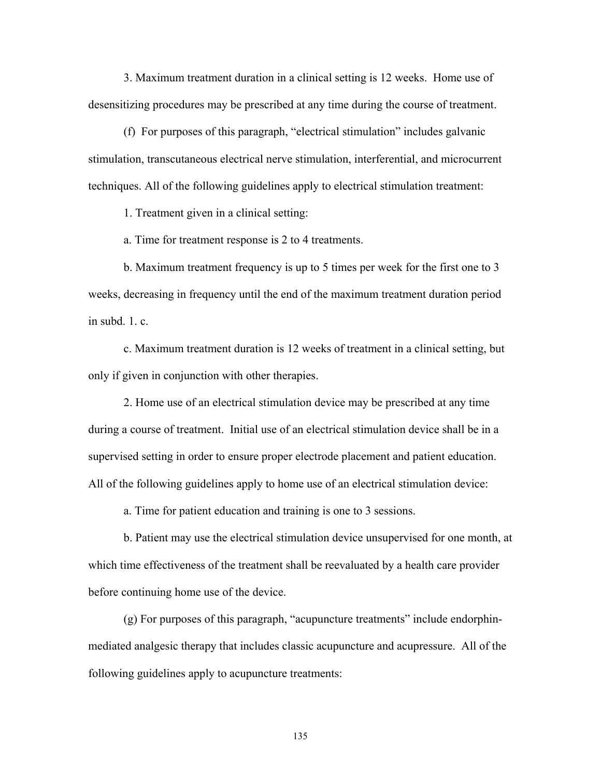3. Maximum treatment duration in a clinical setting is 12 weeks. Home use of desensitizing procedures may be prescribed at any time during the course of treatment.

 (f) For purposes of this paragraph, "electrical stimulation" includes galvanic stimulation, transcutaneous electrical nerve stimulation, interferential, and microcurrent techniques. All of the following guidelines apply to electrical stimulation treatment:

1. Treatment given in a clinical setting:

a. Time for treatment response is 2 to 4 treatments.

 b. Maximum treatment frequency is up to 5 times per week for the first one to 3 weeks, decreasing in frequency until the end of the maximum treatment duration period in subd.  $1 \text{ } c$ 

 c. Maximum treatment duration is 12 weeks of treatment in a clinical setting, but only if given in conjunction with other therapies.

 2. Home use of an electrical stimulation device may be prescribed at any time during a course of treatment. Initial use of an electrical stimulation device shall be in a supervised setting in order to ensure proper electrode placement and patient education. All of the following guidelines apply to home use of an electrical stimulation device:

a. Time for patient education and training is one to 3 sessions.

 b. Patient may use the electrical stimulation device unsupervised for one month, at which time effectiveness of the treatment shall be reevaluated by a health care provider before continuing home use of the device.

 (g) For purposes of this paragraph, "acupuncture treatments" include endorphinmediated analgesic therapy that includes classic acupuncture and acupressure. All of the following guidelines apply to acupuncture treatments: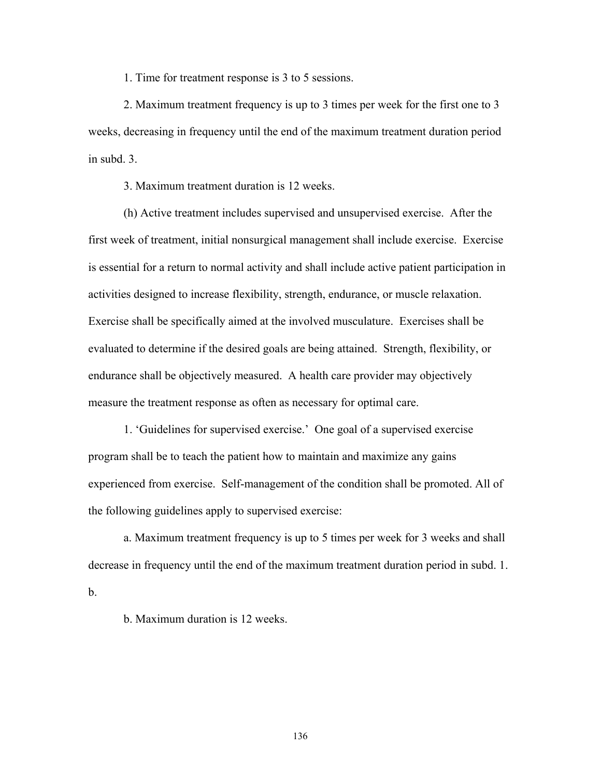1. Time for treatment response is 3 to 5 sessions.

 2. Maximum treatment frequency is up to 3 times per week for the first one to 3 weeks, decreasing in frequency until the end of the maximum treatment duration period in subd. 3.

3. Maximum treatment duration is 12 weeks.

 (h) Active treatment includes supervised and unsupervised exercise. After the first week of treatment, initial nonsurgical management shall include exercise. Exercise is essential for a return to normal activity and shall include active patient participation in activities designed to increase flexibility, strength, endurance, or muscle relaxation. Exercise shall be specifically aimed at the involved musculature. Exercises shall be evaluated to determine if the desired goals are being attained. Strength, flexibility, or endurance shall be objectively measured. A health care provider may objectively measure the treatment response as often as necessary for optimal care.

 1. 'Guidelines for supervised exercise.' One goal of a supervised exercise program shall be to teach the patient how to maintain and maximize any gains experienced from exercise. Self-management of the condition shall be promoted. All of the following guidelines apply to supervised exercise:

 a. Maximum treatment frequency is up to 5 times per week for 3 weeks and shall decrease in frequency until the end of the maximum treatment duration period in subd. 1. b.

b. Maximum duration is 12 weeks.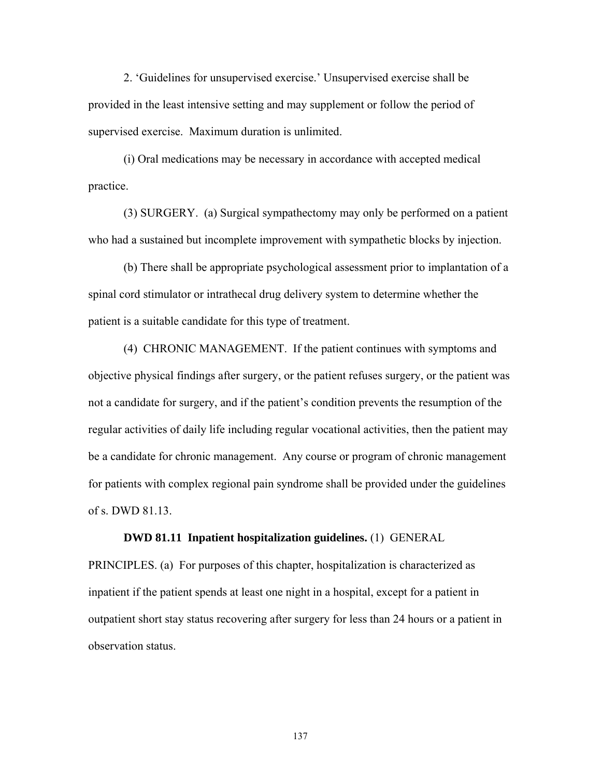2. 'Guidelines for unsupervised exercise.' Unsupervised exercise shall be provided in the least intensive setting and may supplement or follow the period of supervised exercise. Maximum duration is unlimited.

 (i) Oral medications may be necessary in accordance with accepted medical practice.

 (3) SURGERY. (a) Surgical sympathectomy may only be performed on a patient who had a sustained but incomplete improvement with sympathetic blocks by injection.

 (b) There shall be appropriate psychological assessment prior to implantation of a spinal cord stimulator or intrathecal drug delivery system to determine whether the patient is a suitable candidate for this type of treatment.

 (4) CHRONIC MANAGEMENT. If the patient continues with symptoms and objective physical findings after surgery, or the patient refuses surgery, or the patient was not a candidate for surgery, and if the patient's condition prevents the resumption of the regular activities of daily life including regular vocational activities, then the patient may be a candidate for chronic management. Any course or program of chronic management for patients with complex regional pain syndrome shall be provided under the guidelines of s. DWD 81.13.

## **DWD 81.11 Inpatient hospitalization guidelines.** (1) GENERAL

PRINCIPLES. (a) For purposes of this chapter, hospitalization is characterized as inpatient if the patient spends at least one night in a hospital, except for a patient in outpatient short stay status recovering after surgery for less than 24 hours or a patient in observation status.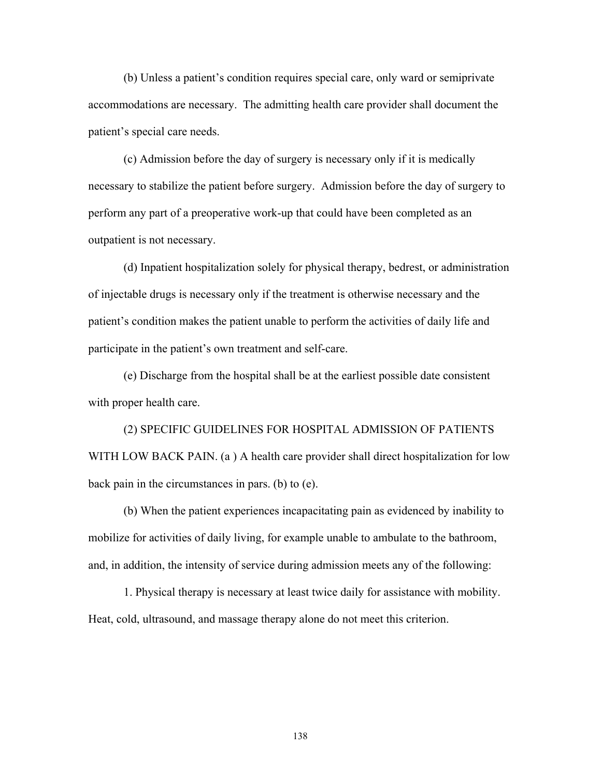(b) Unless a patient's condition requires special care, only ward or semiprivate accommodations are necessary. The admitting health care provider shall document the patient's special care needs.

 (c) Admission before the day of surgery is necessary only if it is medically necessary to stabilize the patient before surgery. Admission before the day of surgery to perform any part of a preoperative work-up that could have been completed as an outpatient is not necessary.

 (d) Inpatient hospitalization solely for physical therapy, bedrest, or administration of injectable drugs is necessary only if the treatment is otherwise necessary and the patient's condition makes the patient unable to perform the activities of daily life and participate in the patient's own treatment and self-care.

 (e) Discharge from the hospital shall be at the earliest possible date consistent with proper health care.

 (2) SPECIFIC GUIDELINES FOR HOSPITAL ADMISSION OF PATIENTS WITH LOW BACK PAIN. (a ) A health care provider shall direct hospitalization for low back pain in the circumstances in pars. (b) to (e).

 (b) When the patient experiences incapacitating pain as evidenced by inability to mobilize for activities of daily living, for example unable to ambulate to the bathroom, and, in addition, the intensity of service during admission meets any of the following:

 1. Physical therapy is necessary at least twice daily for assistance with mobility. Heat, cold, ultrasound, and massage therapy alone do not meet this criterion.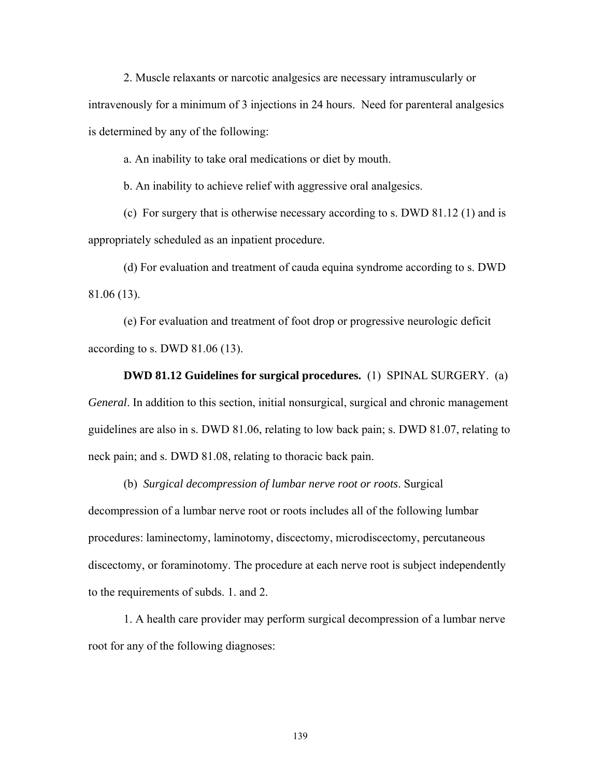2. Muscle relaxants or narcotic analgesics are necessary intramuscularly or intravenously for a minimum of 3 injections in 24 hours. Need for parenteral analgesics is determined by any of the following:

a. An inability to take oral medications or diet by mouth.

b. An inability to achieve relief with aggressive oral analgesics.

 (c) For surgery that is otherwise necessary according to s. DWD 81.12 (1) and is appropriately scheduled as an inpatient procedure.

 (d) For evaluation and treatment of cauda equina syndrome according to s. DWD 81.06 (13).

 (e) For evaluation and treatment of foot drop or progressive neurologic deficit according to s. DWD 81.06 (13).

 **DWD 81.12 Guidelines for surgical procedures.** (1) SPINAL SURGERY. (a) *General*. In addition to this section, initial nonsurgical, surgical and chronic management guidelines are also in s. DWD 81.06, relating to low back pain; s. DWD 81.07, relating to neck pain; and s. DWD 81.08, relating to thoracic back pain.

 (b) *Surgical decompression of lumbar nerve root or roots*. Surgical decompression of a lumbar nerve root or roots includes all of the following lumbar procedures: laminectomy, laminotomy, discectomy, microdiscectomy, percutaneous discectomy, or foraminotomy. The procedure at each nerve root is subject independently to the requirements of subds. 1. and 2.

 1. A health care provider may perform surgical decompression of a lumbar nerve root for any of the following diagnoses: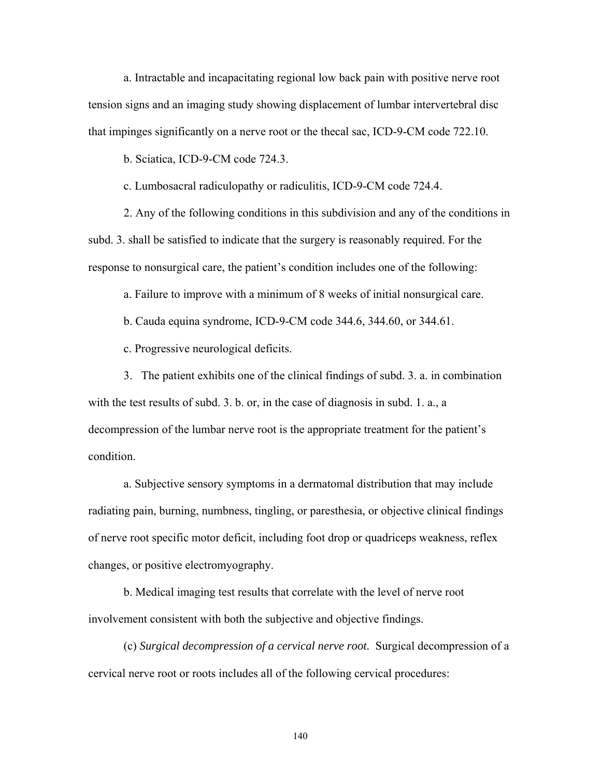a. Intractable and incapacitating regional low back pain with positive nerve root tension signs and an imaging study showing displacement of lumbar intervertebral disc that impinges significantly on a nerve root or the thecal sac, ICD-9-CM code 722.10.

b. Sciatica, ICD-9-CM code 724.3.

c. Lumbosacral radiculopathy or radiculitis, ICD-9-CM code 724.4.

 2. Any of the following conditions in this subdivision and any of the conditions in subd. 3. shall be satisfied to indicate that the surgery is reasonably required. For the response to nonsurgical care, the patient's condition includes one of the following:

a. Failure to improve with a minimum of 8 weeks of initial nonsurgical care.

b. Cauda equina syndrome, ICD-9-CM code 344.6, 344.60, or 344.61.

c. Progressive neurological deficits.

 3. The patient exhibits one of the clinical findings of subd. 3. a. in combination with the test results of subd. 3. b. or, in the case of diagnosis in subd. 1. a., a decompression of the lumbar nerve root is the appropriate treatment for the patient's condition.

 a. Subjective sensory symptoms in a dermatomal distribution that may include radiating pain, burning, numbness, tingling, or paresthesia, or objective clinical findings of nerve root specific motor deficit, including foot drop or quadriceps weakness, reflex changes, or positive electromyography.

 b. Medical imaging test results that correlate with the level of nerve root involvement consistent with both the subjective and objective findings.

 (c) *Surgical decompression of a cervical nerve root*. Surgical decompression of a cervical nerve root or roots includes all of the following cervical procedures: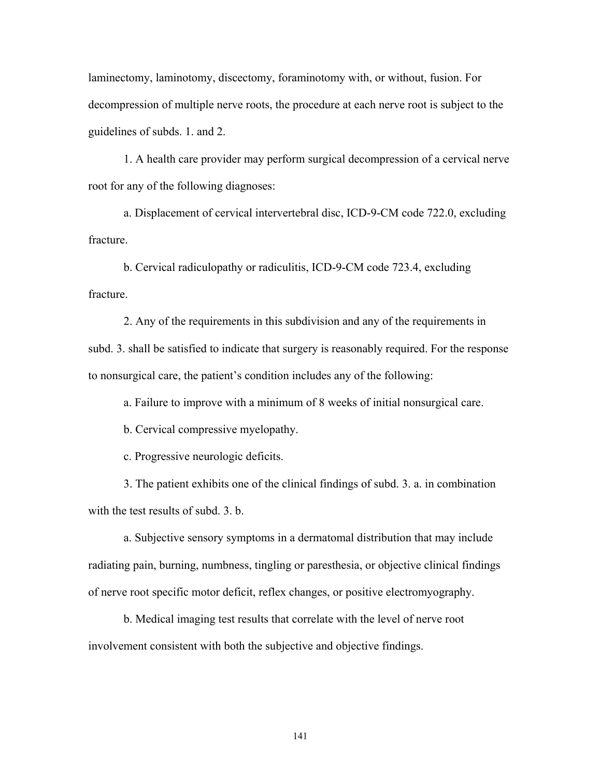laminectomy, laminotomy, discectomy, foraminotomy with, or without, fusion. For decompression of multiple nerve roots, the procedure at each nerve root is subject to the guidelines of subds. 1. and 2.

 1. A health care provider may perform surgical decompression of a cervical nerve root for any of the following diagnoses:

 a. Displacement of cervical intervertebral disc, ICD-9-CM code 722.0, excluding fracture.

 b. Cervical radiculopathy or radiculitis, ICD-9-CM code 723.4, excluding fracture.

 2. Any of the requirements in this subdivision and any of the requirements in subd. 3. shall be satisfied to indicate that surgery is reasonably required. For the response to nonsurgical care, the patient's condition includes any of the following:

a. Failure to improve with a minimum of 8 weeks of initial nonsurgical care.

b. Cervical compressive myelopathy.

c. Progressive neurologic deficits.

 3. The patient exhibits one of the clinical findings of subd. 3. a. in combination with the test results of subd. 3. b.

 a. Subjective sensory symptoms in a dermatomal distribution that may include radiating pain, burning, numbness, tingling or paresthesia, or objective clinical findings of nerve root specific motor deficit, reflex changes, or positive electromyography.

 b. Medical imaging test results that correlate with the level of nerve root involvement consistent with both the subjective and objective findings.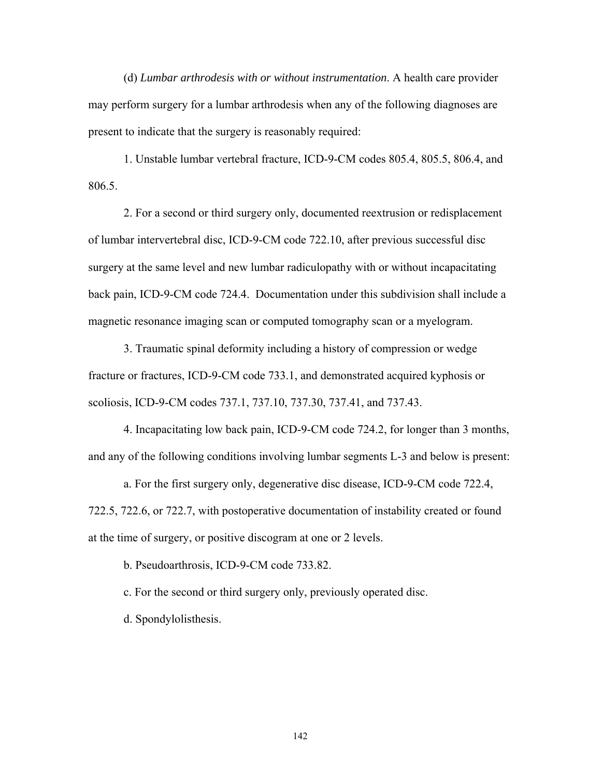(d) *Lumbar arthrodesis with or without instrumentation*. A health care provider may perform surgery for a lumbar arthrodesis when any of the following diagnoses are present to indicate that the surgery is reasonably required:

 1. Unstable lumbar vertebral fracture, ICD-9-CM codes 805.4, 805.5, 806.4, and 806.5.

 2. For a second or third surgery only, documented reextrusion or redisplacement of lumbar intervertebral disc, ICD-9-CM code 722.10, after previous successful disc surgery at the same level and new lumbar radiculopathy with or without incapacitating back pain, ICD-9-CM code 724.4. Documentation under this subdivision shall include a magnetic resonance imaging scan or computed tomography scan or a myelogram.

 3. Traumatic spinal deformity including a history of compression or wedge fracture or fractures, ICD-9-CM code 733.1, and demonstrated acquired kyphosis or scoliosis, ICD-9-CM codes 737.1, 737.10, 737.30, 737.41, and 737.43.

 4. Incapacitating low back pain, ICD-9-CM code 724.2, for longer than 3 months, and any of the following conditions involving lumbar segments L-3 and below is present:

 a. For the first surgery only, degenerative disc disease, ICD-9-CM code 722.4, 722.5, 722.6, or 722.7, with postoperative documentation of instability created or found at the time of surgery, or positive discogram at one or 2 levels.

b. Pseudoarthrosis, ICD-9-CM code 733.82.

c. For the second or third surgery only, previously operated disc.

d. Spondylolisthesis.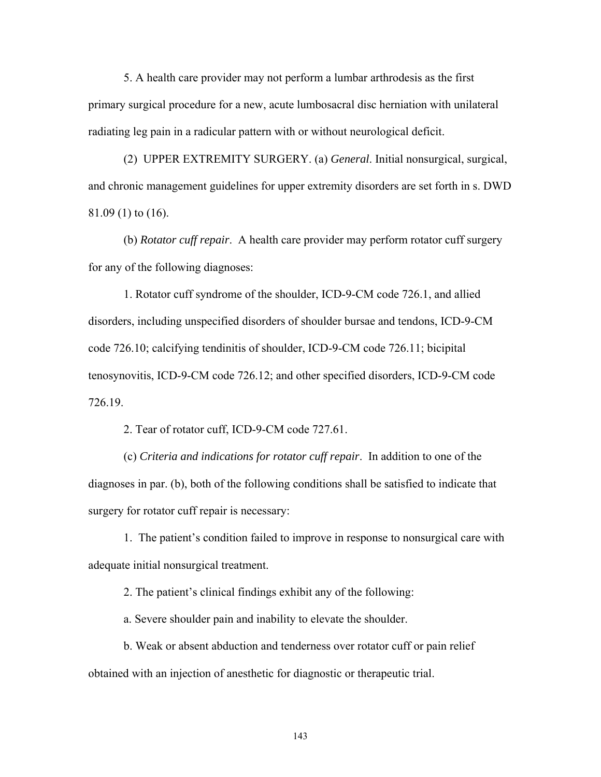5. A health care provider may not perform a lumbar arthrodesis as the first primary surgical procedure for a new, acute lumbosacral disc herniation with unilateral radiating leg pain in a radicular pattern with or without neurological deficit.

 (2) UPPER EXTREMITY SURGERY. (a) *General*. Initial nonsurgical, surgical, and chronic management guidelines for upper extremity disorders are set forth in s. DWD 81.09 (1) to (16).

 (b) *Rotator cuff repair*. A health care provider may perform rotator cuff surgery for any of the following diagnoses:

 1. Rotator cuff syndrome of the shoulder, ICD-9-CM code 726.1, and allied disorders, including unspecified disorders of shoulder bursae and tendons, ICD-9-CM code 726.10; calcifying tendinitis of shoulder, ICD-9-CM code 726.11; bicipital tenosynovitis, ICD-9-CM code 726.12; and other specified disorders, ICD-9-CM code 726.19.

2. Tear of rotator cuff, ICD-9-CM code 727.61.

 (c) *Criteria and indications for rotator cuff repair*. In addition to one of the diagnoses in par. (b), both of the following conditions shall be satisfied to indicate that surgery for rotator cuff repair is necessary:

 1. The patient's condition failed to improve in response to nonsurgical care with adequate initial nonsurgical treatment.

2. The patient's clinical findings exhibit any of the following:

a. Severe shoulder pain and inability to elevate the shoulder.

 b. Weak or absent abduction and tenderness over rotator cuff or pain relief obtained with an injection of anesthetic for diagnostic or therapeutic trial.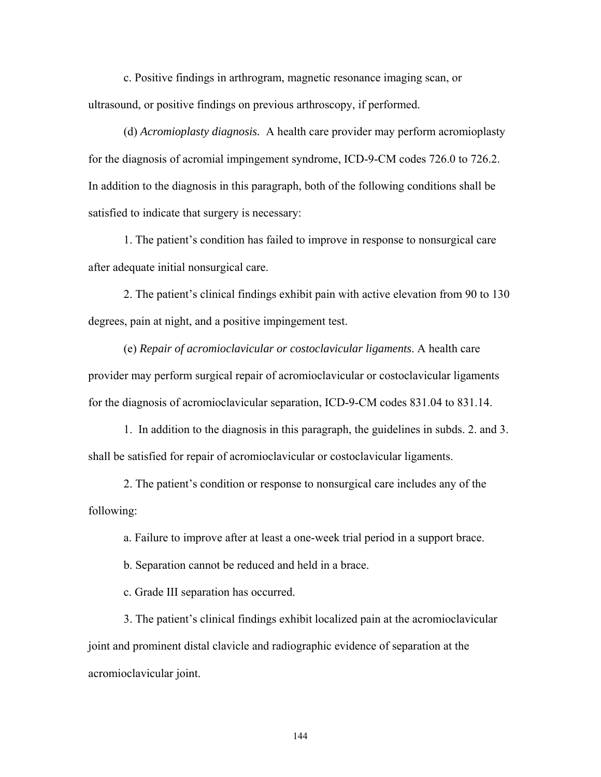c. Positive findings in arthrogram, magnetic resonance imaging scan, or ultrasound, or positive findings on previous arthroscopy, if performed.

 (d) *Acromioplasty diagnosis.* A health care provider may perform acromioplasty for the diagnosis of acromial impingement syndrome, ICD-9-CM codes 726.0 to 726.2. In addition to the diagnosis in this paragraph, both of the following conditions shall be satisfied to indicate that surgery is necessary:

 1. The patient's condition has failed to improve in response to nonsurgical care after adequate initial nonsurgical care.

 2. The patient's clinical findings exhibit pain with active elevation from 90 to 130 degrees, pain at night, and a positive impingement test.

 (e) *Repair of acromioclavicular or costoclavicular ligaments*. A health care provider may perform surgical repair of acromioclavicular or costoclavicular ligaments for the diagnosis of acromioclavicular separation, ICD-9-CM codes 831.04 to 831.14.

 1. In addition to the diagnosis in this paragraph, the guidelines in subds. 2. and 3. shall be satisfied for repair of acromioclavicular or costoclavicular ligaments.

2. The patient's condition or response to nonsurgical care includes any of the following:

a. Failure to improve after at least a one-week trial period in a support brace.

b. Separation cannot be reduced and held in a brace.

c. Grade III separation has occurred.

 3. The patient's clinical findings exhibit localized pain at the acromioclavicular joint and prominent distal clavicle and radiographic evidence of separation at the acromioclavicular joint.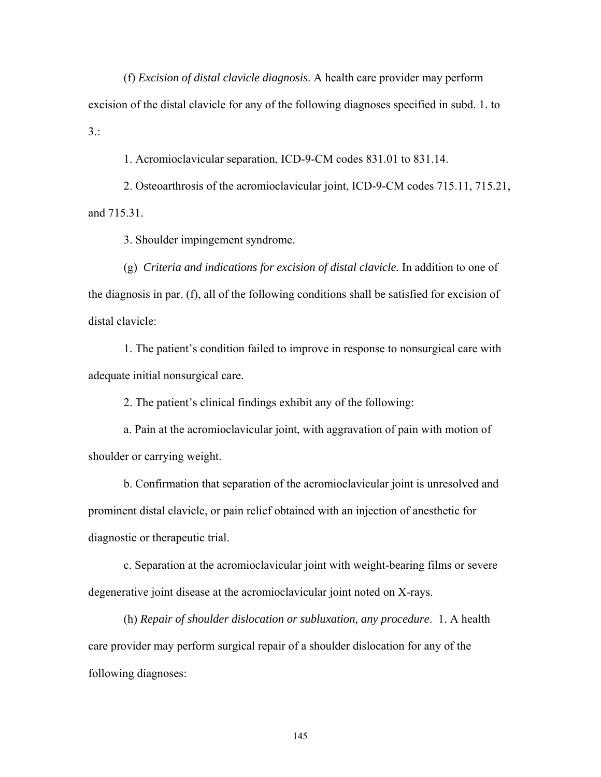(f) *Excision of distal clavicle diagnosis*. A health care provider may perform excision of the distal clavicle for any of the following diagnoses specified in subd. 1. to  $3:$ 

1. Acromioclavicular separation, ICD-9-CM codes 831.01 to 831.14.

 2. Osteoarthrosis of the acromioclavicular joint, ICD-9-CM codes 715.11, 715.21, and 715.31.

3. Shoulder impingement syndrome.

 (g) *Criteria and indications for excision of distal clavicle.* In addition to one of the diagnosis in par. (f), all of the following conditions shall be satisfied for excision of distal clavicle:

 1. The patient's condition failed to improve in response to nonsurgical care with adequate initial nonsurgical care.

2. The patient's clinical findings exhibit any of the following:

 a. Pain at the acromioclavicular joint, with aggravation of pain with motion of shoulder or carrying weight.

 b. Confirmation that separation of the acromioclavicular joint is unresolved and prominent distal clavicle, or pain relief obtained with an injection of anesthetic for diagnostic or therapeutic trial.

 c. Separation at the acromioclavicular joint with weight-bearing films or severe degenerative joint disease at the acromioclavicular joint noted on X-rays.

 (h) *Repair of shoulder dislocation or subluxation, any procedure*.1. A health care provider may perform surgical repair of a shoulder dislocation for any of the following diagnoses: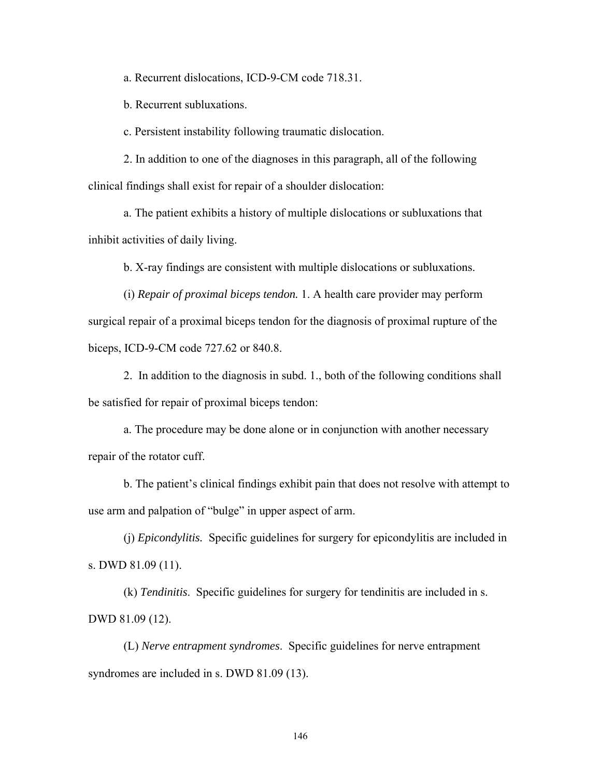a. Recurrent dislocations, ICD-9-CM code 718.31.

b. Recurrent subluxations.

c. Persistent instability following traumatic dislocation.

 2. In addition to one of the diagnoses in this paragraph, all of the following clinical findings shall exist for repair of a shoulder dislocation:

a. The patient exhibits a history of multiple dislocations or subluxations that inhibit activities of daily living.

b. X-ray findings are consistent with multiple dislocations or subluxations.

 (i) *Repair of proximal biceps tendon.* 1. A health care provider may perform surgical repair of a proximal biceps tendon for the diagnosis of proximal rupture of the biceps, ICD-9-CM code 727.62 or 840.8.

 2. In addition to the diagnosis in subd. 1., both of the following conditions shall be satisfied for repair of proximal biceps tendon:

 a. The procedure may be done alone or in conjunction with another necessary repair of the rotator cuff.

 b. The patient's clinical findings exhibit pain that does not resolve with attempt to use arm and palpation of "bulge" in upper aspect of arm.

 (j) *Epicondylitis.* Specific guidelines for surgery for epicondylitis are included in s. DWD 81.09 (11).

 (k) *Tendinitis*. Specific guidelines for surgery for tendinitis are included in s. DWD 81.09 (12).

 (L) *Nerve entrapment syndromes*. Specific guidelines for nerve entrapment syndromes are included in s. DWD 81.09 (13).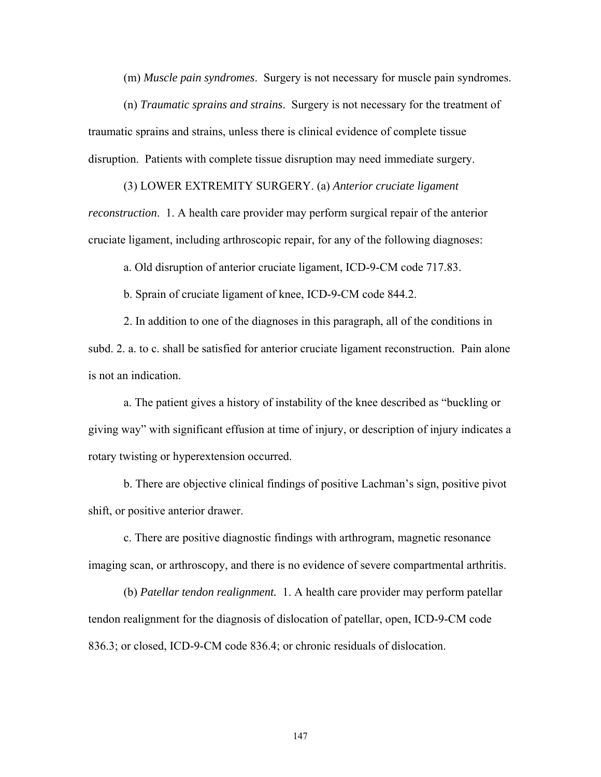(m) *Muscle pain syndromes*. Surgery is not necessary for muscle pain syndromes.

 (n) *Traumatic sprains and strains*. Surgery is not necessary for the treatment of traumatic sprains and strains, unless there is clinical evidence of complete tissue disruption. Patients with complete tissue disruption may need immediate surgery.

 (3) LOWER EXTREMITY SURGERY. (a) *Anterior cruciate ligament reconstruction*. 1. A health care provider may perform surgical repair of the anterior cruciate ligament, including arthroscopic repair, for any of the following diagnoses:

a. Old disruption of anterior cruciate ligament, ICD-9-CM code 717.83.

b. Sprain of cruciate ligament of knee, ICD-9-CM code 844.2.

 2. In addition to one of the diagnoses in this paragraph, all of the conditions in subd. 2. a. to c. shall be satisfied for anterior cruciate ligament reconstruction. Pain alone is not an indication.

 a. The patient gives a history of instability of the knee described as "buckling or giving way" with significant effusion at time of injury, or description of injury indicates a rotary twisting or hyperextension occurred.

 b. There are objective clinical findings of positive Lachman's sign, positive pivot shift, or positive anterior drawer.

 c. There are positive diagnostic findings with arthrogram, magnetic resonance imaging scan, or arthroscopy, and there is no evidence of severe compartmental arthritis.

 (b) *Patellar tendon realignment.* 1. A health care provider may perform patellar tendon realignment for the diagnosis of dislocation of patellar, open, ICD-9-CM code 836.3; or closed, ICD-9-CM code 836.4; or chronic residuals of dislocation.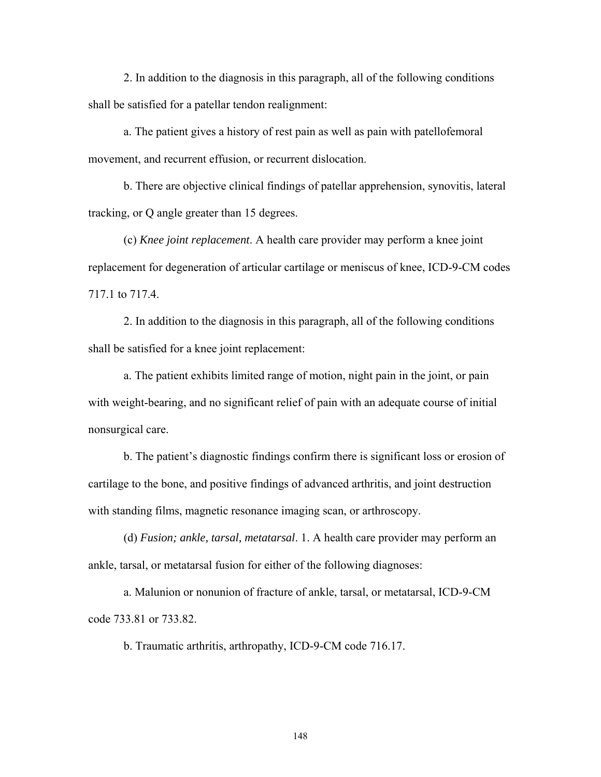2. In addition to the diagnosis in this paragraph, all of the following conditions shall be satisfied for a patellar tendon realignment:

 a. The patient gives a history of rest pain as well as pain with patellofemoral movement, and recurrent effusion, or recurrent dislocation.

 b. There are objective clinical findings of patellar apprehension, synovitis, lateral tracking, or Q angle greater than 15 degrees.

 (c) *Knee joint replacement*. A health care provider may perform a knee joint replacement for degeneration of articular cartilage or meniscus of knee, ICD-9-CM codes 717.1 to 717.4.

 2. In addition to the diagnosis in this paragraph, all of the following conditions shall be satisfied for a knee joint replacement:

 a. The patient exhibits limited range of motion, night pain in the joint, or pain with weight-bearing, and no significant relief of pain with an adequate course of initial nonsurgical care.

 b. The patient's diagnostic findings confirm there is significant loss or erosion of cartilage to the bone, and positive findings of advanced arthritis, and joint destruction with standing films, magnetic resonance imaging scan, or arthroscopy.

 (d) *Fusion; ankle, tarsal, metatarsal*. 1. A health care provider may perform an ankle, tarsal, or metatarsal fusion for either of the following diagnoses:

 a. Malunion or nonunion of fracture of ankle, tarsal, or metatarsal, ICD-9-CM code 733.81 or 733.82.

b. Traumatic arthritis, arthropathy, ICD-9-CM code 716.17.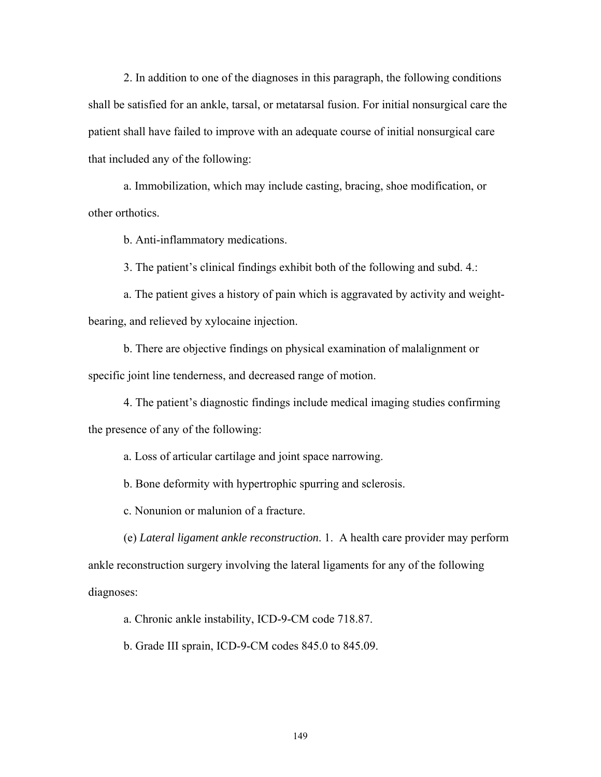2. In addition to one of the diagnoses in this paragraph, the following conditions shall be satisfied for an ankle, tarsal, or metatarsal fusion. For initial nonsurgical care the patient shall have failed to improve with an adequate course of initial nonsurgical care that included any of the following:

 a. Immobilization, which may include casting, bracing, shoe modification, or other orthotics.

b. Anti-inflammatory medications.

3. The patient's clinical findings exhibit both of the following and subd. 4.:

 a. The patient gives a history of pain which is aggravated by activity and weightbearing, and relieved by xylocaine injection.

 b. There are objective findings on physical examination of malalignment or specific joint line tenderness, and decreased range of motion.

 4. The patient's diagnostic findings include medical imaging studies confirming the presence of any of the following:

a. Loss of articular cartilage and joint space narrowing.

b. Bone deformity with hypertrophic spurring and sclerosis.

c. Nonunion or malunion of a fracture.

 (e) *Lateral ligament ankle reconstruction*. 1. A health care provider may perform ankle reconstruction surgery involving the lateral ligaments for any of the following diagnoses:

a. Chronic ankle instability, ICD-9-CM code 718.87.

b. Grade III sprain, ICD-9-CM codes 845.0 to 845.09.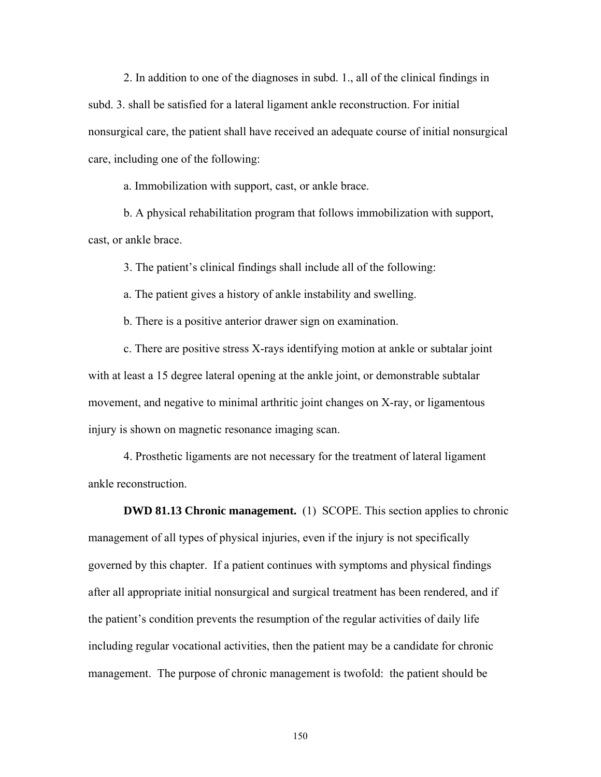2. In addition to one of the diagnoses in subd. 1., all of the clinical findings in subd. 3. shall be satisfied for a lateral ligament ankle reconstruction. For initial nonsurgical care, the patient shall have received an adequate course of initial nonsurgical care, including one of the following:

a. Immobilization with support, cast, or ankle brace.

 b. A physical rehabilitation program that follows immobilization with support, cast, or ankle brace.

3. The patient's clinical findings shall include all of the following:

a. The patient gives a history of ankle instability and swelling.

b. There is a positive anterior drawer sign on examination.

 c. There are positive stress X-rays identifying motion at ankle or subtalar joint with at least a 15 degree lateral opening at the ankle joint, or demonstrable subtalar movement, and negative to minimal arthritic joint changes on X-ray, or ligamentous injury is shown on magnetic resonance imaging scan.

 4. Prosthetic ligaments are not necessary for the treatment of lateral ligament ankle reconstruction.

**DWD 81.13 Chronic management.** (1) SCOPE. This section applies to chronic management of all types of physical injuries, even if the injury is not specifically governed by this chapter. If a patient continues with symptoms and physical findings after all appropriate initial nonsurgical and surgical treatment has been rendered, and if the patient's condition prevents the resumption of the regular activities of daily life including regular vocational activities, then the patient may be a candidate for chronic management. The purpose of chronic management is twofold: the patient should be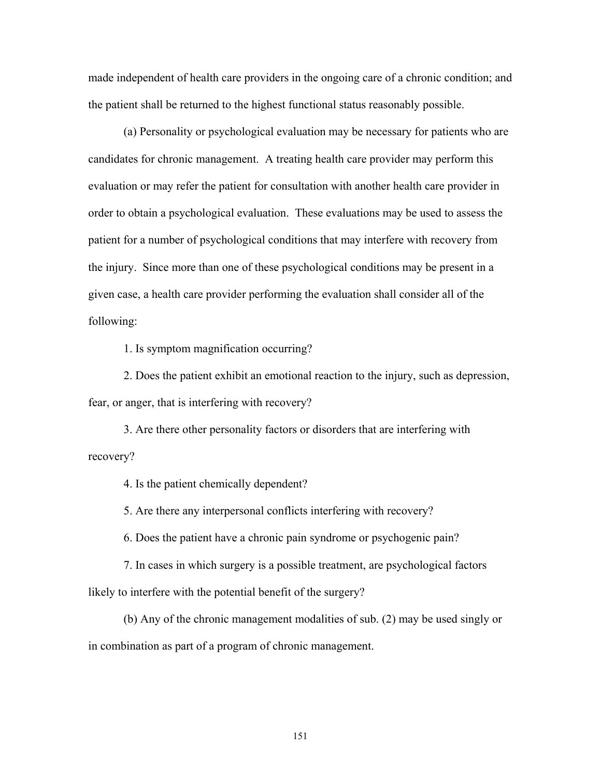made independent of health care providers in the ongoing care of a chronic condition; and the patient shall be returned to the highest functional status reasonably possible.

 (a) Personality or psychological evaluation may be necessary for patients who are candidates for chronic management. A treating health care provider may perform this evaluation or may refer the patient for consultation with another health care provider in order to obtain a psychological evaluation. These evaluations may be used to assess the patient for a number of psychological conditions that may interfere with recovery from the injury. Since more than one of these psychological conditions may be present in a given case, a health care provider performing the evaluation shall consider all of the following:

1. Is symptom magnification occurring?

 2. Does the patient exhibit an emotional reaction to the injury, such as depression, fear, or anger, that is interfering with recovery?

 3. Are there other personality factors or disorders that are interfering with recovery?

4. Is the patient chemically dependent?

5. Are there any interpersonal conflicts interfering with recovery?

6. Does the patient have a chronic pain syndrome or psychogenic pain?

 7. In cases in which surgery is a possible treatment, are psychological factors likely to interfere with the potential benefit of the surgery?

 (b) Any of the chronic management modalities of sub. (2) may be used singly or in combination as part of a program of chronic management.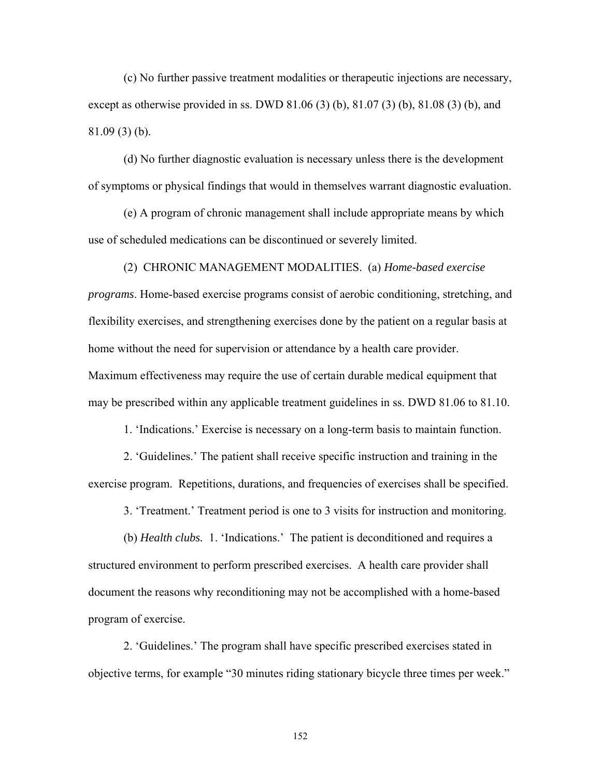(c) No further passive treatment modalities or therapeutic injections are necessary, except as otherwise provided in ss. DWD 81.06 (3) (b), 81.07 (3) (b), 81.08 (3) (b), and 81.09 (3) (b).

 (d) No further diagnostic evaluation is necessary unless there is the development of symptoms or physical findings that would in themselves warrant diagnostic evaluation.

 (e) A program of chronic management shall include appropriate means by which use of scheduled medications can be discontinued or severely limited.

 (2) CHRONIC MANAGEMENT MODALITIES. (a) *Home-based exercise programs*. Home-based exercise programs consist of aerobic conditioning, stretching, and flexibility exercises, and strengthening exercises done by the patient on a regular basis at home without the need for supervision or attendance by a health care provider. Maximum effectiveness may require the use of certain durable medical equipment that may be prescribed within any applicable treatment guidelines in ss. DWD 81.06 to 81.10.

1. 'Indications.' Exercise is necessary on a long-term basis to maintain function.

 2. 'Guidelines.' The patient shall receive specific instruction and training in the exercise program. Repetitions, durations, and frequencies of exercises shall be specified.

3. 'Treatment.' Treatment period is one to 3 visits for instruction and monitoring.

 (b) *Health clubs.* 1. 'Indications.' The patient is deconditioned and requires a structured environment to perform prescribed exercises. A health care provider shall document the reasons why reconditioning may not be accomplished with a home-based program of exercise.

 2. 'Guidelines.' The program shall have specific prescribed exercises stated in objective terms, for example "30 minutes riding stationary bicycle three times per week."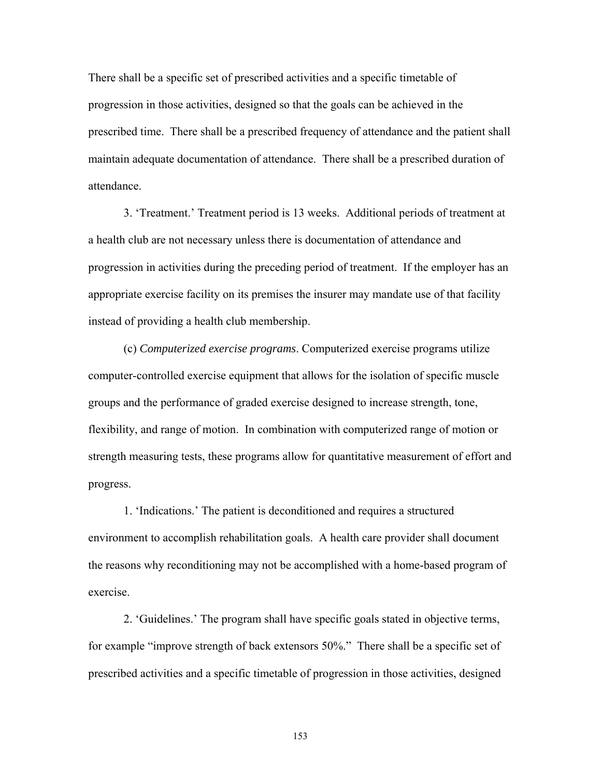There shall be a specific set of prescribed activities and a specific timetable of progression in those activities, designed so that the goals can be achieved in the prescribed time. There shall be a prescribed frequency of attendance and the patient shall maintain adequate documentation of attendance. There shall be a prescribed duration of attendance.

 3. 'Treatment.' Treatment period is 13 weeks. Additional periods of treatment at a health club are not necessary unless there is documentation of attendance and progression in activities during the preceding period of treatment. If the employer has an appropriate exercise facility on its premises the insurer may mandate use of that facility instead of providing a health club membership.

 (c) *Computerized exercise programs*. Computerized exercise programs utilize computer-controlled exercise equipment that allows for the isolation of specific muscle groups and the performance of graded exercise designed to increase strength, tone, flexibility, and range of motion. In combination with computerized range of motion or strength measuring tests, these programs allow for quantitative measurement of effort and progress.

 1. 'Indications.' The patient is deconditioned and requires a structured environment to accomplish rehabilitation goals. A health care provider shall document the reasons why reconditioning may not be accomplished with a home-based program of exercise.

 2. 'Guidelines.' The program shall have specific goals stated in objective terms, for example "improve strength of back extensors 50%." There shall be a specific set of prescribed activities and a specific timetable of progression in those activities, designed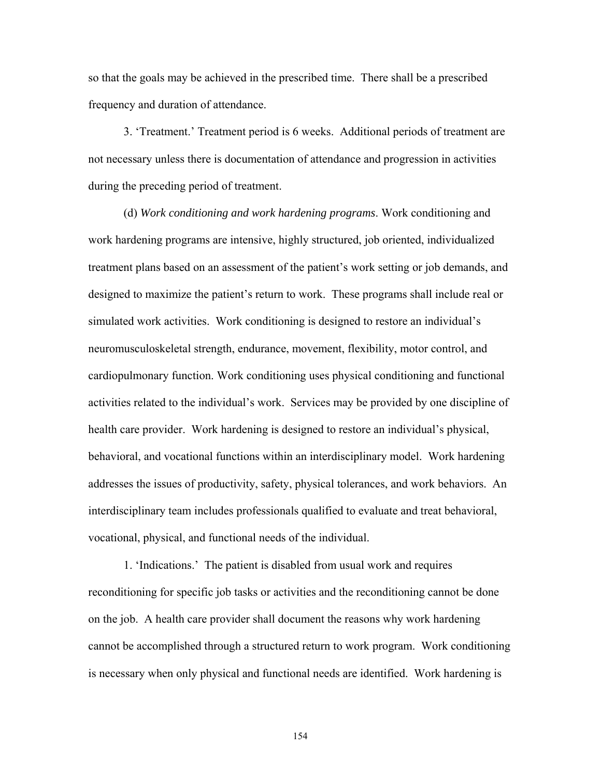so that the goals may be achieved in the prescribed time. There shall be a prescribed frequency and duration of attendance.

 3. 'Treatment.' Treatment period is 6 weeks. Additional periods of treatment are not necessary unless there is documentation of attendance and progression in activities during the preceding period of treatment.

 (d) *Work conditioning and work hardening programs*. Work conditioning and work hardening programs are intensive, highly structured, job oriented, individualized treatment plans based on an assessment of the patient's work setting or job demands, and designed to maximize the patient's return to work. These programs shall include real or simulated work activities. Work conditioning is designed to restore an individual's neuromusculoskeletal strength, endurance, movement, flexibility, motor control, and cardiopulmonary function. Work conditioning uses physical conditioning and functional activities related to the individual's work. Services may be provided by one discipline of health care provider. Work hardening is designed to restore an individual's physical, behavioral, and vocational functions within an interdisciplinary model. Work hardening addresses the issues of productivity, safety, physical tolerances, and work behaviors. An interdisciplinary team includes professionals qualified to evaluate and treat behavioral, vocational, physical, and functional needs of the individual.

 1. 'Indications.' The patient is disabled from usual work and requires reconditioning for specific job tasks or activities and the reconditioning cannot be done on the job. A health care provider shall document the reasons why work hardening cannot be accomplished through a structured return to work program. Work conditioning is necessary when only physical and functional needs are identified. Work hardening is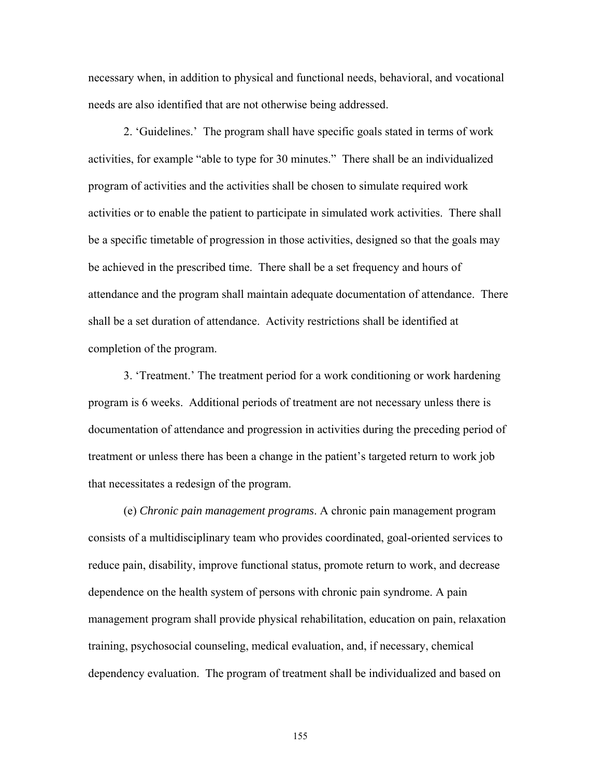necessary when, in addition to physical and functional needs, behavioral, and vocational needs are also identified that are not otherwise being addressed.

 2. 'Guidelines.' The program shall have specific goals stated in terms of work activities, for example "able to type for 30 minutes." There shall be an individualized program of activities and the activities shall be chosen to simulate required work activities or to enable the patient to participate in simulated work activities. There shall be a specific timetable of progression in those activities, designed so that the goals may be achieved in the prescribed time. There shall be a set frequency and hours of attendance and the program shall maintain adequate documentation of attendance. There shall be a set duration of attendance. Activity restrictions shall be identified at completion of the program.

 3. 'Treatment.' The treatment period for a work conditioning or work hardening program is 6 weeks. Additional periods of treatment are not necessary unless there is documentation of attendance and progression in activities during the preceding period of treatment or unless there has been a change in the patient's targeted return to work job that necessitates a redesign of the program.

 (e) *Chronic pain management programs*. A chronic pain management program consists of a multidisciplinary team who provides coordinated, goal-oriented services to reduce pain, disability, improve functional status, promote return to work, and decrease dependence on the health system of persons with chronic pain syndrome. A pain management program shall provide physical rehabilitation, education on pain, relaxation training, psychosocial counseling, medical evaluation, and, if necessary, chemical dependency evaluation. The program of treatment shall be individualized and based on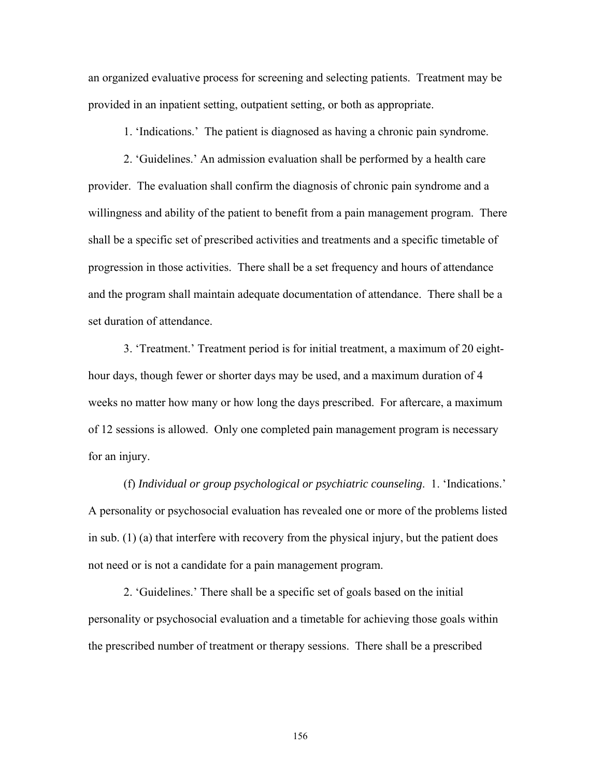an organized evaluative process for screening and selecting patients. Treatment may be provided in an inpatient setting, outpatient setting, or both as appropriate.

1. 'Indications.' The patient is diagnosed as having a chronic pain syndrome.

 2. 'Guidelines.' An admission evaluation shall be performed by a health care provider. The evaluation shall confirm the diagnosis of chronic pain syndrome and a willingness and ability of the patient to benefit from a pain management program. There shall be a specific set of prescribed activities and treatments and a specific timetable of progression in those activities. There shall be a set frequency and hours of attendance and the program shall maintain adequate documentation of attendance. There shall be a set duration of attendance.

 3. 'Treatment.' Treatment period is for initial treatment, a maximum of 20 eighthour days, though fewer or shorter days may be used, and a maximum duration of 4 weeks no matter how many or how long the days prescribed. For aftercare, a maximum of 12 sessions is allowed. Only one completed pain management program is necessary for an injury.

 (f) *Individual or group psychological or psychiatric counseling*. 1. 'Indications.' A personality or psychosocial evaluation has revealed one or more of the problems listed in sub. (1) (a) that interfere with recovery from the physical injury, but the patient does not need or is not a candidate for a pain management program.

 2. 'Guidelines.' There shall be a specific set of goals based on the initial personality or psychosocial evaluation and a timetable for achieving those goals within the prescribed number of treatment or therapy sessions. There shall be a prescribed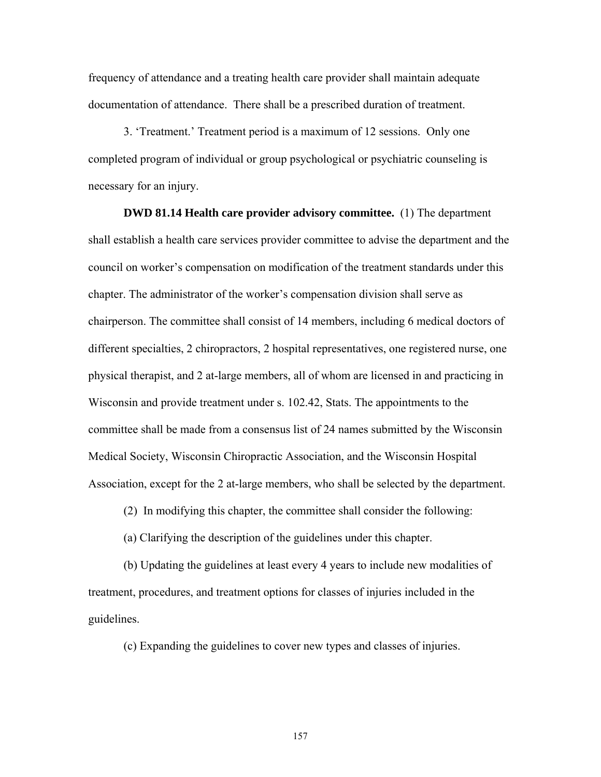frequency of attendance and a treating health care provider shall maintain adequate documentation of attendance. There shall be a prescribed duration of treatment.

 3. 'Treatment.' Treatment period is a maximum of 12 sessions. Only one completed program of individual or group psychological or psychiatric counseling is necessary for an injury.

 **DWD 81.14 Health care provider advisory committee.** (1) The department shall establish a health care services provider committee to advise the department and the council on worker's compensation on modification of the treatment standards under this chapter. The administrator of the worker's compensation division shall serve as chairperson. The committee shall consist of 14 members, including 6 medical doctors of different specialties, 2 chiropractors, 2 hospital representatives, one registered nurse, one physical therapist, and 2 at-large members, all of whom are licensed in and practicing in Wisconsin and provide treatment under s. 102.42, Stats. The appointments to the committee shall be made from a consensus list of 24 names submitted by the Wisconsin Medical Society, Wisconsin Chiropractic Association, and the Wisconsin Hospital Association, except for the 2 at-large members, who shall be selected by the department.

(2) In modifying this chapter, the committee shall consider the following:

(a) Clarifying the description of the guidelines under this chapter.

 (b) Updating the guidelines at least every 4 years to include new modalities of treatment, procedures, and treatment options for classes of injuries included in the guidelines.

(c) Expanding the guidelines to cover new types and classes of injuries.